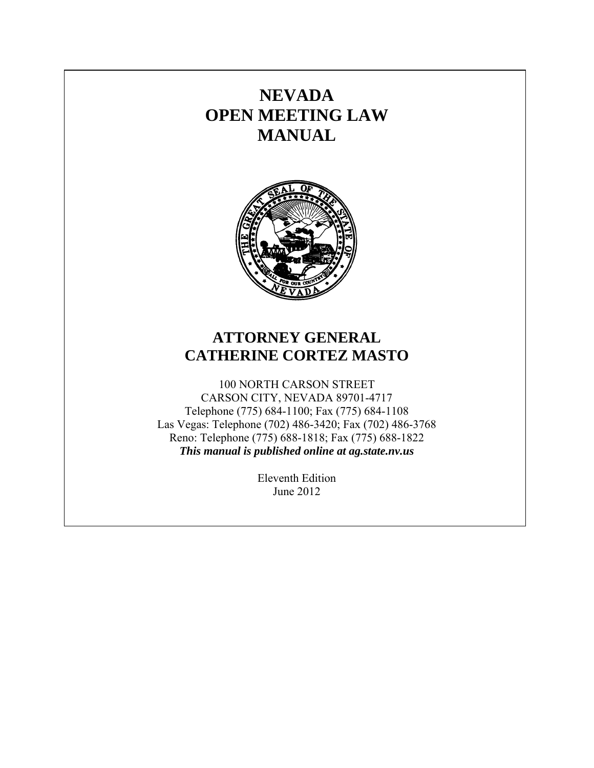# **NEVADA OPEN MEETING LAW MANUAL**



# **ATTORNEY GENERAL CATHERINE CORTEZ MASTO**

100 NORTH CARSON STREET CARSON CITY, NEVADA 89701-4717 Telephone (775) 684-1100; Fax (775) 684-1108 Las Vegas: Telephone (702) 486-3420; Fax (702) 486-3768 Reno: Telephone (775) 688-1818; Fax (775) 688-1822 *This manual is published online at ag.state.nv.us* 

> Eleventh Edition June 2012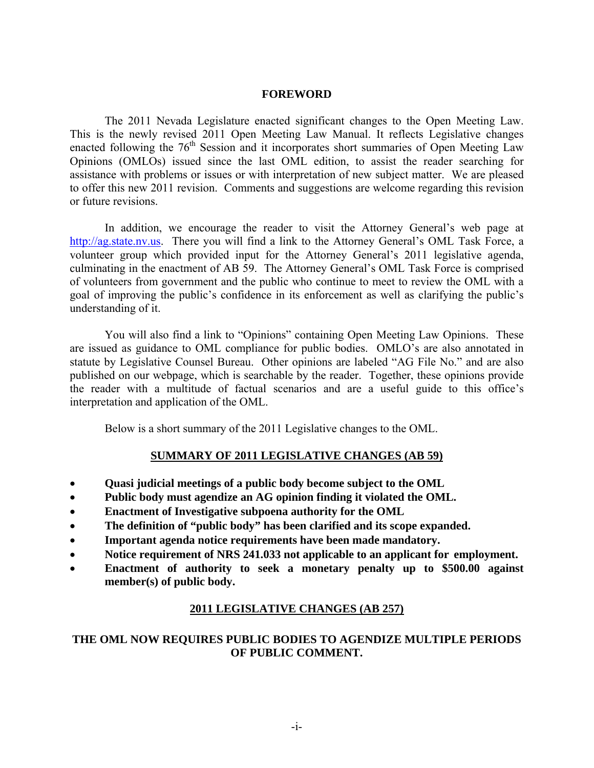### **FOREWORD**

 The 2011 Nevada Legislature enacted significant changes to the Open Meeting Law. This is the newly revised 2011 Open Meeting Law Manual. It reflects Legislative changes enacted following the  $76<sup>th</sup>$  Session and it incorporates short summaries of Open Meeting Law Opinions (OMLOs) issued since the last OML edition, to assist the reader searching for assistance with problems or issues or with interpretation of new subject matter. We are pleased to offer this new 2011 revision. Comments and suggestions are welcome regarding this revision or future revisions.

 In addition, we encourage the reader to visit the Attorney General's web page at http://ag.state.nv.us. There you will find a link to the Attorney General's OML Task Force, a volunteer group which provided input for the Attorney General's 2011 legislative agenda, culminating in the enactment of AB 59. The Attorney General's OML Task Force is comprised of volunteers from government and the public who continue to meet to review the OML with a goal of improving the public's confidence in its enforcement as well as clarifying the public's understanding of it.

 You will also find a link to "Opinions" containing Open Meeting Law Opinions. These are issued as guidance to OML compliance for public bodies. OMLO's are also annotated in statute by Legislative Counsel Bureau. Other opinions are labeled "AG File No." and are also published on our webpage, which is searchable by the reader. Together, these opinions provide the reader with a multitude of factual scenarios and are a useful guide to this office's interpretation and application of the OML.

Below is a short summary of the 2011 Legislative changes to the OML.

# **SUMMARY OF 2011 LEGISLATIVE CHANGES (AB 59)**

- **Quasi judicial meetings of a public body become subject to the OML**
- **Public body must agendize an AG opinion finding it violated the OML.**
- **Enactment of Investigative subpoena authority for the OML**
- **The definition of "public body" has been clarified and its scope expanded.**
- **Important agenda notice requirements have been made mandatory.**
- Notice requirement of NRS 241.033 not applicable to an applicant for employment.
- **Enactment of authority to seek a monetary penalty up to \$500.00 against member(s) of public body.**

# **2011 LEGISLATIVE CHANGES (AB 257)**

# **THE OML NOW REQUIRES PUBLIC BODIES TO AGENDIZE MULTIPLE PERIODS OF PUBLIC COMMENT.**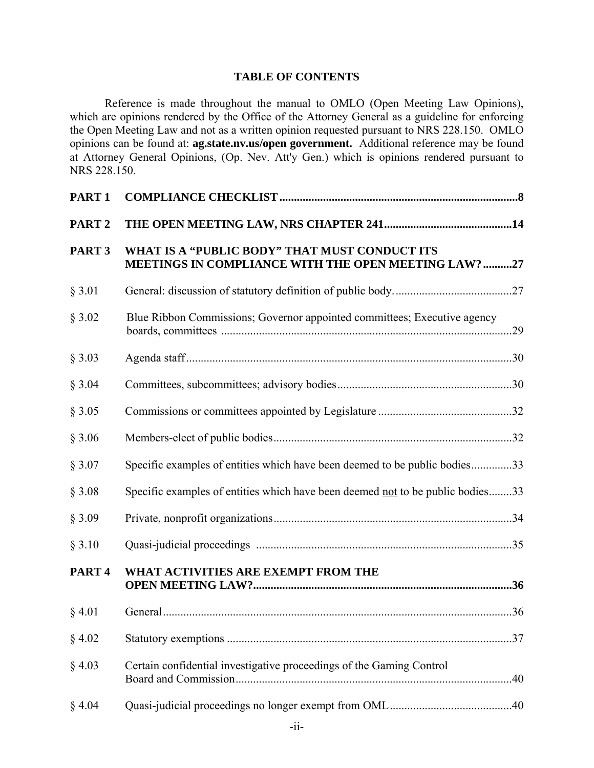# **TABLE OF CONTENTS**

 Reference is made throughout the manual to OMLO (Open Meeting Law Opinions), which are opinions rendered by the Office of the Attorney General as a guideline for enforcing the Open Meeting Law and not as a written opinion requested pursuant to NRS 228.150. OMLO opinions can be found at: **ag.state.nv.us/open government.** Additional reference may be found at Attorney General Opinions, (Op. Nev. Att'y Gen.) which is opinions rendered pursuant to NRS 228.150.

| PART <sub>1</sub> |                                                                                                      |     |
|-------------------|------------------------------------------------------------------------------------------------------|-----|
| PART <sub>2</sub> |                                                                                                      |     |
| PART <sub>3</sub> | WHAT IS A "PUBLIC BODY" THAT MUST CONDUCT ITS<br>MEETINGS IN COMPLIANCE WITH THE OPEN MEETING LAW?27 |     |
| § 3.01            |                                                                                                      |     |
| § 3.02            | Blue Ribbon Commissions; Governor appointed committees; Executive agency                             |     |
| § 3.03            |                                                                                                      |     |
| § 3.04            |                                                                                                      |     |
| § 3.05            |                                                                                                      |     |
| § 3.06            |                                                                                                      |     |
| § 3.07            | Specific examples of entities which have been deemed to be public bodies33                           |     |
| § 3.08            | Specific examples of entities which have been deemed not to be public bodies33                       |     |
| § 3.09            |                                                                                                      |     |
| § 3.10            |                                                                                                      |     |
| PART <sub>4</sub> | WHAT ACTIVITIES ARE EXEMPT FROM THE                                                                  |     |
| § 4.01            |                                                                                                      |     |
| § 4.02            |                                                                                                      | .37 |
| § 4.03            | Certain confidential investigative proceedings of the Gaming Control                                 |     |
| § 4.04            |                                                                                                      |     |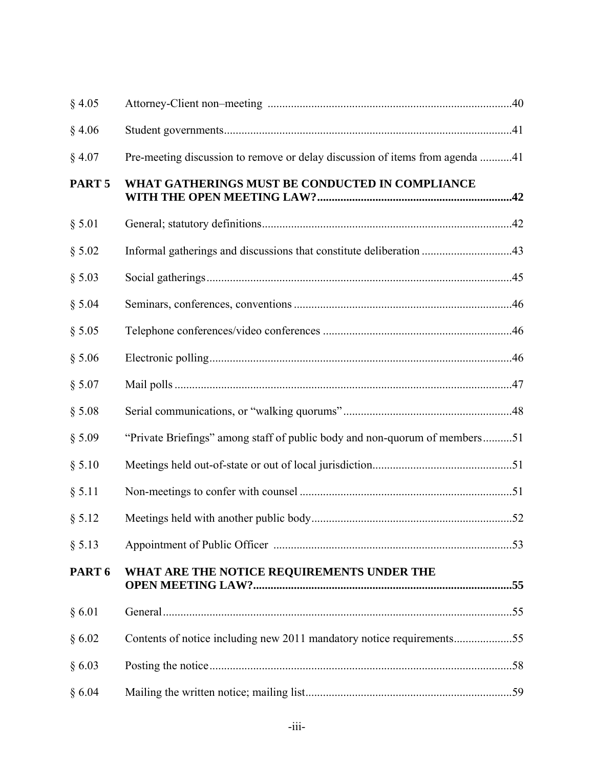| § 4.05            |                                                                              |  |
|-------------------|------------------------------------------------------------------------------|--|
| § 4.06            |                                                                              |  |
| § 4.07            | Pre-meeting discussion to remove or delay discussion of items from agenda 41 |  |
| PART <sub>5</sub> | WHAT GATHERINGS MUST BE CONDUCTED IN COMPLIANCE                              |  |
| § 5.01            |                                                                              |  |
| § 5.02            |                                                                              |  |
| § 5.03            |                                                                              |  |
| § 5.04            |                                                                              |  |
| § 5.05            |                                                                              |  |
| § 5.06            |                                                                              |  |
| § 5.07            |                                                                              |  |
| § 5.08            |                                                                              |  |
| § 5.09            | "Private Briefings" among staff of public body and non-quorum of members51   |  |
| § 5.10            |                                                                              |  |
| § 5.11            |                                                                              |  |
| § 5.12            |                                                                              |  |
| § 5.13            |                                                                              |  |
| PART 6            | WHAT ARE THE NOTICE REQUIREMENTS UNDER THE                                   |  |
| § 6.01            |                                                                              |  |
| § 6.02            | Contents of notice including new 2011 mandatory notice requirements55        |  |
| § 6.03            |                                                                              |  |
| § 6.04            |                                                                              |  |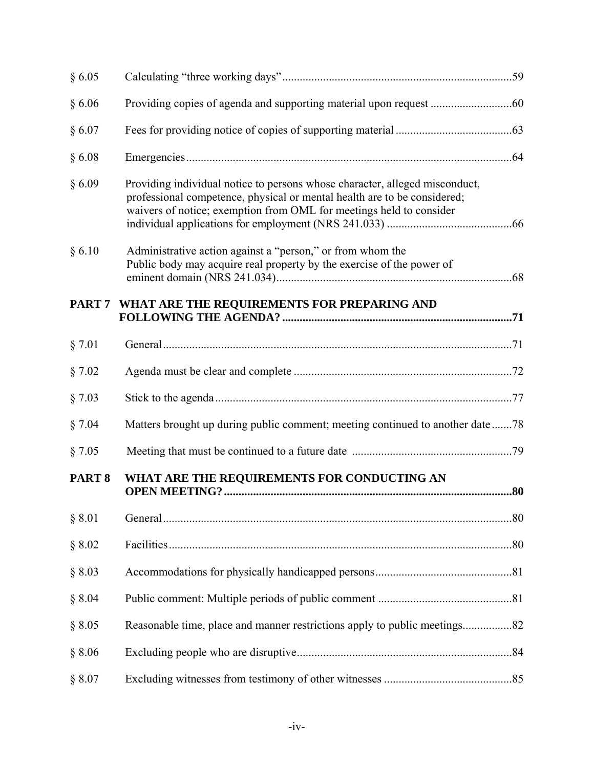| § 6.05            |                                                                                                                                                                                                                                |  |
|-------------------|--------------------------------------------------------------------------------------------------------------------------------------------------------------------------------------------------------------------------------|--|
| § 6.06            |                                                                                                                                                                                                                                |  |
| § 6.07            |                                                                                                                                                                                                                                |  |
| § 6.08            |                                                                                                                                                                                                                                |  |
| § 6.09            | Providing individual notice to persons whose character, alleged misconduct,<br>professional competence, physical or mental health are to be considered;<br>waivers of notice; exemption from OML for meetings held to consider |  |
| § 6.10            | Administrative action against a "person," or from whom the<br>Public body may acquire real property by the exercise of the power of                                                                                            |  |
|                   | PART 7 WHAT ARE THE REQUIREMENTS FOR PREPARING AND                                                                                                                                                                             |  |
| § 7.01            |                                                                                                                                                                                                                                |  |
| § 7.02            |                                                                                                                                                                                                                                |  |
| § 7.03            |                                                                                                                                                                                                                                |  |
| § 7.04            | Matters brought up during public comment; meeting continued to another date 78                                                                                                                                                 |  |
| § 7.05            |                                                                                                                                                                                                                                |  |
| PART <sub>8</sub> | WHAT ARE THE REQUIREMENTS FOR CONDUCTING AN                                                                                                                                                                                    |  |
| § 8.01            |                                                                                                                                                                                                                                |  |
| § 8.02            |                                                                                                                                                                                                                                |  |
| § 8.03            |                                                                                                                                                                                                                                |  |
| § 8.04            |                                                                                                                                                                                                                                |  |
| § 8.05            | Reasonable time, place and manner restrictions apply to public meetings82                                                                                                                                                      |  |
| § 8.06            |                                                                                                                                                                                                                                |  |
| § 8.07            |                                                                                                                                                                                                                                |  |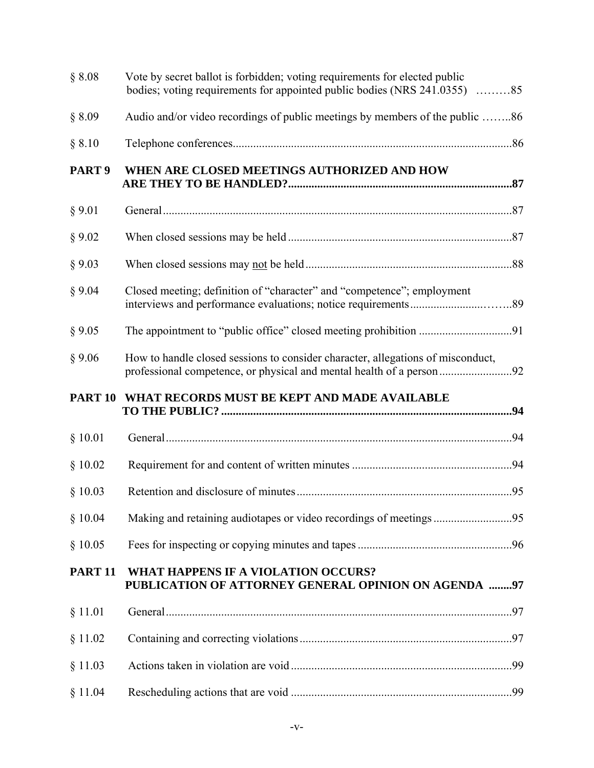| § 8.08            | Vote by secret ballot is forbidden; voting requirements for elected public<br>bodies; voting requirements for appointed public bodies (NRS 241.0355) 85 |  |
|-------------------|---------------------------------------------------------------------------------------------------------------------------------------------------------|--|
| § 8.09            | Audio and/or video recordings of public meetings by members of the public 86                                                                            |  |
| § 8.10            |                                                                                                                                                         |  |
| PART <sub>9</sub> | WHEN ARE CLOSED MEETINGS AUTHORIZED AND HOW                                                                                                             |  |
| § 9.01            |                                                                                                                                                         |  |
| § 9.02            |                                                                                                                                                         |  |
| § 9.03            |                                                                                                                                                         |  |
| § 9.04            | Closed meeting; definition of "character" and "competence"; employment                                                                                  |  |
| § 9.05            |                                                                                                                                                         |  |
| § 9.06            | How to handle closed sessions to consider character, allegations of misconduct,                                                                         |  |
| <b>PART 10</b>    | WHAT RECORDS MUST BE KEPT AND MADE AVAILABLE                                                                                                            |  |
|                   |                                                                                                                                                         |  |
| \$10.01           |                                                                                                                                                         |  |
| \$10.02           |                                                                                                                                                         |  |
| § 10.03           |                                                                                                                                                         |  |
| § 10.04           | Making and retaining audiotapes or video recordings of meetings 95                                                                                      |  |
| § 10.05           |                                                                                                                                                         |  |
| <b>PART 11</b>    | WHAT HAPPENS IF A VIOLATION OCCURS?<br>PUBLICATION OF ATTORNEY GENERAL OPINION ON AGENDA 97                                                             |  |
| § 11.01           |                                                                                                                                                         |  |
| § 11.02           |                                                                                                                                                         |  |
| § 11.03           |                                                                                                                                                         |  |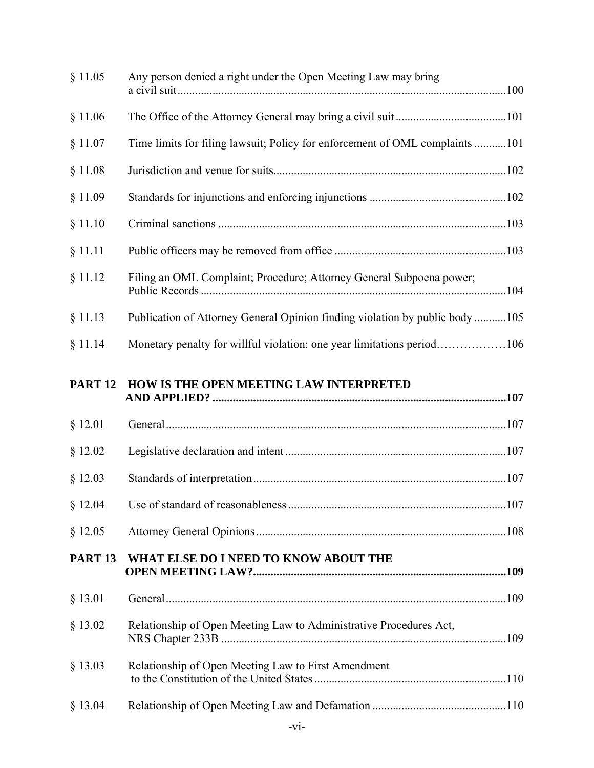| § 11.05        | Any person denied a right under the Open Meeting Law may bring               |  |
|----------------|------------------------------------------------------------------------------|--|
| § 11.06        |                                                                              |  |
| § 11.07        | Time limits for filing lawsuit; Policy for enforcement of OML complaints 101 |  |
| § 11.08        |                                                                              |  |
| § 11.09        |                                                                              |  |
| § 11.10        |                                                                              |  |
| § 11.11        |                                                                              |  |
| § 11.12        | Filing an OML Complaint; Procedure; Attorney General Subpoena power;         |  |
| § 11.13        | Publication of Attorney General Opinion finding violation by public body 105 |  |
| § 11.14        | Monetary penalty for willful violation: one year limitations period106       |  |
| <b>PART 12</b> | HOW IS THE OPEN MEETING LAW INTERPRETED                                      |  |
|                |                                                                              |  |
| § 12.01        |                                                                              |  |
| § 12.02        |                                                                              |  |
| § 12.03        |                                                                              |  |
| § 12.04        |                                                                              |  |
| § 12.05        |                                                                              |  |
| <b>PART 13</b> | WHAT ELSE DO I NEED TO KNOW ABOUT THE                                        |  |
| § 13.01        |                                                                              |  |
| § 13.02        | Relationship of Open Meeting Law to Administrative Procedures Act,           |  |
| § 13.03        | Relationship of Open Meeting Law to First Amendment                          |  |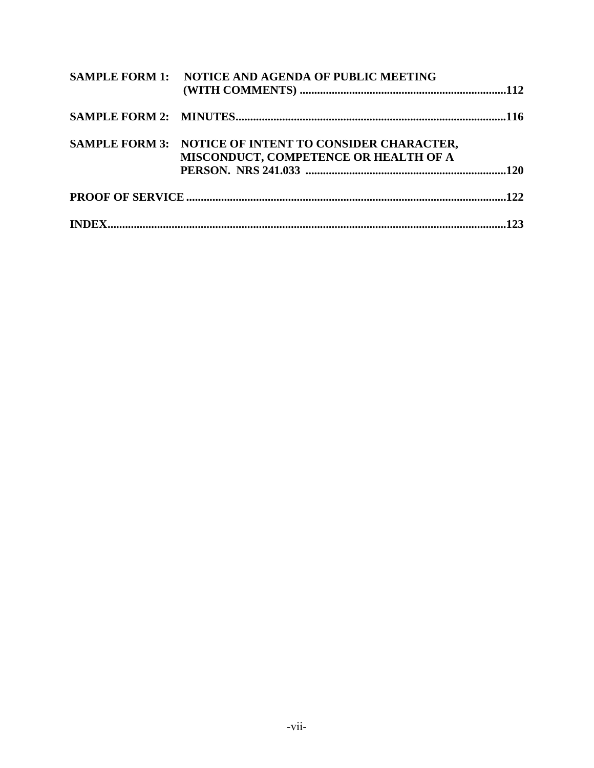| <b>SAMPLE FORM 1: NOTICE AND AGENDA OF PUBLIC MEETING</b>                                       |  |
|-------------------------------------------------------------------------------------------------|--|
|                                                                                                 |  |
| SAMPLE FORM 3: NOTICE OF INTENT TO CONSIDER CHARACTER,<br>MISCONDUCT, COMPETENCE OR HEALTH OF A |  |
|                                                                                                 |  |
|                                                                                                 |  |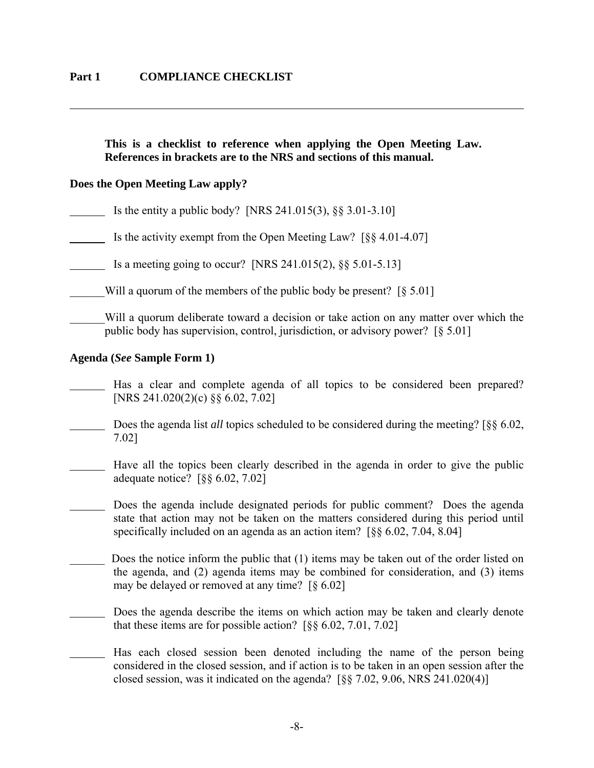### **This is a checklist to reference when applying the Open Meeting Law. References in brackets are to the NRS and sections of this manual.**

### **Does the Open Meeting Law apply?**

 $\overline{a}$ 

Is the entity a public body? [NRS 241.015(3),  $\S$ § 3.01-3.10]

Is the activity exempt from the Open Meeting Law?  $\lceil \S \S 4.01 - 4.07 \rceil$ 

Is a meeting going to occur? [NRS 241.015(2), §§ 5.01-5.13]

Will a quorum of the members of the public body be present?  $\lbrack \S 5.01 \rbrack$ 

Will a quorum deliberate toward a decision or take action on any matter over which the public body has supervision, control, jurisdiction, or advisory power? [§ 5.01]

#### **Agenda (***See* **Sample Form 1)**

- Has a clear and complete agenda of all topics to be considered been prepared? [NRS 241.020(2)(c) §§ 6.02, 7.02]
- Does the agenda list *all* topics scheduled to be considered during the meeting? [§§ 6.02, 7.02]
- Have all the topics been clearly described in the agenda in order to give the public adequate notice? [§§ 6.02, 7.02]
	- Does the agenda include designated periods for public comment? Does the agenda state that action may not be taken on the matters considered during this period until specifically included on an agenda as an action item? [§§ 6.02, 7.04, 8.04]
- Does the notice inform the public that (1) items may be taken out of the order listed on the agenda, and (2) agenda items may be combined for consideration, and (3) items may be delayed or removed at any time? [§ 6.02]
- Does the agenda describe the items on which action may be taken and clearly denote that these items are for possible action? [§§ 6.02, 7.01, 7.02]
	- Has each closed session been denoted including the name of the person being considered in the closed session, and if action is to be taken in an open session after the closed session, was it indicated on the agenda?  $\lceil \S \S \rceil$  7.02, 9.06, NRS 241.020(4)]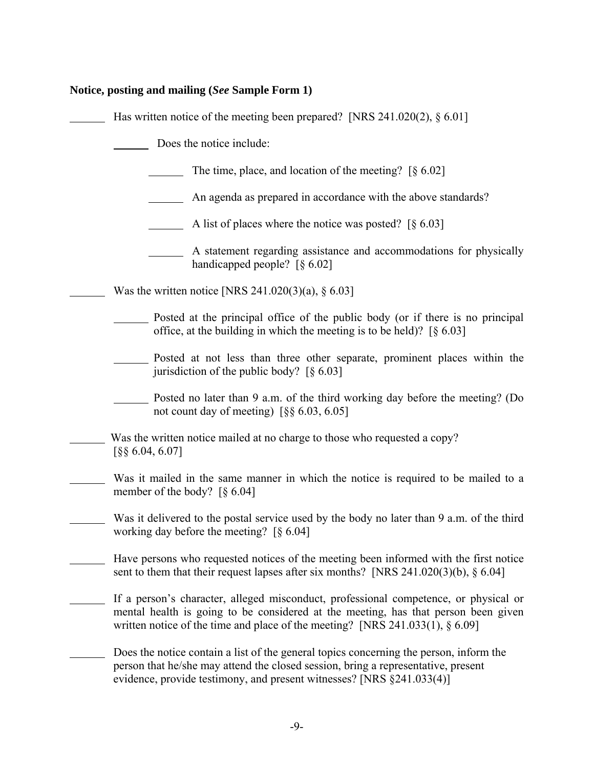| Notice, posting and mailing (See Sample Form 1)                                                                                                                                                                                                                 |
|-----------------------------------------------------------------------------------------------------------------------------------------------------------------------------------------------------------------------------------------------------------------|
| Has written notice of the meeting been prepared? [NRS $241.020(2), § 6.01$ ]                                                                                                                                                                                    |
| Does the notice include:                                                                                                                                                                                                                                        |
| The time, place, and location of the meeting? $[\S 6.02]$                                                                                                                                                                                                       |
| An agenda as prepared in accordance with the above standards?                                                                                                                                                                                                   |
| A list of places where the notice was posted? $\lceil \S 6.03 \rceil$                                                                                                                                                                                           |
| A statement regarding assistance and accommodations for physically<br>handicapped people? $\lceil \S 6.02 \rceil$                                                                                                                                               |
| Was the written notice [NRS 241.020(3)(a), $\S 6.03$ ]                                                                                                                                                                                                          |
| Posted at the principal office of the public body (or if there is no principal<br>office, at the building in which the meeting is to be held)? $\lceil \S 6.03 \rceil$                                                                                          |
| Posted at not less than three other separate, prominent places within the<br>jurisdiction of the public body? $\lceil \S 6.03 \rceil$                                                                                                                           |
| Posted no later than 9 a.m. of the third working day before the meeting? (Do<br>not count day of meeting) $\left[\S \S \ 6.03, 6.05\right]$                                                                                                                     |
| Was the written notice mailed at no charge to those who requested a copy?<br>$\lceil$ §§ 6.04, 6.07]                                                                                                                                                            |
| Was it mailed in the same manner in which the notice is required to be mailed to a<br>member of the body? $\lceil \S 6.04 \rceil$                                                                                                                               |
| Was it delivered to the postal service used by the body no later than 9 a.m. of the third<br>working day before the meeting? $\lceil \S 6.04 \rceil$                                                                                                            |
| Have persons who requested notices of the meeting been informed with the first notice<br>sent to them that their request lapses after six months? [NRS 241.020(3)(b), § 6.04]                                                                                   |
| If a person's character, alleged misconduct, professional competence, or physical or<br>mental health is going to be considered at the meeting, has that person been given<br>written notice of the time and place of the meeting? [NRS 241.033(1), $\S 6.09$ ] |
| Does the notice contain a list of the general topics concerning the person, inform the<br>person that he/she may attend the closed session, bring a representative, present<br>evidence, provide testimony, and present witnesses? [NRS §241.033(4)]            |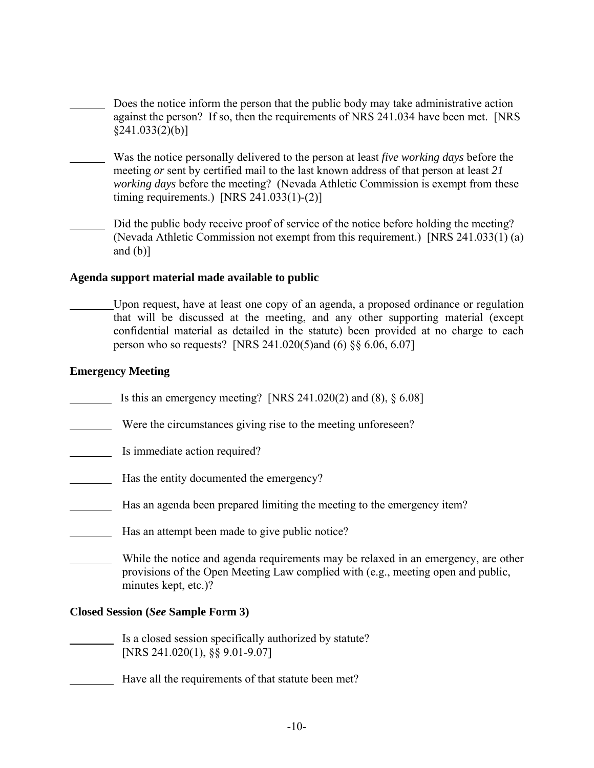- Does the notice inform the person that the public body may take administrative action against the person? If so, then the requirements of NRS 241.034 have been met. [NRS  $\{241.033(2)(b)\}$
- Was the notice personally delivered to the person at least *five working days* before the meeting *or* sent by certified mail to the last known address of that person at least *21 working days before the meeting?* (Nevada Athletic Commission is exempt from these timing requirements.) [NRS 241.033(1)-(2)]
- Did the public body receive proof of service of the notice before holding the meeting? (Nevada Athletic Commission not exempt from this requirement.) [NRS 241.033(1) (a) and  $(b)$ ]

# **Agenda support material made available to public**

 Upon request, have at least one copy of an agenda, a proposed ordinance or regulation that will be discussed at the meeting, and any other supporting material (except confidential material as detailed in the statute) been provided at no charge to each person who so requests? [NRS 241.020(5)and (6) §§ 6.06, 6.07]

# **Emergency Meeting**

- Is this an emergency meeting? [NRS  $241.020(2)$  and  $(8)$ ,  $\S 6.08$ ]
- Were the circumstances giving rise to the meeting unforeseen?
- Is immediate action required?
- Has the entity documented the emergency?
- Has an agenda been prepared limiting the meeting to the emergency item?
- Has an attempt been made to give public notice?
- While the notice and agenda requirements may be relaxed in an emergency, are other provisions of the Open Meeting Law complied with (e.g., meeting open and public, minutes kept, etc.)?

### **Closed Session (***See* **Sample Form 3)**

- Is a closed session specifically authorized by statute? [NRS 241.020(1), §§ 9.01-9.07]
- Have all the requirements of that statute been met?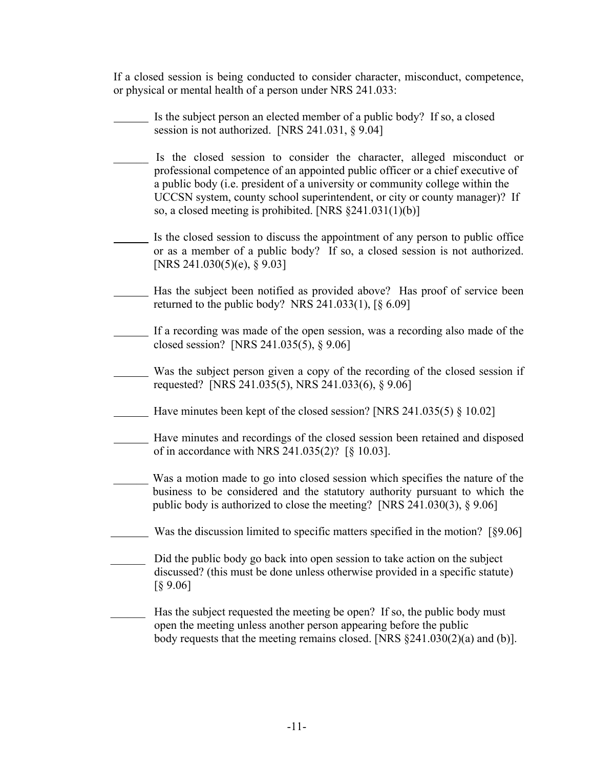If a closed session is being conducted to consider character, misconduct, competence, or physical or mental health of a person under NRS 241.033:

 Is the subject person an elected member of a public body? If so, a closed session is not authorized. [NRS 241.031, § 9.04] Is the closed session to consider the character, alleged misconduct or professional competence of an appointed public officer or a chief executive of a public body (i.e. president of a university or community college within the UCCSN system, county school superintendent, or city or county manager)? If so, a closed meeting is prohibited. [NRS §241.031(1)(b)] Is the closed session to discuss the appointment of any person to public office or as a member of a public body? If so, a closed session is not authorized. [NRS 241.030(5)(e), § 9.03] Has the subject been notified as provided above? Has proof of service been returned to the public body? NRS  $241.033(1)$ ,  $\lceil \S 6.09 \rceil$  If a recording was made of the open session, was a recording also made of the closed session? [NRS 241.035(5), § 9.06] Was the subject person given a copy of the recording of the closed session if requested? [NRS 241.035(5), NRS 241.033(6), § 9.06] Have minutes been kept of the closed session? [NRS 241.035(5) § 10.02] Have minutes and recordings of the closed session been retained and disposed of in accordance with NRS 241.035(2)? [§ 10.03]. Was a motion made to go into closed session which specifies the nature of the business to be considered and the statutory authority pursuant to which the public body is authorized to close the meeting? [NRS 241.030(3), § 9.06] Was the discussion limited to specific matters specified in the motion? [§9.06] Did the public body go back into open session to take action on the subject discussed? (this must be done unless otherwise provided in a specific statute) [§ 9.06] Has the subject requested the meeting be open? If so, the public body must open the meeting unless another person appearing before the public body requests that the meeting remains closed. [NRS §241.030(2)(a) and (b)].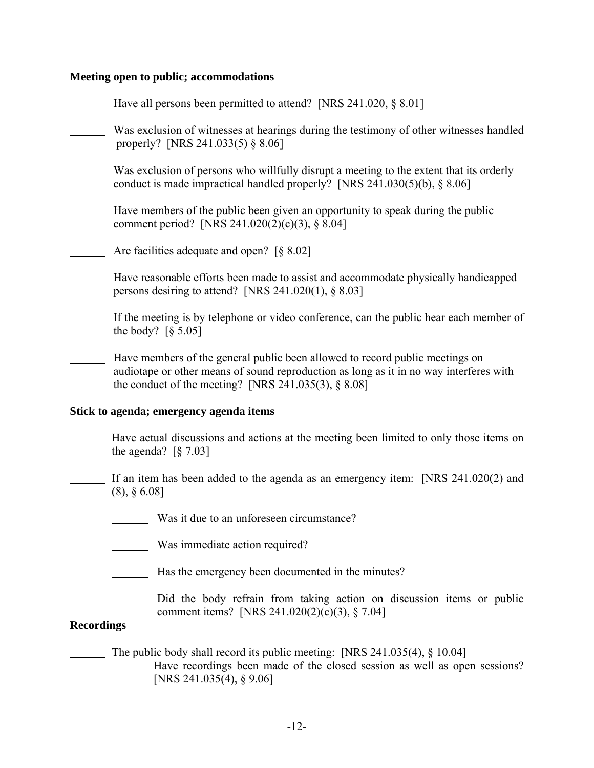# **Meeting open to public; accommodations**

|                   | Have all persons been permitted to attend? [NRS 241.020, $\S 8.01$ ]                                                                                                                                                                  |  |  |
|-------------------|---------------------------------------------------------------------------------------------------------------------------------------------------------------------------------------------------------------------------------------|--|--|
|                   | Was exclusion of witnesses at hearings during the testimony of other witnesses handled<br>properly? [NRS 241.033(5) § 8.06]                                                                                                           |  |  |
|                   | Was exclusion of persons who willfully disrupt a meeting to the extent that its orderly<br>conduct is made impractical handled properly? [NRS $241.030(5)(b)$ , § 8.06]                                                               |  |  |
|                   | Have members of the public been given an opportunity to speak during the public<br>comment period? [NRS 241.020(2)(c)(3), § 8.04]                                                                                                     |  |  |
|                   | Are facilities adequate and open? $\S 8.02$                                                                                                                                                                                           |  |  |
|                   | Have reasonable efforts been made to assist and accommodate physically handicapped<br>persons desiring to attend? [NRS $241.020(1)$ , § 8.03]                                                                                         |  |  |
|                   | If the meeting is by telephone or video conference, can the public hear each member of<br>the body? $\lceil \S 5.05 \rceil$                                                                                                           |  |  |
|                   | Have members of the general public been allowed to record public meetings on<br>audiotape or other means of sound reproduction as long as it in no way interferes with<br>the conduct of the meeting? [NRS $241.035(3)$ , $\S 8.08$ ] |  |  |
|                   | Stick to agenda; emergency agenda items                                                                                                                                                                                               |  |  |
|                   | Have actual discussions and actions at the meeting been limited to only those items on<br>the agenda? $\lceil \S 7.03 \rceil$                                                                                                         |  |  |
|                   | If an item has been added to the agenda as an emergency item: [NRS 241.020(2) and<br>$(8), \S 6.08$ ]                                                                                                                                 |  |  |
|                   | Was it due to an unforeseen circumstance?                                                                                                                                                                                             |  |  |
|                   | Was immediate action required?                                                                                                                                                                                                        |  |  |
|                   | Has the emergency been documented in the minutes?                                                                                                                                                                                     |  |  |
| <b>Recordings</b> | Did the body refrain from taking action on discussion items or public<br>comment items? [NRS 241.020(2)(c)(3), $\S$ 7.04]                                                                                                             |  |  |
|                   |                                                                                                                                                                                                                                       |  |  |
|                   |                                                                                                                                                                                                                                       |  |  |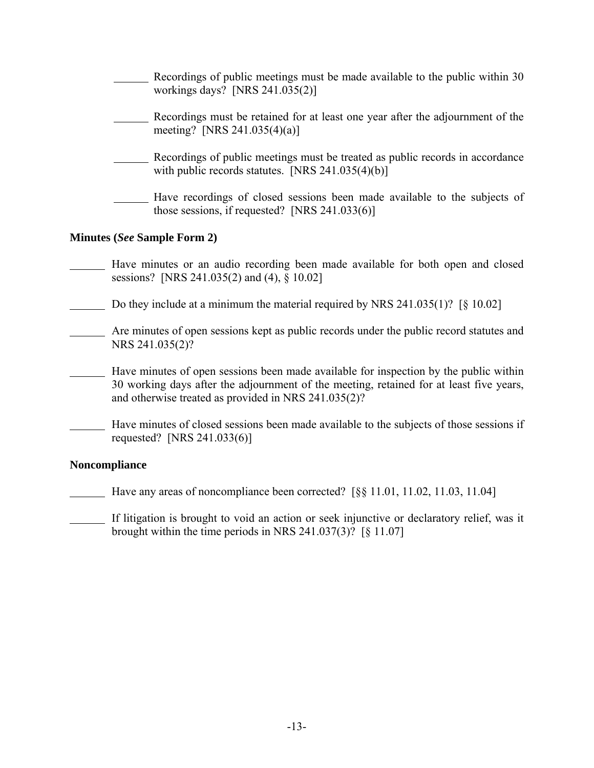| Recordings of public meetings must be made available to the public within 30<br>workings days? [NRS $241.035(2)$ ]                                                                                                                       |  |
|------------------------------------------------------------------------------------------------------------------------------------------------------------------------------------------------------------------------------------------|--|
| Recordings must be retained for at least one year after the adjournment of the<br>meeting? [NRS 241.035(4)(a)]                                                                                                                           |  |
| Recordings of public meetings must be treated as public records in accordance<br>with public records statutes. [NRS $241.035(4)(b)$ ]                                                                                                    |  |
| Have recordings of closed sessions been made available to the subjects of<br>those sessions, if requested? [NRS $241.033(6)$ ]                                                                                                           |  |
| <b>Minutes (See Sample Form 2)</b>                                                                                                                                                                                                       |  |
| Have minutes or an audio recording been made available for both open and closed<br>sessions? [NRS 241.035(2) and (4), § 10.02]                                                                                                           |  |
| Do they include at a minimum the material required by NRS 241.035(1)? $\lceil \S 10.02 \rceil$                                                                                                                                           |  |
| Are minutes of open sessions kept as public records under the public record statutes and<br>NRS 241.035(2)?                                                                                                                              |  |
| Have minutes of open sessions been made available for inspection by the public within<br>30 working days after the adjournment of the meeting, retained for at least five years,<br>and otherwise treated as provided in NRS 241.035(2)? |  |

 Have minutes of closed sessions been made available to the subjects of those sessions if requested? [NRS 241.033(6)]

# **Noncompliance**

Have any areas of noncompliance been corrected? [§§ 11.01, 11.02, 11.03, 11.04]

 If litigation is brought to void an action or seek injunctive or declaratory relief, was it brought within the time periods in NRS 241.037(3)? [§ 11.07]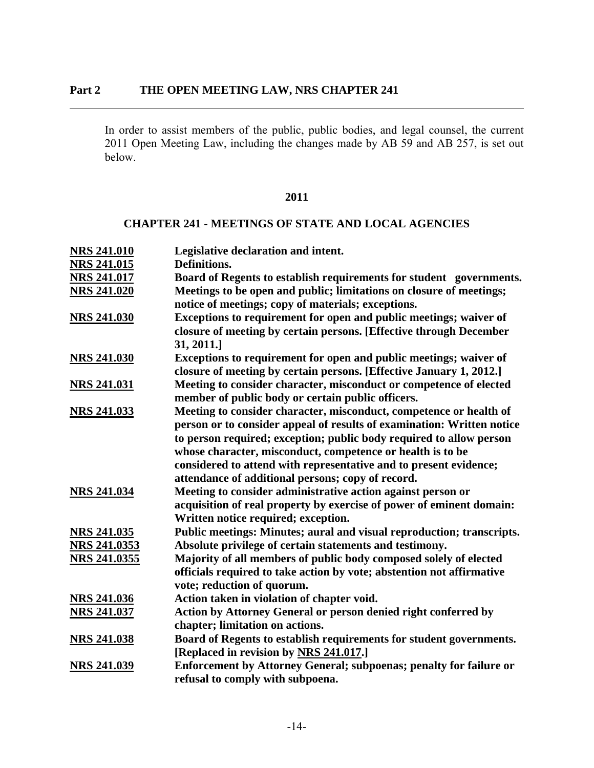$\overline{a}$ 

In order to assist members of the public, public bodies, and legal counsel, the current 2011 Open Meeting Law, including the changes made by AB 59 and AB 257, is set out below.

### **2011**

### **CHAPTER 241 - MEETINGS OF STATE AND LOCAL AGENCIES**

| <b>NRS 241.010</b>  | Legislative declaration and intent.                                    |
|---------------------|------------------------------------------------------------------------|
| <b>NRS 241.015</b>  | Definitions.                                                           |
| <b>NRS 241.017</b>  | Board of Regents to establish requirements for student governments.    |
| <b>NRS 241.020</b>  | Meetings to be open and public; limitations on closure of meetings;    |
|                     | notice of meetings; copy of materials; exceptions.                     |
| <b>NRS 241.030</b>  | Exceptions to requirement for open and public meetings; waiver of      |
|                     | closure of meeting by certain persons. [Effective through December     |
|                     | 31, 2011.]                                                             |
| <b>NRS 241.030</b>  | Exceptions to requirement for open and public meetings; waiver of      |
|                     | closure of meeting by certain persons. [Effective January 1, 2012.]    |
| <b>NRS 241.031</b>  | Meeting to consider character, misconduct or competence of elected     |
|                     | member of public body or certain public officers.                      |
| <b>NRS 241.033</b>  | Meeting to consider character, misconduct, competence or health of     |
|                     | person or to consider appeal of results of examination: Written notice |
|                     | to person required; exception; public body required to allow person    |
|                     | whose character, misconduct, competence or health is to be             |
|                     | considered to attend with representative and to present evidence;      |
|                     | attendance of additional persons; copy of record.                      |
| <b>NRS 241.034</b>  | Meeting to consider administrative action against person or            |
|                     | acquisition of real property by exercise of power of eminent domain:   |
|                     | Written notice required; exception.                                    |
| <b>NRS 241.035</b>  | Public meetings: Minutes; aural and visual reproduction; transcripts.  |
| NRS 241.0353        | Absolute privilege of certain statements and testimony.                |
| <b>NRS 241.0355</b> | Majority of all members of public body composed solely of elected      |
|                     | officials required to take action by vote; abstention not affirmative  |
|                     | vote; reduction of quorum.                                             |
| <b>NRS 241.036</b>  | Action taken in violation of chapter void.                             |
| <b>NRS 241.037</b>  | Action by Attorney General or person denied right conferred by         |
|                     | chapter; limitation on actions.                                        |
| <b>NRS 241.038</b>  | Board of Regents to establish requirements for student governments.    |
|                     | [Replaced in revision by NRS 241.017.]                                 |
| <b>NRS 241.039</b>  | Enforcement by Attorney General; subpoenas; penalty for failure or     |
|                     | refusal to comply with subpoena.                                       |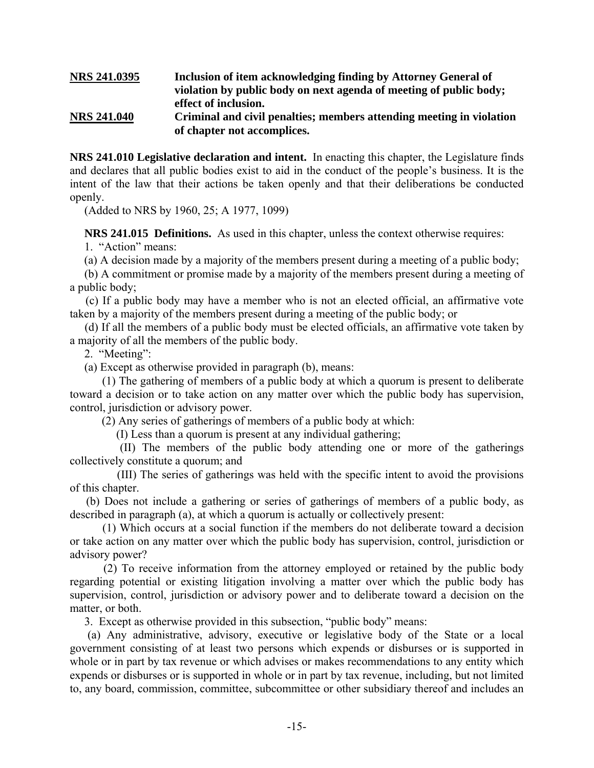### **NRS 241.0395 Inclusion of item acknowledging finding by Attorney General of violation by public body on next agenda of meeting of public body; effect of inclusion. NRS 241.040 Criminal and civil penalties; members attending meeting in violation of chapter not accomplices.**

**NRS 241.010 Legislative declaration and intent.** In enacting this chapter, the Legislature finds and declares that all public bodies exist to aid in the conduct of the people's business. It is the intent of the law that their actions be taken openly and that their deliberations be conducted openly.

(Added to NRS by 1960, 25; A 1977, 1099)

**NRS 241.015 Definitions.** As used in this chapter, unless the context otherwise requires:

1. "Action" means:

(a) A decision made by a majority of the members present during a meeting of a public body;

 (b) A commitment or promise made by a majority of the members present during a meeting of a public body;

 (c) If a public body may have a member who is not an elected official, an affirmative vote taken by a majority of the members present during a meeting of the public body; or

 (d) If all the members of a public body must be elected officials, an affirmative vote taken by a majority of all the members of the public body.

2. "Meeting":

(a) Except as otherwise provided in paragraph (b), means:

 (1) The gathering of members of a public body at which a quorum is present to deliberate toward a decision or to take action on any matter over which the public body has supervision, control, jurisdiction or advisory power.

(2) Any series of gatherings of members of a public body at which:

(I) Less than a quorum is present at any individual gathering;

 (II) The members of the public body attending one or more of the gatherings collectively constitute a quorum; and

 (III) The series of gatherings was held with the specific intent to avoid the provisions of this chapter.

 (b) Does not include a gathering or series of gatherings of members of a public body, as described in paragraph (a), at which a quorum is actually or collectively present:

 (1) Which occurs at a social function if the members do not deliberate toward a decision or take action on any matter over which the public body has supervision, control, jurisdiction or advisory power?

 (2) To receive information from the attorney employed or retained by the public body regarding potential or existing litigation involving a matter over which the public body has supervision, control, jurisdiction or advisory power and to deliberate toward a decision on the matter, or both.

3. Except as otherwise provided in this subsection, "public body" means:

 (a) Any administrative, advisory, executive or legislative body of the State or a local government consisting of at least two persons which expends or disburses or is supported in whole or in part by tax revenue or which advises or makes recommendations to any entity which expends or disburses or is supported in whole or in part by tax revenue, including, but not limited to, any board, commission, committee, subcommittee or other subsidiary thereof and includes an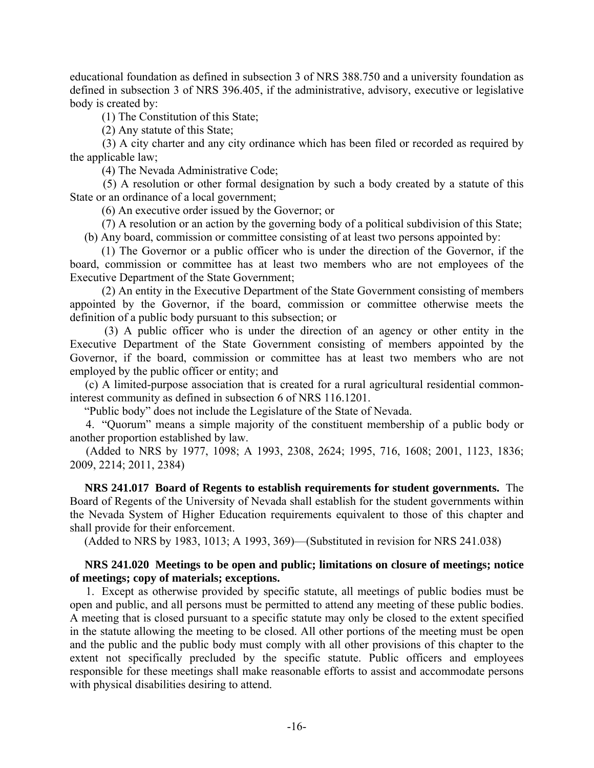educational foundation as defined in subsection 3 of NRS 388.750 and a university foundation as defined in subsection 3 of NRS 396.405, if the administrative, advisory, executive or legislative body is created by:

(1) The Constitution of this State;

(2) Any statute of this State;

 (3) A city charter and any city ordinance which has been filed or recorded as required by the applicable law;

(4) The Nevada Administrative Code;

 (5) A resolution or other formal designation by such a body created by a statute of this State or an ordinance of a local government;

(6) An executive order issued by the Governor; or

 (7) A resolution or an action by the governing body of a political subdivision of this State; (b) Any board, commission or committee consisting of at least two persons appointed by:

 (1) The Governor or a public officer who is under the direction of the Governor, if the board, commission or committee has at least two members who are not employees of the Executive Department of the State Government;

 (2) An entity in the Executive Department of the State Government consisting of members appointed by the Governor, if the board, commission or committee otherwise meets the definition of a public body pursuant to this subsection; or

 (3) A public officer who is under the direction of an agency or other entity in the Executive Department of the State Government consisting of members appointed by the Governor, if the board, commission or committee has at least two members who are not employed by the public officer or entity; and

 (c) A limited-purpose association that is created for a rural agricultural residential commoninterest community as defined in subsection 6 of NRS 116.1201.

"Public body" does not include the Legislature of the State of Nevada.

 4. "Quorum" means a simple majority of the constituent membership of a public body or another proportion established by law.

 (Added to NRS by 1977, 1098; A 1993, 2308, 2624; 1995, 716, 1608; 2001, 1123, 1836; 2009, 2214; 2011, 2384)

 **NRS 241.017 Board of Regents to establish requirements for student governments.** The Board of Regents of the University of Nevada shall establish for the student governments within the Nevada System of Higher Education requirements equivalent to those of this chapter and shall provide for their enforcement.

(Added to NRS by 1983, 1013; A 1993, 369)—(Substituted in revision for NRS 241.038)

### **NRS 241.020 Meetings to be open and public; limitations on closure of meetings; notice of meetings; copy of materials; exceptions.**

 1. Except as otherwise provided by specific statute, all meetings of public bodies must be open and public, and all persons must be permitted to attend any meeting of these public bodies. A meeting that is closed pursuant to a specific statute may only be closed to the extent specified in the statute allowing the meeting to be closed. All other portions of the meeting must be open and the public and the public body must comply with all other provisions of this chapter to the extent not specifically precluded by the specific statute. Public officers and employees responsible for these meetings shall make reasonable efforts to assist and accommodate persons with physical disabilities desiring to attend.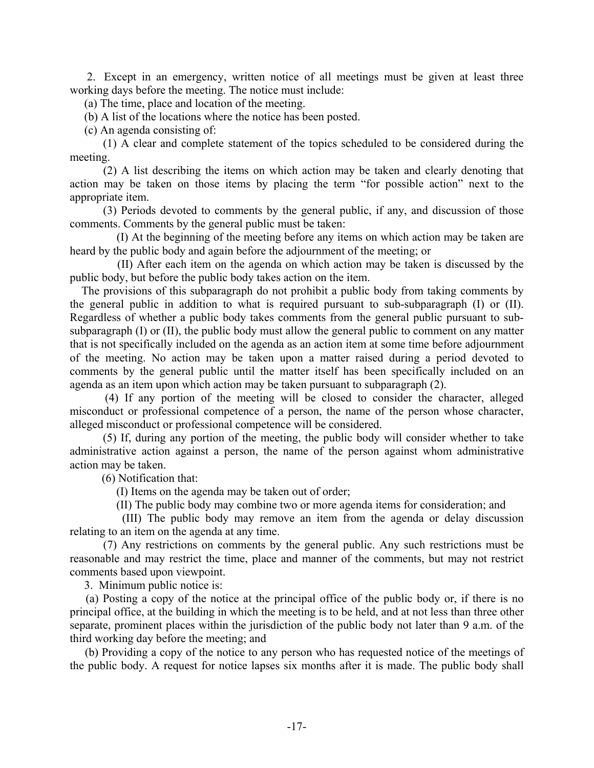2. Except in an emergency, written notice of all meetings must be given at least three working days before the meeting. The notice must include:

(a) The time, place and location of the meeting.

(b) A list of the locations where the notice has been posted.

(c) An agenda consisting of:

 (1) A clear and complete statement of the topics scheduled to be considered during the meeting.

 (2) A list describing the items on which action may be taken and clearly denoting that action may be taken on those items by placing the term "for possible action" next to the appropriate item.

 (3) Periods devoted to comments by the general public, if any, and discussion of those comments. Comments by the general public must be taken:

 (I) At the beginning of the meeting before any items on which action may be taken are heard by the public body and again before the adjournment of the meeting; or

 (II) After each item on the agenda on which action may be taken is discussed by the public body, but before the public body takes action on the item.

 The provisions of this subparagraph do not prohibit a public body from taking comments by the general public in addition to what is required pursuant to sub-subparagraph (I) or (II). Regardless of whether a public body takes comments from the general public pursuant to subsubparagraph (I) or (II), the public body must allow the general public to comment on any matter that is not specifically included on the agenda as an action item at some time before adjournment of the meeting. No action may be taken upon a matter raised during a period devoted to comments by the general public until the matter itself has been specifically included on an agenda as an item upon which action may be taken pursuant to subparagraph (2).

 (4) If any portion of the meeting will be closed to consider the character, alleged misconduct or professional competence of a person, the name of the person whose character, alleged misconduct or professional competence will be considered.

 (5) If, during any portion of the meeting, the public body will consider whether to take administrative action against a person, the name of the person against whom administrative action may be taken.

(6) Notification that:

(I) Items on the agenda may be taken out of order;

(II) The public body may combine two or more agenda items for consideration; and

 (III) The public body may remove an item from the agenda or delay discussion relating to an item on the agenda at any time.

 (7) Any restrictions on comments by the general public. Any such restrictions must be reasonable and may restrict the time, place and manner of the comments, but may not restrict comments based upon viewpoint.

3. Minimum public notice is:

 (a) Posting a copy of the notice at the principal office of the public body or, if there is no principal office, at the building in which the meeting is to be held, and at not less than three other separate, prominent places within the jurisdiction of the public body not later than 9 a.m. of the third working day before the meeting; and

 (b) Providing a copy of the notice to any person who has requested notice of the meetings of the public body. A request for notice lapses six months after it is made. The public body shall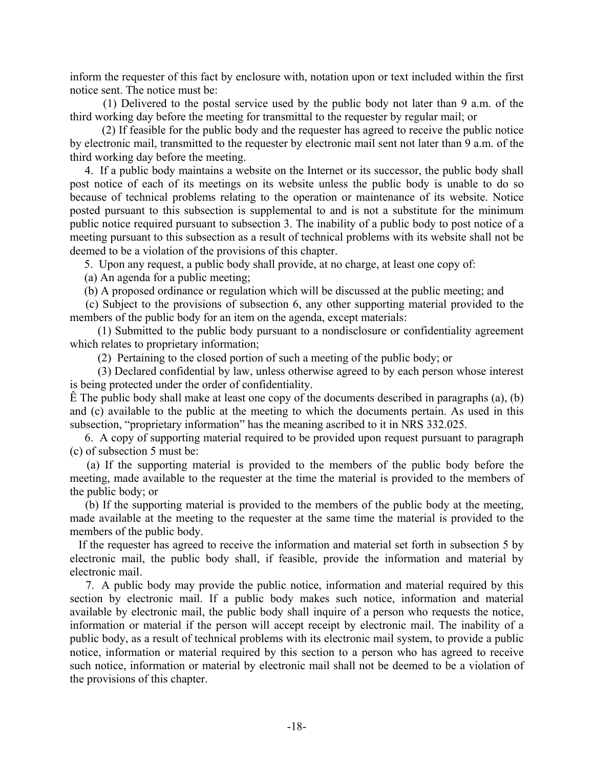inform the requester of this fact by enclosure with, notation upon or text included within the first notice sent. The notice must be:

 (1) Delivered to the postal service used by the public body not later than 9 a.m. of the third working day before the meeting for transmittal to the requester by regular mail; or

 (2) If feasible for the public body and the requester has agreed to receive the public notice by electronic mail, transmitted to the requester by electronic mail sent not later than 9 a.m. of the third working day before the meeting.

 4. If a public body maintains a website on the Internet or its successor, the public body shall post notice of each of its meetings on its website unless the public body is unable to do so because of technical problems relating to the operation or maintenance of its website. Notice posted pursuant to this subsection is supplemental to and is not a substitute for the minimum public notice required pursuant to subsection 3. The inability of a public body to post notice of a meeting pursuant to this subsection as a result of technical problems with its website shall not be deemed to be a violation of the provisions of this chapter.

5. Upon any request, a public body shall provide, at no charge, at least one copy of:

(a) An agenda for a public meeting;

(b) A proposed ordinance or regulation which will be discussed at the public meeting; and

 (c) Subject to the provisions of subsection 6, any other supporting material provided to the members of the public body for an item on the agenda, except materials:

 (1) Submitted to the public body pursuant to a nondisclosure or confidentiality agreement which relates to proprietary information;

(2) Pertaining to the closed portion of such a meeting of the public body; or

 (3) Declared confidential by law, unless otherwise agreed to by each person whose interest is being protected under the order of confidentiality.

 $\hat{E}$  The public body shall make at least one copy of the documents described in paragraphs (a), (b) and (c) available to the public at the meeting to which the documents pertain. As used in this subsection, "proprietary information" has the meaning ascribed to it in NRS 332.025.

 6. A copy of supporting material required to be provided upon request pursuant to paragraph (c) of subsection 5 must be:

 (a) If the supporting material is provided to the members of the public body before the meeting, made available to the requester at the time the material is provided to the members of the public body; or

 (b) If the supporting material is provided to the members of the public body at the meeting, made available at the meeting to the requester at the same time the material is provided to the members of the public body.

 If the requester has agreed to receive the information and material set forth in subsection 5 by electronic mail, the public body shall, if feasible, provide the information and material by electronic mail.

 7. A public body may provide the public notice, information and material required by this section by electronic mail. If a public body makes such notice, information and material available by electronic mail, the public body shall inquire of a person who requests the notice, information or material if the person will accept receipt by electronic mail. The inability of a public body, as a result of technical problems with its electronic mail system, to provide a public notice, information or material required by this section to a person who has agreed to receive such notice, information or material by electronic mail shall not be deemed to be a violation of the provisions of this chapter.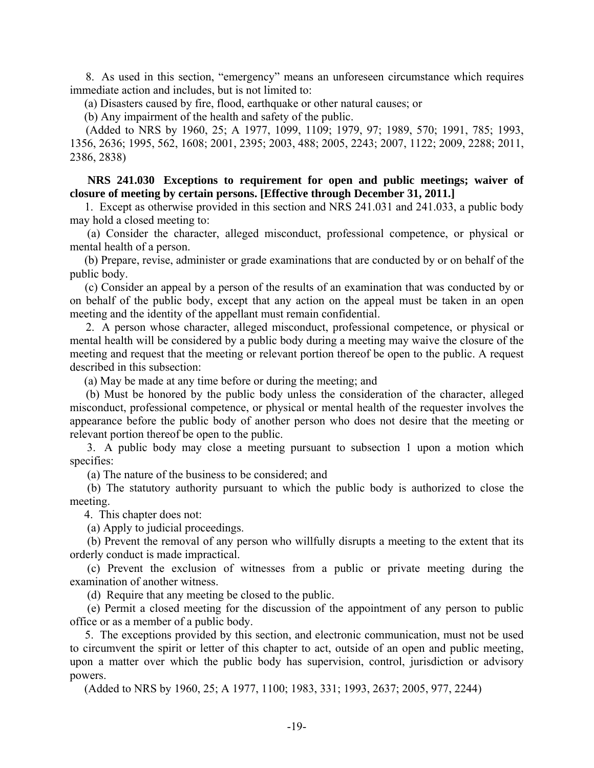8. As used in this section, "emergency" means an unforeseen circumstance which requires immediate action and includes, but is not limited to:

(a) Disasters caused by fire, flood, earthquake or other natural causes; or

(b) Any impairment of the health and safety of the public.

 (Added to NRS by 1960, 25; A 1977, 1099, 1109; 1979, 97; 1989, 570; 1991, 785; 1993, 1356, 2636; 1995, 562, 1608; 2001, 2395; 2003, 488; 2005, 2243; 2007, 1122; 2009, 2288; 2011, 2386, 2838)

 **NRS 241.030 Exceptions to requirement for open and public meetings; waiver of closure of meeting by certain persons. [Effective through December 31, 2011.]**

 1. Except as otherwise provided in this section and NRS 241.031 and 241.033, a public body may hold a closed meeting to:

 (a) Consider the character, alleged misconduct, professional competence, or physical or mental health of a person.

 (b) Prepare, revise, administer or grade examinations that are conducted by or on behalf of the public body.

 (c) Consider an appeal by a person of the results of an examination that was conducted by or on behalf of the public body, except that any action on the appeal must be taken in an open meeting and the identity of the appellant must remain confidential.

 2. A person whose character, alleged misconduct, professional competence, or physical or mental health will be considered by a public body during a meeting may waive the closure of the meeting and request that the meeting or relevant portion thereof be open to the public. A request described in this subsection:

(a) May be made at any time before or during the meeting; and

 (b) Must be honored by the public body unless the consideration of the character, alleged misconduct, professional competence, or physical or mental health of the requester involves the appearance before the public body of another person who does not desire that the meeting or relevant portion thereof be open to the public.

 3. A public body may close a meeting pursuant to subsection 1 upon a motion which specifies:

(a) The nature of the business to be considered; and

 (b) The statutory authority pursuant to which the public body is authorized to close the meeting.

4. This chapter does not:

(a) Apply to judicial proceedings.

 (b) Prevent the removal of any person who willfully disrupts a meeting to the extent that its orderly conduct is made impractical.

 (c) Prevent the exclusion of witnesses from a public or private meeting during the examination of another witness.

(d) Require that any meeting be closed to the public.

 (e) Permit a closed meeting for the discussion of the appointment of any person to public office or as a member of a public body.

 5. The exceptions provided by this section, and electronic communication, must not be used to circumvent the spirit or letter of this chapter to act, outside of an open and public meeting, upon a matter over which the public body has supervision, control, jurisdiction or advisory powers.

(Added to NRS by 1960, 25; A 1977, 1100; 1983, 331; 1993, 2637; 2005, 977, 2244)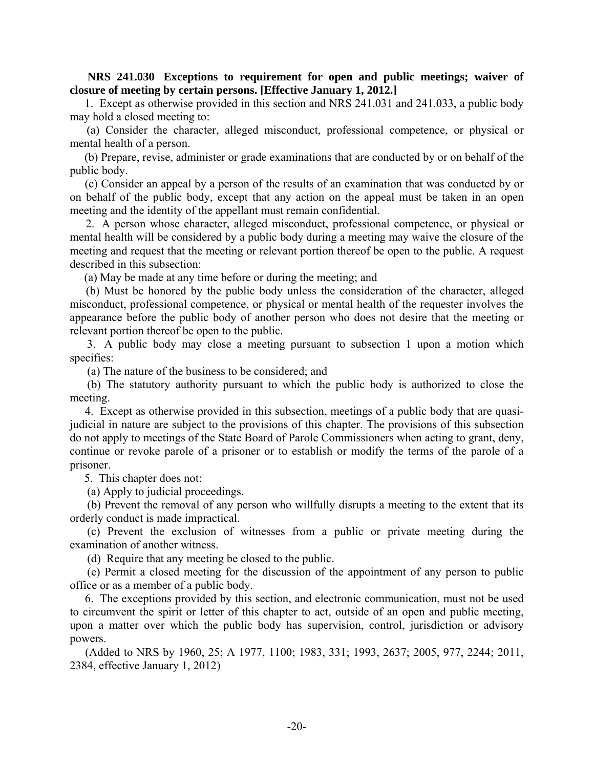### **NRS 241.030 Exceptions to requirement for open and public meetings; waiver of closure of meeting by certain persons. [Effective January 1, 2012.]**

 1. Except as otherwise provided in this section and NRS 241.031 and 241.033, a public body may hold a closed meeting to:

 (a) Consider the character, alleged misconduct, professional competence, or physical or mental health of a person.

 (b) Prepare, revise, administer or grade examinations that are conducted by or on behalf of the public body.

 (c) Consider an appeal by a person of the results of an examination that was conducted by or on behalf of the public body, except that any action on the appeal must be taken in an open meeting and the identity of the appellant must remain confidential.

 2. A person whose character, alleged misconduct, professional competence, or physical or mental health will be considered by a public body during a meeting may waive the closure of the meeting and request that the meeting or relevant portion thereof be open to the public. A request described in this subsection:

(a) May be made at any time before or during the meeting; and

 (b) Must be honored by the public body unless the consideration of the character, alleged misconduct, professional competence, or physical or mental health of the requester involves the appearance before the public body of another person who does not desire that the meeting or relevant portion thereof be open to the public.

 3. A public body may close a meeting pursuant to subsection 1 upon a motion which specifies:

(a) The nature of the business to be considered; and

 (b) The statutory authority pursuant to which the public body is authorized to close the meeting.

 4. Except as otherwise provided in this subsection, meetings of a public body that are quasijudicial in nature are subject to the provisions of this chapter. The provisions of this subsection do not apply to meetings of the State Board of Parole Commissioners when acting to grant, deny, continue or revoke parole of a prisoner or to establish or modify the terms of the parole of a prisoner.

5. This chapter does not:

(a) Apply to judicial proceedings.

 (b) Prevent the removal of any person who willfully disrupts a meeting to the extent that its orderly conduct is made impractical.

 (c) Prevent the exclusion of witnesses from a public or private meeting during the examination of another witness.

(d) Require that any meeting be closed to the public.

 (e) Permit a closed meeting for the discussion of the appointment of any person to public office or as a member of a public body.

 6. The exceptions provided by this section, and electronic communication, must not be used to circumvent the spirit or letter of this chapter to act, outside of an open and public meeting, upon a matter over which the public body has supervision, control, jurisdiction or advisory powers.

 (Added to NRS by 1960, 25; A 1977, 1100; 1983, 331; 1993, 2637; 2005, 977, 2244; 2011, 2384, effective January 1, 2012)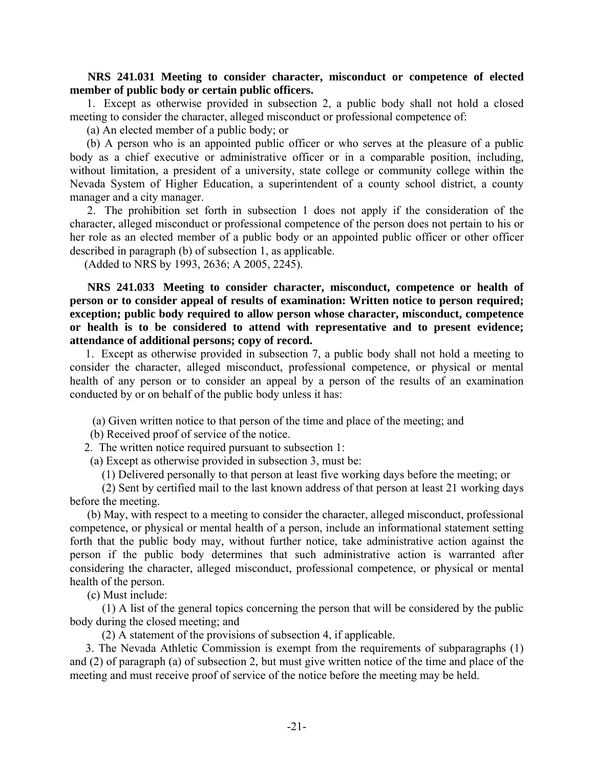### **NRS 241.031 Meeting to consider character, misconduct or competence of elected member of public body or certain public officers.**

 1. Except as otherwise provided in subsection 2, a public body shall not hold a closed meeting to consider the character, alleged misconduct or professional competence of:

(a) An elected member of a public body; or

 (b) A person who is an appointed public officer or who serves at the pleasure of a public body as a chief executive or administrative officer or in a comparable position, including, without limitation, a president of a university, state college or community college within the Nevada System of Higher Education, a superintendent of a county school district, a county manager and a city manager.

 2. The prohibition set forth in subsection 1 does not apply if the consideration of the character, alleged misconduct or professional competence of the person does not pertain to his or her role as an elected member of a public body or an appointed public officer or other officer described in paragraph (b) of subsection 1, as applicable.

(Added to NRS by 1993, 2636; A 2005, 2245).

 **NRS 241.033 Meeting to consider character, misconduct, competence or health of person or to consider appeal of results of examination: Written notice to person required; exception; public body required to allow person whose character, misconduct, competence or health is to be considered to attend with representative and to present evidence; attendance of additional persons; copy of record.**

 1. Except as otherwise provided in subsection 7, a public body shall not hold a meeting to consider the character, alleged misconduct, professional competence, or physical or mental health of any person or to consider an appeal by a person of the results of an examination conducted by or on behalf of the public body unless it has:

(a) Given written notice to that person of the time and place of the meeting; and

(b) Received proof of service of the notice.

2. The written notice required pursuant to subsection 1:

(a) Except as otherwise provided in subsection 3, must be:

(1) Delivered personally to that person at least five working days before the meeting; or

 (2) Sent by certified mail to the last known address of that person at least 21 working days before the meeting.

 (b) May, with respect to a meeting to consider the character, alleged misconduct, professional competence, or physical or mental health of a person, include an informational statement setting forth that the public body may, without further notice, take administrative action against the person if the public body determines that such administrative action is warranted after considering the character, alleged misconduct, professional competence, or physical or mental health of the person.

(c) Must include:

 (1) A list of the general topics concerning the person that will be considered by the public body during the closed meeting; and

(2) A statement of the provisions of subsection 4, if applicable.

 3. The Nevada Athletic Commission is exempt from the requirements of subparagraphs (1) and (2) of paragraph (a) of subsection 2, but must give written notice of the time and place of the meeting and must receive proof of service of the notice before the meeting may be held.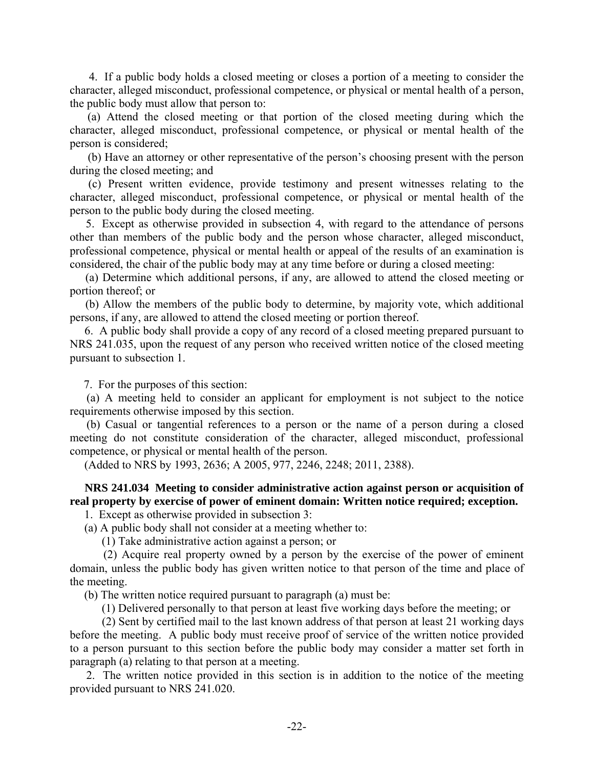4. If a public body holds a closed meeting or closes a portion of a meeting to consider the character, alleged misconduct, professional competence, or physical or mental health of a person, the public body must allow that person to:

 (a) Attend the closed meeting or that portion of the closed meeting during which the character, alleged misconduct, professional competence, or physical or mental health of the person is considered;

 (b) Have an attorney or other representative of the person's choosing present with the person during the closed meeting; and

 (c) Present written evidence, provide testimony and present witnesses relating to the character, alleged misconduct, professional competence, or physical or mental health of the person to the public body during the closed meeting.

 5. Except as otherwise provided in subsection 4, with regard to the attendance of persons other than members of the public body and the person whose character, alleged misconduct, professional competence, physical or mental health or appeal of the results of an examination is considered, the chair of the public body may at any time before or during a closed meeting:

 (a) Determine which additional persons, if any, are allowed to attend the closed meeting or portion thereof; or

 (b) Allow the members of the public body to determine, by majority vote, which additional persons, if any, are allowed to attend the closed meeting or portion thereof.

 6. A public body shall provide a copy of any record of a closed meeting prepared pursuant to NRS 241.035, upon the request of any person who received written notice of the closed meeting pursuant to subsection 1.

7. For the purposes of this section:

 (a) A meeting held to consider an applicant for employment is not subject to the notice requirements otherwise imposed by this section.

 (b) Casual or tangential references to a person or the name of a person during a closed meeting do not constitute consideration of the character, alleged misconduct, professional competence, or physical or mental health of the person.

(Added to NRS by 1993, 2636; A 2005, 977, 2246, 2248; 2011, 2388).

# **NRS 241.034 Meeting to consider administrative action against person or acquisition of real property by exercise of power of eminent domain: Written notice required; exception.**

1. Except as otherwise provided in subsection 3:

(a) A public body shall not consider at a meeting whether to:

(1) Take administrative action against a person; or

 (2) Acquire real property owned by a person by the exercise of the power of eminent domain, unless the public body has given written notice to that person of the time and place of the meeting.

(b) The written notice required pursuant to paragraph (a) must be:

(1) Delivered personally to that person at least five working days before the meeting; or

 (2) Sent by certified mail to the last known address of that person at least 21 working days before the meeting. A public body must receive proof of service of the written notice provided to a person pursuant to this section before the public body may consider a matter set forth in paragraph (a) relating to that person at a meeting.

 2. The written notice provided in this section is in addition to the notice of the meeting provided pursuant to NRS 241.020.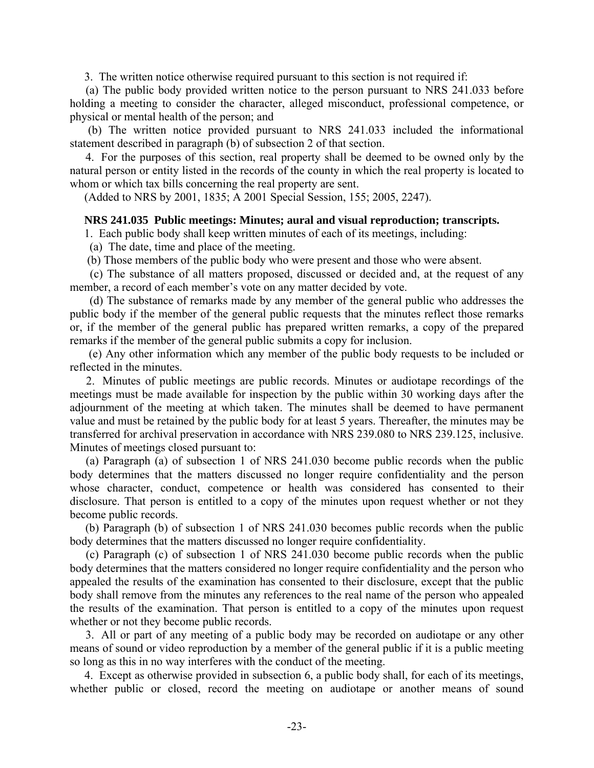3. The written notice otherwise required pursuant to this section is not required if:

 (a) The public body provided written notice to the person pursuant to NRS 241.033 before holding a meeting to consider the character, alleged misconduct, professional competence, or physical or mental health of the person; and

 (b) The written notice provided pursuant to NRS 241.033 included the informational statement described in paragraph (b) of subsection 2 of that section.

 4. For the purposes of this section, real property shall be deemed to be owned only by the natural person or entity listed in the records of the county in which the real property is located to whom or which tax bills concerning the real property are sent.

(Added to NRS by 2001, 1835; A 2001 Special Session, 155; 2005, 2247).

#### **NRS 241.035 Public meetings: Minutes; aural and visual reproduction; transcripts.**

1. Each public body shall keep written minutes of each of its meetings, including:

(a) The date, time and place of the meeting.

(b) Those members of the public body who were present and those who were absent.

 (c) The substance of all matters proposed, discussed or decided and, at the request of any member, a record of each member's vote on any matter decided by vote.

 (d) The substance of remarks made by any member of the general public who addresses the public body if the member of the general public requests that the minutes reflect those remarks or, if the member of the general public has prepared written remarks, a copy of the prepared remarks if the member of the general public submits a copy for inclusion.

 (e) Any other information which any member of the public body requests to be included or reflected in the minutes.

 2. Minutes of public meetings are public records. Minutes or audiotape recordings of the meetings must be made available for inspection by the public within 30 working days after the adjournment of the meeting at which taken. The minutes shall be deemed to have permanent value and must be retained by the public body for at least 5 years. Thereafter, the minutes may be transferred for archival preservation in accordance with NRS 239.080 to NRS 239.125, inclusive. Minutes of meetings closed pursuant to:

 (a) Paragraph (a) of subsection 1 of NRS 241.030 become public records when the public body determines that the matters discussed no longer require confidentiality and the person whose character, conduct, competence or health was considered has consented to their disclosure. That person is entitled to a copy of the minutes upon request whether or not they become public records.

 (b) Paragraph (b) of subsection 1 of NRS 241.030 becomes public records when the public body determines that the matters discussed no longer require confidentiality.

 (c) Paragraph (c) of subsection 1 of NRS 241.030 become public records when the public body determines that the matters considered no longer require confidentiality and the person who appealed the results of the examination has consented to their disclosure, except that the public body shall remove from the minutes any references to the real name of the person who appealed the results of the examination. That person is entitled to a copy of the minutes upon request whether or not they become public records.

 3. All or part of any meeting of a public body may be recorded on audiotape or any other means of sound or video reproduction by a member of the general public if it is a public meeting so long as this in no way interferes with the conduct of the meeting.

 4. Except as otherwise provided in subsection 6, a public body shall, for each of its meetings, whether public or closed, record the meeting on audiotape or another means of sound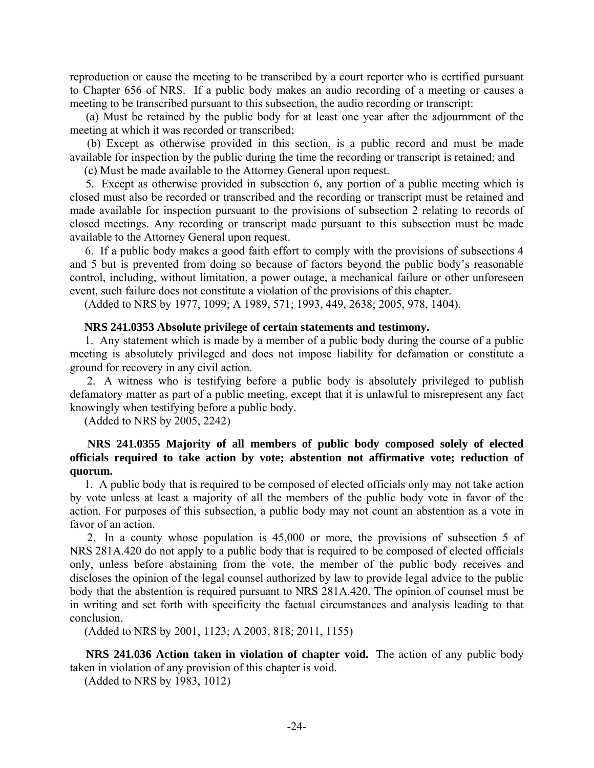reproduction or cause the meeting to be transcribed by a court reporter who is certified pursuant to Chapter 656 of NRS. If a public body makes an audio recording of a meeting or causes a meeting to be transcribed pursuant to this subsection, the audio recording or transcript:

 (a) Must be retained by the public body for at least one year after the adjournment of the meeting at which it was recorded or transcribed;

 (b) Except as otherwise provided in this section, is a public record and must be made available for inspection by the public during the time the recording or transcript is retained; and

(c) Must be made available to the Attorney General upon request.

 5. Except as otherwise provided in subsection 6, any portion of a public meeting which is closed must also be recorded or transcribed and the recording or transcript must be retained and made available for inspection pursuant to the provisions of subsection 2 relating to records of closed meetings. Any recording or transcript made pursuant to this subsection must be made available to the Attorney General upon request.

 6. If a public body makes a good faith effort to comply with the provisions of subsections 4 and 5 but is prevented from doing so because of factors beyond the public body's reasonable control, including, without limitation, a power outage, a mechanical failure or other unforeseen event, such failure does not constitute a violation of the provisions of this chapter.

(Added to NRS by 1977, 1099; A 1989, 571; 1993, 449, 2638; 2005, 978, 1404).

### **NRS 241.0353 Absolute privilege of certain statements and testimony.**

 1. Any statement which is made by a member of a public body during the course of a public meeting is absolutely privileged and does not impose liability for defamation or constitute a ground for recovery in any civil action.

 2. A witness who is testifying before a public body is absolutely privileged to publish defamatory matter as part of a public meeting, except that it is unlawful to misrepresent any fact knowingly when testifying before a public body.

(Added to NRS by 2005, 2242)

### **NRS 241.0355 Majority of all members of public body composed solely of elected officials required to take action by vote; abstention not affirmative vote; reduction of quorum.**

 1. A public body that is required to be composed of elected officials only may not take action by vote unless at least a majority of all the members of the public body vote in favor of the action. For purposes of this subsection, a public body may not count an abstention as a vote in favor of an action.

 2. In a county whose population is 45,000 or more, the provisions of subsection 5 of NRS 281A.420 do not apply to a public body that is required to be composed of elected officials only, unless before abstaining from the vote, the member of the public body receives and discloses the opinion of the legal counsel authorized by law to provide legal advice to the public body that the abstention is required pursuant to NRS 281A.420. The opinion of counsel must be in writing and set forth with specificity the factual circumstances and analysis leading to that conclusion.

(Added to NRS by 2001, 1123; A 2003, 818; 2011, 1155)

 **NRS 241.036 Action taken in violation of chapter void.** The action of any public body taken in violation of any provision of this chapter is void.

(Added to NRS by 1983, 1012)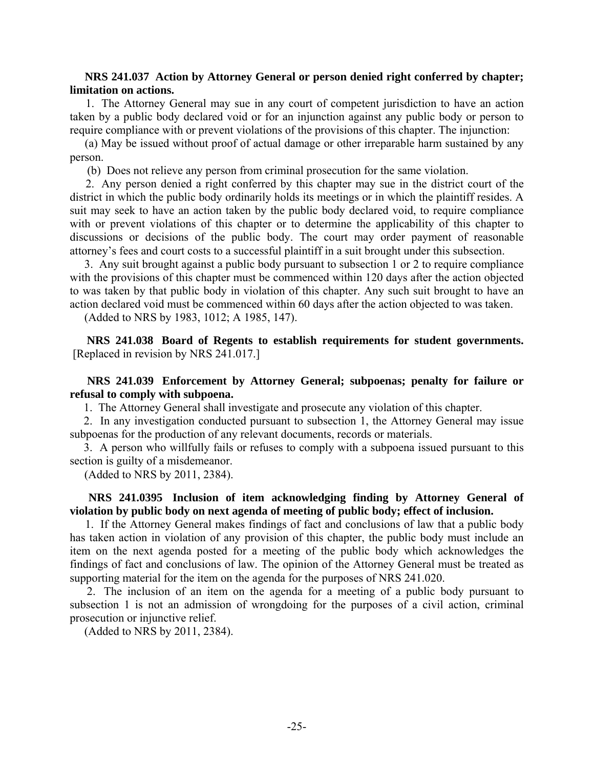### **NRS 241.037 Action by Attorney General or person denied right conferred by chapter; limitation on actions.**

 1. The Attorney General may sue in any court of competent jurisdiction to have an action taken by a public body declared void or for an injunction against any public body or person to require compliance with or prevent violations of the provisions of this chapter. The injunction:

 (a) May be issued without proof of actual damage or other irreparable harm sustained by any person.

(b) Does not relieve any person from criminal prosecution for the same violation.

 2. Any person denied a right conferred by this chapter may sue in the district court of the district in which the public body ordinarily holds its meetings or in which the plaintiff resides. A suit may seek to have an action taken by the public body declared void, to require compliance with or prevent violations of this chapter or to determine the applicability of this chapter to discussions or decisions of the public body. The court may order payment of reasonable attorney's fees and court costs to a successful plaintiff in a suit brought under this subsection.

 3. Any suit brought against a public body pursuant to subsection 1 or 2 to require compliance with the provisions of this chapter must be commenced within 120 days after the action objected to was taken by that public body in violation of this chapter. Any such suit brought to have an action declared void must be commenced within 60 days after the action objected to was taken.

(Added to NRS by 1983, 1012; A 1985, 147).

 **NRS 241.038 Board of Regents to establish requirements for student governments.**  [Replaced in revision by NRS 241.017.]

### **NRS 241.039 Enforcement by Attorney General; subpoenas; penalty for failure or refusal to comply with subpoena.**

1. The Attorney General shall investigate and prosecute any violation of this chapter.

 2. In any investigation conducted pursuant to subsection 1, the Attorney General may issue subpoenas for the production of any relevant documents, records or materials.

 3. A person who willfully fails or refuses to comply with a subpoena issued pursuant to this section is guilty of a misdemeanor.

(Added to NRS by 2011, 2384).

# **NRS 241.0395 Inclusion of item acknowledging finding by Attorney General of violation by public body on next agenda of meeting of public body; effect of inclusion.**

 1. If the Attorney General makes findings of fact and conclusions of law that a public body has taken action in violation of any provision of this chapter, the public body must include an item on the next agenda posted for a meeting of the public body which acknowledges the findings of fact and conclusions of law. The opinion of the Attorney General must be treated as supporting material for the item on the agenda for the purposes of NRS 241.020.

 2. The inclusion of an item on the agenda for a meeting of a public body pursuant to subsection 1 is not an admission of wrongdoing for the purposes of a civil action, criminal prosecution or injunctive relief.

(Added to NRS by 2011, 2384).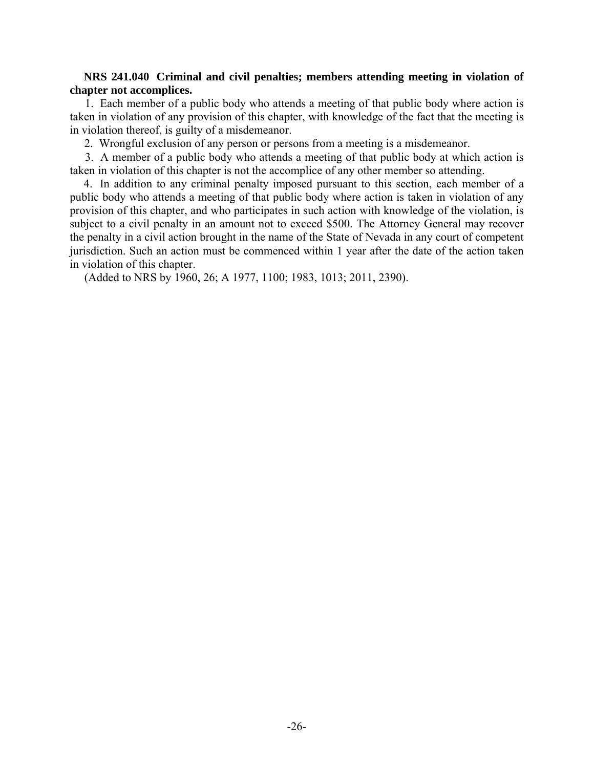### **NRS 241.040 Criminal and civil penalties; members attending meeting in violation of chapter not accomplices.**

 1. Each member of a public body who attends a meeting of that public body where action is taken in violation of any provision of this chapter, with knowledge of the fact that the meeting is in violation thereof, is guilty of a misdemeanor.

2. Wrongful exclusion of any person or persons from a meeting is a misdemeanor.

 3. A member of a public body who attends a meeting of that public body at which action is taken in violation of this chapter is not the accomplice of any other member so attending.

 4. In addition to any criminal penalty imposed pursuant to this section, each member of a public body who attends a meeting of that public body where action is taken in violation of any provision of this chapter, and who participates in such action with knowledge of the violation, is subject to a civil penalty in an amount not to exceed \$500. The Attorney General may recover the penalty in a civil action brought in the name of the State of Nevada in any court of competent jurisdiction. Such an action must be commenced within 1 year after the date of the action taken in violation of this chapter.

(Added to NRS by 1960, 26; A 1977, 1100; 1983, 1013; 2011, 2390).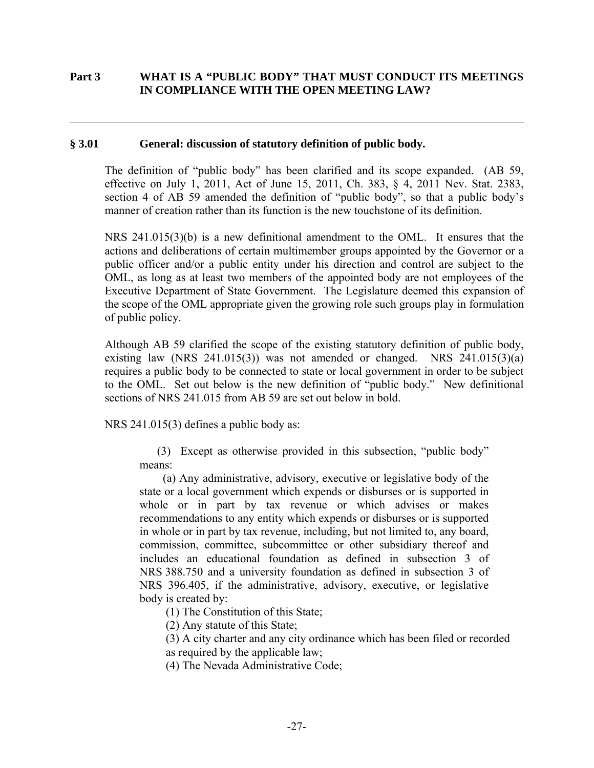# **Part 3 WHAT IS A "PUBLIC BODY" THAT MUST CONDUCT ITS MEETINGS IN COMPLIANCE WITH THE OPEN MEETING LAW?**

### **§ 3.01 General: discussion of statutory definition of public body.**

 $\overline{a}$ 

The definition of "public body" has been clarified and its scope expanded. (AB 59, effective on July 1, 2011, Act of June 15, 2011, Ch. 383, § 4, 2011 Nev. Stat. 2383, section 4 of AB 59 amended the definition of "public body", so that a public body's manner of creation rather than its function is the new touchstone of its definition.

NRS 241.015(3)(b) is a new definitional amendment to the OML. It ensures that the actions and deliberations of certain multimember groups appointed by the Governor or a public officer and/or a public entity under his direction and control are subject to the OML, as long as at least two members of the appointed body are not employees of the Executive Department of State Government. The Legislature deemed this expansion of the scope of the OML appropriate given the growing role such groups play in formulation of public policy.

Although AB 59 clarified the scope of the existing statutory definition of public body, existing law (NRS 241.015(3)) was not amended or changed. NRS  $241.015(3)(a)$ requires a public body to be connected to state or local government in order to be subject to the OML. Set out below is the new definition of "public body." New definitional sections of NRS 241.015 from AB 59 are set out below in bold.

NRS 241.015(3) defines a public body as:

(3) Except as otherwise provided in this subsection, "public body" means:

 (a) Any administrative, advisory, executive or legislative body of the state or a local government which expends or disburses or is supported in whole or in part by tax revenue or which advises or makes recommendations to any entity which expends or disburses or is supported in whole or in part by tax revenue, including, but not limited to, any board, commission, committee, subcommittee or other subsidiary thereof and includes an educational foundation as defined in subsection 3 of NRS 388.750 and a university foundation as defined in subsection 3 of NRS 396.405, if the administrative, advisory, executive, or legislative body is created by:

(1) The Constitution of this State;

(2) Any statute of this State;

(3) A city charter and any city ordinance which has been filed or recorded

as required by the applicable law;

(4) The Nevada Administrative Code;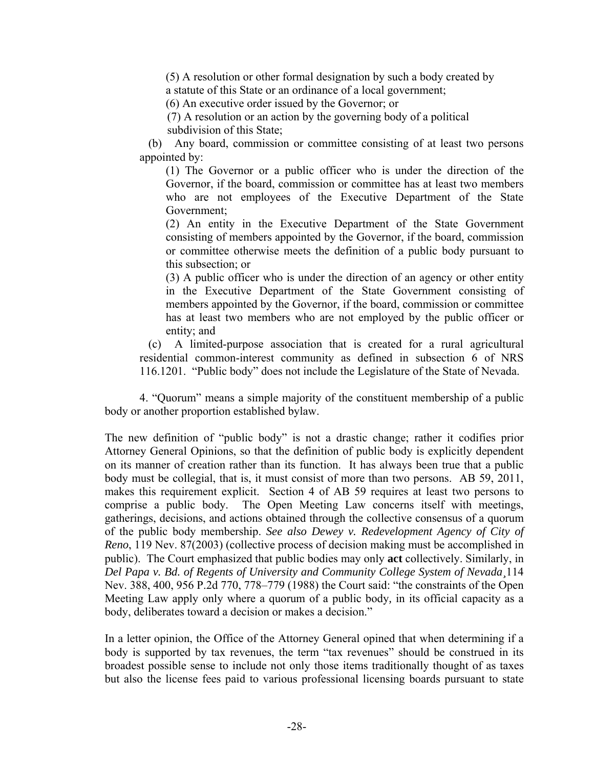(5) A resolution or other formal designation by such a body created by a statute of this State or an ordinance of a local government;

(6) An executive order issued by the Governor; or

 (7) A resolution or an action by the governing body of a political subdivision of this State;

 (b) Any board, commission or committee consisting of at least two persons appointed by:

 (1) The Governor or a public officer who is under the direction of the Governor, if the board, commission or committee has at least two members who are not employees of the Executive Department of the State Government;

 (2) An entity in the Executive Department of the State Government consisting of members appointed by the Governor, if the board, commission or committee otherwise meets the definition of a public body pursuant to this subsection; or

 (3) A public officer who is under the direction of an agency or other entity in the Executive Department of the State Government consisting of members appointed by the Governor, if the board, commission or committee has at least two members who are not employed by the public officer or entity; and

 (c)A limited-purpose association that is created for a rural agricultural residential common-interest community as defined in subsection 6 of NRS 116.1201. "Public body" does not include the Legislature of the State of Nevada.

 4. "Quorum" means a simple majority of the constituent membership of a public body or another proportion established bylaw.

The new definition of "public body" is not a drastic change; rather it codifies prior Attorney General Opinions, so that the definition of public body is explicitly dependent on its manner of creation rather than its function. It has always been true that a public body must be collegial, that is, it must consist of more than two persons. AB 59, 2011, makes this requirement explicit. Section 4 of AB 59 requires at least two persons to comprise a public body. The Open Meeting Law concerns itself with meetings, gatherings, decisions, and actions obtained through the collective consensus of a quorum of the public body membership. *See also Dewey v. Redevelopment Agency of City of Reno*, 119 Nev. 87(2003) (collective process of decision making must be accomplished in public). The Court emphasized that public bodies may only **act** collectively. Similarly, in *Del Papa v. Bd. of Regents of University and Community College System of Nevada¸*114 Nev. 388, 400, 956 P.2d 770, 778–779 (1988) the Court said: "the constraints of the Open Meeting Law apply only where a quorum of a public body*,* in its official capacity as a body, deliberates toward a decision or makes a decision."

In a letter opinion, the Office of the Attorney General opined that when determining if a body is supported by tax revenues, the term "tax revenues" should be construed in its broadest possible sense to include not only those items traditionally thought of as taxes but also the license fees paid to various professional licensing boards pursuant to state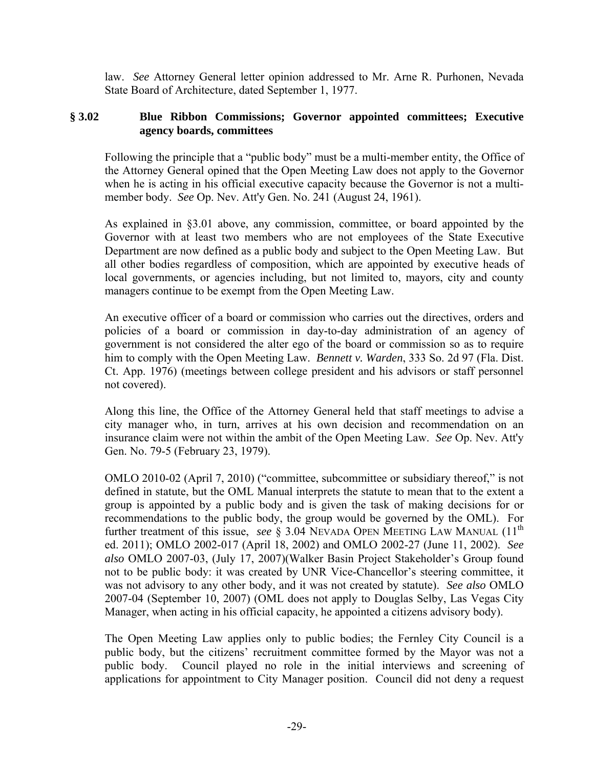law. *See* Attorney General letter opinion addressed to Mr. Arne R. Purhonen, Nevada State Board of Architecture, dated September 1, 1977.

## **§ 3.02 Blue Ribbon Commissions; Governor appointed committees; Executive agency boards, committees**

Following the principle that a "public body" must be a multi-member entity, the Office of the Attorney General opined that the Open Meeting Law does not apply to the Governor when he is acting in his official executive capacity because the Governor is not a multimember body. *See* Op. Nev. Att'y Gen. No. 241 (August 24, 1961).

As explained in §3.01 above, any commission, committee, or board appointed by the Governor with at least two members who are not employees of the State Executive Department are now defined as a public body and subject to the Open Meeting Law. But all other bodies regardless of composition, which are appointed by executive heads of local governments, or agencies including, but not limited to, mayors, city and county managers continue to be exempt from the Open Meeting Law.

An executive officer of a board or commission who carries out the directives, orders and policies of a board or commission in day-to-day administration of an agency of government is not considered the alter ego of the board or commission so as to require him to comply with the Open Meeting Law. *Bennett v. Warden*, 333 So. 2d 97 (Fla. Dist. Ct. App. 1976) (meetings between college president and his advisors or staff personnel not covered).

Along this line, the Office of the Attorney General held that staff meetings to advise a city manager who, in turn, arrives at his own decision and recommendation on an insurance claim were not within the ambit of the Open Meeting Law. *See* Op. Nev. Att'y Gen. No. 79-5 (February 23, 1979).

OMLO 2010-02 (April 7, 2010) ("committee, subcommittee or subsidiary thereof," is not defined in statute, but the OML Manual interprets the statute to mean that to the extent a group is appointed by a public body and is given the task of making decisions for or recommendations to the public body, the group would be governed by the OML). For further treatment of this issue, *see*  $\S$  3.04 NEVADA OPEN MEETING LAW MANUAL (11<sup>th</sup>) ed. 2011); OMLO 2002-017 (April 18, 2002) and OMLO 2002-27 (June 11, 2002). *See also* OMLO 2007-03, (July 17, 2007)(Walker Basin Project Stakeholder's Group found not to be public body: it was created by UNR Vice-Chancellor's steering committee, it was not advisory to any other body, and it was not created by statute). *See also* OMLO 2007-04 (September 10, 2007) (OML does not apply to Douglas Selby, Las Vegas City Manager, when acting in his official capacity, he appointed a citizens advisory body).

The Open Meeting Law applies only to public bodies; the Fernley City Council is a public body, but the citizens' recruitment committee formed by the Mayor was not a public body. Council played no role in the initial interviews and screening of applications for appointment to City Manager position. Council did not deny a request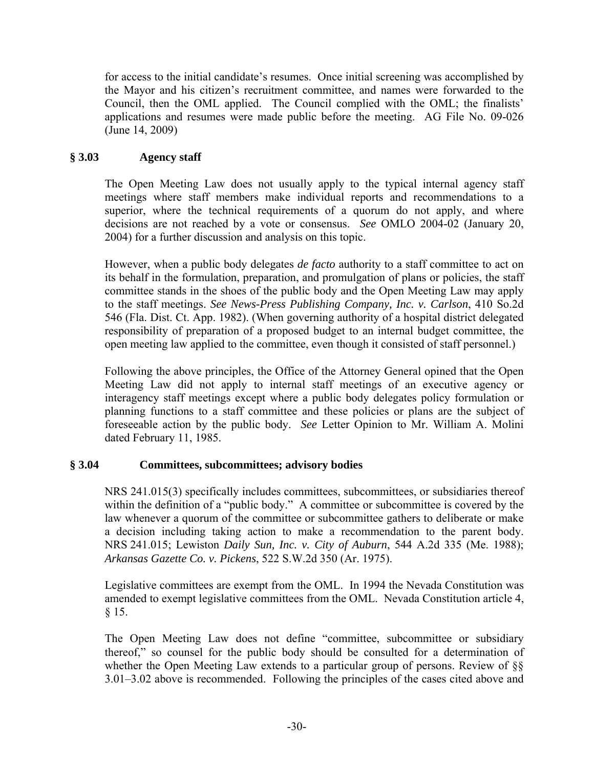for access to the initial candidate's resumes. Once initial screening was accomplished by the Mayor and his citizen's recruitment committee, and names were forwarded to the Council, then the OML applied. The Council complied with the OML; the finalists' applications and resumes were made public before the meeting. AG File No. 09-026 (June 14, 2009)

# **§ 3.03 Agency staff**

The Open Meeting Law does not usually apply to the typical internal agency staff meetings where staff members make individual reports and recommendations to a superior, where the technical requirements of a quorum do not apply, and where decisions are not reached by a vote or consensus. *See* OMLO 2004-02 (January 20, 2004) for a further discussion and analysis on this topic.

However, when a public body delegates *de facto* authority to a staff committee to act on its behalf in the formulation, preparation, and promulgation of plans or policies, the staff committee stands in the shoes of the public body and the Open Meeting Law may apply to the staff meetings. *See News-Press Publishing Company, Inc. v. Carlson*, 410 So.2d 546 (Fla. Dist. Ct. App. 1982). (When governing authority of a hospital district delegated responsibility of preparation of a proposed budget to an internal budget committee, the open meeting law applied to the committee, even though it consisted of staff personnel.)

Following the above principles, the Office of the Attorney General opined that the Open Meeting Law did not apply to internal staff meetings of an executive agency or interagency staff meetings except where a public body delegates policy formulation or planning functions to a staff committee and these policies or plans are the subject of foreseeable action by the public body. *See* Letter Opinion to Mr. William A. Molini dated February 11, 1985.

# **§ 3.04 Committees, subcommittees; advisory bodies**

NRS 241.015(3) specifically includes committees, subcommittees, or subsidiaries thereof within the definition of a "public body." A committee or subcommittee is covered by the law whenever a quorum of the committee or subcommittee gathers to deliberate or make a decision including taking action to make a recommendation to the parent body. NRS 241.015; Lewiston *Daily Sun, Inc. v. City of Auburn*, 544 A.2d 335 (Me. 1988); *Arkansas Gazette Co. v. Pickens*, 522 S.W.2d 350 (Ar. 1975).

Legislative committees are exempt from the OML. In 1994 the Nevada Constitution was amended to exempt legislative committees from the OML. Nevada Constitution article 4, § 15.

The Open Meeting Law does not define "committee, subcommittee or subsidiary thereof," so counsel for the public body should be consulted for a determination of whether the Open Meeting Law extends to a particular group of persons. Review of §§ 3.01–3.02 above is recommended. Following the principles of the cases cited above and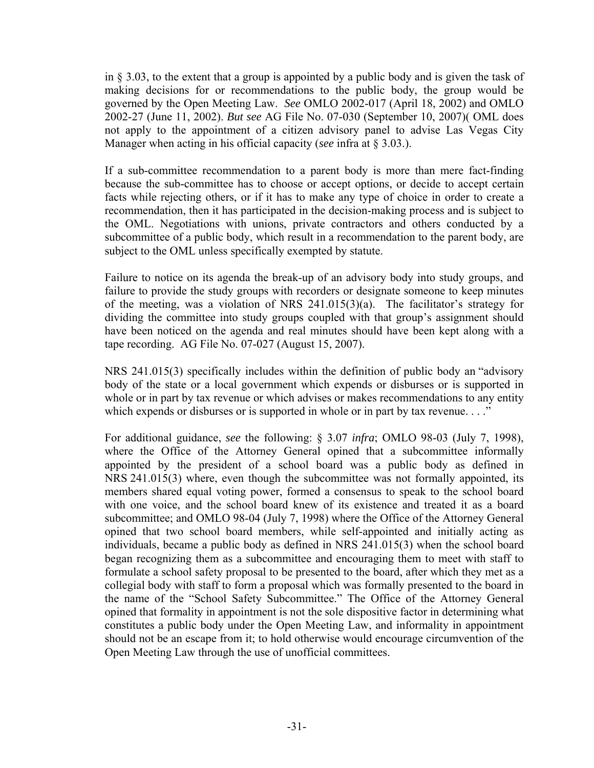in § 3.03, to the extent that a group is appointed by a public body and is given the task of making decisions for or recommendations to the public body, the group would be governed by the Open Meeting Law. *See* OMLO 2002-017 (April 18, 2002) and OMLO 2002-27 (June 11, 2002). *But see* AG File No. 07-030 (September 10, 2007)( OML does not apply to the appointment of a citizen advisory panel to advise Las Vegas City Manager when acting in his official capacity (*see* infra at § 3.03.).

If a sub-committee recommendation to a parent body is more than mere fact-finding because the sub-committee has to choose or accept options, or decide to accept certain facts while rejecting others, or if it has to make any type of choice in order to create a recommendation, then it has participated in the decision-making process and is subject to the OML. Negotiations with unions, private contractors and others conducted by a subcommittee of a public body, which result in a recommendation to the parent body, are subject to the OML unless specifically exempted by statute.

Failure to notice on its agenda the break-up of an advisory body into study groups, and failure to provide the study groups with recorders or designate someone to keep minutes of the meeting, was a violation of NRS 241.015(3)(a). The facilitator's strategy for dividing the committee into study groups coupled with that group's assignment should have been noticed on the agenda and real minutes should have been kept along with a tape recording. AG File No. 07-027 (August 15, 2007).

NRS 241.015(3) specifically includes within the definition of public body an "advisory body of the state or a local government which expends or disburses or is supported in whole or in part by tax revenue or which advises or makes recommendations to any entity which expends or disburses or is supported in whole or in part by tax revenue. . . ."

For additional guidance, *see* the following: § 3.07 *infra*; OMLO 98-03 (July 7, 1998), where the Office of the Attorney General opined that a subcommittee informally appointed by the president of a school board was a public body as defined in NRS 241.015(3) where, even though the subcommittee was not formally appointed, its members shared equal voting power, formed a consensus to speak to the school board with one voice, and the school board knew of its existence and treated it as a board subcommittee; and OMLO 98-04 (July 7, 1998) where the Office of the Attorney General opined that two school board members, while self-appointed and initially acting as individuals, became a public body as defined in NRS 241.015(3) when the school board began recognizing them as a subcommittee and encouraging them to meet with staff to formulate a school safety proposal to be presented to the board, after which they met as a collegial body with staff to form a proposal which was formally presented to the board in the name of the "School Safety Subcommittee." The Office of the Attorney General opined that formality in appointment is not the sole dispositive factor in determining what constitutes a public body under the Open Meeting Law, and informality in appointment should not be an escape from it; to hold otherwise would encourage circumvention of the Open Meeting Law through the use of unofficial committees.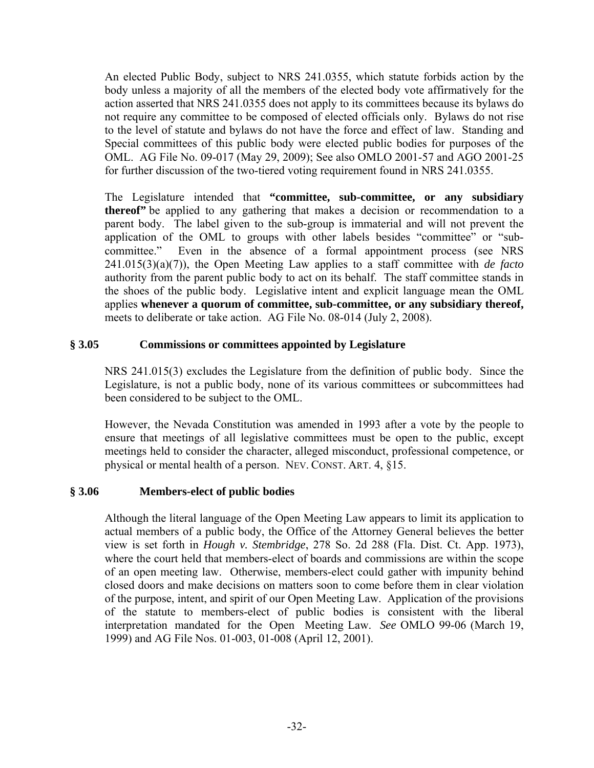An elected Public Body, subject to NRS 241.0355, which statute forbids action by the body unless a majority of all the members of the elected body vote affirmatively for the action asserted that NRS 241.0355 does not apply to its committees because its bylaws do not require any committee to be composed of elected officials only. Bylaws do not rise to the level of statute and bylaws do not have the force and effect of law. Standing and Special committees of this public body were elected public bodies for purposes of the OML. AG File No. 09-017 (May 29, 2009); See also OMLO 2001-57 and AGO 2001-25 for further discussion of the two-tiered voting requirement found in NRS 241.0355.

The Legislature intended that **"committee, sub-committee, or any subsidiary thereof"** be applied to any gathering that makes a decision or recommendation to a parent body. The label given to the sub-group is immaterial and will not prevent the application of the OML to groups with other labels besides "committee" or "subcommittee." Even in the absence of a formal appointment process (see NRS 241.015(3)(a)(7)), the Open Meeting Law applies to a staff committee with *de facto* authority from the parent public body to act on its behalf. The staff committee stands in the shoes of the public body. Legislative intent and explicit language mean the OML applies **whenever a quorum of committee, sub-committee, or any subsidiary thereof,**  meets to deliberate or take action. AG File No. 08-014 (July 2, 2008).

# **§ 3.05 Commissions or committees appointed by Legislature**

NRS 241.015(3) excludes the Legislature from the definition of public body. Since the Legislature, is not a public body, none of its various committees or subcommittees had been considered to be subject to the OML.

However, the Nevada Constitution was amended in 1993 after a vote by the people to ensure that meetings of all legislative committees must be open to the public, except meetings held to consider the character, alleged misconduct, professional competence, or physical or mental health of a person. NEV. CONST. ART. 4, §15.

### **§ 3.06 Members-elect of public bodies**

Although the literal language of the Open Meeting Law appears to limit its application to actual members of a public body, the Office of the Attorney General believes the better view is set forth in *Hough v. Stembridge*, 278 So. 2d 288 (Fla. Dist. Ct. App. 1973), where the court held that members-elect of boards and commissions are within the scope of an open meeting law. Otherwise, members-elect could gather with impunity behind closed doors and make decisions on matters soon to come before them in clear violation of the purpose, intent, and spirit of our Open Meeting Law. Application of the provisions of the statute to members-elect of public bodies is consistent with the liberal interpretation mandated for the Open Meeting Law. *See* OMLO 99-06 (March 19, 1999) and AG File Nos. 01-003, 01-008 (April 12, 2001).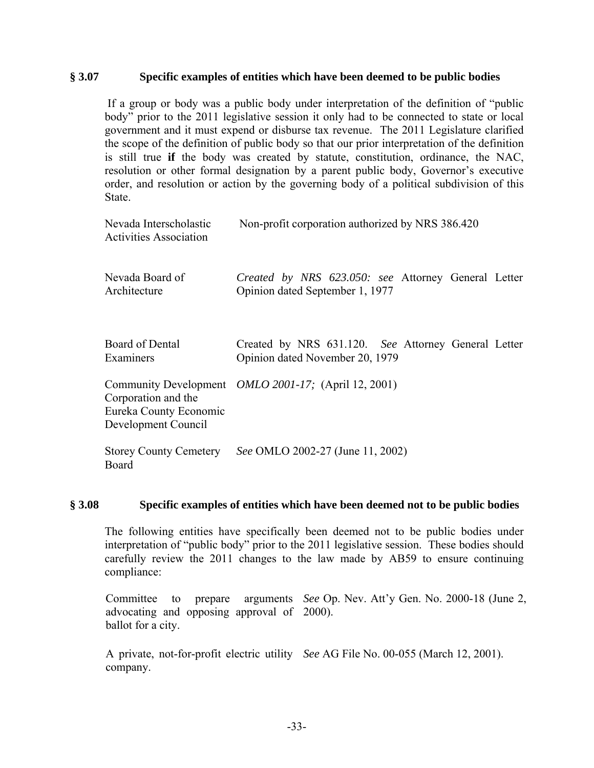### **§ 3.07 Specific examples of entities which have been deemed to be public bodies**

 If a group or body was a public body under interpretation of the definition of "public body" prior to the 2011 legislative session it only had to be connected to state or local government and it must expend or disburse tax revenue. The 2011 Legislature clarified the scope of the definition of public body so that our prior interpretation of the definition is still true **if** the body was created by statute, constitution, ordinance, the NAC, resolution or other formal designation by a parent public body, Governor's executive order, and resolution or action by the governing body of a political subdivision of this State.

| Nevada Interscholastic<br><b>Activities Association</b>              | Non-profit corporation authorized by NRS 386.420                                       |
|----------------------------------------------------------------------|----------------------------------------------------------------------------------------|
| Nevada Board of<br>Architecture                                      | Created by NRS 623.050: see Attorney General Letter<br>Opinion dated September 1, 1977 |
| Board of Dental<br>Examiners                                         | Created by NRS 631.120. See Attorney General Letter<br>Opinion dated November 20, 1979 |
| Corporation and the<br>Eureka County Economic<br>Development Council | Community Development <i>OMLO 2001-17</i> ; (April 12, 2001)                           |
| <b>Storey County Cemetery</b><br>Board                               | See OMLO 2002-27 (June 11, 2002)                                                       |

#### **§ 3.08 Specific examples of entities which have been deemed not to be public bodies**

The following entities have specifically been deemed not to be public bodies under interpretation of "public body" prior to the 2011 legislative session. These bodies should carefully review the 2011 changes to the law made by AB59 to ensure continuing compliance:

Committee to prepare arguments *See* Op. Nev. Att'y Gen. No. 2000-18 (June 2, advocating and opposing approval of 2000). ballot for a city.

A private, not-for-profit electric utility *See* AG File No. 00-055 (March 12, 2001). company.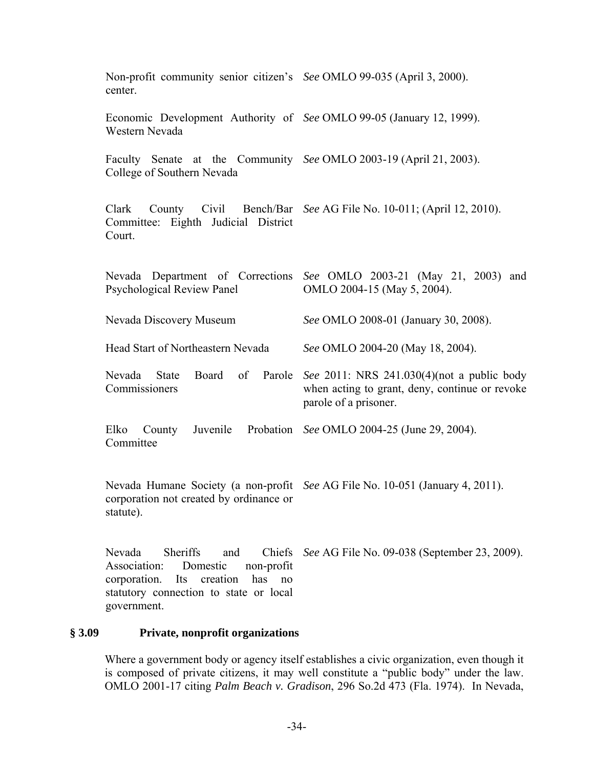| Non-profit community senior citizen's See OMLO 99-035 (April 3, 2000).<br>center.                                                                                                      |                                                                                                                       |
|----------------------------------------------------------------------------------------------------------------------------------------------------------------------------------------|-----------------------------------------------------------------------------------------------------------------------|
| Economic Development Authority of See OMLO 99-05 (January 12, 1999).<br>Western Nevada                                                                                                 |                                                                                                                       |
| Faculty Senate at the Community See OMLO 2003-19 (April 21, 2003).<br>College of Southern Nevada                                                                                       |                                                                                                                       |
| Committee: Eighth Judicial District<br>Court.                                                                                                                                          | Clark County Civil Bench/Bar See AG File No. 10-011; (April 12, 2010).                                                |
| <b>Psychological Review Panel</b>                                                                                                                                                      | Nevada Department of Corrections See OMLO 2003-21 (May 21, 2003) and<br>OMLO 2004-15 (May 5, 2004).                   |
| Nevada Discovery Museum                                                                                                                                                                | See OMLO 2008-01 (January 30, 2008).                                                                                  |
| Head Start of Northeastern Nevada                                                                                                                                                      | See OMLO 2004-20 (May 18, 2004).                                                                                      |
| Board of Parole<br>Nevada State<br>Commissioners                                                                                                                                       | See 2011: NRS 241.030(4)(not a public body<br>when acting to grant, deny, continue or revoke<br>parole of a prisoner. |
| Elko County<br>Committee                                                                                                                                                               | Juvenile Probation See OMLO 2004-25 (June 29, 2004).                                                                  |
| corporation not created by ordinance or<br>statute).                                                                                                                                   | Nevada Humane Society (a non-profit See AG File No. 10-051 (January 4, 2011).                                         |
| Sheriffs<br>Nevada<br>Chiefs<br>and<br>Association:<br>Domestic<br>non-profit<br>has<br>corporation.<br>creation<br>Its<br>no<br>statutory connection to state or local<br>government. | See AG File No. 09-038 (September 23, 2009).                                                                          |

# **§ 3.09 Private, nonprofit organizations**

Where a government body or agency itself establishes a civic organization, even though it is composed of private citizens, it may well constitute a "public body" under the law. OMLO 2001-17 citing *Palm Beach v. Gradison*, 296 So.2d 473 (Fla. 1974). In Nevada,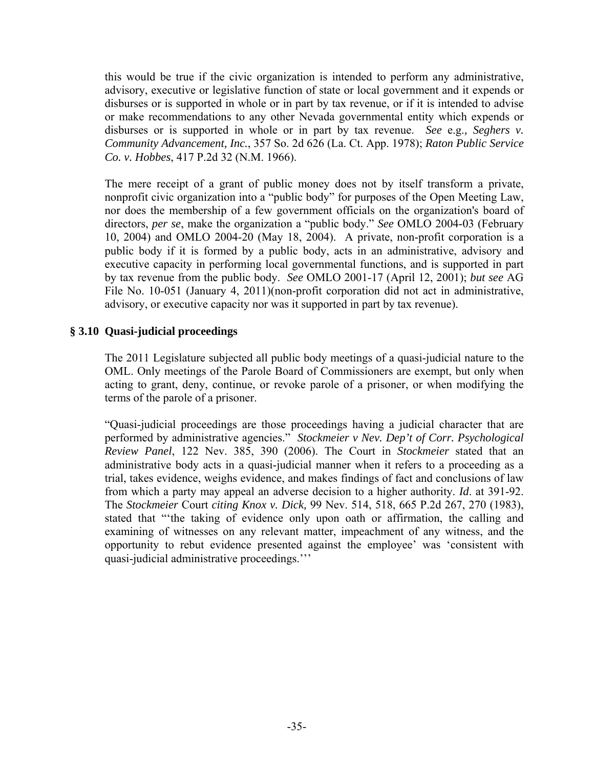this would be true if the civic organization is intended to perform any administrative, advisory, executive or legislative function of state or local government and it expends or disburses or is supported in whole or in part by tax revenue, or if it is intended to advise or make recommendations to any other Nevada governmental entity which expends or disburses or is supported in whole or in part by tax revenue. *See* e.g.*, Seghers v. Community Advancement, Inc.*, 357 So. 2d 626 (La. Ct. App. 1978); *Raton Public Service Co. v. Hobbes*, 417 P.2d 32 (N.M. 1966).

The mere receipt of a grant of public money does not by itself transform a private, nonprofit civic organization into a "public body" for purposes of the Open Meeting Law, nor does the membership of a few government officials on the organization's board of directors, *per se*, make the organization a "public body." *See* OMLO 2004-03 (February 10, 2004) and OMLO 2004-20 (May 18, 2004). A private, non-profit corporation is a public body if it is formed by a public body, acts in an administrative, advisory and executive capacity in performing local governmental functions, and is supported in part by tax revenue from the public body. *See* OMLO 2001-17 (April 12, 2001); *but see* AG File No. 10-051 (January 4, 2011)(non-profit corporation did not act in administrative, advisory, or executive capacity nor was it supported in part by tax revenue).

# **§ 3.10 Quasi-judicial proceedings**

The 2011 Legislature subjected all public body meetings of a quasi-judicial nature to the OML. Only meetings of the Parole Board of Commissioners are exempt, but only when acting to grant, deny, continue, or revoke parole of a prisoner, or when modifying the terms of the parole of a prisoner.

"Quasi-judicial proceedings are those proceedings having a judicial character that are performed by administrative agencies." *Stockmeier v Nev. Dep't of Corr. Psychological Review Panel*, 122 Nev. 385, 390 (2006). The Court in *Stockmeier* stated that an administrative body acts in a quasi-judicial manner when it refers to a proceeding as a trial, takes evidence, weighs evidence, and makes findings of fact and conclusions of law from which a party may appeal an adverse decision to a higher authority. *Id*. at 391-92. The *Stockmeier* Court *citing Knox v. Dick,* 99 Nev. 514, 518, 665 P.2d 267, 270 (1983), stated that "'the taking of evidence only upon oath or affirmation, the calling and examining of witnesses on any relevant matter, impeachment of any witness, and the opportunity to rebut evidence presented against the employee' was 'consistent with quasi-judicial administrative proceedings.'''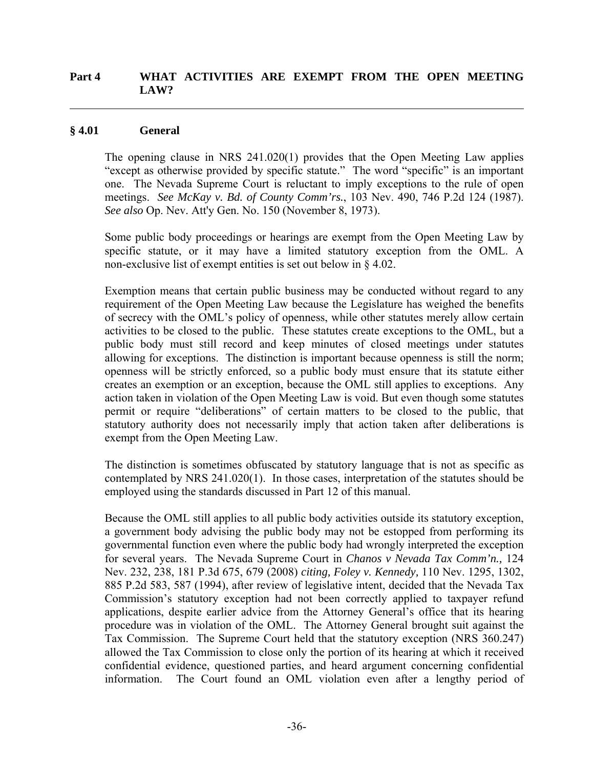### **Part 4 WHAT ACTIVITIES ARE EXEMPT FROM THE OPEN MEETING LAW?**

#### **§ 4.01 General**

 $\overline{a}$ 

The opening clause in NRS 241.020(1) provides that the Open Meeting Law applies "except as otherwise provided by specific statute." The word "specific" is an important one. The Nevada Supreme Court is reluctant to imply exceptions to the rule of open meetings. *See McKay v. Bd. of County Comm'rs.*, 103 Nev. 490, 746 P.2d 124 (1987). *See also* Op. Nev. Att'y Gen. No. 150 (November 8, 1973).

Some public body proceedings or hearings are exempt from the Open Meeting Law by specific statute, or it may have a limited statutory exception from the OML. A non-exclusive list of exempt entities is set out below in § 4.02.

Exemption means that certain public business may be conducted without regard to any requirement of the Open Meeting Law because the Legislature has weighed the benefits of secrecy with the OML's policy of openness, while other statutes merely allow certain activities to be closed to the public. These statutes create exceptions to the OML, but a public body must still record and keep minutes of closed meetings under statutes allowing for exceptions. The distinction is important because openness is still the norm; openness will be strictly enforced, so a public body must ensure that its statute either creates an exemption or an exception, because the OML still applies to exceptions. Any action taken in violation of the Open Meeting Law is void. But even though some statutes permit or require "deliberations" of certain matters to be closed to the public, that statutory authority does not necessarily imply that action taken after deliberations is exempt from the Open Meeting Law.

The distinction is sometimes obfuscated by statutory language that is not as specific as contemplated by NRS 241.020(1). In those cases, interpretation of the statutes should be employed using the standards discussed in Part 12 of this manual.

Because the OML still applies to all public body activities outside its statutory exception, a government body advising the public body may not be estopped from performing its governmental function even where the public body had wrongly interpreted the exception for several years. The Nevada Supreme Court in *Chanos v Nevada Tax Comm'n.,* 124 Nev. 232, 238, 181 P.3d 675, 679 (2008) *citing, Foley v. Kennedy,* 110 Nev. 1295, 1302, 885 P.2d 583, 587 (1994), after review of legislative intent, decided that the Nevada Tax Commission's statutory exception had not been correctly applied to taxpayer refund applications, despite earlier advice from the Attorney General's office that its hearing procedure was in violation of the OML. The Attorney General brought suit against the Tax Commission. The Supreme Court held that the statutory exception (NRS 360.247) allowed the Tax Commission to close only the portion of its hearing at which it received confidential evidence, questioned parties, and heard argument concerning confidential information. The Court found an OML violation even after a lengthy period of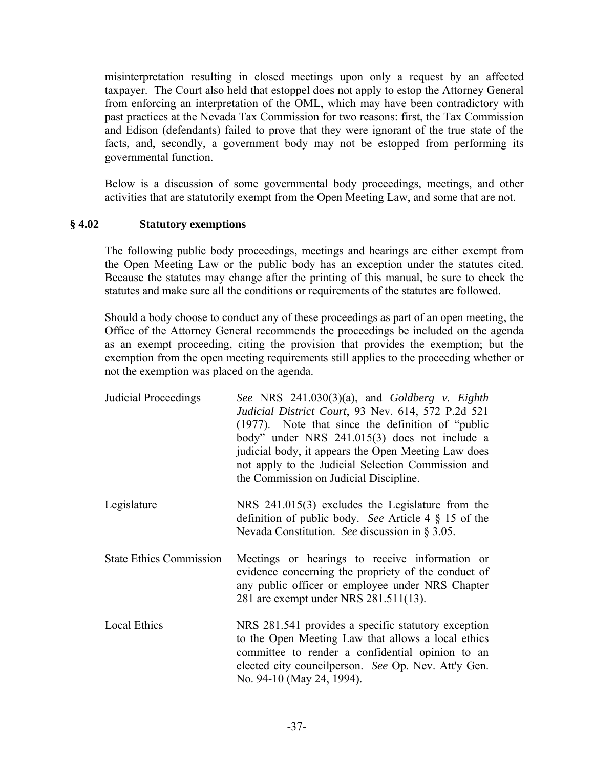misinterpretation resulting in closed meetings upon only a request by an affected taxpayer. The Court also held that estoppel does not apply to estop the Attorney General from enforcing an interpretation of the OML, which may have been contradictory with past practices at the Nevada Tax Commission for two reasons: first, the Tax Commission and Edison (defendants) failed to prove that they were ignorant of the true state of the facts, and, secondly, a government body may not be estopped from performing its governmental function.

Below is a discussion of some governmental body proceedings, meetings, and other activities that are statutorily exempt from the Open Meeting Law, and some that are not.

# **§ 4.02 Statutory exemptions**

The following public body proceedings, meetings and hearings are either exempt from the Open Meeting Law or the public body has an exception under the statutes cited. Because the statutes may change after the printing of this manual, be sure to check the statutes and make sure all the conditions or requirements of the statutes are followed.

Should a body choose to conduct any of these proceedings as part of an open meeting, the Office of the Attorney General recommends the proceedings be included on the agenda as an exempt proceeding, citing the provision that provides the exemption; but the exemption from the open meeting requirements still applies to the proceeding whether or not the exemption was placed on the agenda.

| Judicial Proceedings           | See NRS $241.030(3)(a)$ , and Goldberg v. Eighth<br>Judicial District Court, 93 Nev. 614, 572 P.2d 521<br>$(1977)$ . Note that since the definition of "public"<br>body" under NRS 241.015(3) does not include a<br>judicial body, it appears the Open Meeting Law does<br>not apply to the Judicial Selection Commission and<br>the Commission on Judicial Discipline. |
|--------------------------------|-------------------------------------------------------------------------------------------------------------------------------------------------------------------------------------------------------------------------------------------------------------------------------------------------------------------------------------------------------------------------|
| Legislature                    | NRS $241.015(3)$ excludes the Legislature from the<br>definition of public body. See Article 4 $\S$ 15 of the<br>Nevada Constitution. See discussion in $\S 3.05$ .                                                                                                                                                                                                     |
| <b>State Ethics Commission</b> | Meetings or hearings to receive information or<br>evidence concerning the propriety of the conduct of<br>any public officer or employee under NRS Chapter<br>281 are exempt under NRS 281.511(13).                                                                                                                                                                      |
| <b>Local Ethics</b>            | NRS 281.541 provides a specific statutory exception<br>to the Open Meeting Law that allows a local ethics<br>committee to render a confidential opinion to an<br>elected city councilperson. See Op. Nev. Att'y Gen.<br>No. 94-10 (May 24, 1994).                                                                                                                       |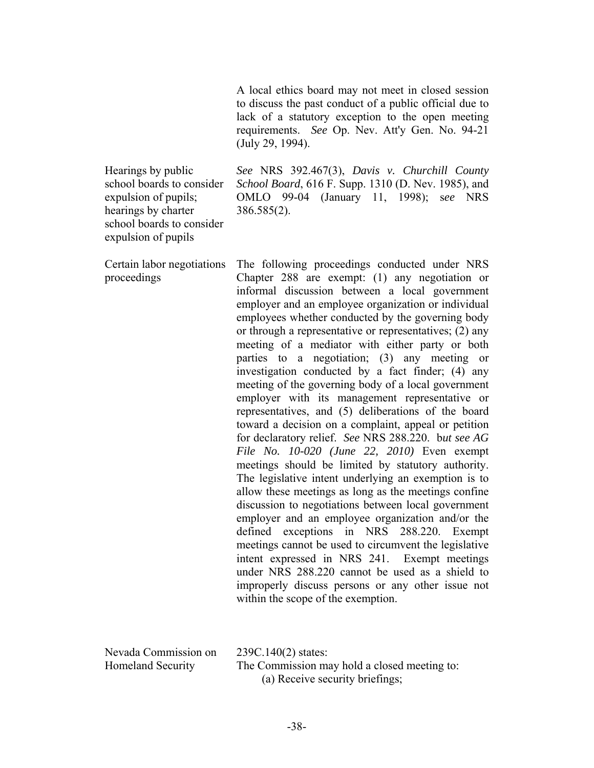A local ethics board may not meet in closed session to discuss the past conduct of a public official due to lack of a statutory exception to the open meeting requirements. *See* Op. Nev. Att'y Gen. No. 94-21 (July 29, 1994).

Hearings by public school boards to consider expulsion of pupils; hearings by charter school boards to consider expulsion of pupils

*See* NRS 392.467(3), *Davis v. Churchill County School Board*, 616 F. Supp. 1310 (D. Nev. 1985), and OMLO 99-04 (January 11, 1998); s*ee* NRS 386.585(2).

Certain labor negotiations proceedings The following proceedings conducted under NRS Chapter 288 are exempt: (1) any negotiation or informal discussion between a local government employer and an employee organization or individual employees whether conducted by the governing body or through a representative or representatives; (2) any meeting of a mediator with either party or both parties to a negotiation; (3) any meeting or investigation conducted by a fact finder; (4) any meeting of the governing body of a local government employer with its management representative or representatives, and (5) deliberations of the board toward a decision on a complaint, appeal or petition for declaratory relief. *See* NRS 288.220. b*ut see AG File No. 10-020 (June 22, 2010)* Even exempt meetings should be limited by statutory authority. The legislative intent underlying an exemption is to allow these meetings as long as the meetings confine discussion to negotiations between local government employer and an employee organization and/or the defined exceptions in NRS 288.220. Exempt meetings cannot be used to circumvent the legislative intent expressed in NRS 241. Exempt meetings under NRS 288.220 cannot be used as a shield to improperly discuss persons or any other issue not within the scope of the exemption.

| Nevada Commission on     | $239C.140(2)$ states:                        |
|--------------------------|----------------------------------------------|
| <b>Homeland Security</b> | The Commission may hold a closed meeting to: |
|                          | (a) Receive security briefings;              |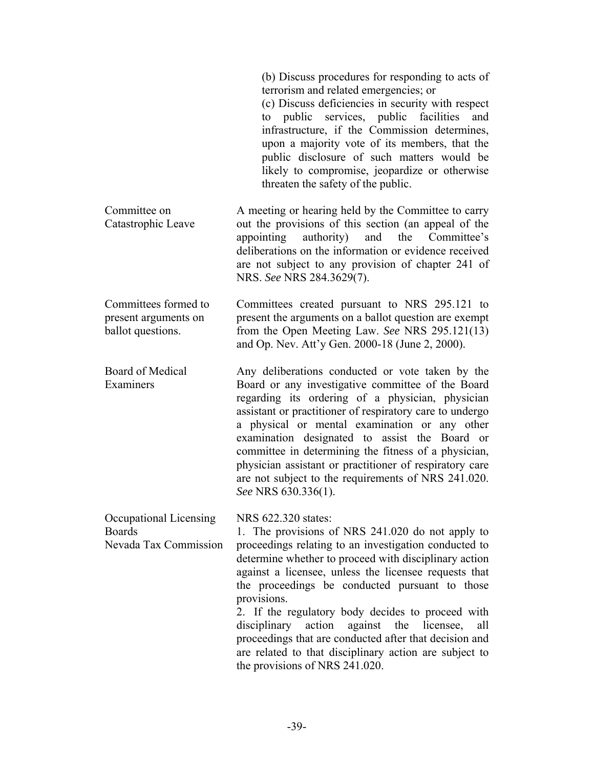|                                                                   | (b) Discuss procedures for responding to acts of<br>terrorism and related emergencies; or<br>(c) Discuss deficiencies in security with respect<br>to public<br>services, public facilities<br>and<br>infrastructure, if the Commission determines,<br>upon a majority vote of its members, that the<br>public disclosure of such matters would be<br>likely to compromise, jeopardize or otherwise<br>threaten the safety of the public.                                                                                                                                        |
|-------------------------------------------------------------------|---------------------------------------------------------------------------------------------------------------------------------------------------------------------------------------------------------------------------------------------------------------------------------------------------------------------------------------------------------------------------------------------------------------------------------------------------------------------------------------------------------------------------------------------------------------------------------|
| Committee on<br>Catastrophic Leave                                | A meeting or hearing held by the Committee to carry<br>out the provisions of this section (an appeal of the<br>appointing<br>authority)<br>and the Committee's<br>deliberations on the information or evidence received<br>are not subject to any provision of chapter 241 of<br>NRS. See NRS 284.3629(7).                                                                                                                                                                                                                                                                      |
| Committees formed to<br>present arguments on<br>ballot questions. | Committees created pursuant to NRS 295.121 to<br>present the arguments on a ballot question are exempt<br>from the Open Meeting Law. See NRS 295.121(13)<br>and Op. Nev. Att'y Gen. 2000-18 (June 2, 2000).                                                                                                                                                                                                                                                                                                                                                                     |
| <b>Board of Medical</b><br>Examiners                              | Any deliberations conducted or vote taken by the<br>Board or any investigative committee of the Board<br>regarding its ordering of a physician, physician<br>assistant or practitioner of respiratory care to undergo<br>a physical or mental examination or any other<br>examination designated to assist the Board or<br>committee in determining the fitness of a physician,<br>physician assistant or practitioner of respiratory care<br>are not subject to the requirements of NRS 241.020.<br>See NRS 630.336(1).                                                        |
| Occupational Licensing<br><b>Boards</b><br>Nevada Tax Commission  | NRS 622.320 states:<br>1. The provisions of NRS 241.020 do not apply to<br>proceedings relating to an investigation conducted to<br>determine whether to proceed with disciplinary action<br>against a licensee, unless the licensee requests that<br>the proceedings be conducted pursuant to those<br>provisions.<br>2. If the regulatory body decides to proceed with<br>disciplinary action against the licensee, all<br>proceedings that are conducted after that decision and<br>are related to that disciplinary action are subject to<br>the provisions of NRS 241.020. |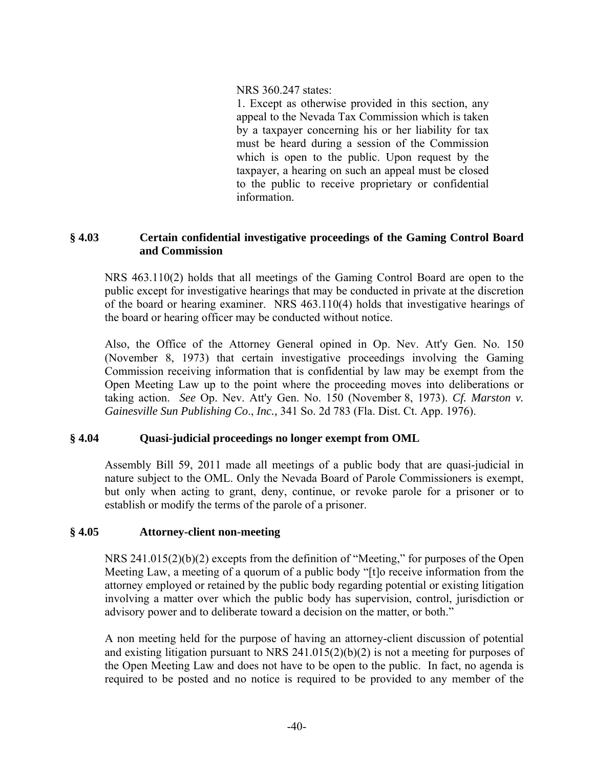### NRS 360.247 states:

1. Except as otherwise provided in this section, any appeal to the Nevada Tax Commission which is taken by a taxpayer concerning his or her liability for tax must be heard during a session of the Commission which is open to the public. Upon request by the taxpayer, a hearing on such an appeal must be closed to the public to receive proprietary or confidential information.

## **§ 4.03 Certain confidential investigative proceedings of the Gaming Control Board and Commission**

NRS 463.110(2) holds that all meetings of the Gaming Control Board are open to the public except for investigative hearings that may be conducted in private at the discretion of the board or hearing examiner. NRS 463.110(4) holds that investigative hearings of the board or hearing officer may be conducted without notice.

Also, the Office of the Attorney General opined in Op. Nev. Att'y Gen. No. 150 (November 8, 1973) that certain investigative proceedings involving the Gaming Commission receiving information that is confidential by law may be exempt from the Open Meeting Law up to the point where the proceeding moves into deliberations or taking action. *See* Op. Nev. Att'y Gen. No. 150 (November 8, 1973). *Cf. Marston v. Gainesville Sun Publishing Co*., *Inc.,* 341 So. 2d 783 (Fla. Dist. Ct. App. 1976).

# **§ 4.04 Quasi-judicial proceedings no longer exempt from OML**

Assembly Bill 59, 2011 made all meetings of a public body that are quasi-judicial in nature subject to the OML. Only the Nevada Board of Parole Commissioners is exempt, but only when acting to grant, deny, continue, or revoke parole for a prisoner or to establish or modify the terms of the parole of a prisoner.

# **§ 4.05 Attorney-client non-meeting**

NRS 241.015(2)(b)(2) excepts from the definition of "Meeting," for purposes of the Open Meeting Law, a meeting of a quorum of a public body "[t]o receive information from the attorney employed or retained by the public body regarding potential or existing litigation involving a matter over which the public body has supervision, control, jurisdiction or advisory power and to deliberate toward a decision on the matter, or both."

A non meeting held for the purpose of having an attorney-client discussion of potential and existing litigation pursuant to NRS 241.015(2)(b)(2) is not a meeting for purposes of the Open Meeting Law and does not have to be open to the public. In fact, no agenda is required to be posted and no notice is required to be provided to any member of the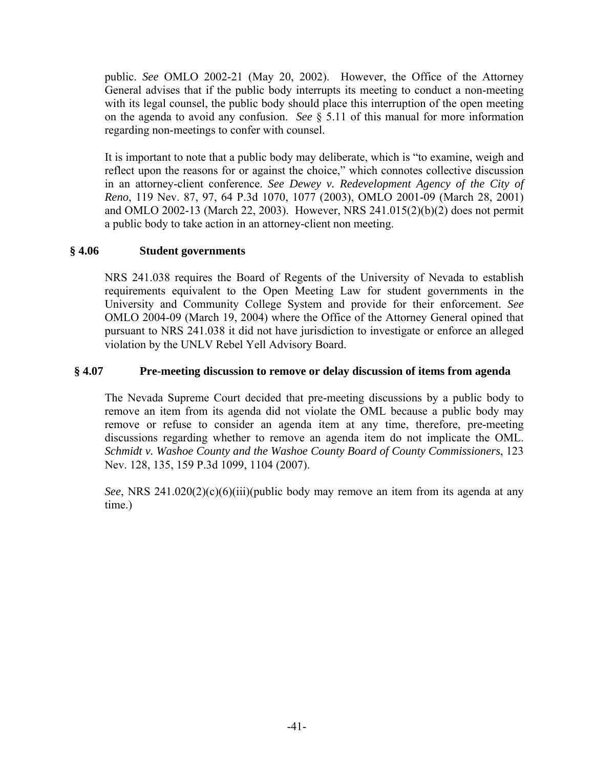public. *See* OMLO 2002-21 (May 20, 2002). However, the Office of the Attorney General advises that if the public body interrupts its meeting to conduct a non-meeting with its legal counsel, the public body should place this interruption of the open meeting on the agenda to avoid any confusion. *See* § 5.11 of this manual for more information regarding non-meetings to confer with counsel.

It is important to note that a public body may deliberate, which is "to examine, weigh and reflect upon the reasons for or against the choice," which connotes collective discussion in an attorney-client conference. *See Dewey v. Redevelopment Agency of the City of Reno*, 119 Nev. 87, 97, 64 P.3d 1070, 1077 (2003), OMLO 2001-09 (March 28, 2001) and OMLO 2002-13 (March 22, 2003). However, NRS 241.015(2)(b)(2) does not permit a public body to take action in an attorney-client non meeting.

# **§ 4.06 Student governments**

NRS 241.038 requires the Board of Regents of the University of Nevada to establish requirements equivalent to the Open Meeting Law for student governments in the University and Community College System and provide for their enforcement. *See* OMLO 2004-09 (March 19, 2004) where the Office of the Attorney General opined that pursuant to NRS 241.038 it did not have jurisdiction to investigate or enforce an alleged violation by the UNLV Rebel Yell Advisory Board.

# **§ 4.07 Pre-meeting discussion to remove or delay discussion of items from agenda**

The Nevada Supreme Court decided that pre-meeting discussions by a public body to remove an item from its agenda did not violate the OML because a public body may remove or refuse to consider an agenda item at any time, therefore, pre-meeting discussions regarding whether to remove an agenda item do not implicate the OML. *Schmidt v. Washoe County and the Washoe County Board of County Commissioners*, 123 Nev. 128, 135, 159 P.3d 1099, 1104 (2007).

*See*, NRS 241.020(2)(c)(6)(iii)(public body may remove an item from its agenda at any time.)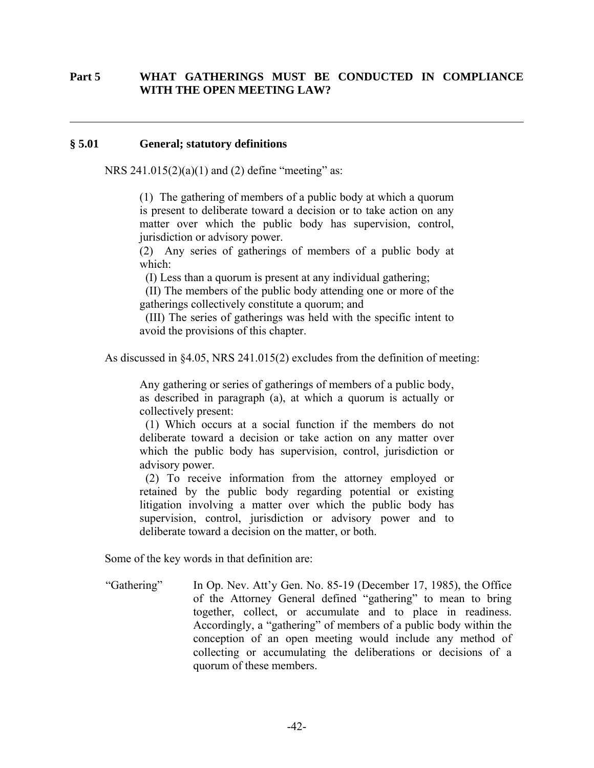## **Part 5 WHAT GATHERINGS MUST BE CONDUCTED IN COMPLIANCE WITH THE OPEN MEETING LAW?**

#### **§ 5.01 General; statutory definitions**

 $\overline{a}$ 

NRS  $241.015(2)(a)(1)$  and (2) define "meeting" as:

(1) The gathering of members of a public body at which a quorum is present to deliberate toward a decision or to take action on any matter over which the public body has supervision, control, jurisdiction or advisory power.

(2) Any series of gatherings of members of a public body at which:

(I) Less than a quorum is present at any individual gathering;

 (II) The members of the public body attending one or more of the gatherings collectively constitute a quorum; and

 (III) The series of gatherings was held with the specific intent to avoid the provisions of this chapter.

As discussed in §4.05, NRS 241.015(2) excludes from the definition of meeting:

Any gathering or series of gatherings of members of a public body, as described in paragraph (a), at which a quorum is actually or collectively present:

 (1) Which occurs at a social function if the members do not deliberate toward a decision or take action on any matter over which the public body has supervision, control, jurisdiction or advisory power.

 (2) To receive information from the attorney employed or retained by the public body regarding potential or existing litigation involving a matter over which the public body has supervision, control, jurisdiction or advisory power and to deliberate toward a decision on the matter, or both.

Some of the key words in that definition are:

"Gathering" In Op. Nev. Att'y Gen. No. 85-19 (December 17, 1985), the Office of the Attorney General defined "gathering" to mean to bring together, collect, or accumulate and to place in readiness. Accordingly, a "gathering" of members of a public body within the conception of an open meeting would include any method of collecting or accumulating the deliberations or decisions of a quorum of these members.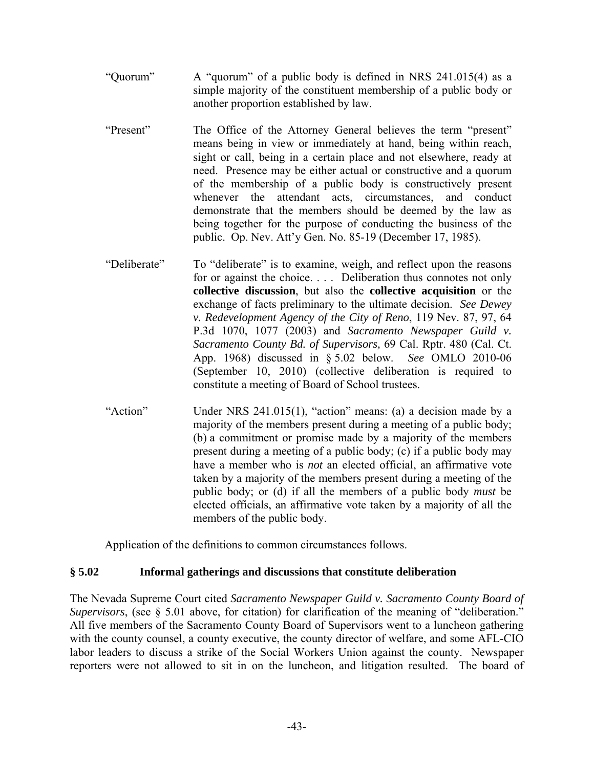- "Quorum" A "quorum" of a public body is defined in NRS 241.015(4) as a simple majority of the constituent membership of a public body or another proportion established by law.
- "Present" The Office of the Attorney General believes the term "present" means being in view or immediately at hand, being within reach, sight or call, being in a certain place and not elsewhere, ready at need. Presence may be either actual or constructive and a quorum of the membership of a public body is constructively present whenever the attendant acts, circumstances, and conduct demonstrate that the members should be deemed by the law as being together for the purpose of conducting the business of the public. Op. Nev. Att'y Gen. No. 85-19 (December 17, 1985).
- "Deliberate" To "deliberate" is to examine, weigh, and reflect upon the reasons for or against the choice. . . . Deliberation thus connotes not only **collective discussion**, but also the **collective acquisition** or the exchange of facts preliminary to the ultimate decision. *See Dewey v. Redevelopment Agency of the City of Reno*, 119 Nev. 87, 97, 64 P.3d 1070, 1077 (2003) and *Sacramento Newspaper Guild v. Sacramento County Bd. of Supervisors,* 69 Cal. Rptr. 480 (Cal. Ct. App. 1968) discussed in § 5.02 below. *See* OMLO 2010-06 (September 10, 2010) (collective deliberation is required to constitute a meeting of Board of School trustees.
- "Action" Under NRS 241.015(1), "action" means: (a) a decision made by a majority of the members present during a meeting of a public body; (b) a commitment or promise made by a majority of the members present during a meeting of a public body; (c) if a public body may have a member who is *not* an elected official, an affirmative vote taken by a majority of the members present during a meeting of the public body; or (d) if all the members of a public body *must* be elected officials, an affirmative vote taken by a majority of all the members of the public body.

Application of the definitions to common circumstances follows.

# **§ 5.02 Informal gatherings and discussions that constitute deliberation**

The Nevada Supreme Court cited *Sacramento Newspaper Guild v. Sacramento County Board of Supervisors*, (see § 5.01 above, for citation) for clarification of the meaning of "deliberation." All five members of the Sacramento County Board of Supervisors went to a luncheon gathering with the county counsel, a county executive, the county director of welfare, and some AFL-CIO labor leaders to discuss a strike of the Social Workers Union against the county. Newspaper reporters were not allowed to sit in on the luncheon, and litigation resulted. The board of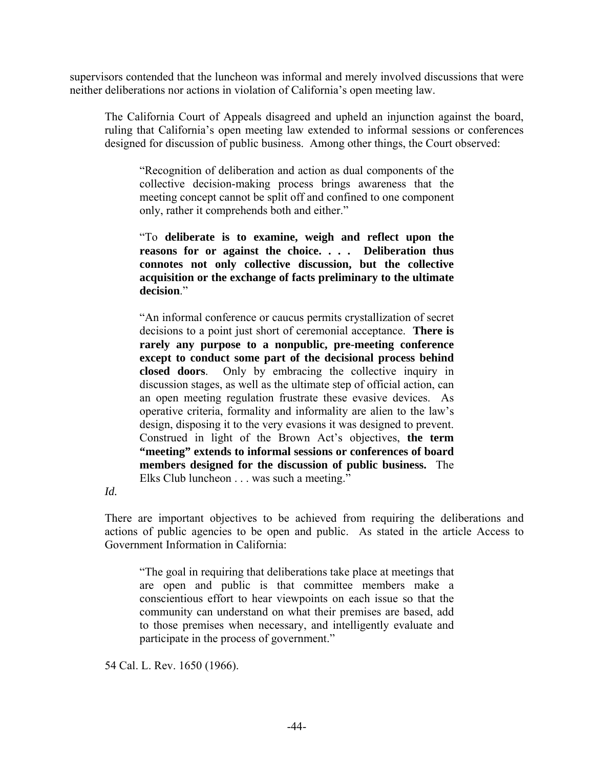supervisors contended that the luncheon was informal and merely involved discussions that were neither deliberations nor actions in violation of California's open meeting law.

The California Court of Appeals disagreed and upheld an injunction against the board, ruling that California's open meeting law extended to informal sessions or conferences designed for discussion of public business. Among other things, the Court observed:

"Recognition of deliberation and action as dual components of the collective decision-making process brings awareness that the meeting concept cannot be split off and confined to one component only, rather it comprehends both and either."

"To **deliberate is to examine, weigh and reflect upon the reasons for or against the choice. . . . Deliberation thus connotes not only collective discussion, but the collective acquisition or the exchange of facts preliminary to the ultimate decision**."

"An informal conference or caucus permits crystallization of secret decisions to a point just short of ceremonial acceptance. **There is rarely any purpose to a nonpublic, pre-meeting conference except to conduct some part of the decisional process behind closed doors**. Only by embracing the collective inquiry in discussion stages, as well as the ultimate step of official action, can an open meeting regulation frustrate these evasive devices. As operative criteria, formality and informality are alien to the law's design, disposing it to the very evasions it was designed to prevent. Construed in light of the Brown Act's objectives, **the term "meeting" extends to informal sessions or conferences of board members designed for the discussion of public business.** The Elks Club luncheon . . . was such a meeting."

*Id.* 

There are important objectives to be achieved from requiring the deliberations and actions of public agencies to be open and public. As stated in the article Access to Government Information in California:

"The goal in requiring that deliberations take place at meetings that are open and public is that committee members make a conscientious effort to hear viewpoints on each issue so that the community can understand on what their premises are based, add to those premises when necessary, and intelligently evaluate and participate in the process of government."

54 Cal. L. Rev. 1650 (1966).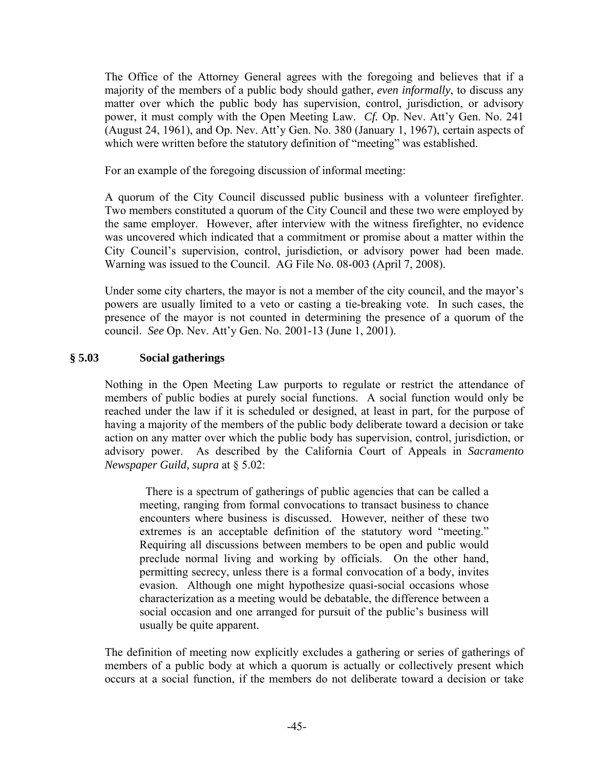The Office of the Attorney General agrees with the foregoing and believes that if a majority of the members of a public body should gather, *even informally*, to discuss any matter over which the public body has supervision, control, jurisdiction, or advisory power, it must comply with the Open Meeting Law. *Cf.* Op. Nev. Att'y Gen. No. 241 (August 24, 1961), and Op. Nev. Att'y Gen. No. 380 (January 1, 1967), certain aspects of which were written before the statutory definition of "meeting" was established.

For an example of the foregoing discussion of informal meeting:

A quorum of the City Council discussed public business with a volunteer firefighter. Two members constituted a quorum of the City Council and these two were employed by the same employer. However, after interview with the witness firefighter, no evidence was uncovered which indicated that a commitment or promise about a matter within the City Council's supervision, control, jurisdiction, or advisory power had been made. Warning was issued to the Council. AG File No. 08-003 (April 7, 2008).

Under some city charters, the mayor is not a member of the city council, and the mayor's powers are usually limited to a veto or casting a tie-breaking vote. In such cases, the presence of the mayor is not counted in determining the presence of a quorum of the council. *See* Op. Nev. Att'y Gen. No. 2001-13 (June 1, 2001).

# **§ 5.03 Social gatherings**

Nothing in the Open Meeting Law purports to regulate or restrict the attendance of members of public bodies at purely social functions. A social function would only be reached under the law if it is scheduled or designed, at least in part, for the purpose of having a majority of the members of the public body deliberate toward a decision or take action on any matter over which the public body has supervision, control, jurisdiction, or advisory power. As described by the California Court of Appeals in *Sacramento Newspaper Guild, supra* at § 5.02:

 There is a spectrum of gatherings of public agencies that can be called a meeting, ranging from formal convocations to transact business to chance encounters where business is discussed. However, neither of these two extremes is an acceptable definition of the statutory word "meeting." Requiring all discussions between members to be open and public would preclude normal living and working by officials. On the other hand, permitting secrecy, unless there is a formal convocation of a body, invites evasion. Although one might hypothesize quasi-social occasions whose characterization as a meeting would be debatable, the difference between a social occasion and one arranged for pursuit of the public's business will usually be quite apparent.

The definition of meeting now explicitly excludes a gathering or series of gatherings of members of a public body at which a quorum is actually or collectively present which occurs at a social function, if the members do not deliberate toward a decision or take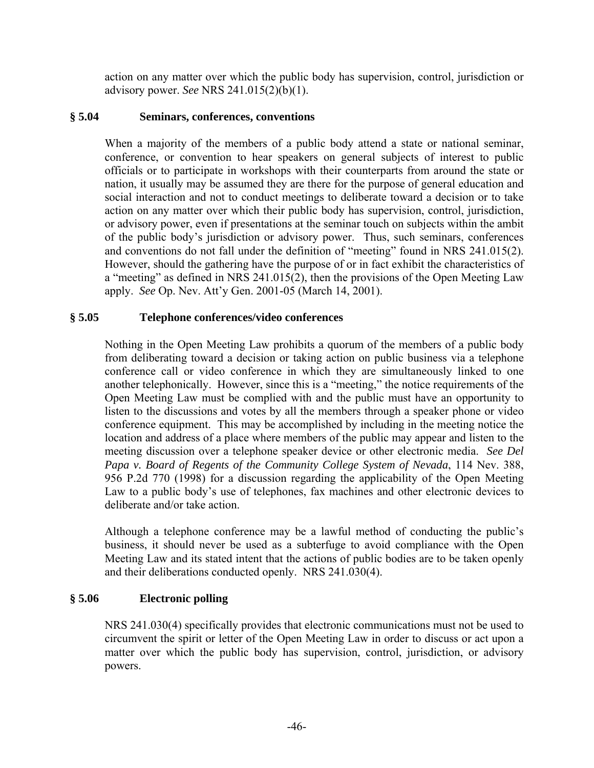action on any matter over which the public body has supervision, control, jurisdiction or advisory power. *See* NRS 241.015(2)(b)(1).

### **§ 5.04 Seminars, conferences, conventions**

When a majority of the members of a public body attend a state or national seminar, conference, or convention to hear speakers on general subjects of interest to public officials or to participate in workshops with their counterparts from around the state or nation, it usually may be assumed they are there for the purpose of general education and social interaction and not to conduct meetings to deliberate toward a decision or to take action on any matter over which their public body has supervision, control, jurisdiction, or advisory power, even if presentations at the seminar touch on subjects within the ambit of the public body's jurisdiction or advisory power. Thus, such seminars, conferences and conventions do not fall under the definition of "meeting" found in NRS 241.015(2). However, should the gathering have the purpose of or in fact exhibit the characteristics of a "meeting" as defined in NRS 241.015(2), then the provisions of the Open Meeting Law apply. *See* Op. Nev. Att'y Gen. 2001-05 (March 14, 2001).

# **§ 5.05 Telephone conferences/video conferences**

Nothing in the Open Meeting Law prohibits a quorum of the members of a public body from deliberating toward a decision or taking action on public business via a telephone conference call or video conference in which they are simultaneously linked to one another telephonically. However, since this is a "meeting," the notice requirements of the Open Meeting Law must be complied with and the public must have an opportunity to listen to the discussions and votes by all the members through a speaker phone or video conference equipment. This may be accomplished by including in the meeting notice the location and address of a place where members of the public may appear and listen to the meeting discussion over a telephone speaker device or other electronic media. *See Del Papa v. Board of Regents of the Community College System of Nevada*, 114 Nev. 388, 956 P.2d 770 (1998) for a discussion regarding the applicability of the Open Meeting Law to a public body's use of telephones, fax machines and other electronic devices to deliberate and/or take action.

Although a telephone conference may be a lawful method of conducting the public's business, it should never be used as a subterfuge to avoid compliance with the Open Meeting Law and its stated intent that the actions of public bodies are to be taken openly and their deliberations conducted openly. NRS 241.030(4).

#### **§ 5.06 Electronic polling**

NRS 241.030(4) specifically provides that electronic communications must not be used to circumvent the spirit or letter of the Open Meeting Law in order to discuss or act upon a matter over which the public body has supervision, control, jurisdiction, or advisory powers.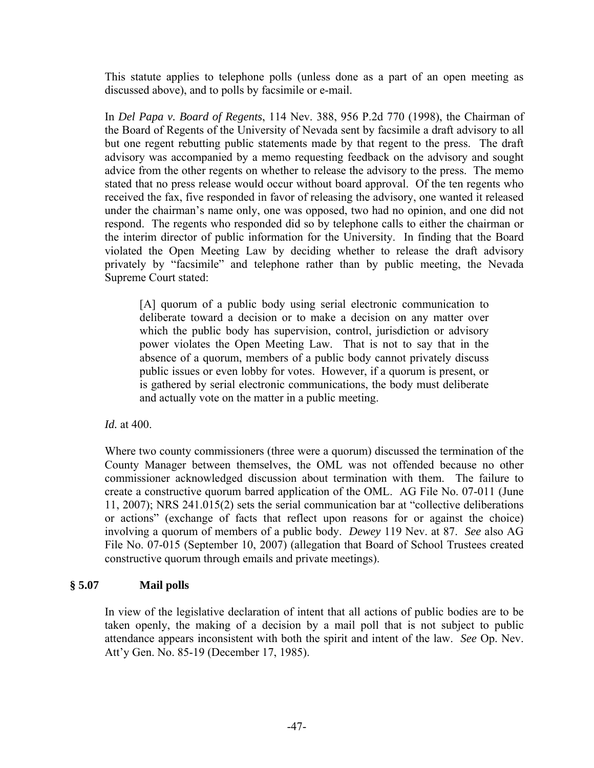This statute applies to telephone polls (unless done as a part of an open meeting as discussed above), and to polls by facsimile or e-mail.

In *Del Papa v. Board of Regents*, 114 Nev. 388, 956 P.2d 770 (1998), the Chairman of the Board of Regents of the University of Nevada sent by facsimile a draft advisory to all but one regent rebutting public statements made by that regent to the press. The draft advisory was accompanied by a memo requesting feedback on the advisory and sought advice from the other regents on whether to release the advisory to the press. The memo stated that no press release would occur without board approval. Of the ten regents who received the fax, five responded in favor of releasing the advisory, one wanted it released under the chairman's name only, one was opposed, two had no opinion, and one did not respond. The regents who responded did so by telephone calls to either the chairman or the interim director of public information for the University. In finding that the Board violated the Open Meeting Law by deciding whether to release the draft advisory privately by "facsimile" and telephone rather than by public meeting, the Nevada Supreme Court stated:

[A] quorum of a public body using serial electronic communication to deliberate toward a decision or to make a decision on any matter over which the public body has supervision, control, jurisdiction or advisory power violates the Open Meeting Law. That is not to say that in the absence of a quorum, members of a public body cannot privately discuss public issues or even lobby for votes. However, if a quorum is present, or is gathered by serial electronic communications, the body must deliberate and actually vote on the matter in a public meeting.

*Id.* at 400.

Where two county commissioners (three were a quorum) discussed the termination of the County Manager between themselves, the OML was not offended because no other commissioner acknowledged discussion about termination with them. The failure to create a constructive quorum barred application of the OML. AG File No. 07-011 (June 11, 2007); NRS 241.015(2) sets the serial communication bar at "collective deliberations or actions" (exchange of facts that reflect upon reasons for or against the choice) involving a quorum of members of a public body. *Dewey* 119 Nev. at 87. *See* also AG File No. 07-015 (September 10, 2007) (allegation that Board of School Trustees created constructive quorum through emails and private meetings).

# **§ 5.07 Mail polls**

In view of the legislative declaration of intent that all actions of public bodies are to be taken openly, the making of a decision by a mail poll that is not subject to public attendance appears inconsistent with both the spirit and intent of the law. *See* Op. Nev. Att'y Gen. No. 85-19 (December 17, 1985).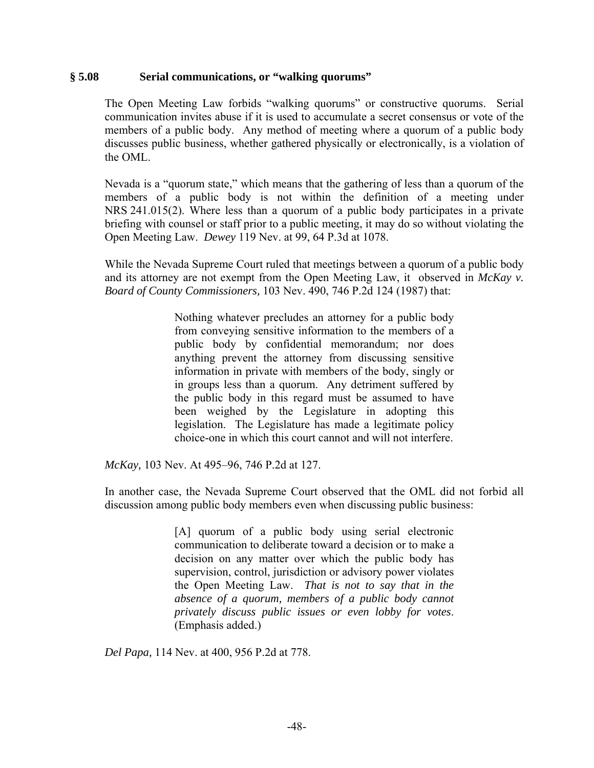#### **§ 5.08 Serial communications, or "walking quorums"**

The Open Meeting Law forbids "walking quorums" or constructive quorums. Serial communication invites abuse if it is used to accumulate a secret consensus or vote of the members of a public body. Any method of meeting where a quorum of a public body discusses public business, whether gathered physically or electronically, is a violation of the OML.

Nevada is a "quorum state," which means that the gathering of less than a quorum of the members of a public body is not within the definition of a meeting under NRS 241.015(2). Where less than a quorum of a public body participates in a private briefing with counsel or staff prior to a public meeting, it may do so without violating the Open Meeting Law. *Dewey* 119 Nev. at 99, 64 P.3d at 1078.

While the Nevada Supreme Court ruled that meetings between a quorum of a public body and its attorney are not exempt from the Open Meeting Law, it observed in *McKay v. Board of County Commissioners,* 103 Nev. 490, 746 P.2d 124 (1987) that:

> Nothing whatever precludes an attorney for a public body from conveying sensitive information to the members of a public body by confidential memorandum; nor does anything prevent the attorney from discussing sensitive information in private with members of the body, singly or in groups less than a quorum. Any detriment suffered by the public body in this regard must be assumed to have been weighed by the Legislature in adopting this legislation. The Legislature has made a legitimate policy choice-one in which this court cannot and will not interfere.

*McKay,* 103 Nev. At 495–96, 746 P.2d at 127.

In another case, the Nevada Supreme Court observed that the OML did not forbid all discussion among public body members even when discussing public business:

> [A] quorum of a public body using serial electronic communication to deliberate toward a decision or to make a decision on any matter over which the public body has supervision, control, jurisdiction or advisory power violates the Open Meeting Law. *That is not to say that in the absence of a quorum, members of a public body cannot privately discuss public issues or even lobby for votes*. (Emphasis added.)

*Del Papa,* 114 Nev. at 400, 956 P.2d at 778.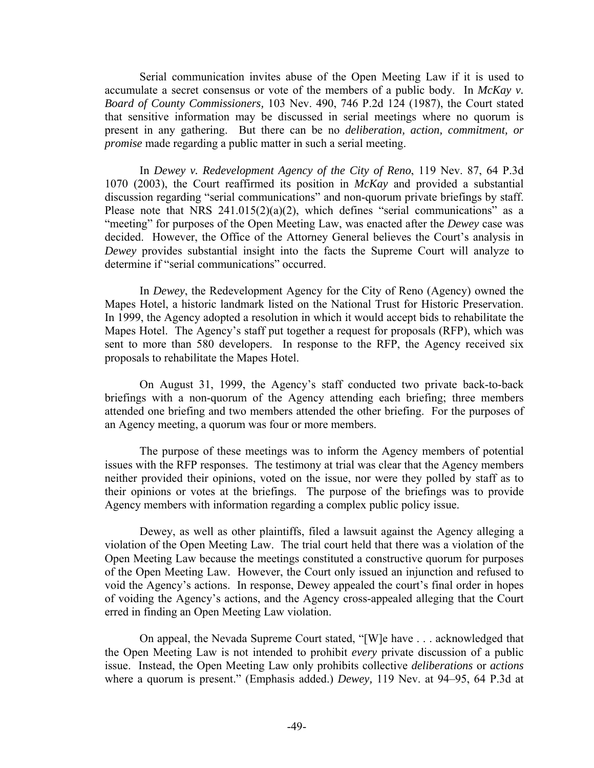Serial communication invites abuse of the Open Meeting Law if it is used to accumulate a secret consensus or vote of the members of a public body. In *McKay v. Board of County Commissioners,* 103 Nev. 490, 746 P.2d 124 (1987), the Court stated that sensitive information may be discussed in serial meetings where no quorum is present in any gathering. But there can be no *deliberation, action, commitment, or promise* made regarding a public matter in such a serial meeting.

In *Dewey v. Redevelopment Agency of the City of Reno*, 119 Nev. 87, 64 P.3d 1070 (2003), the Court reaffirmed its position in *McKay* and provided a substantial discussion regarding "serial communications" and non-quorum private briefings by staff. Please note that NRS  $241.015(2)(a)(2)$ , which defines "serial communications" as a "meeting" for purposes of the Open Meeting Law, was enacted after the *Dewey* case was decided. However, the Office of the Attorney General believes the Court's analysis in *Dewey* provides substantial insight into the facts the Supreme Court will analyze to determine if "serial communications" occurred.

In *Dewey*, the Redevelopment Agency for the City of Reno (Agency) owned the Mapes Hotel, a historic landmark listed on the National Trust for Historic Preservation. In 1999, the Agency adopted a resolution in which it would accept bids to rehabilitate the Mapes Hotel. The Agency's staff put together a request for proposals (RFP), which was sent to more than 580 developers. In response to the RFP, the Agency received six proposals to rehabilitate the Mapes Hotel.

On August 31, 1999, the Agency's staff conducted two private back-to-back briefings with a non-quorum of the Agency attending each briefing; three members attended one briefing and two members attended the other briefing. For the purposes of an Agency meeting, a quorum was four or more members.

The purpose of these meetings was to inform the Agency members of potential issues with the RFP responses. The testimony at trial was clear that the Agency members neither provided their opinions, voted on the issue, nor were they polled by staff as to their opinions or votes at the briefings. The purpose of the briefings was to provide Agency members with information regarding a complex public policy issue.

Dewey, as well as other plaintiffs, filed a lawsuit against the Agency alleging a violation of the Open Meeting Law. The trial court held that there was a violation of the Open Meeting Law because the meetings constituted a constructive quorum for purposes of the Open Meeting Law. However, the Court only issued an injunction and refused to void the Agency's actions. In response, Dewey appealed the court's final order in hopes of voiding the Agency's actions, and the Agency cross-appealed alleging that the Court erred in finding an Open Meeting Law violation.

On appeal, the Nevada Supreme Court stated, "[W]e have . . . acknowledged that the Open Meeting Law is not intended to prohibit *every* private discussion of a public issue. Instead, the Open Meeting Law only prohibits collective *deliberations* or *actions* where a quorum is present." (Emphasis added.) *Dewey,* 119 Nev. at 94–95, 64 P.3d at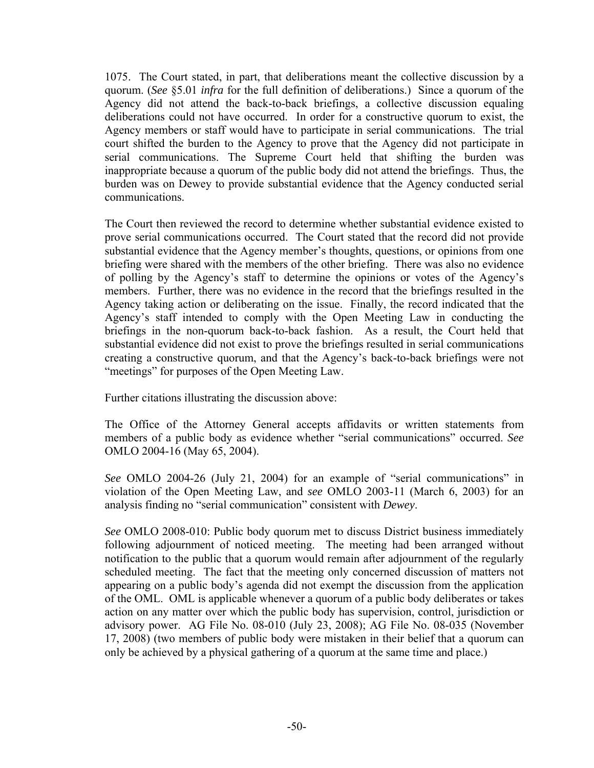1075. The Court stated, in part, that deliberations meant the collective discussion by a quorum. (*See* §5.01 *infra* for the full definition of deliberations.) Since a quorum of the Agency did not attend the back-to-back briefings, a collective discussion equaling deliberations could not have occurred. In order for a constructive quorum to exist, the Agency members or staff would have to participate in serial communications. The trial court shifted the burden to the Agency to prove that the Agency did not participate in serial communications. The Supreme Court held that shifting the burden was inappropriate because a quorum of the public body did not attend the briefings. Thus, the burden was on Dewey to provide substantial evidence that the Agency conducted serial communications.

The Court then reviewed the record to determine whether substantial evidence existed to prove serial communications occurred. The Court stated that the record did not provide substantial evidence that the Agency member's thoughts, questions, or opinions from one briefing were shared with the members of the other briefing. There was also no evidence of polling by the Agency's staff to determine the opinions or votes of the Agency's members. Further, there was no evidence in the record that the briefings resulted in the Agency taking action or deliberating on the issue. Finally, the record indicated that the Agency's staff intended to comply with the Open Meeting Law in conducting the briefings in the non-quorum back-to-back fashion. As a result, the Court held that substantial evidence did not exist to prove the briefings resulted in serial communications creating a constructive quorum, and that the Agency's back-to-back briefings were not "meetings" for purposes of the Open Meeting Law.

Further citations illustrating the discussion above:

The Office of the Attorney General accepts affidavits or written statements from members of a public body as evidence whether "serial communications" occurred. *See*  OMLO 2004-16 (May 65, 2004).

*See* OMLO 2004-26 (July 21, 2004) for an example of "serial communications" in violation of the Open Meeting Law, and *see* OMLO 2003-11 (March 6, 2003) for an analysis finding no "serial communication" consistent with *Dewey*.

*See* OMLO 2008-010: Public body quorum met to discuss District business immediately following adjournment of noticed meeting. The meeting had been arranged without notification to the public that a quorum would remain after adjournment of the regularly scheduled meeting. The fact that the meeting only concerned discussion of matters not appearing on a public body's agenda did not exempt the discussion from the application of the OML. OML is applicable whenever a quorum of a public body deliberates or takes action on any matter over which the public body has supervision, control, jurisdiction or advisory power. AG File No. 08-010 (July 23, 2008); AG File No. 08-035 (November 17, 2008) (two members of public body were mistaken in their belief that a quorum can only be achieved by a physical gathering of a quorum at the same time and place.)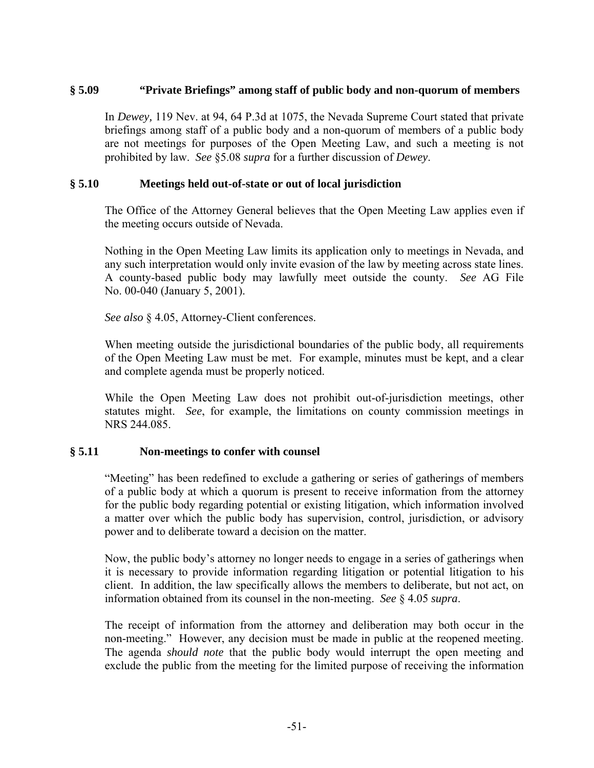### **§ 5.09 "Private Briefings" among staff of public body and non-quorum of members**

In *Dewey,* 119 Nev. at 94, 64 P.3d at 1075, the Nevada Supreme Court stated that private briefings among staff of a public body and a non-quorum of members of a public body are not meetings for purposes of the Open Meeting Law, and such a meeting is not prohibited by law. *See* §5.08 *supra* for a further discussion of *Dewey*.

#### **§ 5.10 Meetings held out-of-state or out of local jurisdiction**

The Office of the Attorney General believes that the Open Meeting Law applies even if the meeting occurs outside of Nevada.

Nothing in the Open Meeting Law limits its application only to meetings in Nevada, and any such interpretation would only invite evasion of the law by meeting across state lines. A county-based public body may lawfully meet outside the county. *See* AG File No. 00-040 (January 5, 2001).

*See also* § 4.05, Attorney-Client conferences.

When meeting outside the jurisdictional boundaries of the public body, all requirements of the Open Meeting Law must be met. For example, minutes must be kept, and a clear and complete agenda must be properly noticed.

While the Open Meeting Law does not prohibit out-of-jurisdiction meetings, other statutes might. *See*, for example, the limitations on county commission meetings in NRS 244.085.

#### **§ 5.11 Non-meetings to confer with counsel**

"Meeting" has been redefined to exclude a gathering or series of gatherings of members of a public body at which a quorum is present to receive information from the attorney for the public body regarding potential or existing litigation, which information involved a matter over which the public body has supervision, control, jurisdiction, or advisory power and to deliberate toward a decision on the matter.

Now, the public body's attorney no longer needs to engage in a series of gatherings when it is necessary to provide information regarding litigation or potential litigation to his client. In addition, the law specifically allows the members to deliberate, but not act, on information obtained from its counsel in the non-meeting. *See* § 4.05 *supra*.

The receipt of information from the attorney and deliberation may both occur in the non-meeting." However, any decision must be made in public at the reopened meeting. The agenda *should note* that the public body would interrupt the open meeting and exclude the public from the meeting for the limited purpose of receiving the information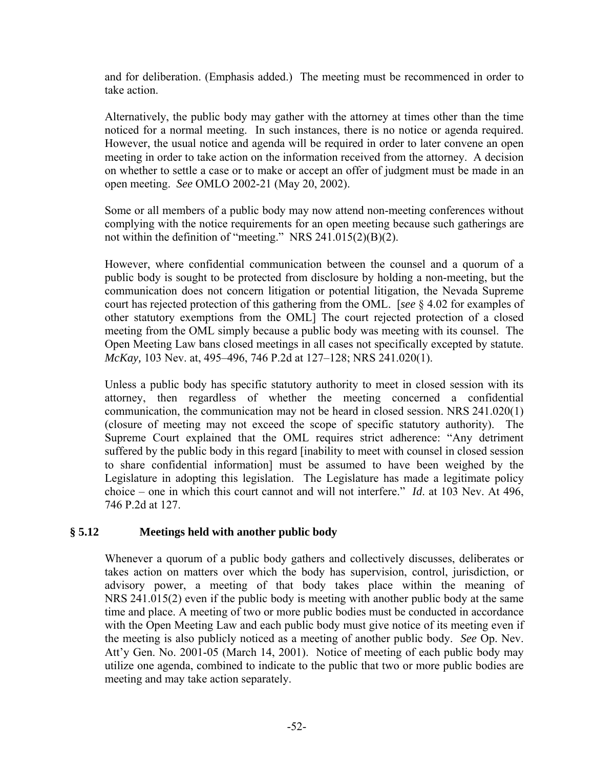and for deliberation. (Emphasis added.) The meeting must be recommenced in order to take action.

Alternatively, the public body may gather with the attorney at times other than the time noticed for a normal meeting. In such instances, there is no notice or agenda required. However, the usual notice and agenda will be required in order to later convene an open meeting in order to take action on the information received from the attorney. A decision on whether to settle a case or to make or accept an offer of judgment must be made in an open meeting. *See* OMLO 2002-21 (May 20, 2002).

Some or all members of a public body may now attend non-meeting conferences without complying with the notice requirements for an open meeting because such gatherings are not within the definition of "meeting." NRS 241.015(2)(B)(2).

However, where confidential communication between the counsel and a quorum of a public body is sought to be protected from disclosure by holding a non-meeting, but the communication does not concern litigation or potential litigation, the Nevada Supreme court has rejected protection of this gathering from the OML. [*see* § 4.02 for examples of other statutory exemptions from the OML] The court rejected protection of a closed meeting from the OML simply because a public body was meeting with its counsel. The Open Meeting Law bans closed meetings in all cases not specifically excepted by statute. *McKay,* 103 Nev. at, 495–496, 746 P.2d at 127–128; NRS 241.020(1).

Unless a public body has specific statutory authority to meet in closed session with its attorney, then regardless of whether the meeting concerned a confidential communication, the communication may not be heard in closed session. NRS 241.020(1) (closure of meeting may not exceed the scope of specific statutory authority). The Supreme Court explained that the OML requires strict adherence: "Any detriment suffered by the public body in this regard [inability to meet with counsel in closed session to share confidential information] must be assumed to have been weighed by the Legislature in adopting this legislation. The Legislature has made a legitimate policy choice – one in which this court cannot and will not interfere." *Id*. at 103 Nev. At 496, 746 P.2d at 127.

# **§ 5.12 Meetings held with another public body**

Whenever a quorum of a public body gathers and collectively discusses, deliberates or takes action on matters over which the body has supervision, control, jurisdiction, or advisory power, a meeting of that body takes place within the meaning of NRS 241.015(2) even if the public body is meeting with another public body at the same time and place. A meeting of two or more public bodies must be conducted in accordance with the Open Meeting Law and each public body must give notice of its meeting even if the meeting is also publicly noticed as a meeting of another public body. *See* Op. Nev. Att'y Gen. No. 2001-05 (March 14, 2001). Notice of meeting of each public body may utilize one agenda, combined to indicate to the public that two or more public bodies are meeting and may take action separately.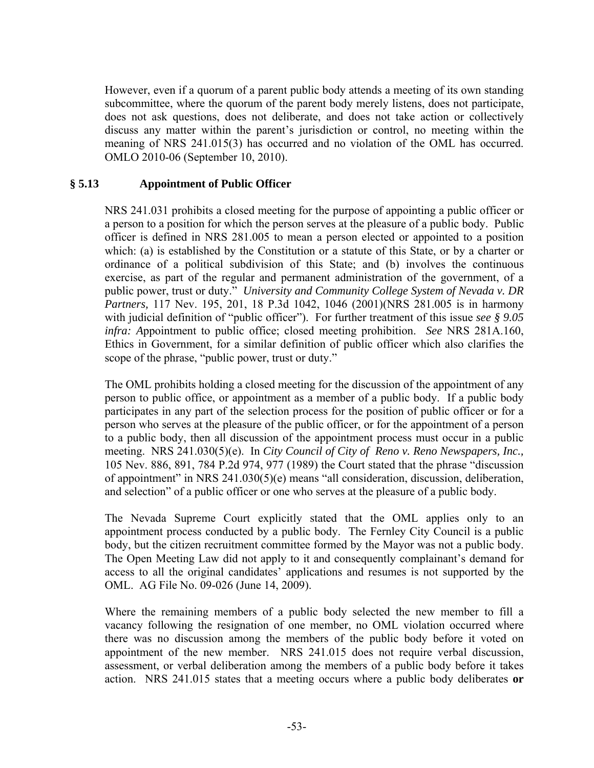However, even if a quorum of a parent public body attends a meeting of its own standing subcommittee, where the quorum of the parent body merely listens, does not participate, does not ask questions, does not deliberate, and does not take action or collectively discuss any matter within the parent's jurisdiction or control, no meeting within the meaning of NRS 241.015(3) has occurred and no violation of the OML has occurred. OMLO 2010-06 (September 10, 2010).

# **§ 5.13 Appointment of Public Officer**

NRS 241.031 prohibits a closed meeting for the purpose of appointing a public officer or a person to a position for which the person serves at the pleasure of a public body. Public officer is defined in NRS 281.005 to mean a person elected or appointed to a position which: (a) is established by the Constitution or a statute of this State, or by a charter or ordinance of a political subdivision of this State; and (b) involves the continuous exercise, as part of the regular and permanent administration of the government, of a public power, trust or duty." *University and Community College System of Nevada v. DR Partners,* 117 Nev. 195, 201, 18 P.3d 1042, 1046 (2001)(NRS 281.005 is in harmony with judicial definition of "public officer"). For further treatment of this issue *see § 9.05 infra: A*ppointment to public office; closed meeting prohibition. *See* NRS 281A.160, Ethics in Government, for a similar definition of public officer which also clarifies the scope of the phrase, "public power, trust or duty."

The OML prohibits holding a closed meeting for the discussion of the appointment of any person to public office, or appointment as a member of a public body. If a public body participates in any part of the selection process for the position of public officer or for a person who serves at the pleasure of the public officer, or for the appointment of a person to a public body, then all discussion of the appointment process must occur in a public meeting. NRS 241.030(5)(e). In *City Council of City of Reno v. Reno Newspapers, Inc.,*  105 Nev. 886, 891, 784 P.2d 974, 977 (1989) the Court stated that the phrase "discussion of appointment" in NRS 241.030(5)(e) means "all consideration, discussion, deliberation, and selection" of a public officer or one who serves at the pleasure of a public body.

The Nevada Supreme Court explicitly stated that the OML applies only to an appointment process conducted by a public body. The Fernley City Council is a public body, but the citizen recruitment committee formed by the Mayor was not a public body. The Open Meeting Law did not apply to it and consequently complainant's demand for access to all the original candidates' applications and resumes is not supported by the OML. AG File No. 09-026 (June 14, 2009).

Where the remaining members of a public body selected the new member to fill a vacancy following the resignation of one member, no OML violation occurred where there was no discussion among the members of the public body before it voted on appointment of the new member. NRS 241.015 does not require verbal discussion, assessment, or verbal deliberation among the members of a public body before it takes action. NRS 241.015 states that a meeting occurs where a public body deliberates **or**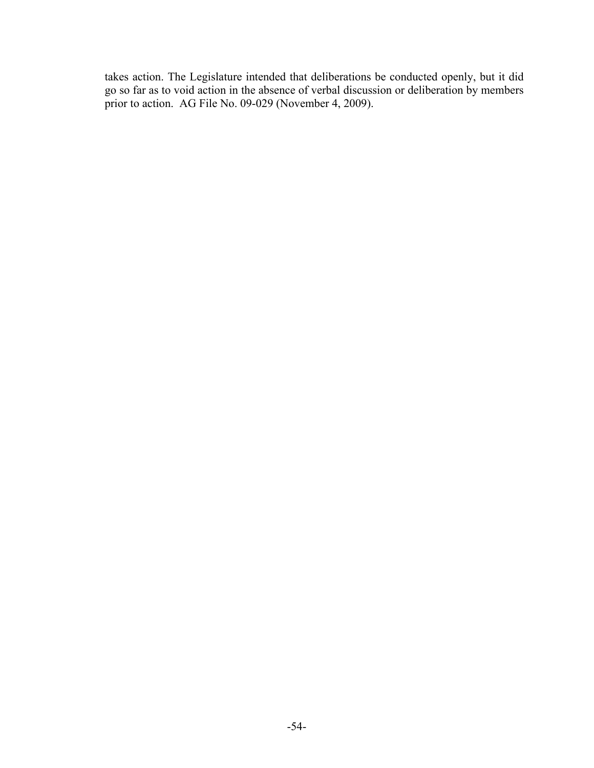takes action. The Legislature intended that deliberations be conducted openly, but it did go so far as to void action in the absence of verbal discussion or deliberation by members prior to action. AG File No. 09-029 (November 4, 2009).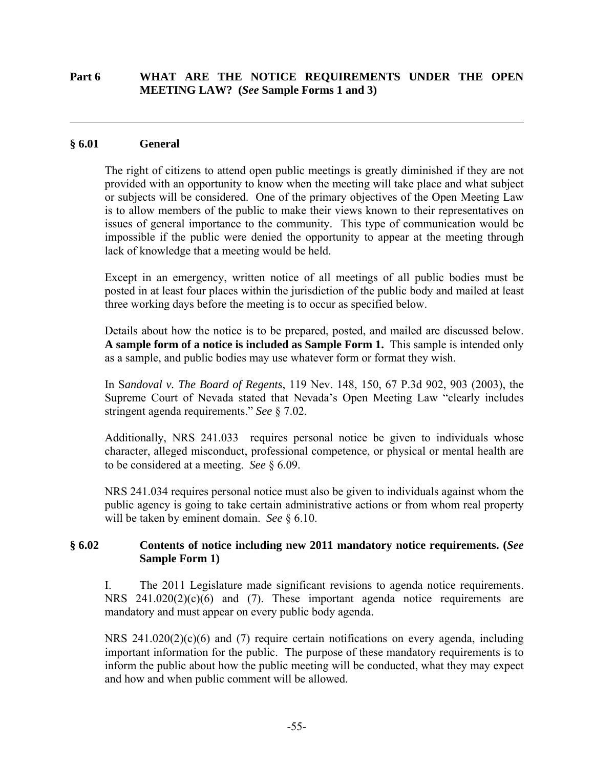### **Part 6 WHAT ARE THE NOTICE REQUIREMENTS UNDER THE OPEN MEETING LAW? (***See* **Sample Forms 1 and 3)**

#### **§ 6.01 General**

 $\overline{a}$ 

The right of citizens to attend open public meetings is greatly diminished if they are not provided with an opportunity to know when the meeting will take place and what subject or subjects will be considered. One of the primary objectives of the Open Meeting Law is to allow members of the public to make their views known to their representatives on issues of general importance to the community. This type of communication would be impossible if the public were denied the opportunity to appear at the meeting through lack of knowledge that a meeting would be held.

Except in an emergency, written notice of all meetings of all public bodies must be posted in at least four places within the jurisdiction of the public body and mailed at least three working days before the meeting is to occur as specified below.

Details about how the notice is to be prepared, posted, and mailed are discussed below. **A sample form of a notice is included as Sample Form 1.** This sample is intended only as a sample, and public bodies may use whatever form or format they wish.

In S*andoval v. The Board of Regents*, 119 Nev. 148, 150, 67 P.3d 902, 903 (2003), the Supreme Court of Nevada stated that Nevada's Open Meeting Law "clearly includes stringent agenda requirements." *See* § 7.02.

Additionally, NRS 241.033 requires personal notice be given to individuals whose character, alleged misconduct, professional competence, or physical or mental health are to be considered at a meeting. *See* § 6.09.

NRS 241.034 requires personal notice must also be given to individuals against whom the public agency is going to take certain administrative actions or from whom real property will be taken by eminent domain. *See* § 6.10.

#### **§ 6.02 Contents of notice including new 2011 mandatory notice requirements. (***See* **Sample Form 1)**

I. The 2011 Legislature made significant revisions to agenda notice requirements. NRS 241.020(2)(c)(6) and (7). These important agenda notice requirements are mandatory and must appear on every public body agenda.

NRS  $241.020(2)(c)(6)$  and (7) require certain notifications on every agenda, including important information for the public. The purpose of these mandatory requirements is to inform the public about how the public meeting will be conducted, what they may expect and how and when public comment will be allowed.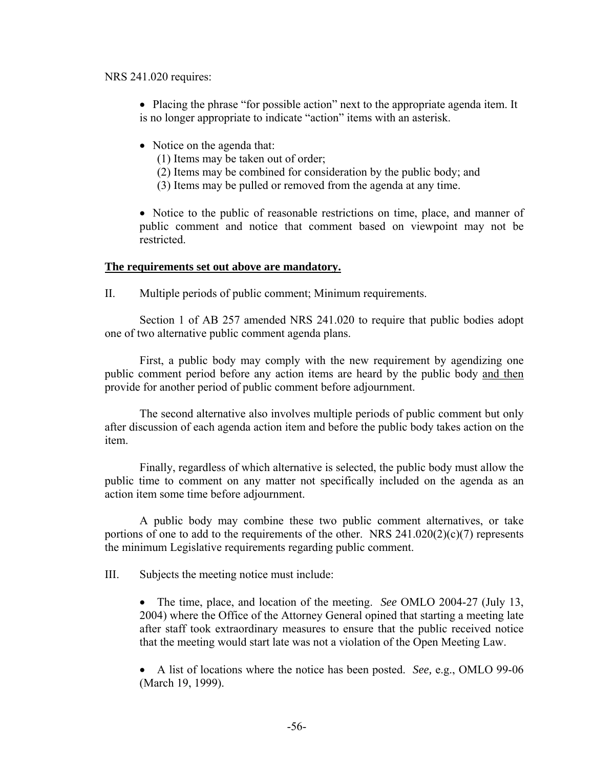#### NRS 241.020 requires:

- Placing the phrase "for possible action" next to the appropriate agenda item. It is no longer appropriate to indicate "action" items with an asterisk.
- Notice on the agenda that:
	- (1) Items may be taken out of order;
	- (2) Items may be combined for consideration by the public body; and
	- (3) Items may be pulled or removed from the agenda at any time.

• Notice to the public of reasonable restrictions on time, place, and manner of public comment and notice that comment based on viewpoint may not be restricted.

#### **The requirements set out above are mandatory.**

II. Multiple periods of public comment; Minimum requirements.

Section 1 of AB 257 amended NRS 241.020 to require that public bodies adopt one of two alternative public comment agenda plans.

 First, a public body may comply with the new requirement by agendizing one public comment period before any action items are heard by the public body and then provide for another period of public comment before adjournment.

 The second alternative also involves multiple periods of public comment but only after discussion of each agenda action item and before the public body takes action on the item.

 Finally, regardless of which alternative is selected, the public body must allow the public time to comment on any matter not specifically included on the agenda as an action item some time before adjournment.

 A public body may combine these two public comment alternatives, or take portions of one to add to the requirements of the other. NRS  $241.020(2)(c)(7)$  represents the minimum Legislative requirements regarding public comment.

III. Subjects the meeting notice must include:

 The time, place, and location of the meeting. *See* OMLO 2004-27 (July 13, 2004) where the Office of the Attorney General opined that starting a meeting late after staff took extraordinary measures to ensure that the public received notice that the meeting would start late was not a violation of the Open Meeting Law.

 A list of locations where the notice has been posted. *See,* e.g., OMLO 99-06 (March 19, 1999).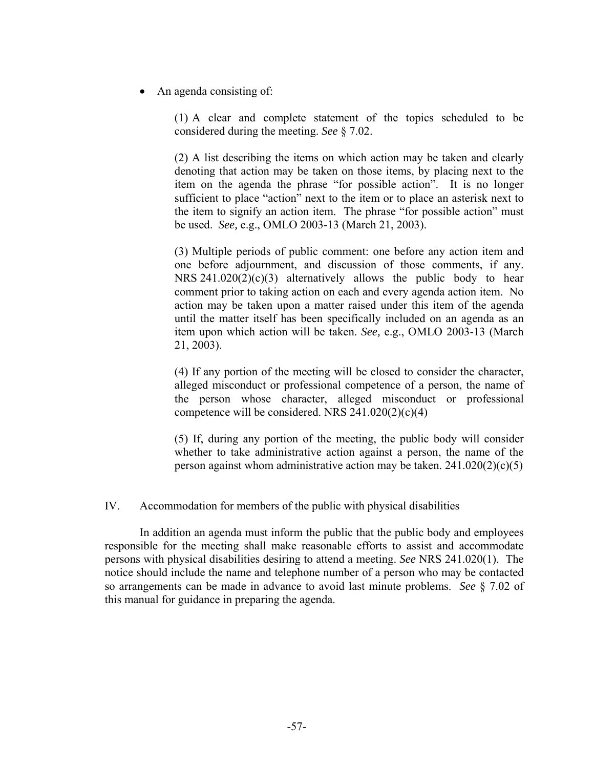• An agenda consisting of:

(1) A clear and complete statement of the topics scheduled to be considered during the meeting. *See* § 7.02.

(2) A list describing the items on which action may be taken and clearly denoting that action may be taken on those items, by placing next to the item on the agenda the phrase "for possible action". It is no longer sufficient to place "action" next to the item or to place an asterisk next to the item to signify an action item. The phrase "for possible action" must be used. *See,* e.g., OMLO 2003-13 (March 21, 2003).

(3) Multiple periods of public comment: one before any action item and one before adjournment, and discussion of those comments, if any. NRS 241.020(2)(c)(3) alternatively allows the public body to hear comment prior to taking action on each and every agenda action item. No action may be taken upon a matter raised under this item of the agenda until the matter itself has been specifically included on an agenda as an item upon which action will be taken. *See,* e.g., OMLO 2003-13 (March 21, 2003).

(4) If any portion of the meeting will be closed to consider the character, alleged misconduct or professional competence of a person, the name of the person whose character, alleged misconduct or professional competence will be considered. NRS  $241.020(2)(c)(4)$ 

(5) If, during any portion of the meeting, the public body will consider whether to take administrative action against a person, the name of the person against whom administrative action may be taken.  $241.020(2)(c)(5)$ 

IV. Accommodation for members of the public with physical disabilities

In addition an agenda must inform the public that the public body and employees responsible for the meeting shall make reasonable efforts to assist and accommodate persons with physical disabilities desiring to attend a meeting. *See* NRS 241.020(1). The notice should include the name and telephone number of a person who may be contacted so arrangements can be made in advance to avoid last minute problems. *See* § 7.02 of this manual for guidance in preparing the agenda.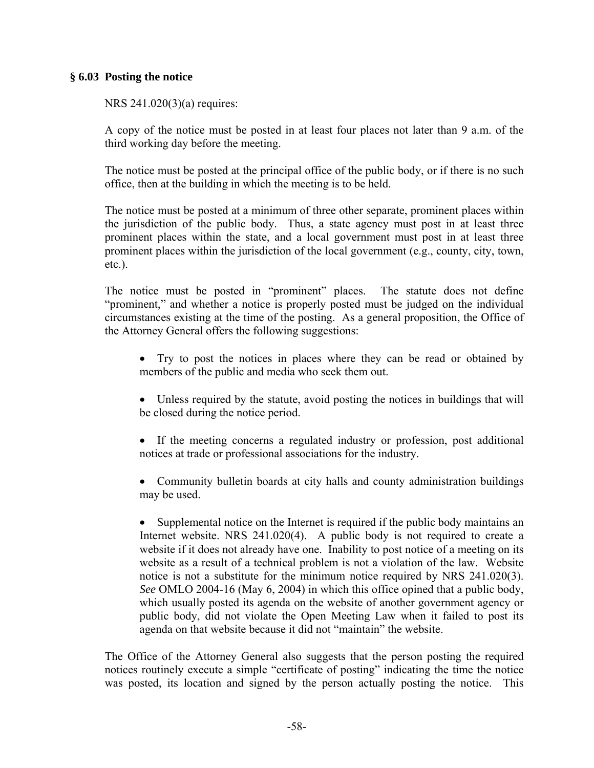#### **§ 6.03 Posting the notice**

NRS 241.020(3)(a) requires:

A copy of the notice must be posted in at least four places not later than 9 a.m. of the third working day before the meeting.

The notice must be posted at the principal office of the public body, or if there is no such office, then at the building in which the meeting is to be held.

The notice must be posted at a minimum of three other separate, prominent places within the jurisdiction of the public body. Thus, a state agency must post in at least three prominent places within the state, and a local government must post in at least three prominent places within the jurisdiction of the local government (e.g., county, city, town, etc.).

The notice must be posted in "prominent" places. The statute does not define "prominent," and whether a notice is properly posted must be judged on the individual circumstances existing at the time of the posting. As a general proposition, the Office of the Attorney General offers the following suggestions:

- Try to post the notices in places where they can be read or obtained by members of the public and media who seek them out.
- Unless required by the statute, avoid posting the notices in buildings that will be closed during the notice period.
- If the meeting concerns a regulated industry or profession, post additional notices at trade or professional associations for the industry.
- Community bulletin boards at city halls and county administration buildings may be used.

• Supplemental notice on the Internet is required if the public body maintains an Internet website. NRS 241.020(4). A public body is not required to create a website if it does not already have one. Inability to post notice of a meeting on its website as a result of a technical problem is not a violation of the law. Website notice is not a substitute for the minimum notice required by NRS 241.020(3). *See* OMLO 2004-16 (May 6, 2004) in which this office opined that a public body, which usually posted its agenda on the website of another government agency or public body, did not violate the Open Meeting Law when it failed to post its agenda on that website because it did not "maintain" the website.

The Office of the Attorney General also suggests that the person posting the required notices routinely execute a simple "certificate of posting" indicating the time the notice was posted, its location and signed by the person actually posting the notice. This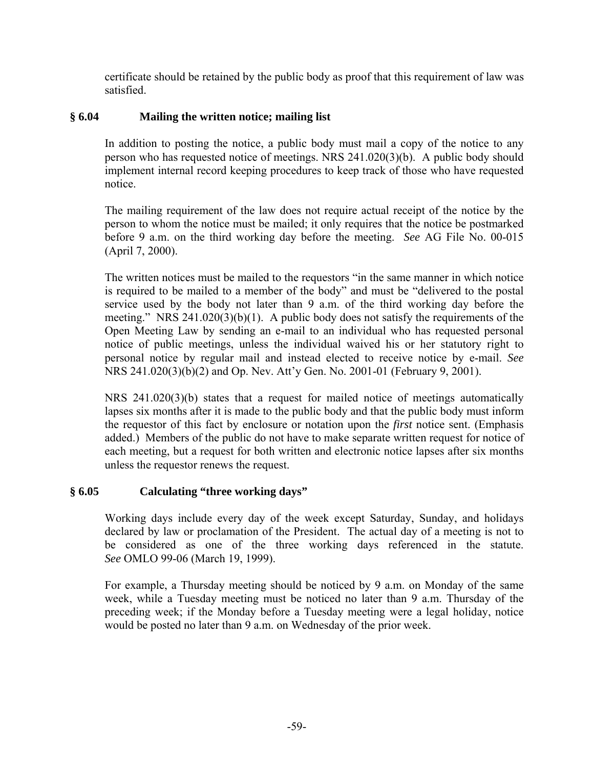certificate should be retained by the public body as proof that this requirement of law was satisfied.

# **§ 6.04 Mailing the written notice; mailing list**

In addition to posting the notice, a public body must mail a copy of the notice to any person who has requested notice of meetings. NRS 241.020(3)(b). A public body should implement internal record keeping procedures to keep track of those who have requested notice.

The mailing requirement of the law does not require actual receipt of the notice by the person to whom the notice must be mailed; it only requires that the notice be postmarked before 9 a.m. on the third working day before the meeting. *See* AG File No. 00-015 (April 7, 2000).

The written notices must be mailed to the requestors "in the same manner in which notice is required to be mailed to a member of the body" and must be "delivered to the postal service used by the body not later than 9 a.m. of the third working day before the meeting." NRS 241.020(3)(b)(1). A public body does not satisfy the requirements of the Open Meeting Law by sending an e-mail to an individual who has requested personal notice of public meetings, unless the individual waived his or her statutory right to personal notice by regular mail and instead elected to receive notice by e-mail. *See*  NRS 241.020(3)(b)(2) and Op. Nev. Att'y Gen. No. 2001-01 (February 9, 2001).

NRS 241.020(3)(b) states that a request for mailed notice of meetings automatically lapses six months after it is made to the public body and that the public body must inform the requestor of this fact by enclosure or notation upon the *first* notice sent. (Emphasis added.) Members of the public do not have to make separate written request for notice of each meeting, but a request for both written and electronic notice lapses after six months unless the requestor renews the request.

# **§ 6.05 Calculating "three working days"**

Working days include every day of the week except Saturday, Sunday, and holidays declared by law or proclamation of the President. The actual day of a meeting is not to be considered as one of the three working days referenced in the statute. *See* OMLO 99-06 (March 19, 1999).

For example, a Thursday meeting should be noticed by 9 a.m. on Monday of the same week, while a Tuesday meeting must be noticed no later than 9 a.m. Thursday of the preceding week; if the Monday before a Tuesday meeting were a legal holiday, notice would be posted no later than 9 a.m. on Wednesday of the prior week.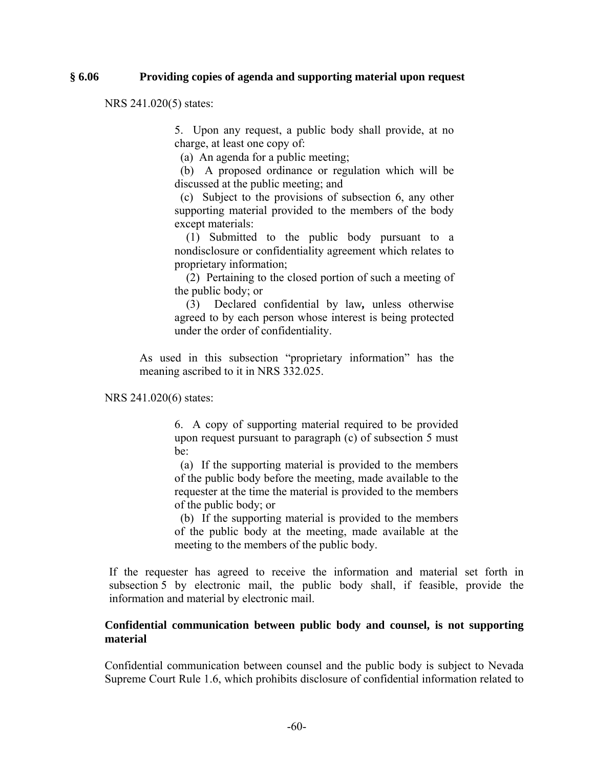#### **§ 6.06 Providing copies of agenda and supporting material upon request**

NRS 241.020(5) states:

5. Upon any request, a public body shall provide, at no charge, at least one copy of:

(a) An agenda for a public meeting;

 (b) A proposed ordinance or regulation which will be discussed at the public meeting; and

 (c) Subject to the provisions of subsection 6, any other supporting material provided to the members of the body except materials:

 (1) Submitted to the public body pursuant to a nondisclosure or confidentiality agreement which relates to proprietary information;

 (2) Pertaining to the closed portion of such a meeting of the public body; or

 (3) Declared confidential by law*,* unless otherwise agreed to by each person whose interest is being protected under the order of confidentiality.

As used in this subsection "proprietary information" has the meaning ascribed to it in NRS 332.025.

NRS 241.020(6) states:

6. A copy of supporting material required to be provided upon request pursuant to paragraph (c) of subsection 5 must be:

 (a) If the supporting material is provided to the members of the public body before the meeting, made available to the requester at the time the material is provided to the members of the public body; or

 (b) If the supporting material is provided to the members of the public body at the meeting, made available at the meeting to the members of the public body.

If the requester has agreed to receive the information and material set forth in subsection 5 by electronic mail, the public body shall, if feasible, provide the information and material by electronic mail.

### **Confidential communication between public body and counsel, is not supporting material**

Confidential communication between counsel and the public body is subject to Nevada Supreme Court Rule 1.6, which prohibits disclosure of confidential information related to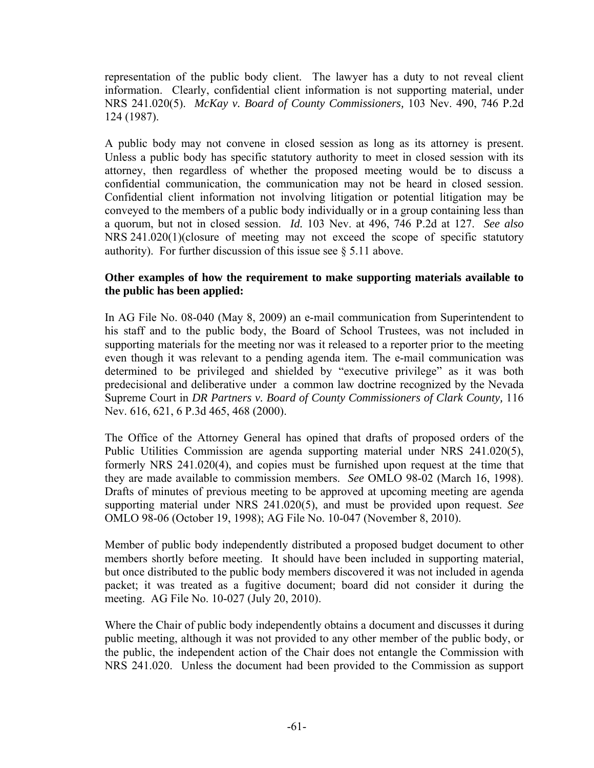representation of the public body client. The lawyer has a duty to not reveal client information. Clearly, confidential client information is not supporting material, under NRS 241.020(5). *McKay v. Board of County Commissioners,* 103 Nev. 490, 746 P.2d 124 (1987).

A public body may not convene in closed session as long as its attorney is present. Unless a public body has specific statutory authority to meet in closed session with its attorney, then regardless of whether the proposed meeting would be to discuss a confidential communication, the communication may not be heard in closed session. Confidential client information not involving litigation or potential litigation may be conveyed to the members of a public body individually or in a group containing less than a quorum, but not in closed session. *Id.* 103 Nev. at 496, 746 P.2d at 127. *See also* NRS 241.020(1)(closure of meeting may not exceed the scope of specific statutory authority). For further discussion of this issue see § 5.11 above.

### **Other examples of how the requirement to make supporting materials available to the public has been applied:**

In AG File No. 08-040 (May 8, 2009) an e-mail communication from Superintendent to his staff and to the public body, the Board of School Trustees, was not included in supporting materials for the meeting nor was it released to a reporter prior to the meeting even though it was relevant to a pending agenda item. The e-mail communication was determined to be privileged and shielded by "executive privilege" as it was both predecisional and deliberative under a common law doctrine recognized by the Nevada Supreme Court in *DR Partners v. Board of County Commissioners of Clark County,* 116 Nev. 616, 621, 6 P.3d 465, 468 (2000).

The Office of the Attorney General has opined that drafts of proposed orders of the Public Utilities Commission are agenda supporting material under NRS 241.020(5), formerly NRS 241.020(4), and copies must be furnished upon request at the time that they are made available to commission members. *See* OMLO 98-02 (March 16, 1998). Drafts of minutes of previous meeting to be approved at upcoming meeting are agenda supporting material under NRS 241.020(5), and must be provided upon request. *See*  OMLO 98-06 (October 19, 1998); AG File No. 10-047 (November 8, 2010).

Member of public body independently distributed a proposed budget document to other members shortly before meeting. It should have been included in supporting material, but once distributed to the public body members discovered it was not included in agenda packet; it was treated as a fugitive document; board did not consider it during the meeting. AG File No. 10-027 (July 20, 2010).

Where the Chair of public body independently obtains a document and discusses it during public meeting, although it was not provided to any other member of the public body, or the public, the independent action of the Chair does not entangle the Commission with NRS 241.020. Unless the document had been provided to the Commission as support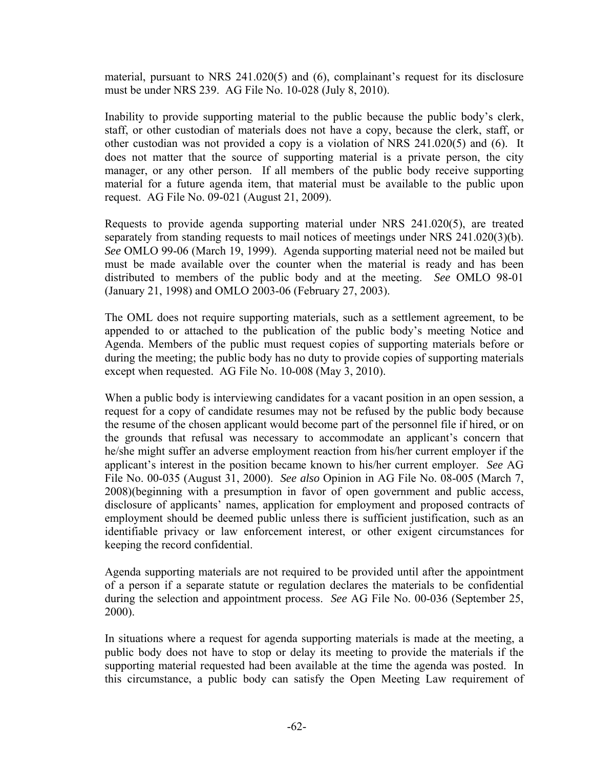material, pursuant to NRS 241.020(5) and (6), complainant's request for its disclosure must be under NRS 239. AG File No. 10-028 (July 8, 2010).

Inability to provide supporting material to the public because the public body's clerk, staff, or other custodian of materials does not have a copy, because the clerk, staff, or other custodian was not provided a copy is a violation of NRS 241.020(5) and (6). It does not matter that the source of supporting material is a private person, the city manager, or any other person. If all members of the public body receive supporting material for a future agenda item, that material must be available to the public upon request. AG File No. 09-021 (August 21, 2009).

Requests to provide agenda supporting material under NRS 241.020(5), are treated separately from standing requests to mail notices of meetings under NRS 241.020(3)(b). *See* OMLO 99-06 (March 19, 1999). Agenda supporting material need not be mailed but must be made available over the counter when the material is ready and has been distributed to members of the public body and at the meeting. *See* OMLO 98-01 (January 21, 1998) and OMLO 2003-06 (February 27, 2003).

The OML does not require supporting materials, such as a settlement agreement, to be appended to or attached to the publication of the public body's meeting Notice and Agenda. Members of the public must request copies of supporting materials before or during the meeting; the public body has no duty to provide copies of supporting materials except when requested. AG File No. 10-008 (May 3, 2010).

When a public body is interviewing candidates for a vacant position in an open session, a request for a copy of candidate resumes may not be refused by the public body because the resume of the chosen applicant would become part of the personnel file if hired, or on the grounds that refusal was necessary to accommodate an applicant's concern that he/she might suffer an adverse employment reaction from his/her current employer if the applicant's interest in the position became known to his/her current employer. *See* AG File No. 00-035 (August 31, 2000). *See also* Opinion in AG File No. 08-005 (March 7, 2008)(beginning with a presumption in favor of open government and public access, disclosure of applicants' names, application for employment and proposed contracts of employment should be deemed public unless there is sufficient justification, such as an identifiable privacy or law enforcement interest, or other exigent circumstances for keeping the record confidential.

Agenda supporting materials are not required to be provided until after the appointment of a person if a separate statute or regulation declares the materials to be confidential during the selection and appointment process. *See* AG File No. 00-036 (September 25, 2000).

In situations where a request for agenda supporting materials is made at the meeting, a public body does not have to stop or delay its meeting to provide the materials if the supporting material requested had been available at the time the agenda was posted. In this circumstance, a public body can satisfy the Open Meeting Law requirement of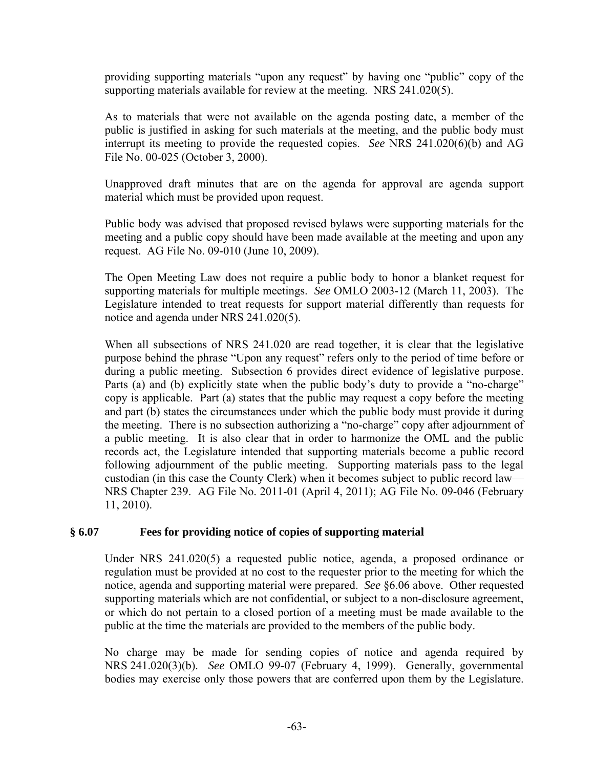providing supporting materials "upon any request" by having one "public" copy of the supporting materials available for review at the meeting. NRS 241.020(5).

As to materials that were not available on the agenda posting date, a member of the public is justified in asking for such materials at the meeting, and the public body must interrupt its meeting to provide the requested copies. *See* NRS 241.020(6)(b) and AG File No. 00-025 (October 3, 2000).

Unapproved draft minutes that are on the agenda for approval are agenda support material which must be provided upon request.

Public body was advised that proposed revised bylaws were supporting materials for the meeting and a public copy should have been made available at the meeting and upon any request. AG File No. 09-010 (June 10, 2009).

The Open Meeting Law does not require a public body to honor a blanket request for supporting materials for multiple meetings. *See* OMLO 2003-12 (March 11, 2003). The Legislature intended to treat requests for support material differently than requests for notice and agenda under NRS 241.020(5).

When all subsections of NRS 241.020 are read together, it is clear that the legislative purpose behind the phrase "Upon any request" refers only to the period of time before or during a public meeting. Subsection 6 provides direct evidence of legislative purpose. Parts (a) and (b) explicitly state when the public body's duty to provide a "no-charge" copy is applicable. Part (a) states that the public may request a copy before the meeting and part (b) states the circumstances under which the public body must provide it during the meeting. There is no subsection authorizing a "no-charge" copy after adjournment of a public meeting. It is also clear that in order to harmonize the OML and the public records act, the Legislature intended that supporting materials become a public record following adjournment of the public meeting. Supporting materials pass to the legal custodian (in this case the County Clerk) when it becomes subject to public record law— NRS Chapter 239. AG File No. 2011-01 (April 4, 2011); AG File No. 09-046 (February 11, 2010).

# **§ 6.07 Fees for providing notice of copies of supporting material**

Under NRS 241.020(5) a requested public notice, agenda, a proposed ordinance or regulation must be provided at no cost to the requester prior to the meeting for which the notice, agenda and supporting material were prepared. *See* §6.06 above. Other requested supporting materials which are not confidential, or subject to a non-disclosure agreement, or which do not pertain to a closed portion of a meeting must be made available to the public at the time the materials are provided to the members of the public body.

No charge may be made for sending copies of notice and agenda required by NRS 241.020(3)(b). *See* OMLO 99-07 (February 4, 1999). Generally, governmental bodies may exercise only those powers that are conferred upon them by the Legislature.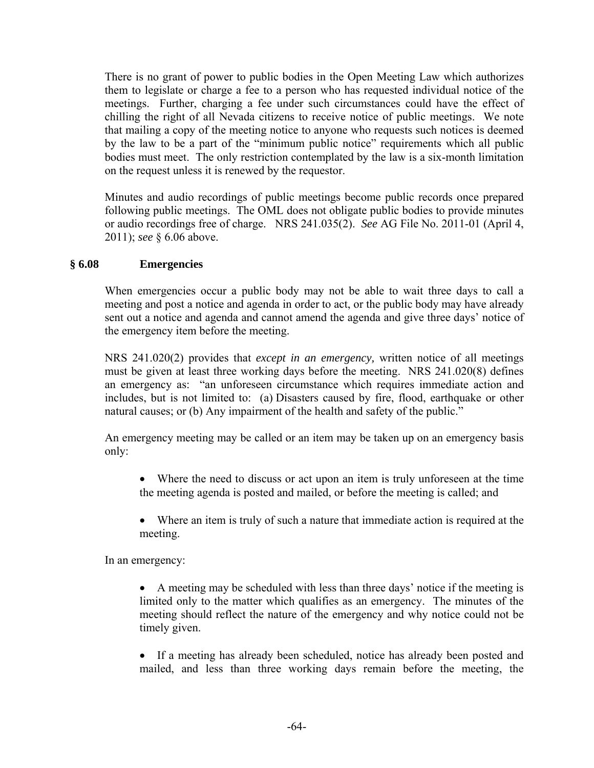There is no grant of power to public bodies in the Open Meeting Law which authorizes them to legislate or charge a fee to a person who has requested individual notice of the meetings. Further, charging a fee under such circumstances could have the effect of chilling the right of all Nevada citizens to receive notice of public meetings. We note that mailing a copy of the meeting notice to anyone who requests such notices is deemed by the law to be a part of the "minimum public notice" requirements which all public bodies must meet. The only restriction contemplated by the law is a six-month limitation on the request unless it is renewed by the requestor.

Minutes and audio recordings of public meetings become public records once prepared following public meetings. The OML does not obligate public bodies to provide minutes or audio recordings free of charge. NRS 241.035(2). *See* AG File No. 2011-01 (April 4, 2011); *see* § 6.06 above.

### **§ 6.08 Emergencies**

When emergencies occur a public body may not be able to wait three days to call a meeting and post a notice and agenda in order to act, or the public body may have already sent out a notice and agenda and cannot amend the agenda and give three days' notice of the emergency item before the meeting.

NRS 241.020(2) provides that *except in an emergency,* written notice of all meetings must be given at least three working days before the meeting. NRS 241.020(8) defines an emergency as: "an unforeseen circumstance which requires immediate action and includes, but is not limited to: (a) Disasters caused by fire, flood, earthquake or other natural causes; or (b) Any impairment of the health and safety of the public."

An emergency meeting may be called or an item may be taken up on an emergency basis only:

- Where the need to discuss or act upon an item is truly unforeseen at the time the meeting agenda is posted and mailed, or before the meeting is called; and
- Where an item is truly of such a nature that immediate action is required at the meeting.

In an emergency:

- A meeting may be scheduled with less than three days' notice if the meeting is limited only to the matter which qualifies as an emergency. The minutes of the meeting should reflect the nature of the emergency and why notice could not be timely given.
- If a meeting has already been scheduled, notice has already been posted and mailed, and less than three working days remain before the meeting, the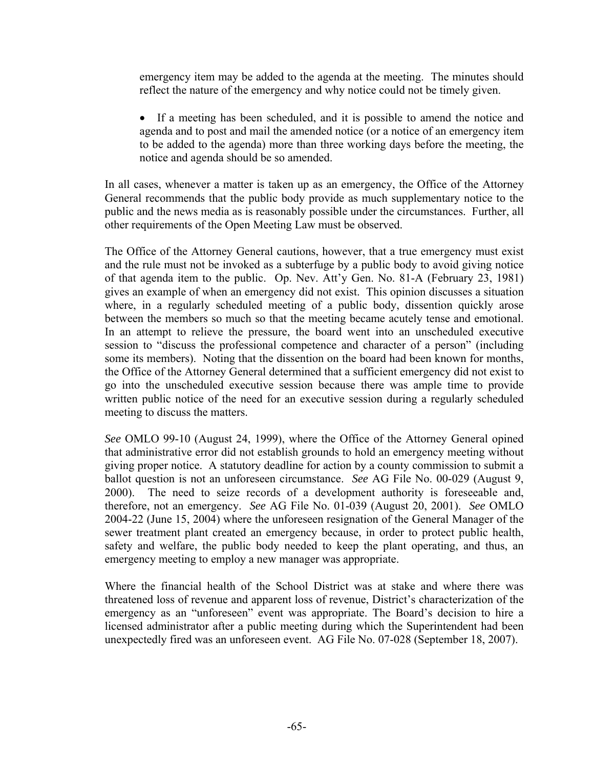emergency item may be added to the agenda at the meeting. The minutes should reflect the nature of the emergency and why notice could not be timely given.

 If a meeting has been scheduled, and it is possible to amend the notice and agenda and to post and mail the amended notice (or a notice of an emergency item to be added to the agenda) more than three working days before the meeting, the notice and agenda should be so amended.

In all cases, whenever a matter is taken up as an emergency, the Office of the Attorney General recommends that the public body provide as much supplementary notice to the public and the news media as is reasonably possible under the circumstances. Further, all other requirements of the Open Meeting Law must be observed.

The Office of the Attorney General cautions, however, that a true emergency must exist and the rule must not be invoked as a subterfuge by a public body to avoid giving notice of that agenda item to the public. Op. Nev. Att'y Gen. No. 81-A (February 23, 1981) gives an example of when an emergency did not exist. This opinion discusses a situation where, in a regularly scheduled meeting of a public body, dissention quickly arose between the members so much so that the meeting became acutely tense and emotional. In an attempt to relieve the pressure, the board went into an unscheduled executive session to "discuss the professional competence and character of a person" (including some its members). Noting that the dissention on the board had been known for months, the Office of the Attorney General determined that a sufficient emergency did not exist to go into the unscheduled executive session because there was ample time to provide written public notice of the need for an executive session during a regularly scheduled meeting to discuss the matters.

*See* OMLO 99-10 (August 24, 1999), where the Office of the Attorney General opined that administrative error did not establish grounds to hold an emergency meeting without giving proper notice. A statutory deadline for action by a county commission to submit a ballot question is not an unforeseen circumstance. *See* AG File No. 00-029 (August 9, 2000). The need to seize records of a development authority is foreseeable and, therefore, not an emergency. *See* AG File No. 01-039 (August 20, 2001). *See* OMLO 2004-22 (June 15, 2004) where the unforeseen resignation of the General Manager of the sewer treatment plant created an emergency because, in order to protect public health, safety and welfare, the public body needed to keep the plant operating, and thus, an emergency meeting to employ a new manager was appropriate.

Where the financial health of the School District was at stake and where there was threatened loss of revenue and apparent loss of revenue, District's characterization of the emergency as an "unforeseen" event was appropriate. The Board's decision to hire a licensed administrator after a public meeting during which the Superintendent had been unexpectedly fired was an unforeseen event. AG File No. 07-028 (September 18, 2007).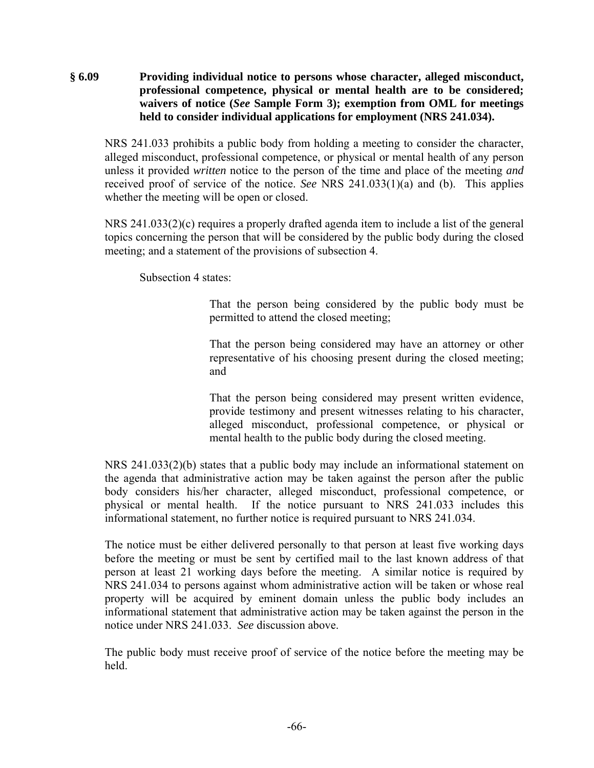**§ 6.09 Providing individual notice to persons whose character, alleged misconduct, professional competence, physical or mental health are to be considered; waivers of notice (***See* **Sample Form 3); exemption from OML for meetings held to consider individual applications for employment (NRS 241.034).** 

NRS 241.033 prohibits a public body from holding a meeting to consider the character, alleged misconduct, professional competence, or physical or mental health of any person unless it provided *written* notice to the person of the time and place of the meeting *and* received proof of service of the notice. *See* NRS 241.033(1)(a) and (b). This applies whether the meeting will be open or closed.

NRS 241.033(2)(c) requires a properly drafted agenda item to include a list of the general topics concerning the person that will be considered by the public body during the closed meeting; and a statement of the provisions of subsection 4.

Subsection 4 states:

That the person being considered by the public body must be permitted to attend the closed meeting;

That the person being considered may have an attorney or other representative of his choosing present during the closed meeting; and

That the person being considered may present written evidence, provide testimony and present witnesses relating to his character, alleged misconduct, professional competence, or physical or mental health to the public body during the closed meeting.

NRS 241.033(2)(b) states that a public body may include an informational statement on the agenda that administrative action may be taken against the person after the public body considers his/her character, alleged misconduct, professional competence, or physical or mental health. If the notice pursuant to NRS 241.033 includes this informational statement, no further notice is required pursuant to NRS 241.034.

The notice must be either delivered personally to that person at least five working days before the meeting or must be sent by certified mail to the last known address of that person at least 21 working days before the meeting. A similar notice is required by NRS 241.034 to persons against whom administrative action will be taken or whose real property will be acquired by eminent domain unless the public body includes an informational statement that administrative action may be taken against the person in the notice under NRS 241.033. *See* discussion above.

The public body must receive proof of service of the notice before the meeting may be held.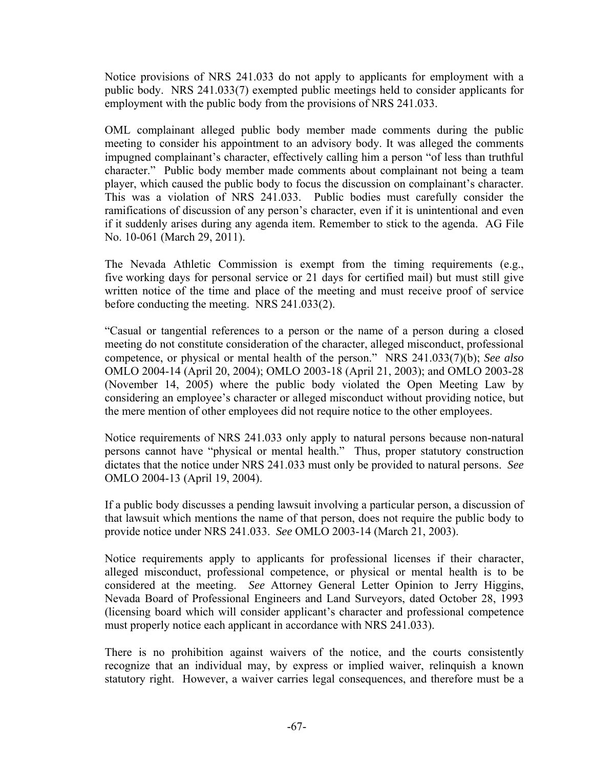Notice provisions of NRS 241.033 do not apply to applicants for employment with a public body. NRS 241.033(7) exempted public meetings held to consider applicants for employment with the public body from the provisions of NRS 241.033.

OML complainant alleged public body member made comments during the public meeting to consider his appointment to an advisory body. It was alleged the comments impugned complainant's character, effectively calling him a person "of less than truthful character." Public body member made comments about complainant not being a team player, which caused the public body to focus the discussion on complainant's character. This was a violation of NRS 241.033. Public bodies must carefully consider the ramifications of discussion of any person's character, even if it is unintentional and even if it suddenly arises during any agenda item. Remember to stick to the agenda. AG File No. 10-061 (March 29, 2011).

The Nevada Athletic Commission is exempt from the timing requirements (e.g., five working days for personal service or 21 days for certified mail) but must still give written notice of the time and place of the meeting and must receive proof of service before conducting the meeting. NRS 241.033(2).

"Casual or tangential references to a person or the name of a person during a closed meeting do not constitute consideration of the character, alleged misconduct, professional competence, or physical or mental health of the person." NRS 241.033(7)(b); *See also* OMLO 2004-14 (April 20, 2004); OMLO 2003-18 (April 21, 2003); and OMLO 2003-28 (November 14, 2005) where the public body violated the Open Meeting Law by considering an employee's character or alleged misconduct without providing notice, but the mere mention of other employees did not require notice to the other employees.

Notice requirements of NRS 241.033 only apply to natural persons because non-natural persons cannot have "physical or mental health." Thus, proper statutory construction dictates that the notice under NRS 241.033 must only be provided to natural persons. *See* OMLO 2004-13 (April 19, 2004).

If a public body discusses a pending lawsuit involving a particular person, a discussion of that lawsuit which mentions the name of that person, does not require the public body to provide notice under NRS 241.033. *See* OMLO 2003-14 (March 21, 2003).

Notice requirements apply to applicants for professional licenses if their character, alleged misconduct, professional competence, or physical or mental health is to be considered at the meeting. *See* Attorney General Letter Opinion to Jerry Higgins, Nevada Board of Professional Engineers and Land Surveyors, dated October 28, 1993 (licensing board which will consider applicant's character and professional competence must properly notice each applicant in accordance with NRS 241.033).

There is no prohibition against waivers of the notice, and the courts consistently recognize that an individual may, by express or implied waiver, relinquish a known statutory right. However, a waiver carries legal consequences, and therefore must be a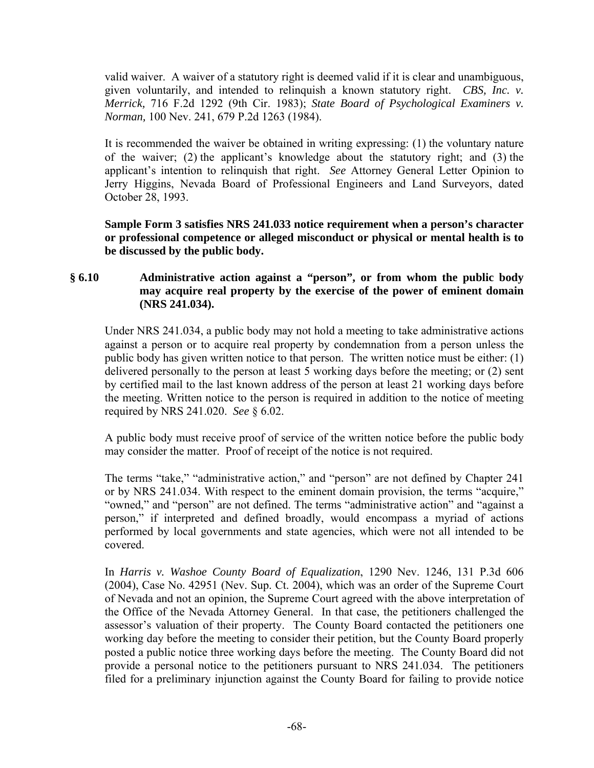valid waiver. A waiver of a statutory right is deemed valid if it is clear and unambiguous, given voluntarily, and intended to relinquish a known statutory right. *CBS, Inc. v. Merrick,* 716 F.2d 1292 (9th Cir. 1983); *State Board of Psychological Examiners v. Norman,* 100 Nev. 241, 679 P.2d 1263 (1984).

It is recommended the waiver be obtained in writing expressing: (1) the voluntary nature of the waiver; (2) the applicant's knowledge about the statutory right; and (3) the applicant's intention to relinquish that right. *See* Attorney General Letter Opinion to Jerry Higgins, Nevada Board of Professional Engineers and Land Surveyors, dated October 28, 1993.

**Sample Form 3 satisfies NRS 241.033 notice requirement when a person's character or professional competence or alleged misconduct or physical or mental health is to be discussed by the public body.** 

# **§ 6.10 Administrative action against a "person", or from whom the public body may acquire real property by the exercise of the power of eminent domain (NRS 241.034).**

Under NRS 241.034, a public body may not hold a meeting to take administrative actions against a person or to acquire real property by condemnation from a person unless the public body has given written notice to that person. The written notice must be either: (1) delivered personally to the person at least 5 working days before the meeting; or (2) sent by certified mail to the last known address of the person at least 21 working days before the meeting. Written notice to the person is required in addition to the notice of meeting required by NRS 241.020. *See* § 6.02.

A public body must receive proof of service of the written notice before the public body may consider the matter. Proof of receipt of the notice is not required.

The terms "take," "administrative action," and "person" are not defined by Chapter 241 or by NRS 241.034. With respect to the eminent domain provision, the terms "acquire," "owned," and "person" are not defined. The terms "administrative action" and "against a person," if interpreted and defined broadly, would encompass a myriad of actions performed by local governments and state agencies, which were not all intended to be covered.

In *Harris v. Washoe County Board of Equalization*, 1290 Nev. 1246, 131 P.3d 606 (2004), Case No. 42951 (Nev. Sup. Ct. 2004), which was an order of the Supreme Court of Nevada and not an opinion, the Supreme Court agreed with the above interpretation of the Office of the Nevada Attorney General. In that case, the petitioners challenged the assessor's valuation of their property. The County Board contacted the petitioners one working day before the meeting to consider their petition, but the County Board properly posted a public notice three working days before the meeting. The County Board did not provide a personal notice to the petitioners pursuant to NRS 241.034. The petitioners filed for a preliminary injunction against the County Board for failing to provide notice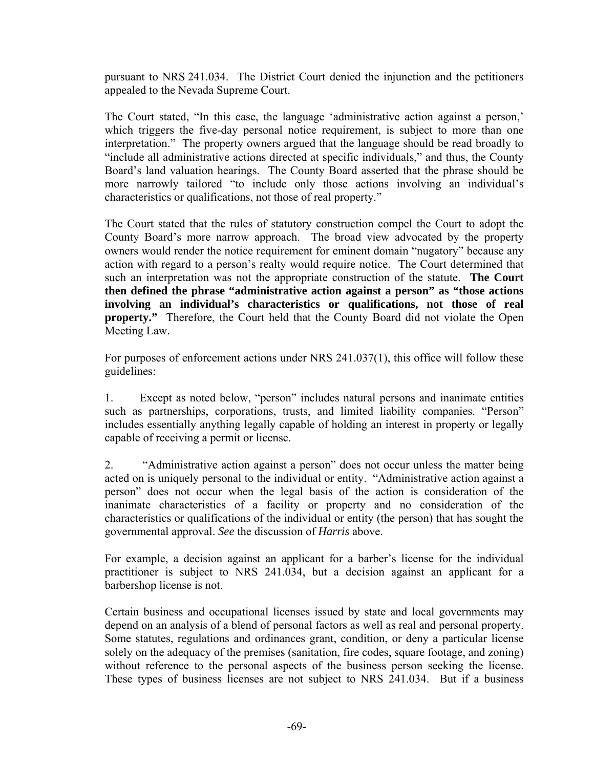pursuant to NRS 241.034. The District Court denied the injunction and the petitioners appealed to the Nevada Supreme Court.

The Court stated, "In this case, the language 'administrative action against a person,' which triggers the five-day personal notice requirement, is subject to more than one interpretation." The property owners argued that the language should be read broadly to "include all administrative actions directed at specific individuals," and thus, the County Board's land valuation hearings. The County Board asserted that the phrase should be more narrowly tailored "to include only those actions involving an individual's characteristics or qualifications, not those of real property."

The Court stated that the rules of statutory construction compel the Court to adopt the County Board's more narrow approach. The broad view advocated by the property owners would render the notice requirement for eminent domain "nugatory" because any action with regard to a person's realty would require notice. The Court determined that such an interpretation was not the appropriate construction of the statute. **The Court then defined the phrase "administrative action against a person" as "those actions involving an individual's characteristics or qualifications, not those of real property."** Therefore, the Court held that the County Board did not violate the Open Meeting Law.

For purposes of enforcement actions under NRS 241.037(1), this office will follow these guidelines:

1. Except as noted below, "person" includes natural persons and inanimate entities such as partnerships, corporations, trusts, and limited liability companies. "Person" includes essentially anything legally capable of holding an interest in property or legally capable of receiving a permit or license.

2. "Administrative action against a person" does not occur unless the matter being acted on is uniquely personal to the individual or entity. "Administrative action against a person" does not occur when the legal basis of the action is consideration of the inanimate characteristics of a facility or property and no consideration of the characteristics or qualifications of the individual or entity (the person) that has sought the governmental approval. *See* the discussion of *Harris* above.

For example, a decision against an applicant for a barber's license for the individual practitioner is subject to NRS 241.034, but a decision against an applicant for a barbershop license is not.

Certain business and occupational licenses issued by state and local governments may depend on an analysis of a blend of personal factors as well as real and personal property. Some statutes, regulations and ordinances grant, condition, or deny a particular license solely on the adequacy of the premises (sanitation, fire codes, square footage, and zoning) without reference to the personal aspects of the business person seeking the license. These types of business licenses are not subject to NRS 241.034. But if a business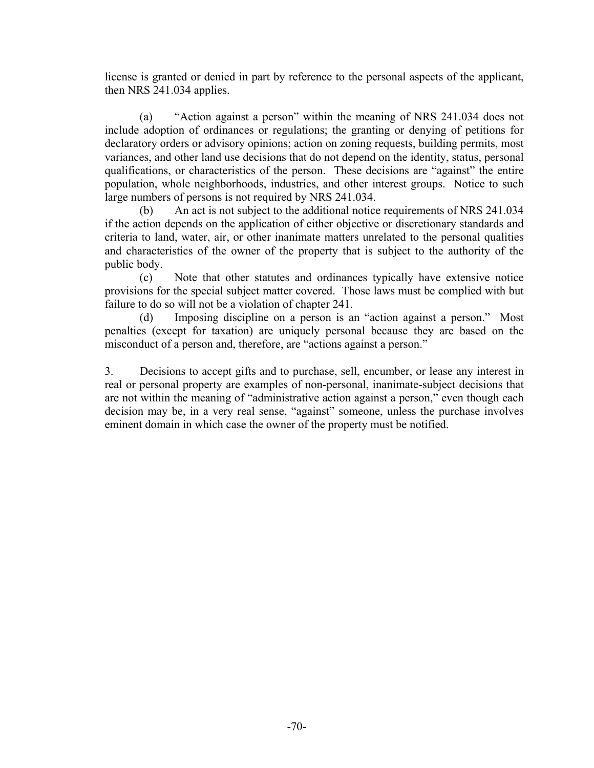license is granted or denied in part by reference to the personal aspects of the applicant, then NRS 241.034 applies.

 (a) "Action against a person" within the meaning of NRS 241.034 does not include adoption of ordinances or regulations; the granting or denying of petitions for declaratory orders or advisory opinions; action on zoning requests, building permits, most variances, and other land use decisions that do not depend on the identity, status, personal qualifications, or characteristics of the person. These decisions are "against" the entire population, whole neighborhoods, industries, and other interest groups. Notice to such large numbers of persons is not required by NRS 241.034.

 (b) An act is not subject to the additional notice requirements of NRS 241.034 if the action depends on the application of either objective or discretionary standards and criteria to land, water, air, or other inanimate matters unrelated to the personal qualities and characteristics of the owner of the property that is subject to the authority of the public body.

 (c) Note that other statutes and ordinances typically have extensive notice provisions for the special subject matter covered. Those laws must be complied with but failure to do so will not be a violation of chapter 241.

 (d) Imposing discipline on a person is an "action against a person." Most penalties (except for taxation) are uniquely personal because they are based on the misconduct of a person and, therefore, are "actions against a person."

3. Decisions to accept gifts and to purchase, sell, encumber, or lease any interest in real or personal property are examples of non-personal, inanimate-subject decisions that are not within the meaning of "administrative action against a person," even though each decision may be, in a very real sense, "against" someone, unless the purchase involves eminent domain in which case the owner of the property must be notified.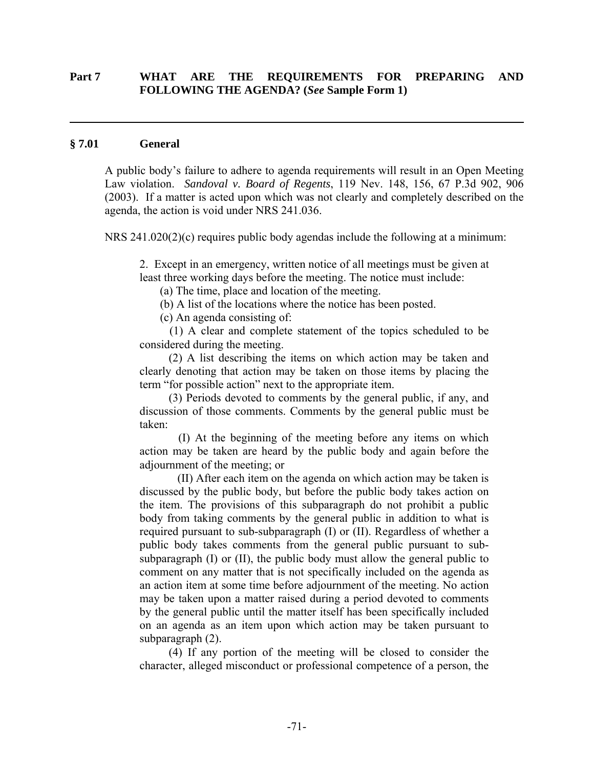### **Part 7 WHAT ARE THE REQUIREMENTS FOR PREPARING AND FOLLOWING THE AGENDA? (***See* **Sample Form 1)**

#### **§ 7.01 General**

 $\overline{a}$ 

A public body's failure to adhere to agenda requirements will result in an Open Meeting Law violation. *Sandoval v. Board of Regents*, 119 Nev. 148, 156, 67 P.3d 902, 906 (2003). If a matter is acted upon which was not clearly and completely described on the agenda, the action is void under NRS 241.036.

NRS 241.020(2)(c) requires public body agendas include the following at a minimum:

2. Except in an emergency, written notice of all meetings must be given at least three working days before the meeting. The notice must include:

(a) The time, place and location of the meeting.

(b) A list of the locations where the notice has been posted.

(c) An agenda consisting of:

 (1) A clear and complete statement of the topics scheduled to be considered during the meeting.

 (2) A list describing the items on which action may be taken and clearly denoting that action may be taken on those items by placing the term "for possible action" next to the appropriate item.

 (3) Periods devoted to comments by the general public, if any, and discussion of those comments. Comments by the general public must be taken:

 (I) At the beginning of the meeting before any items on which action may be taken are heard by the public body and again before the adjournment of the meeting; or

 (II) After each item on the agenda on which action may be taken is discussed by the public body, but before the public body takes action on the item. The provisions of this subparagraph do not prohibit a public body from taking comments by the general public in addition to what is required pursuant to sub-subparagraph (I) or (II). Regardless of whether a public body takes comments from the general public pursuant to subsubparagraph (I) or (II), the public body must allow the general public to comment on any matter that is not specifically included on the agenda as an action item at some time before adjournment of the meeting. No action may be taken upon a matter raised during a period devoted to comments by the general public until the matter itself has been specifically included on an agenda as an item upon which action may be taken pursuant to subparagraph (2).

 (4) If any portion of the meeting will be closed to consider the character, alleged misconduct or professional competence of a person, the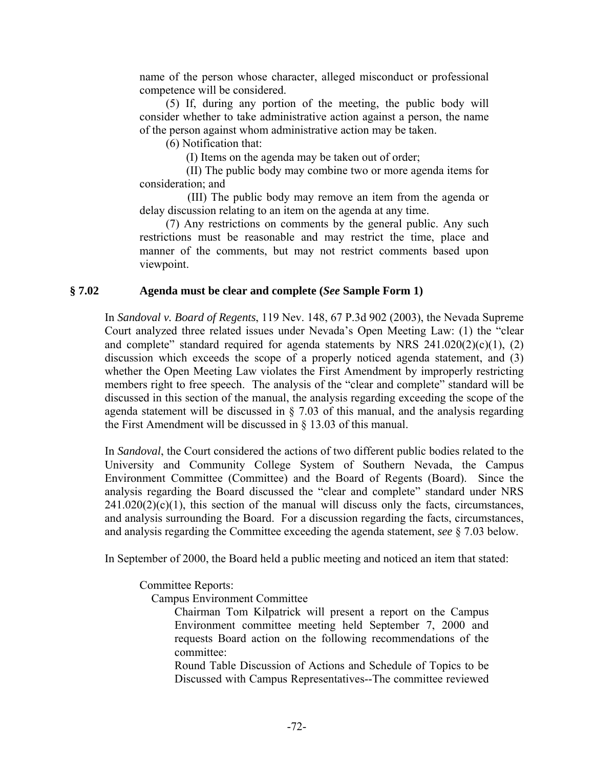name of the person whose character, alleged misconduct or professional competence will be considered.

 (5) If, during any portion of the meeting, the public body will consider whether to take administrative action against a person, the name of the person against whom administrative action may be taken.

(6) Notification that:

(I) Items on the agenda may be taken out of order;

 (II) The public body may combine two or more agenda items for consideration; and

 (III) The public body may remove an item from the agenda or delay discussion relating to an item on the agenda at any time.

 (7) Any restrictions on comments by the general public. Any such restrictions must be reasonable and may restrict the time, place and manner of the comments, but may not restrict comments based upon viewpoint.

### **§ 7.02 Agenda must be clear and complete (***See* **Sample Form 1)**

In *Sandoval v. Board of Regents*, 119 Nev. 148, 67 P.3d 902 (2003), the Nevada Supreme Court analyzed three related issues under Nevada's Open Meeting Law: (1) the "clear and complete" standard required for agenda statements by NRS  $241.020(2)(c)(1)$ , (2) discussion which exceeds the scope of a properly noticed agenda statement, and (3) whether the Open Meeting Law violates the First Amendment by improperly restricting members right to free speech. The analysis of the "clear and complete" standard will be discussed in this section of the manual, the analysis regarding exceeding the scope of the agenda statement will be discussed in  $\S$  7.03 of this manual, and the analysis regarding the First Amendment will be discussed in § 13.03 of this manual.

In *Sandoval*, the Court considered the actions of two different public bodies related to the University and Community College System of Southern Nevada, the Campus Environment Committee (Committee) and the Board of Regents (Board). Since the analysis regarding the Board discussed the "clear and complete" standard under NRS  $241.020(2)(c)(1)$ , this section of the manual will discuss only the facts, circumstances, and analysis surrounding the Board. For a discussion regarding the facts, circumstances, and analysis regarding the Committee exceeding the agenda statement, *see* § 7.03 below.

In September of 2000, the Board held a public meeting and noticed an item that stated:

Committee Reports:

Campus Environment Committee

Chairman Tom Kilpatrick will present a report on the Campus Environment committee meeting held September 7, 2000 and requests Board action on the following recommendations of the committee:

Round Table Discussion of Actions and Schedule of Topics to be Discussed with Campus Representatives--The committee reviewed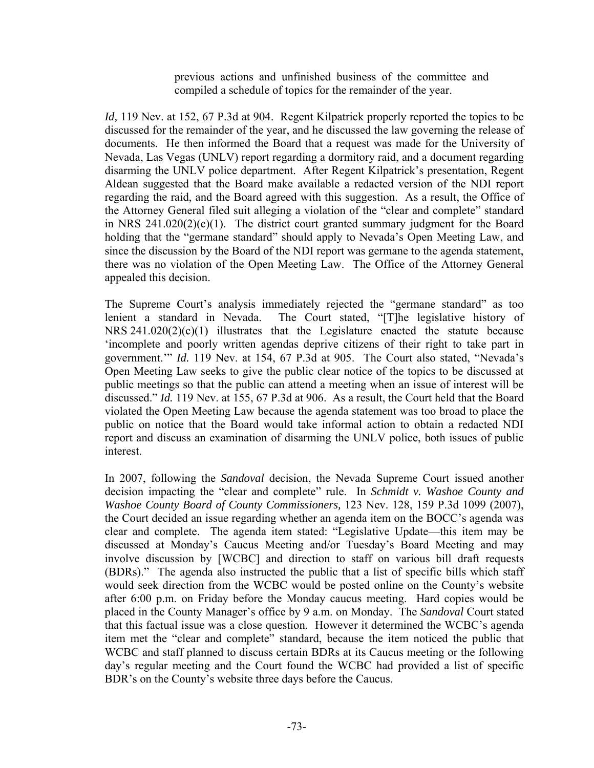previous actions and unfinished business of the committee and compiled a schedule of topics for the remainder of the year.

*Id,* 119 Nev. at 152, 67 P.3d at 904. Regent Kilpatrick properly reported the topics to be discussed for the remainder of the year, and he discussed the law governing the release of documents. He then informed the Board that a request was made for the University of Nevada, Las Vegas (UNLV) report regarding a dormitory raid, and a document regarding disarming the UNLV police department. After Regent Kilpatrick's presentation, Regent Aldean suggested that the Board make available a redacted version of the NDI report regarding the raid, and the Board agreed with this suggestion. As a result, the Office of the Attorney General filed suit alleging a violation of the "clear and complete" standard in NRS 241.020(2)(c)(1). The district court granted summary judgment for the Board holding that the "germane standard" should apply to Nevada's Open Meeting Law, and since the discussion by the Board of the NDI report was germane to the agenda statement, there was no violation of the Open Meeting Law. The Office of the Attorney General appealed this decision.

The Supreme Court's analysis immediately rejected the "germane standard" as too lenient a standard in Nevada. The Court stated, "[T]he legislative history of NRS  $241.020(2)(c)(1)$  illustrates that the Legislature enacted the statute because 'incomplete and poorly written agendas deprive citizens of their right to take part in government.'" *Id.* 119 Nev. at 154, 67 P.3d at 905. The Court also stated, "Nevada's Open Meeting Law seeks to give the public clear notice of the topics to be discussed at public meetings so that the public can attend a meeting when an issue of interest will be discussed." *Id.* 119 Nev. at 155, 67 P.3d at 906. As a result, the Court held that the Board violated the Open Meeting Law because the agenda statement was too broad to place the public on notice that the Board would take informal action to obtain a redacted NDI report and discuss an examination of disarming the UNLV police, both issues of public interest.

In 2007, following the *Sandoval* decision, the Nevada Supreme Court issued another decision impacting the "clear and complete" rule. In *Schmidt v. Washoe County and Washoe County Board of County Commissioners,* 123 Nev. 128, 159 P.3d 1099 (2007), the Court decided an issue regarding whether an agenda item on the BOCC's agenda was clear and complete. The agenda item stated: "Legislative Update—this item may be discussed at Monday's Caucus Meeting and/or Tuesday's Board Meeting and may involve discussion by [WCBC] and direction to staff on various bill draft requests (BDRs)." The agenda also instructed the public that a list of specific bills which staff would seek direction from the WCBC would be posted online on the County's website after 6:00 p.m. on Friday before the Monday caucus meeting. Hard copies would be placed in the County Manager's office by 9 a.m. on Monday. The *Sandoval* Court stated that this factual issue was a close question. However it determined the WCBC's agenda item met the "clear and complete" standard, because the item noticed the public that WCBC and staff planned to discuss certain BDRs at its Caucus meeting or the following day's regular meeting and the Court found the WCBC had provided a list of specific BDR's on the County's website three days before the Caucus.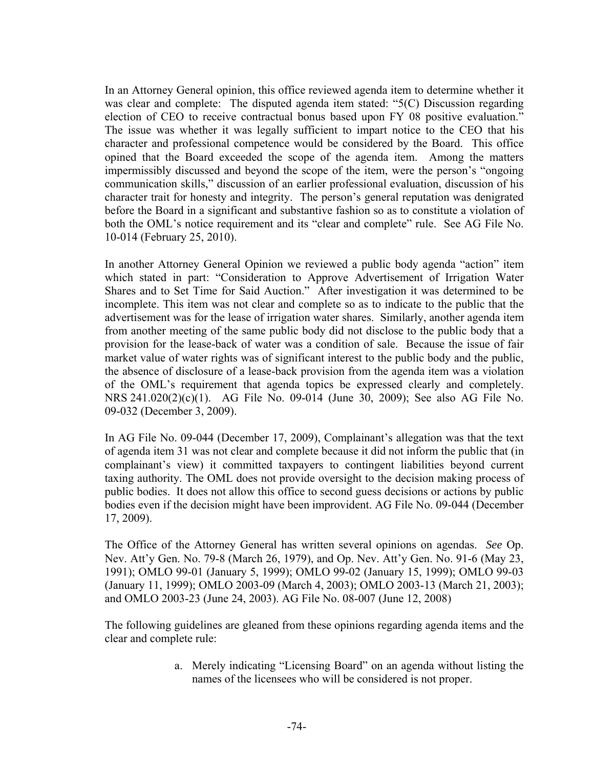In an Attorney General opinion, this office reviewed agenda item to determine whether it was clear and complete: The disputed agenda item stated: "5(C) Discussion regarding election of CEO to receive contractual bonus based upon FY 08 positive evaluation." The issue was whether it was legally sufficient to impart notice to the CEO that his character and professional competence would be considered by the Board. This office opined that the Board exceeded the scope of the agenda item. Among the matters impermissibly discussed and beyond the scope of the item, were the person's "ongoing communication skills," discussion of an earlier professional evaluation, discussion of his character trait for honesty and integrity. The person's general reputation was denigrated before the Board in a significant and substantive fashion so as to constitute a violation of both the OML's notice requirement and its "clear and complete" rule. See AG File No. 10-014 (February 25, 2010).

In another Attorney General Opinion we reviewed a public body agenda "action" item which stated in part: "Consideration to Approve Advertisement of Irrigation Water Shares and to Set Time for Said Auction." After investigation it was determined to be incomplete. This item was not clear and complete so as to indicate to the public that the advertisement was for the lease of irrigation water shares. Similarly, another agenda item from another meeting of the same public body did not disclose to the public body that a provision for the lease-back of water was a condition of sale. Because the issue of fair market value of water rights was of significant interest to the public body and the public, the absence of disclosure of a lease-back provision from the agenda item was a violation of the OML's requirement that agenda topics be expressed clearly and completely. NRS 241.020(2)(c)(1). AG File No. 09-014 (June 30, 2009); See also AG File No. 09-032 (December 3, 2009).

In AG File No. 09-044 (December 17, 2009), Complainant's allegation was that the text of agenda item 31 was not clear and complete because it did not inform the public that (in complainant's view) it committed taxpayers to contingent liabilities beyond current taxing authority. The OML does not provide oversight to the decision making process of public bodies. It does not allow this office to second guess decisions or actions by public bodies even if the decision might have been improvident. AG File No. 09-044 (December 17, 2009).

The Office of the Attorney General has written several opinions on agendas. *See* Op. Nev. Att'y Gen. No. 79-8 (March 26, 1979), and Op. Nev. Att'y Gen. No. 91-6 (May 23, 1991); OMLO 99-01 (January 5, 1999); OMLO 99-02 (January 15, 1999); OMLO 99-03 (January 11, 1999); OMLO 2003-09 (March 4, 2003); OMLO 2003-13 (March 21, 2003); and OMLO 2003-23 (June 24, 2003). AG File No. 08-007 (June 12, 2008)

The following guidelines are gleaned from these opinions regarding agenda items and the clear and complete rule:

> a. Merely indicating "Licensing Board" on an agenda without listing the names of the licensees who will be considered is not proper.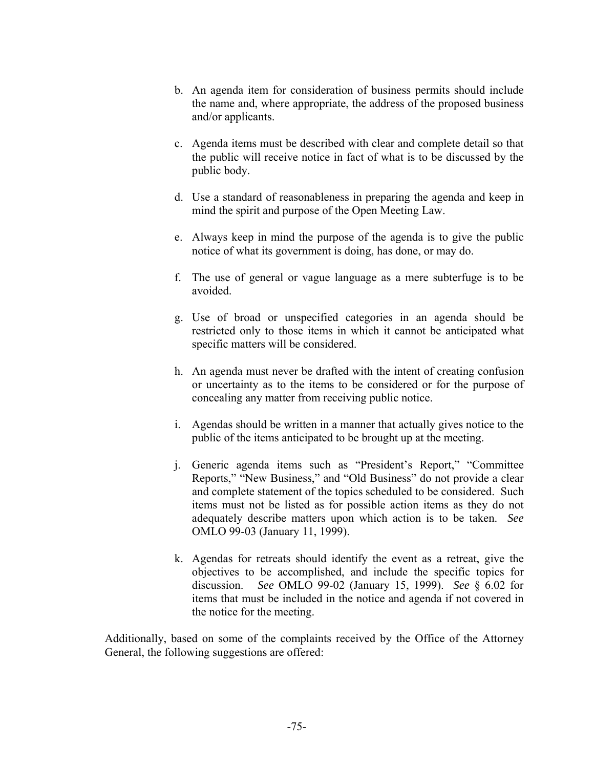- b. An agenda item for consideration of business permits should include the name and, where appropriate, the address of the proposed business and/or applicants.
- c. Agenda items must be described with clear and complete detail so that the public will receive notice in fact of what is to be discussed by the public body.
- d. Use a standard of reasonableness in preparing the agenda and keep in mind the spirit and purpose of the Open Meeting Law.
- e. Always keep in mind the purpose of the agenda is to give the public notice of what its government is doing, has done, or may do.
- f. The use of general or vague language as a mere subterfuge is to be avoided.
- g. Use of broad or unspecified categories in an agenda should be restricted only to those items in which it cannot be anticipated what specific matters will be considered.
- h. An agenda must never be drafted with the intent of creating confusion or uncertainty as to the items to be considered or for the purpose of concealing any matter from receiving public notice.
- i. Agendas should be written in a manner that actually gives notice to the public of the items anticipated to be brought up at the meeting.
- j. Generic agenda items such as "President's Report," "Committee Reports," "New Business," and "Old Business" do not provide a clear and complete statement of the topics scheduled to be considered. Such items must not be listed as for possible action items as they do not adequately describe matters upon which action is to be taken. *See* OMLO 99-03 (January 11, 1999).
- k. Agendas for retreats should identify the event as a retreat, give the objectives to be accomplished, and include the specific topics for discussion. *See* OMLO 99-02 (January 15, 1999). *See* § 6.02 for items that must be included in the notice and agenda if not covered in the notice for the meeting.

Additionally, based on some of the complaints received by the Office of the Attorney General, the following suggestions are offered: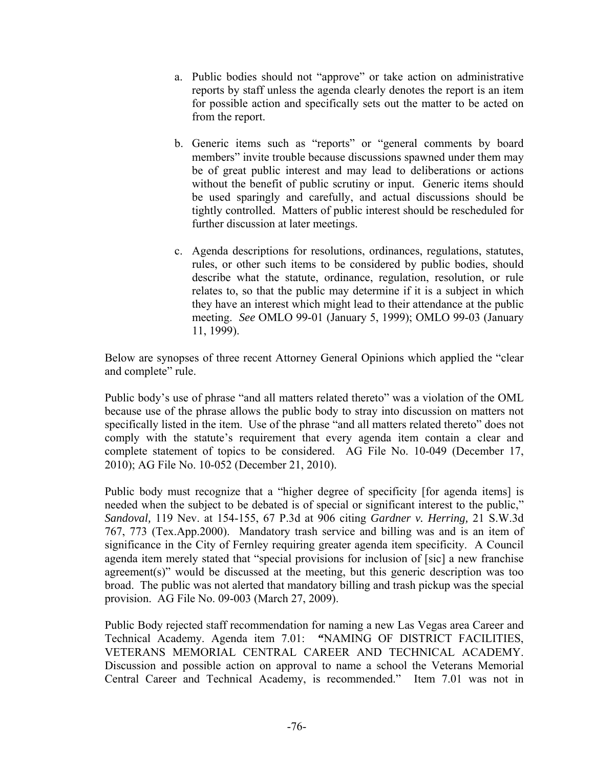- a. Public bodies should not "approve" or take action on administrative reports by staff unless the agenda clearly denotes the report is an item for possible action and specifically sets out the matter to be acted on from the report.
- b. Generic items such as "reports" or "general comments by board members" invite trouble because discussions spawned under them may be of great public interest and may lead to deliberations or actions without the benefit of public scrutiny or input. Generic items should be used sparingly and carefully, and actual discussions should be tightly controlled. Matters of public interest should be rescheduled for further discussion at later meetings.
- c. Agenda descriptions for resolutions, ordinances, regulations, statutes, rules, or other such items to be considered by public bodies, should describe what the statute, ordinance, regulation, resolution, or rule relates to, so that the public may determine if it is a subject in which they have an interest which might lead to their attendance at the public meeting. *See* OMLO 99-01 (January 5, 1999); OMLO 99-03 (January 11, 1999).

Below are synopses of three recent Attorney General Opinions which applied the "clear and complete" rule.

Public body's use of phrase "and all matters related thereto" was a violation of the OML because use of the phrase allows the public body to stray into discussion on matters not specifically listed in the item. Use of the phrase "and all matters related thereto" does not comply with the statute's requirement that every agenda item contain a clear and complete statement of topics to be considered. AG File No. 10-049 (December 17, 2010); AG File No. 10-052 (December 21, 2010).

Public body must recognize that a "higher degree of specificity [for agenda items] is needed when the subject to be debated is of special or significant interest to the public," *Sandoval,* 119 Nev. at 154-155, 67 P.3d at 906 citing *Gardner v. Herring,* 21 S.W.3d 767, 773 (Tex.App.2000). Mandatory trash service and billing was and is an item of significance in the City of Fernley requiring greater agenda item specificity. A Council agenda item merely stated that "special provisions for inclusion of [sic] a new franchise agreement(s)" would be discussed at the meeting, but this generic description was too broad. The public was not alerted that mandatory billing and trash pickup was the special provision. AG File No. 09-003 (March 27, 2009).

Public Body rejected staff recommendation for naming a new Las Vegas area Career and Technical Academy. Agenda item 7.01: **"**NAMING OF DISTRICT FACILITIES, VETERANS MEMORIAL CENTRAL CAREER AND TECHNICAL ACADEMY. Discussion and possible action on approval to name a school the Veterans Memorial Central Career and Technical Academy, is recommended." Item 7.01 was not in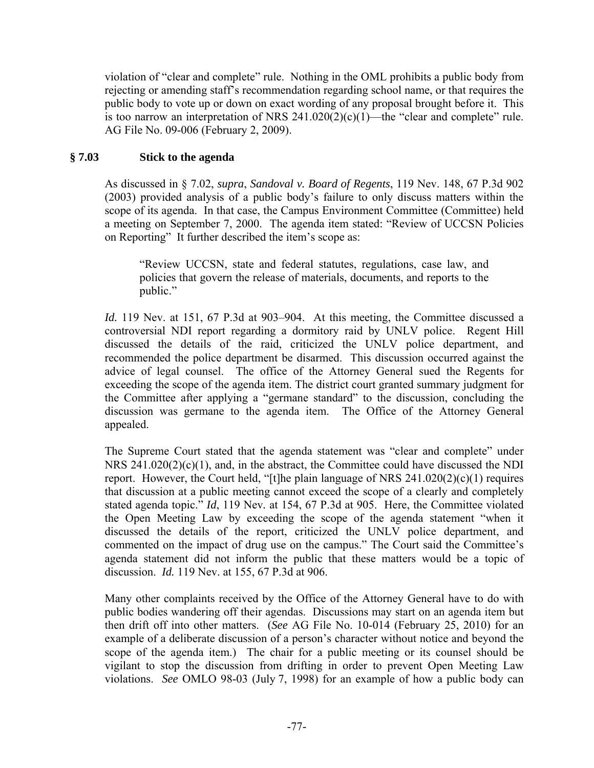violation of "clear and complete" rule. Nothing in the OML prohibits a public body from rejecting or amending staff's recommendation regarding school name, or that requires the public body to vote up or down on exact wording of any proposal brought before it. This is too narrow an interpretation of NRS  $241.020(2)(c)(1)$ —the "clear and complete" rule. AG File No. 09-006 (February 2, 2009).

# **§ 7.03 Stick to the agenda**

As discussed in § 7.02, *supra*, *Sandoval v. Board of Regents*, 119 Nev. 148, 67 P.3d 902 (2003) provided analysis of a public body's failure to only discuss matters within the scope of its agenda. In that case, the Campus Environment Committee (Committee) held a meeting on September 7, 2000. The agenda item stated: "Review of UCCSN Policies on Reporting" It further described the item's scope as:

"Review UCCSN, state and federal statutes, regulations, case law, and policies that govern the release of materials, documents, and reports to the public."

*Id.* 119 Nev. at 151, 67 P.3d at 903–904. At this meeting, the Committee discussed a controversial NDI report regarding a dormitory raid by UNLV police. Regent Hill discussed the details of the raid, criticized the UNLV police department, and recommended the police department be disarmed. This discussion occurred against the advice of legal counsel. The office of the Attorney General sued the Regents for exceeding the scope of the agenda item. The district court granted summary judgment for the Committee after applying a "germane standard" to the discussion, concluding the discussion was germane to the agenda item. The Office of the Attorney General appealed.

The Supreme Court stated that the agenda statement was "clear and complete" under NRS 241.020(2)(c)(1), and, in the abstract, the Committee could have discussed the NDI report. However, the Court held, "[t]he plain language of NRS  $241.020(2)(c)(1)$  requires that discussion at a public meeting cannot exceed the scope of a clearly and completely stated agenda topic." *Id*, 119 Nev*.* at 154, 67 P.3d at 905. Here, the Committee violated the Open Meeting Law by exceeding the scope of the agenda statement "when it discussed the details of the report, criticized the UNLV police department, and commented on the impact of drug use on the campus." The Court said the Committee's agenda statement did not inform the public that these matters would be a topic of discussion. *Id.* 119 Nev. at 155, 67 P.3d at 906.

Many other complaints received by the Office of the Attorney General have to do with public bodies wandering off their agendas. Discussions may start on an agenda item but then drift off into other matters. (*See* AG File No. 10-014 (February 25, 2010) for an example of a deliberate discussion of a person's character without notice and beyond the scope of the agenda item.)The chair for a public meeting or its counsel should be vigilant to stop the discussion from drifting in order to prevent Open Meeting Law violations. *See* OMLO 98-03 (July 7, 1998) for an example of how a public body can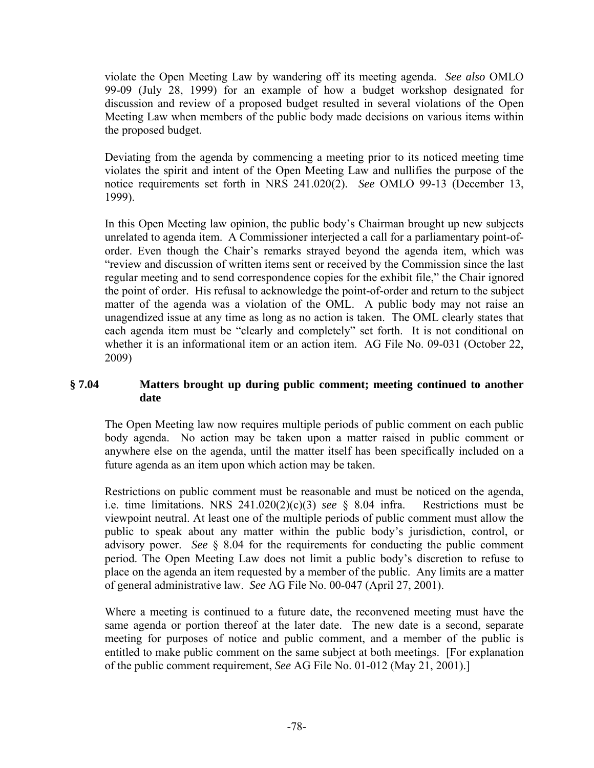violate the Open Meeting Law by wandering off its meeting agenda. *See also* OMLO 99-09 (July 28, 1999) for an example of how a budget workshop designated for discussion and review of a proposed budget resulted in several violations of the Open Meeting Law when members of the public body made decisions on various items within the proposed budget.

Deviating from the agenda by commencing a meeting prior to its noticed meeting time violates the spirit and intent of the Open Meeting Law and nullifies the purpose of the notice requirements set forth in NRS 241.020(2). *See* OMLO 99-13 (December 13, 1999).

In this Open Meeting law opinion, the public body's Chairman brought up new subjects unrelated to agenda item. A Commissioner interjected a call for a parliamentary point-oforder. Even though the Chair's remarks strayed beyond the agenda item, which was "review and discussion of written items sent or received by the Commission since the last regular meeting and to send correspondence copies for the exhibit file," the Chair ignored the point of order. His refusal to acknowledge the point-of-order and return to the subject matter of the agenda was a violation of the OML. A public body may not raise an unagendized issue at any time as long as no action is taken. The OML clearly states that each agenda item must be "clearly and completely" set forth. It is not conditional on whether it is an informational item or an action item. AG File No. 09-031 (October 22, 2009)

# **§ 7.04 Matters brought up during public comment; meeting continued to another date**

The Open Meeting law now requires multiple periods of public comment on each public body agenda. No action may be taken upon a matter raised in public comment or anywhere else on the agenda, until the matter itself has been specifically included on a future agenda as an item upon which action may be taken.

Restrictions on public comment must be reasonable and must be noticed on the agenda, i.e. time limitations. NRS 241.020(2)(c)(3) *see* § 8.04 infra. Restrictions must be viewpoint neutral. At least one of the multiple periods of public comment must allow the public to speak about any matter within the public body's jurisdiction, control, or advisory power. *See* § 8.04 for the requirements for conducting the public comment period. The Open Meeting Law does not limit a public body's discretion to refuse to place on the agenda an item requested by a member of the public. Any limits are a matter of general administrative law. *See* AG File No. 00-047 (April 27, 2001).

Where a meeting is continued to a future date, the reconvened meeting must have the same agenda or portion thereof at the later date. The new date is a second, separate meeting for purposes of notice and public comment, and a member of the public is entitled to make public comment on the same subject at both meetings. [For explanation of the public comment requirement, *See* AG File No. 01-012 (May 21, 2001).]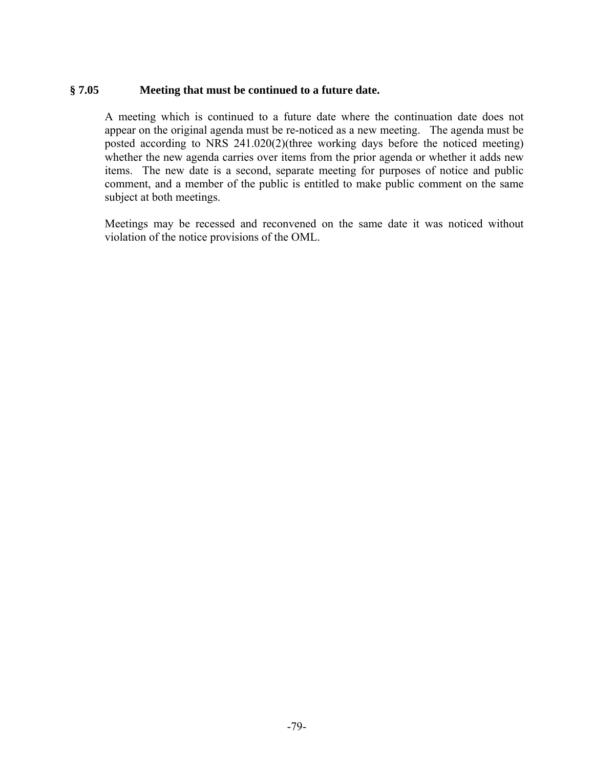## **§ 7.05 Meeting that must be continued to a future date.**

 A meeting which is continued to a future date where the continuation date does not appear on the original agenda must be re-noticed as a new meeting. The agenda must be posted according to NRS 241.020(2)(three working days before the noticed meeting) whether the new agenda carries over items from the prior agenda or whether it adds new items. The new date is a second, separate meeting for purposes of notice and public comment, and a member of the public is entitled to make public comment on the same subject at both meetings.

Meetings may be recessed and reconvened on the same date it was noticed without violation of the notice provisions of the OML.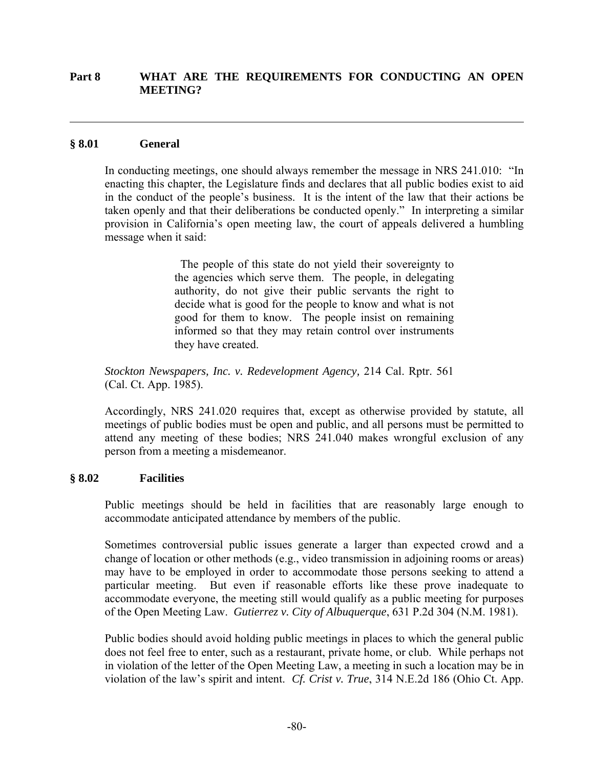### **Part 8 WHAT ARE THE REQUIREMENTS FOR CONDUCTING AN OPEN MEETING?**

### **§ 8.01 General**

 $\overline{a}$ 

In conducting meetings, one should always remember the message in NRS 241.010: "In enacting this chapter, the Legislature finds and declares that all public bodies exist to aid in the conduct of the people's business. It is the intent of the law that their actions be taken openly and that their deliberations be conducted openly." In interpreting a similar provision in California's open meeting law, the court of appeals delivered a humbling message when it said:

> The people of this state do not yield their sovereignty to the agencies which serve them. The people, in delegating authority, do not give their public servants the right to decide what is good for the people to know and what is not good for them to know. The people insist on remaining informed so that they may retain control over instruments they have created.

*Stockton Newspapers, Inc. v. Redevelopment Agency,* 214 Cal. Rptr. 561 (Cal. Ct. App. 1985).

Accordingly, NRS 241.020 requires that, except as otherwise provided by statute, all meetings of public bodies must be open and public, and all persons must be permitted to attend any meeting of these bodies; NRS 241.040 makes wrongful exclusion of any person from a meeting a misdemeanor.

### **§ 8.02 Facilities**

Public meetings should be held in facilities that are reasonably large enough to accommodate anticipated attendance by members of the public.

Sometimes controversial public issues generate a larger than expected crowd and a change of location or other methods (e.g., video transmission in adjoining rooms or areas) may have to be employed in order to accommodate those persons seeking to attend a particular meeting. But even if reasonable efforts like these prove inadequate to accommodate everyone, the meeting still would qualify as a public meeting for purposes of the Open Meeting Law. *Gutierrez v. City of Albuquerque*, 631 P.2d 304 (N.M. 1981).

Public bodies should avoid holding public meetings in places to which the general public does not feel free to enter, such as a restaurant, private home, or club. While perhaps not in violation of the letter of the Open Meeting Law, a meeting in such a location may be in violation of the law's spirit and intent. *Cf. Crist v. True*, 314 N.E.2d 186 (Ohio Ct. App.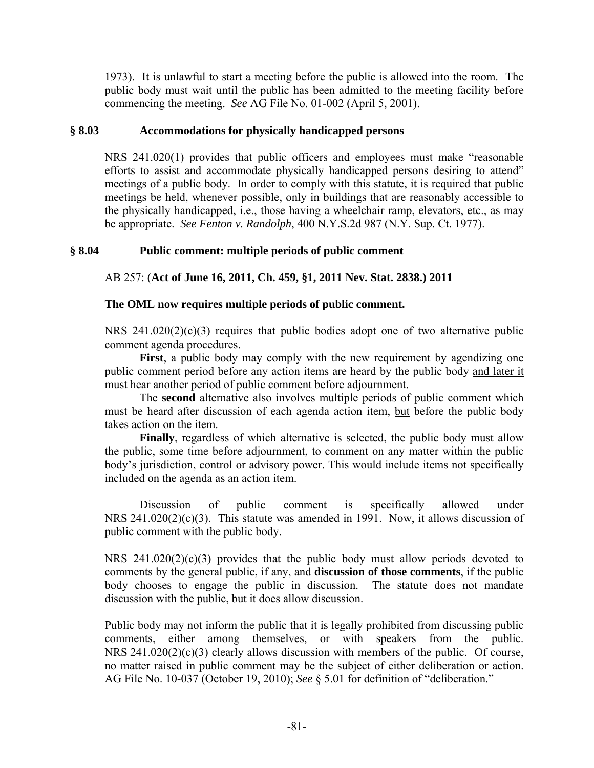1973). It is unlawful to start a meeting before the public is allowed into the room. The public body must wait until the public has been admitted to the meeting facility before commencing the meeting.*See* AG File No. 01-002 (April 5, 2001).

### **§ 8.03 Accommodations for physically handicapped persons**

NRS 241.020(1) provides that public officers and employees must make "reasonable efforts to assist and accommodate physically handicapped persons desiring to attend" meetings of a public body. In order to comply with this statute, it is required that public meetings be held, whenever possible, only in buildings that are reasonably accessible to the physically handicapped, i.e., those having a wheelchair ramp, elevators, etc., as may be appropriate. *See Fenton v. Randolph*, 400 N.Y.S.2d 987 (N.Y. Sup. Ct. 1977).

## **§ 8.04 Public comment: multiple periods of public comment**

AB 257: (**Act of June 16, 2011, Ch. 459, §1, 2011 Nev. Stat. 2838.) 2011**

## **The OML now requires multiple periods of public comment.**

NRS 241.020(2)(c)(3) requires that public bodies adopt one of two alternative public comment agenda procedures.

First, a public body may comply with the new requirement by agendizing one public comment period before any action items are heard by the public body and later it must hear another period of public comment before adjournment.

 The **second** alternative also involves multiple periods of public comment which must be heard after discussion of each agenda action item, but before the public body takes action on the item.

 **Finally**, regardless of which alternative is selected, the public body must allow the public, some time before adjournment, to comment on any matter within the public body's jurisdiction, control or advisory power. This would include items not specifically included on the agenda as an action item.

 Discussion of public comment is specifically allowed under NRS 241.020(2)(c)(3). This statute was amended in 1991. Now, it allows discussion of public comment with the public body.

NRS 241.020(2)(c)(3) provides that the public body must allow periods devoted to comments by the general public, if any, and **discussion of those comments**, if the public body chooses to engage the public in discussion. The statute does not mandate discussion with the public, but it does allow discussion.

Public body may not inform the public that it is legally prohibited from discussing public comments, either among themselves, or with speakers from the public. NRS  $241.020(2)(c)(3)$  clearly allows discussion with members of the public. Of course, no matter raised in public comment may be the subject of either deliberation or action. AG File No. 10-037 (October 19, 2010); *See* § 5.01 for definition of "deliberation."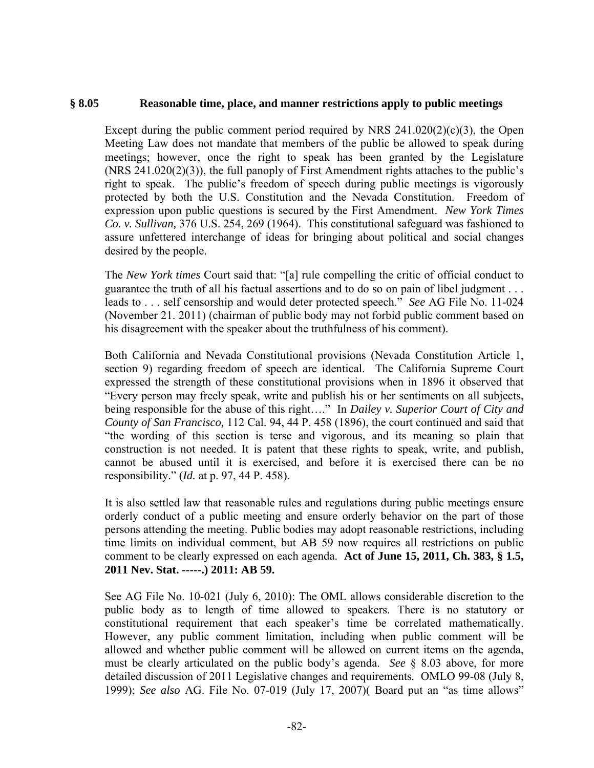### **§ 8.05 Reasonable time, place, and manner restrictions apply to public meetings**

Except during the public comment period required by NRS  $241.020(2)(c)(3)$ , the Open Meeting Law does not mandate that members of the public be allowed to speak during meetings; however, once the right to speak has been granted by the Legislature (NRS 241.020(2)(3)), the full panoply of First Amendment rights attaches to the public's right to speak. The public's freedom of speech during public meetings is vigorously protected by both the U.S. Constitution and the Nevada Constitution. Freedom of expression upon public questions is secured by the First Amendment. *New York Times Co. v. Sullivan,* 376 U.S. 254, 269 (1964). This constitutional safeguard was fashioned to assure unfettered interchange of ideas for bringing about political and social changes desired by the people.

The *New York times* Court said that: "[a] rule compelling the critic of official conduct to guarantee the truth of all his factual assertions and to do so on pain of libel judgment . . . leads to . . . self censorship and would deter protected speech." *See* AG File No. 11-024 (November 21. 2011) (chairman of public body may not forbid public comment based on his disagreement with the speaker about the truthfulness of his comment).

Both California and Nevada Constitutional provisions (Nevada Constitution Article 1, section 9) regarding freedom of speech are identical. The California Supreme Court expressed the strength of these constitutional provisions when in 1896 it observed that "Every person may freely speak, write and publish his or her sentiments on all subjects, being responsible for the abuse of this right…." In *Dailey v. Superior Court of City and County of San Francisco,* 112 Cal. 94, 44 P. 458 (1896), the court continued and said that "the wording of this section is terse and vigorous, and its meaning so plain that construction is not needed. It is patent that these rights to speak, write, and publish, cannot be abused until it is exercised, and before it is exercised there can be no responsibility." (*Id.* at p. 97, 44 P. 458).

It is also settled law that reasonable rules and regulations during public meetings ensure orderly conduct of a public meeting and ensure orderly behavior on the part of those persons attending the meeting. Public bodies may adopt reasonable restrictions, including time limits on individual comment, but AB 59 now requires all restrictions on public comment to be clearly expressed on each agenda. **Act of June 15, 2011, Ch. 383, § 1.5, 2011 Nev. Stat. -----.) 2011: AB 59.** 

See AG File No. 10-021 (July 6, 2010): The OML allows considerable discretion to the public body as to length of time allowed to speakers. There is no statutory or constitutional requirement that each speaker's time be correlated mathematically. However, any public comment limitation, including when public comment will be allowed and whether public comment will be allowed on current items on the agenda, must be clearly articulated on the public body's agenda. *See* § 8.03 above, for more detailed discussion of 2011 Legislative changes and requirements*.* OMLO 99-08 (July 8, 1999); *See also* AG. File No. 07-019 (July 17, 2007)( Board put an "as time allows"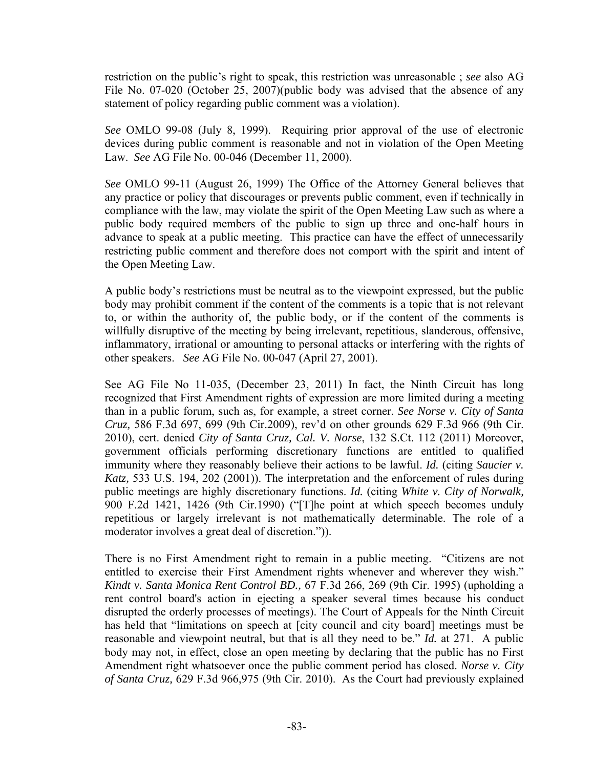restriction on the public's right to speak, this restriction was unreasonable ; *see* also AG File No. 07-020 (October 25, 2007)(public body was advised that the absence of any statement of policy regarding public comment was a violation).

*See* OMLO 99-08 (July 8, 1999). Requiring prior approval of the use of electronic devices during public comment is reasonable and not in violation of the Open Meeting Law. *See* AG File No. 00-046 (December 11, 2000).

*See* OMLO 99-11 (August 26, 1999) The Office of the Attorney General believes that any practice or policy that discourages or prevents public comment, even if technically in compliance with the law, may violate the spirit of the Open Meeting Law such as where a public body required members of the public to sign up three and one-half hours in advance to speak at a public meeting. This practice can have the effect of unnecessarily restricting public comment and therefore does not comport with the spirit and intent of the Open Meeting Law.

A public body's restrictions must be neutral as to the viewpoint expressed, but the public body may prohibit comment if the content of the comments is a topic that is not relevant to, or within the authority of, the public body, or if the content of the comments is willfully disruptive of the meeting by being irrelevant, repetitious, slanderous, offensive, inflammatory, irrational or amounting to personal attacks or interfering with the rights of other speakers. *See* AG File No. 00-047 (April 27, 2001).

See AG File No 11-035, (December 23, 2011) In fact, the Ninth Circuit has long recognized that First Amendment rights of expression are more limited during a meeting than in a public forum, such as, for example, a street corner. *See Norse v. City of Santa Cruz,* 586 F.3d 697, 699 (9th Cir.2009), rev'd on other grounds 629 F.3d 966 (9th Cir. 2010), cert. denied *City of Santa Cruz, Cal. V. Norse*, 132 S.Ct. 112 (2011) Moreover, government officials performing discretionary functions are entitled to qualified immunity where they reasonably believe their actions to be lawful. *Id.* (citing *Saucier v. Katz,* 533 U.S. 194, 202 (2001)). The interpretation and the enforcement of rules during public meetings are highly discretionary functions. *Id.* (citing *White v. City of Norwalk,* 900 F.2d 1421, 1426 (9th Cir.1990) ("[T]he point at which speech becomes unduly repetitious or largely irrelevant is not mathematically determinable. The role of a moderator involves a great deal of discretion.")).

There is no First Amendment right to remain in a public meeting. "Citizens are not entitled to exercise their First Amendment rights whenever and wherever they wish." *Kindt v. Santa Monica Rent Control BD.,* 67 F.3d 266, 269 (9th Cir. 1995) (upholding a rent control board's action in ejecting a speaker several times because his conduct disrupted the orderly processes of meetings). The Court of Appeals for the Ninth Circuit has held that "limitations on speech at [city council and city board] meetings must be reasonable and viewpoint neutral, but that is all they need to be." *Id.* at 271. A public body may not, in effect, close an open meeting by declaring that the public has no First Amendment right whatsoever once the public comment period has closed. *Norse v. City of Santa Cruz,* 629 F.3d 966,975 (9th Cir. 2010). As the Court had previously explained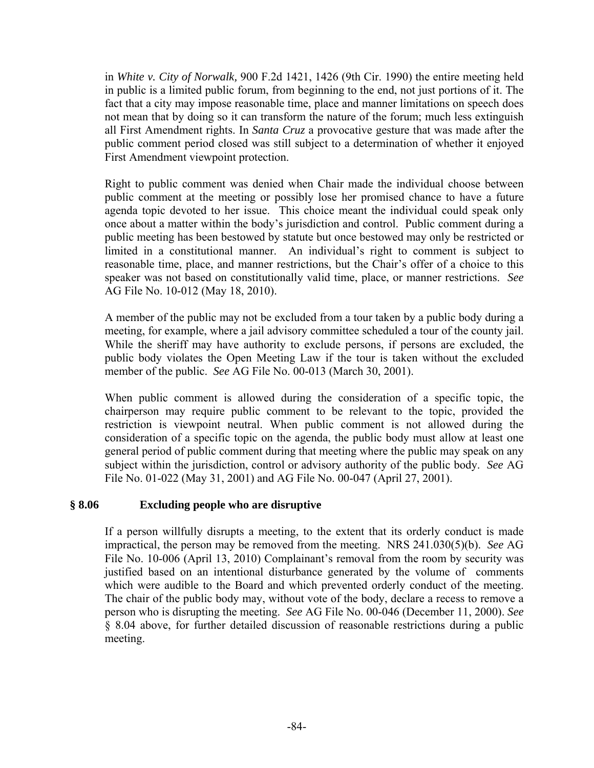in *White v. City of Norwalk,* 900 F.2d 1421, 1426 (9th Cir. 1990) the entire meeting held in public is a limited public forum, from beginning to the end, not just portions of it. The fact that a city may impose reasonable time, place and manner limitations on speech does not mean that by doing so it can transform the nature of the forum; much less extinguish all First Amendment rights. In *Santa Cruz* a provocative gesture that was made after the public comment period closed was still subject to a determination of whether it enjoyed First Amendment viewpoint protection.

Right to public comment was denied when Chair made the individual choose between public comment at the meeting or possibly lose her promised chance to have a future agenda topic devoted to her issue. This choice meant the individual could speak only once about a matter within the body's jurisdiction and control. Public comment during a public meeting has been bestowed by statute but once bestowed may only be restricted or limited in a constitutional manner. An individual's right to comment is subject to reasonable time, place, and manner restrictions, but the Chair's offer of a choice to this speaker was not based on constitutionally valid time, place, or manner restrictions. *See*  AG File No. 10-012 (May 18, 2010).

A member of the public may not be excluded from a tour taken by a public body during a meeting, for example, where a jail advisory committee scheduled a tour of the county jail. While the sheriff may have authority to exclude persons, if persons are excluded, the public body violates the Open Meeting Law if the tour is taken without the excluded member of the public. *See* AG File No. 00-013 (March 30, 2001).

When public comment is allowed during the consideration of a specific topic, the chairperson may require public comment to be relevant to the topic, provided the restriction is viewpoint neutral. When public comment is not allowed during the consideration of a specific topic on the agenda, the public body must allow at least one general period of public comment during that meeting where the public may speak on any subject within the jurisdiction, control or advisory authority of the public body. *See* AG File No. 01-022 (May 31, 2001) and AG File No. 00-047 (April 27, 2001).

# **§ 8.06 Excluding people who are disruptive**

If a person willfully disrupts a meeting, to the extent that its orderly conduct is made impractical, the person may be removed from the meeting. NRS 241.030(5)(b). *See* AG File No. 10-006 (April 13, 2010) Complainant's removal from the room by security was justified based on an intentional disturbance generated by the volume of comments which were audible to the Board and which prevented orderly conduct of the meeting. The chair of the public body may, without vote of the body, declare a recess to remove a person who is disrupting the meeting. *See* AG File No. 00-046 (December 11, 2000). *See* § 8.04 above, for further detailed discussion of reasonable restrictions during a public meeting.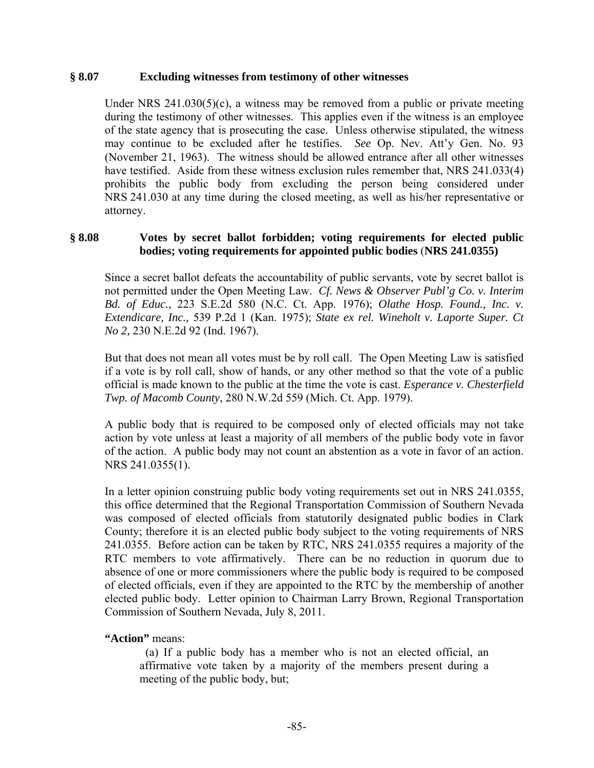### **§ 8.07 Excluding witnesses from testimony of other witnesses**

Under NRS  $241.030(5)(c)$ , a witness may be removed from a public or private meeting during the testimony of other witnesses. This applies even if the witness is an employee of the state agency that is prosecuting the case. Unless otherwise stipulated, the witness may continue to be excluded after he testifies. *See* Op. Nev. Att'y Gen. No. 93 (November 21, 1963). The witness should be allowed entrance after all other witnesses have testified. Aside from these witness exclusion rules remember that, NRS 241.033(4) prohibits the public body from excluding the person being considered under NRS 241.030 at any time during the closed meeting, as well as his/her representative or attorney.

### **§ 8.08 Votes by secret ballot forbidden; voting requirements for elected public bodies; voting requirements for appointed public bodies** (**NRS 241.0355)**

Since a secret ballot defeats the accountability of public servants, vote by secret ballot is not permitted under the Open Meeting Law. *Cf. News & Observer Publ'g Co. v. Interim Bd. of Educ.,* 223 S.E.2d 580 (N.C. Ct. App. 1976); *Olathe Hosp. Found., Inc. v. Extendicare, Inc.,* 539 P.2d 1 (Kan. 1975); *State ex rel. Wineholt v. Laporte Super. Ct No 2,* 230 N.E.2d 92 (Ind. 1967).

But that does not mean all votes must be by roll call. The Open Meeting Law is satisfied if a vote is by roll call, show of hands, or any other method so that the vote of a public official is made known to the public at the time the vote is cast. *Esperance v. Chesterfield Twp. of Macomb County*, 280 N.W.2d 559 (Mich. Ct. App. 1979).

A public body that is required to be composed only of elected officials may not take action by vote unless at least a majority of all members of the public body vote in favor of the action. A public body may not count an abstention as a vote in favor of an action. NRS 241.0355(1).

In a letter opinion construing public body voting requirements set out in NRS 241.0355, this office determined that the Regional Transportation Commission of Southern Nevada was composed of elected officials from statutorily designated public bodies in Clark County; therefore it is an elected public body subject to the voting requirements of NRS 241.0355. Before action can be taken by RTC, NRS 241.0355 requires a majority of the RTC members to vote affirmatively. There can be no reduction in quorum due to absence of one or more commissioners where the public body is required to be composed of elected officials, even if they are appointed to the RTC by the membership of another elected public body. Letter opinion to Chairman Larry Brown, Regional Transportation Commission of Southern Nevada, July 8, 2011.

### **"Action"** means:

 (a) If a public body has a member who is not an elected official, an affirmative vote taken by a majority of the members present during a meeting of the public body, but;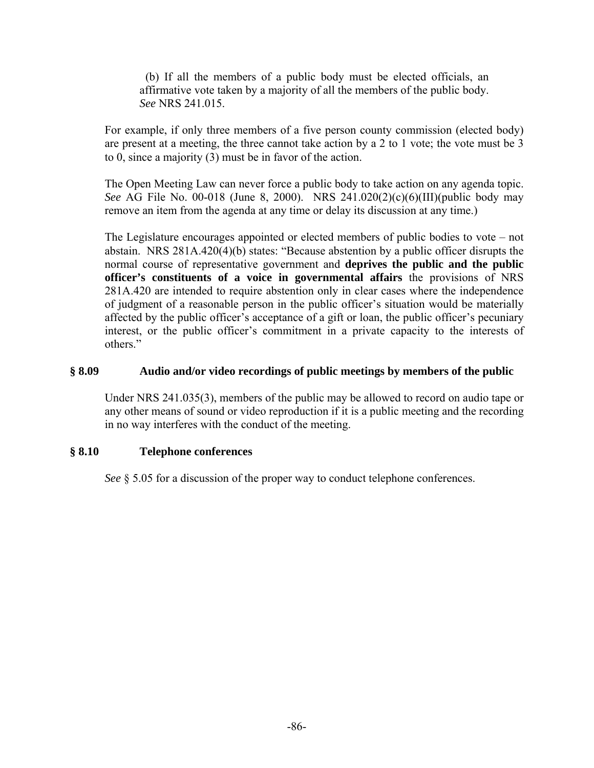(b) If all the members of a public body must be elected officials, an affirmative vote taken by a majority of all the members of the public body. *See* NRS 241.015.

For example, if only three members of a five person county commission (elected body) are present at a meeting, the three cannot take action by a 2 to 1 vote; the vote must be 3 to 0, since a majority (3) must be in favor of the action.

The Open Meeting Law can never force a public body to take action on any agenda topic. *See* AG File No. 00-018 (June 8, 2000). NRS 241.020(2)(c)(6)(III)(public body may remove an item from the agenda at any time or delay its discussion at any time.)

The Legislature encourages appointed or elected members of public bodies to vote – not abstain. NRS 281A.420(4)(b) states: "Because abstention by a public officer disrupts the normal course of representative government and **deprives the public and the public officer's constituents of a voice in governmental affairs** the provisions of NRS 281A.420 are intended to require abstention only in clear cases where the independence of judgment of a reasonable person in the public officer's situation would be materially affected by the public officer's acceptance of a gift or loan, the public officer's pecuniary interest, or the public officer's commitment in a private capacity to the interests of others."

## **§ 8.09 Audio and/or video recordings of public meetings by members of the public**

Under NRS 241.035(3), members of the public may be allowed to record on audio tape or any other means of sound or video reproduction if it is a public meeting and the recording in no way interferes with the conduct of the meeting.

# **§ 8.10 Telephone conferences**

*See* § 5.05 for a discussion of the proper way to conduct telephone conferences.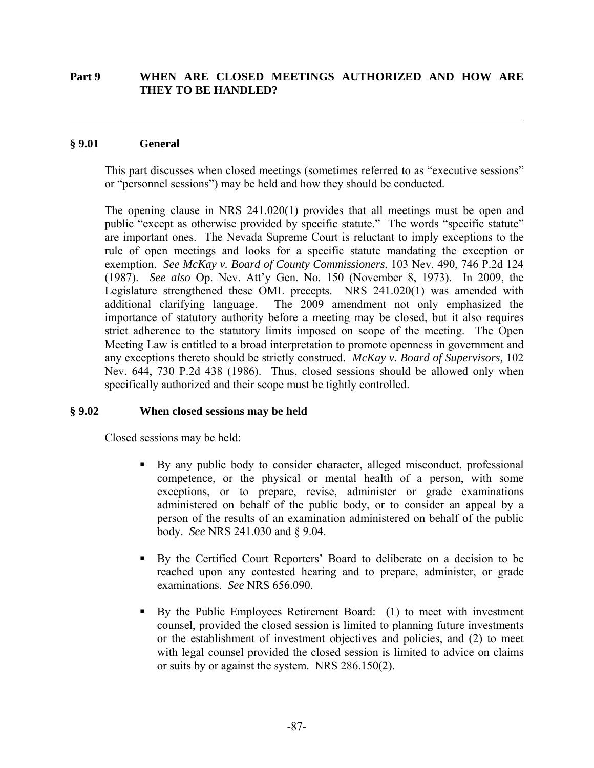## **Part 9 WHEN ARE CLOSED MEETINGS AUTHORIZED AND HOW ARE THEY TO BE HANDLED?**

### **§ 9.01 General**

 $\overline{a}$ 

This part discusses when closed meetings (sometimes referred to as "executive sessions" or "personnel sessions") may be held and how they should be conducted.

The opening clause in NRS 241.020(1) provides that all meetings must be open and public "except as otherwise provided by specific statute." The words "specific statute" are important ones. The Nevada Supreme Court is reluctant to imply exceptions to the rule of open meetings and looks for a specific statute mandating the exception or exemption. *See McKay v. Board of County Commissioners*, 103 Nev. 490, 746 P.2d 124 (1987). *See also* Op. Nev. Att'y Gen. No. 150 (November 8, 1973). In 2009, the Legislature strengthened these OML precepts. NRS 241.020(1) was amended with additional clarifying language. The 2009 amendment not only emphasized the importance of statutory authority before a meeting may be closed, but it also requires strict adherence to the statutory limits imposed on scope of the meeting. The Open Meeting Law is entitled to a broad interpretation to promote openness in government and any exceptions thereto should be strictly construed. *McKay v. Board of Supervisors,* 102 Nev. 644, 730 P.2d 438 (1986). Thus, closed sessions should be allowed only when specifically authorized and their scope must be tightly controlled.

### **§ 9.02 When closed sessions may be held**

Closed sessions may be held:

- By any public body to consider character, alleged misconduct, professional competence, or the physical or mental health of a person, with some exceptions, or to prepare, revise, administer or grade examinations administered on behalf of the public body, or to consider an appeal by a person of the results of an examination administered on behalf of the public body. *See* NRS 241.030 and § 9.04.
- By the Certified Court Reporters' Board to deliberate on a decision to be reached upon any contested hearing and to prepare, administer, or grade examinations. *See* NRS 656.090.
- By the Public Employees Retirement Board: (1) to meet with investment counsel, provided the closed session is limited to planning future investments or the establishment of investment objectives and policies, and (2) to meet with legal counsel provided the closed session is limited to advice on claims or suits by or against the system. NRS 286.150(2).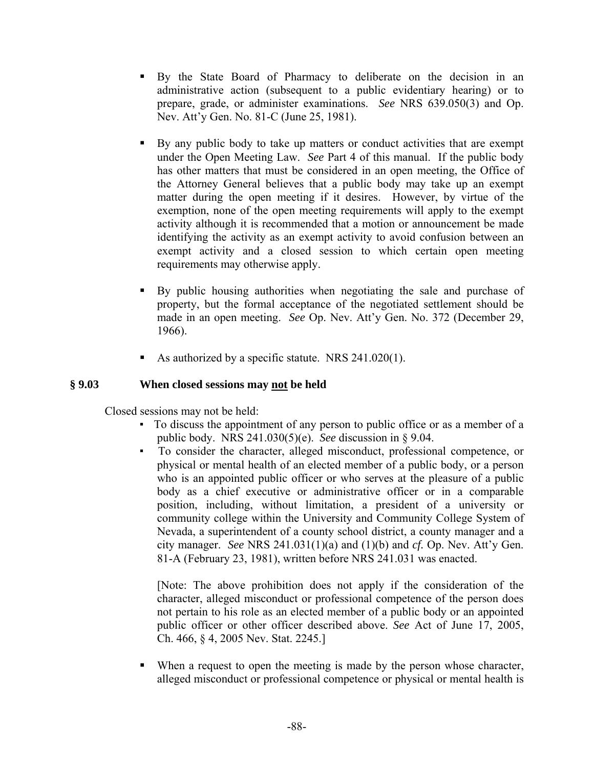- By the State Board of Pharmacy to deliberate on the decision in an administrative action (subsequent to a public evidentiary hearing) or to prepare, grade, or administer examinations. *See* NRS 639.050(3) and Op. Nev. Att'y Gen. No. 81-C (June 25, 1981).
- By any public body to take up matters or conduct activities that are exempt under the Open Meeting Law. *See* Part 4 of this manual. If the public body has other matters that must be considered in an open meeting, the Office of the Attorney General believes that a public body may take up an exempt matter during the open meeting if it desires. However, by virtue of the exemption, none of the open meeting requirements will apply to the exempt activity although it is recommended that a motion or announcement be made identifying the activity as an exempt activity to avoid confusion between an exempt activity and a closed session to which certain open meeting requirements may otherwise apply.
- By public housing authorities when negotiating the sale and purchase of property, but the formal acceptance of the negotiated settlement should be made in an open meeting. *See* Op. Nev. Att'y Gen. No. 372 (December 29, 1966).
- As authorized by a specific statute. NRS  $241.020(1)$ .

## **§ 9.03 When closed sessions may not be held**

Closed sessions may not be held:

- To discuss the appointment of any person to public office or as a member of a public body. NRS 241.030(5)(e). *See* discussion in § 9.04.
- To consider the character, alleged misconduct, professional competence, or physical or mental health of an elected member of a public body, or a person who is an appointed public officer or who serves at the pleasure of a public body as a chief executive or administrative officer or in a comparable position, including, without limitation, a president of a university or community college within the University and Community College System of Nevada, a superintendent of a county school district, a county manager and a city manager. *See* NRS  $241.031(1)(a)$  and  $(1)(b)$  and *cf.* Op. Nev. Att'y Gen. 81-A (February 23, 1981), written before NRS 241.031 was enacted.

[Note: The above prohibition does not apply if the consideration of the character, alleged misconduct or professional competence of the person does not pertain to his role as an elected member of a public body or an appointed public officer or other officer described above. *See* Act of June 17, 2005, Ch. 466, § 4, 2005 Nev. Stat. 2245.]

 When a request to open the meeting is made by the person whose character, alleged misconduct or professional competence or physical or mental health is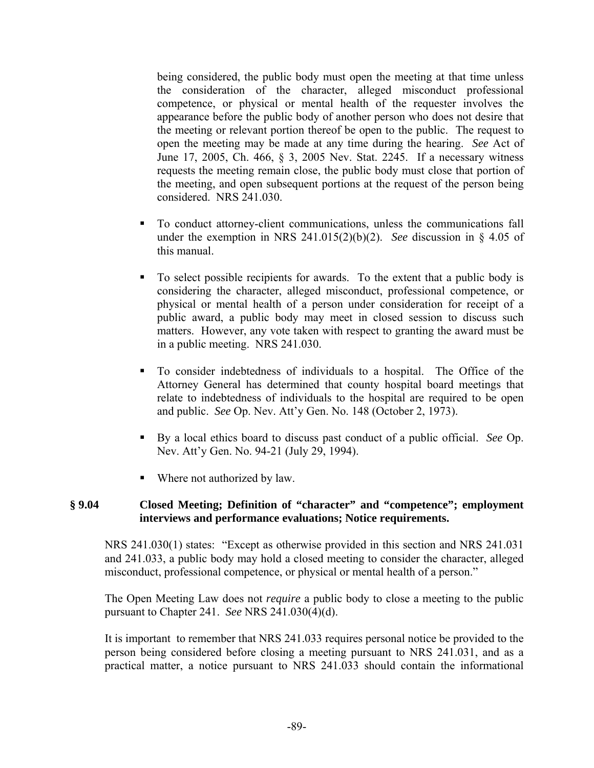being considered, the public body must open the meeting at that time unless the consideration of the character, alleged misconduct professional competence, or physical or mental health of the requester involves the appearance before the public body of another person who does not desire that the meeting or relevant portion thereof be open to the public. The request to open the meeting may be made at any time during the hearing. *See* Act of June 17, 2005, Ch. 466, § 3, 2005 Nev. Stat. 2245. If a necessary witness requests the meeting remain close, the public body must close that portion of the meeting, and open subsequent portions at the request of the person being considered. NRS 241.030.

- To conduct attorney-client communications, unless the communications fall under the exemption in NRS 241.015(2)(b)(2). *See* discussion in § 4.05 of this manual.
- To select possible recipients for awards. To the extent that a public body is considering the character, alleged misconduct, professional competence, or physical or mental health of a person under consideration for receipt of a public award, a public body may meet in closed session to discuss such matters. However, any vote taken with respect to granting the award must be in a public meeting. NRS 241.030.
- To consider indebtedness of individuals to a hospital. The Office of the Attorney General has determined that county hospital board meetings that relate to indebtedness of individuals to the hospital are required to be open and public. *See* Op. Nev. Att'y Gen. No. 148 (October 2, 1973).
- By a local ethics board to discuss past conduct of a public official. *See* Op. Nev. Att'y Gen. No. 94-21 (July 29, 1994).
- Where not authorized by law.

## **§ 9.04 Closed Meeting; Definition of "character" and "competence"; employment interviews and performance evaluations; Notice requirements.**

NRS 241.030(1) states: "Except as otherwise provided in this section and NRS 241.031 and 241.033, a public body may hold a closed meeting to consider the character, alleged misconduct, professional competence, or physical or mental health of a person."

The Open Meeting Law does not *require* a public body to close a meeting to the public pursuant to Chapter 241. *See* NRS 241.030(4)(d).

It is important to remember that NRS 241.033 requires personal notice be provided to the person being considered before closing a meeting pursuant to NRS 241.031, and as a practical matter, a notice pursuant to NRS 241.033 should contain the informational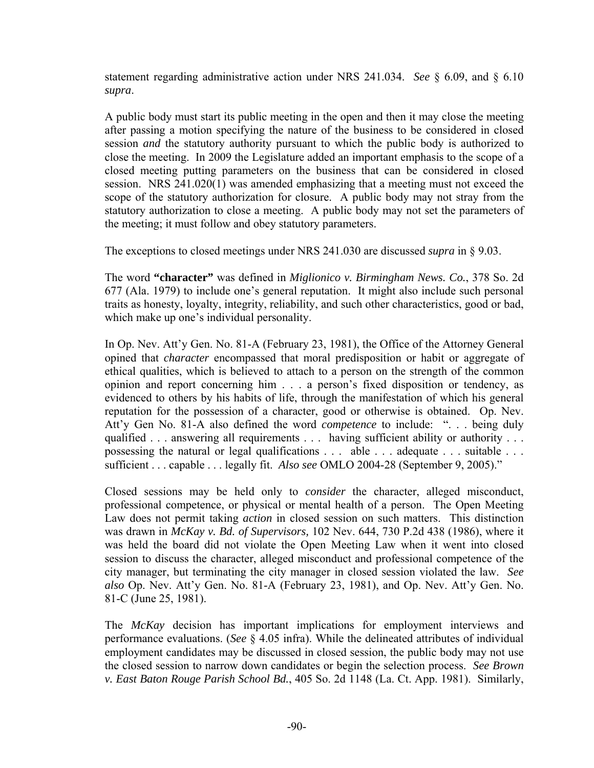statement regarding administrative action under NRS 241.034. *See* § 6.09, and § 6.10 *supra*.

A public body must start its public meeting in the open and then it may close the meeting after passing a motion specifying the nature of the business to be considered in closed session *and* the statutory authority pursuant to which the public body is authorized to close the meeting. In 2009 the Legislature added an important emphasis to the scope of a closed meeting putting parameters on the business that can be considered in closed session. NRS 241.020(1) was amended emphasizing that a meeting must not exceed the scope of the statutory authorization for closure. A public body may not stray from the statutory authorization to close a meeting. A public body may not set the parameters of the meeting; it must follow and obey statutory parameters.

The exceptions to closed meetings under NRS 241.030 are discussed *supra* in § 9.03.

The word **"character"** was defined in *Miglionico v. Birmingham News. Co.*, 378 So. 2d 677 (Ala. 1979) to include one's general reputation. It might also include such personal traits as honesty, loyalty, integrity, reliability, and such other characteristics, good or bad, which make up one's individual personality.

In Op. Nev. Att'y Gen. No. 81-A (February 23, 1981), the Office of the Attorney General opined that *character* encompassed that moral predisposition or habit or aggregate of ethical qualities, which is believed to attach to a person on the strength of the common opinion and report concerning him . . . a person's fixed disposition or tendency, as evidenced to others by his habits of life, through the manifestation of which his general reputation for the possession of a character, good or otherwise is obtained. Op. Nev. Att'y Gen No. 81-A also defined the word *competence* to include: ". . . being duly qualified . . . answering all requirements . . . having sufficient ability or authority . . . possessing the natural or legal qualifications . . . able . . . adequate . . . suitable . . . sufficient . . . capable . . . legally fit. *Also see* OMLO 2004-28 (September 9, 2005)."

Closed sessions may be held only to *consider* the character, alleged misconduct, professional competence, or physical or mental health of a person. The Open Meeting Law does not permit taking *action* in closed session on such matters. This distinction was drawn in *McKay v. Bd. of Supervisors,* 102 Nev. 644, 730 P.2d 438 (1986), where it was held the board did not violate the Open Meeting Law when it went into closed session to discuss the character, alleged misconduct and professional competence of the city manager, but terminating the city manager in closed session violated the law. *See also* Op. Nev. Att'y Gen. No. 81-A (February 23, 1981), and Op. Nev. Att'y Gen. No. 81-C (June 25, 1981).

The *McKay* decision has important implications for employment interviews and performance evaluations. (*See* § 4.05 infra). While the delineated attributes of individual employment candidates may be discussed in closed session, the public body may not use the closed session to narrow down candidates or begin the selection process. *See Brown v. East Baton Rouge Parish School Bd.*, 405 So. 2d 1148 (La. Ct. App. 1981). Similarly,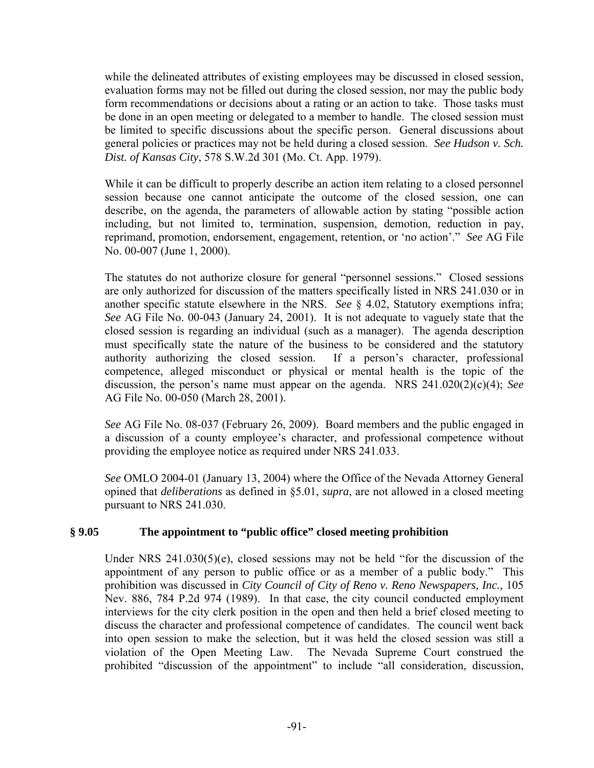while the delineated attributes of existing employees may be discussed in closed session, evaluation forms may not be filled out during the closed session, nor may the public body form recommendations or decisions about a rating or an action to take. Those tasks must be done in an open meeting or delegated to a member to handle. The closed session must be limited to specific discussions about the specific person. General discussions about general policies or practices may not be held during a closed session. *See Hudson v. Sch. Dist. of Kansas City*, 578 S.W.2d 301 (Mo. Ct. App. 1979).

While it can be difficult to properly describe an action item relating to a closed personnel session because one cannot anticipate the outcome of the closed session, one can describe, on the agenda, the parameters of allowable action by stating "possible action including, but not limited to, termination, suspension, demotion, reduction in pay, reprimand, promotion, endorsement, engagement, retention, or 'no action'." *See* AG File No. 00-007 (June 1, 2000).

The statutes do not authorize closure for general "personnel sessions." Closed sessions are only authorized for discussion of the matters specifically listed in NRS 241.030 or in another specific statute elsewhere in the NRS. *See* § 4.02, Statutory exemptions infra; *See* AG File No. 00-043 (January 24, 2001). It is not adequate to vaguely state that the closed session is regarding an individual (such as a manager). The agenda description must specifically state the nature of the business to be considered and the statutory authority authorizing the closed session. If a person's character, professional competence, alleged misconduct or physical or mental health is the topic of the discussion, the person's name must appear on the agenda. NRS 241.020(2)(c)(4); *See* AG File No. 00-050 (March 28, 2001).

*See* AG File No. 08-037 (February 26, 2009). Board members and the public engaged in a discussion of a county employee's character, and professional competence without providing the employee notice as required under NRS 241.033.

*See* OMLO 2004-01 (January 13, 2004) where the Office of the Nevada Attorney General opined that *deliberations* as defined in §5.01, *supra*, are not allowed in a closed meeting pursuant to NRS 241.030.

# **§ 9.05 The appointment to "public office" closed meeting prohibition**

Under NRS 241.030(5)(e), closed sessions may not be held "for the discussion of the appointment of any person to public office or as a member of a public body." This prohibition was discussed in *City Council of City of Reno v. Reno Newspapers, Inc.,* 105 Nev. 886, 784 P.2d 974 (1989). In that case, the city council conducted employment interviews for the city clerk position in the open and then held a brief closed meeting to discuss the character and professional competence of candidates. The council went back into open session to make the selection, but it was held the closed session was still a violation of the Open Meeting Law. The Nevada Supreme Court construed the prohibited "discussion of the appointment" to include "all consideration, discussion,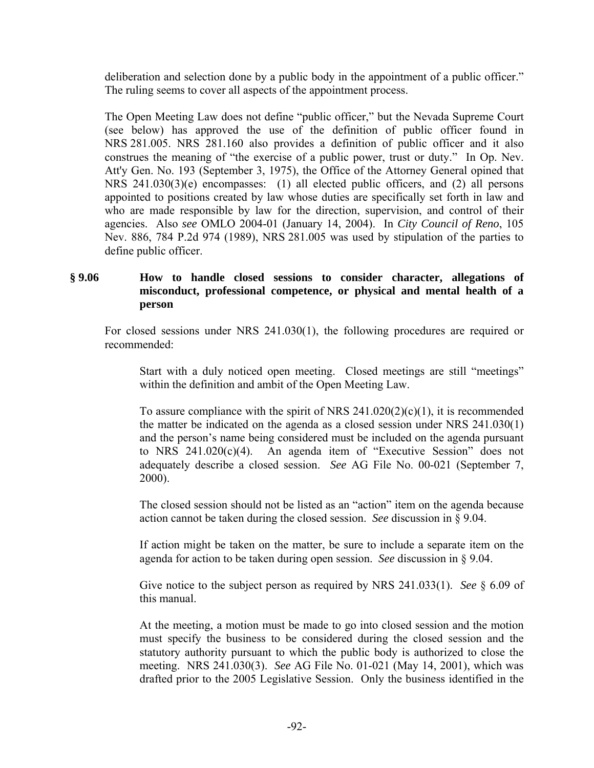deliberation and selection done by a public body in the appointment of a public officer." The ruling seems to cover all aspects of the appointment process.

The Open Meeting Law does not define "public officer," but the Nevada Supreme Court (see below) has approved the use of the definition of public officer found in NRS 281.005. NRS 281.160 also provides a definition of public officer and it also construes the meaning of "the exercise of a public power, trust or duty." In Op. Nev. Att'y Gen. No. 193 (September 3, 1975), the Office of the Attorney General opined that NRS 241.030(3)(e) encompasses: (1) all elected public officers, and (2) all persons appointed to positions created by law whose duties are specifically set forth in law and who are made responsible by law for the direction, supervision, and control of their agencies. Also *see* OMLO 2004-01 (January 14, 2004). In *City Council of Reno*, 105 Nev. 886, 784 P.2d 974 (1989), NRS 281.005 was used by stipulation of the parties to define public officer.

## **§ 9.06 How to handle closed sessions to consider character, allegations of misconduct, professional competence, or physical and mental health of a person**

For closed sessions under NRS 241.030(1), the following procedures are required or recommended:

Start with a duly noticed open meeting. Closed meetings are still "meetings" within the definition and ambit of the Open Meeting Law.

To assure compliance with the spirit of NRS  $241.020(2)(c)(1)$ , it is recommended the matter be indicated on the agenda as a closed session under NRS 241.030(1) and the person's name being considered must be included on the agenda pursuant to NRS 241.020(c)(4). An agenda item of "Executive Session" does not adequately describe a closed session. *See* AG File No. 00-021 (September 7, 2000).

The closed session should not be listed as an "action" item on the agenda because action cannot be taken during the closed session. *See* discussion in § 9.04.

If action might be taken on the matter, be sure to include a separate item on the agenda for action to be taken during open session. *See* discussion in § 9.04.

Give notice to the subject person as required by NRS 241.033(1). *See* § 6.09 of this manual.

At the meeting, a motion must be made to go into closed session and the motion must specify the business to be considered during the closed session and the statutory authority pursuant to which the public body is authorized to close the meeting. NRS 241.030(3). *See* AG File No. 01-021 (May 14, 2001), which was drafted prior to the 2005 Legislative Session.Only the business identified in the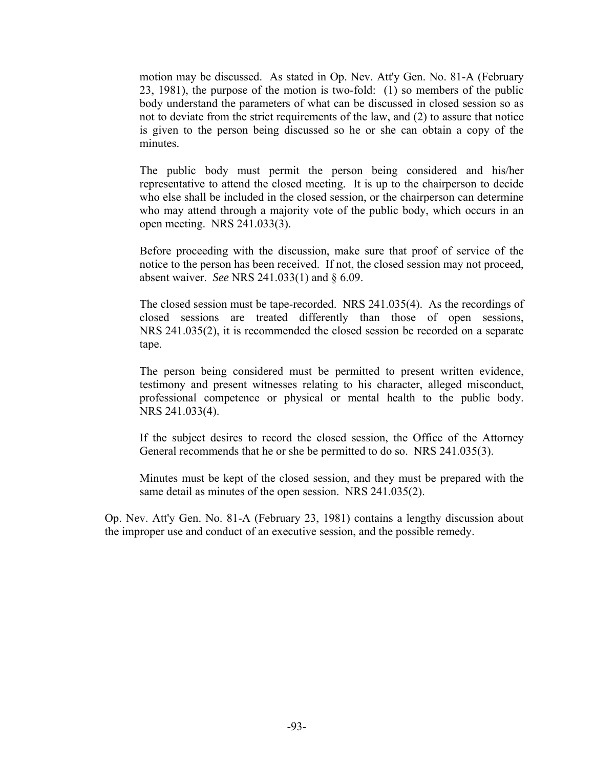motion may be discussed. As stated in Op. Nev. Att'y Gen. No. 81-A (February 23, 1981), the purpose of the motion is two-fold: (1) so members of the public body understand the parameters of what can be discussed in closed session so as not to deviate from the strict requirements of the law, and (2) to assure that notice is given to the person being discussed so he or she can obtain a copy of the minutes.

The public body must permit the person being considered and his/her representative to attend the closed meeting. It is up to the chairperson to decide who else shall be included in the closed session, or the chairperson can determine who may attend through a majority vote of the public body, which occurs in an open meeting. NRS 241.033(3).

Before proceeding with the discussion, make sure that proof of service of the notice to the person has been received. If not, the closed session may not proceed, absent waiver. *See* NRS 241.033(1) and § 6.09.

The closed session must be tape-recorded. NRS 241.035(4). As the recordings of closed sessions are treated differently than those of open sessions, NRS 241.035(2), it is recommended the closed session be recorded on a separate tape.

The person being considered must be permitted to present written evidence, testimony and present witnesses relating to his character, alleged misconduct, professional competence or physical or mental health to the public body. NRS 241.033(4).

If the subject desires to record the closed session, the Office of the Attorney General recommends that he or she be permitted to do so. NRS 241.035(3).

Minutes must be kept of the closed session, and they must be prepared with the same detail as minutes of the open session. NRS 241.035(2).

Op. Nev. Att'y Gen. No. 81-A (February 23, 1981) contains a lengthy discussion about the improper use and conduct of an executive session, and the possible remedy.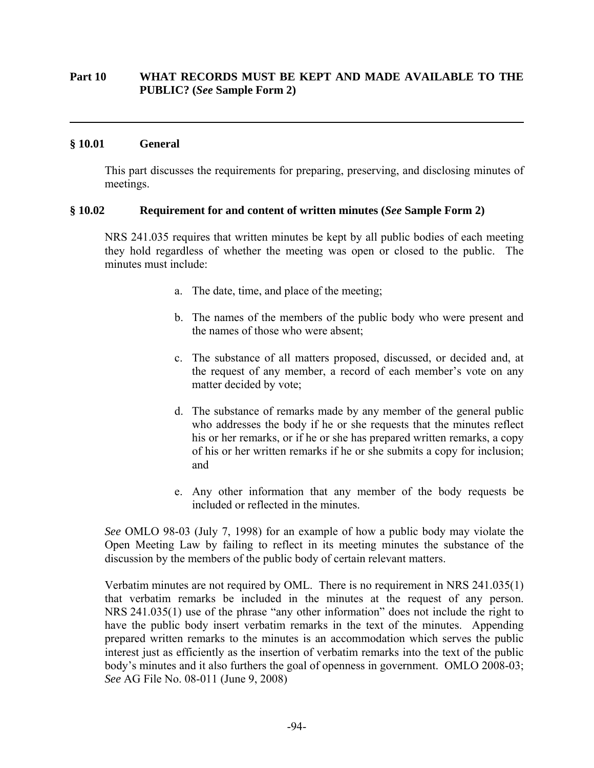## **Part 10 WHAT RECORDS MUST BE KEPT AND MADE AVAILABLE TO THE PUBLIC? (***See* **Sample Form 2)**

## **§ 10.01 General**

 $\overline{a}$ 

This part discusses the requirements for preparing, preserving, and disclosing minutes of meetings.

#### **§ 10.02 Requirement for and content of written minutes (***See* **Sample Form 2)**

NRS 241.035 requires that written minutes be kept by all public bodies of each meeting they hold regardless of whether the meeting was open or closed to the public. The minutes must include:

- a. The date, time, and place of the meeting;
- b. The names of the members of the public body who were present and the names of those who were absent;
- c. The substance of all matters proposed, discussed, or decided and, at the request of any member, a record of each member's vote on any matter decided by vote;
- d. The substance of remarks made by any member of the general public who addresses the body if he or she requests that the minutes reflect his or her remarks, or if he or she has prepared written remarks, a copy of his or her written remarks if he or she submits a copy for inclusion; and
- e. Any other information that any member of the body requests be included or reflected in the minutes.

*See* OMLO 98-03 (July 7, 1998) for an example of how a public body may violate the Open Meeting Law by failing to reflect in its meeting minutes the substance of the discussion by the members of the public body of certain relevant matters.

Verbatim minutes are not required by OML. There is no requirement in NRS 241.035(1) that verbatim remarks be included in the minutes at the request of any person. NRS 241.035(1) use of the phrase "any other information" does not include the right to have the public body insert verbatim remarks in the text of the minutes. Appending prepared written remarks to the minutes is an accommodation which serves the public interest just as efficiently as the insertion of verbatim remarks into the text of the public body's minutes and it also furthers the goal of openness in government. OMLO 2008-03; *See* AG File No. 08-011 (June 9, 2008)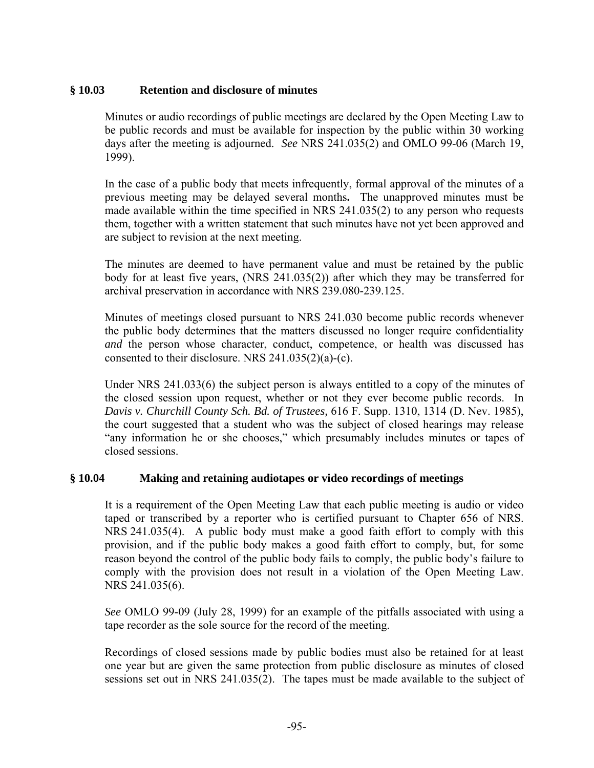# **§ 10.03 Retention and disclosure of minutes**

Minutes or audio recordings of public meetings are declared by the Open Meeting Law to be public records and must be available for inspection by the public within 30 working days after the meeting is adjourned. *See* NRS 241.035(2) and OMLO 99-06 (March 19, 1999).

In the case of a public body that meets infrequently, formal approval of the minutes of a previous meeting may be delayed several months**.** The unapproved minutes must be made available within the time specified in NRS 241.035(2) to any person who requests them, together with a written statement that such minutes have not yet been approved and are subject to revision at the next meeting.

The minutes are deemed to have permanent value and must be retained by the public body for at least five years, (NRS 241.035(2)) after which they may be transferred for archival preservation in accordance with NRS 239.080-239.125.

Minutes of meetings closed pursuant to NRS 241.030 become public records whenever the public body determines that the matters discussed no longer require confidentiality *and* the person whose character, conduct, competence, or health was discussed has consented to their disclosure. NRS 241.035(2)(a)-(c).

Under NRS 241.033(6) the subject person is always entitled to a copy of the minutes of the closed session upon request, whether or not they ever become public records. In *Davis v. Churchill County Sch. Bd. of Trustees,* 616 F. Supp. 1310, 1314 (D. Nev. 1985), the court suggested that a student who was the subject of closed hearings may release "any information he or she chooses," which presumably includes minutes or tapes of closed sessions.

# **§ 10.04 Making and retaining audiotapes or video recordings of meetings**

It is a requirement of the Open Meeting Law that each public meeting is audio or video taped or transcribed by a reporter who is certified pursuant to Chapter 656 of NRS. NRS 241.035(4). A public body must make a good faith effort to comply with this provision, and if the public body makes a good faith effort to comply, but, for some reason beyond the control of the public body fails to comply, the public body's failure to comply with the provision does not result in a violation of the Open Meeting Law. NRS 241.035(6).

*See* OMLO 99-09 (July 28, 1999) for an example of the pitfalls associated with using a tape recorder as the sole source for the record of the meeting.

Recordings of closed sessions made by public bodies must also be retained for at least one year but are given the same protection from public disclosure as minutes of closed sessions set out in NRS 241.035(2). The tapes must be made available to the subject of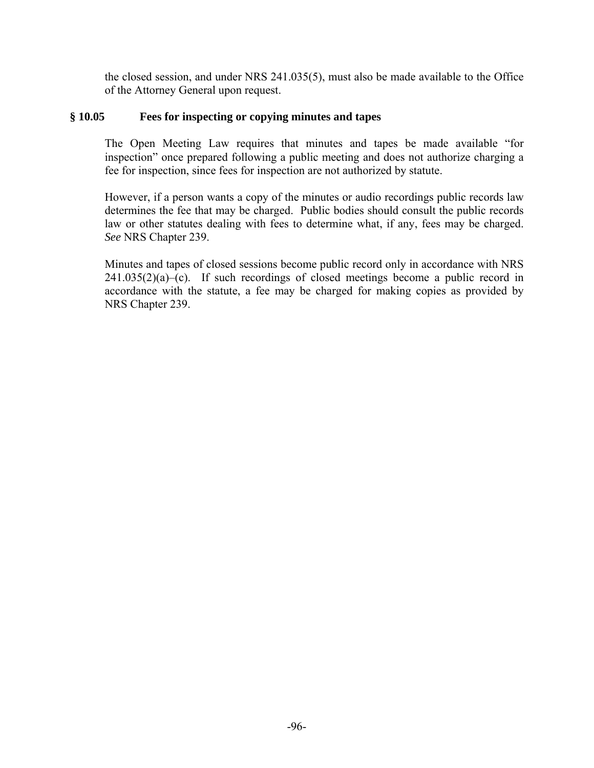the closed session, and under NRS 241.035(5), must also be made available to the Office of the Attorney General upon request.

# **§ 10.05 Fees for inspecting or copying minutes and tapes**

The Open Meeting Law requires that minutes and tapes be made available "for inspection" once prepared following a public meeting and does not authorize charging a fee for inspection, since fees for inspection are not authorized by statute.

However, if a person wants a copy of the minutes or audio recordings public records law determines the fee that may be charged. Public bodies should consult the public records law or other statutes dealing with fees to determine what, if any, fees may be charged. *See* NRS Chapter 239.

Minutes and tapes of closed sessions become public record only in accordance with NRS  $241.035(2)(a)$ –(c). If such recordings of closed meetings become a public record in accordance with the statute, a fee may be charged for making copies as provided by NRS Chapter 239.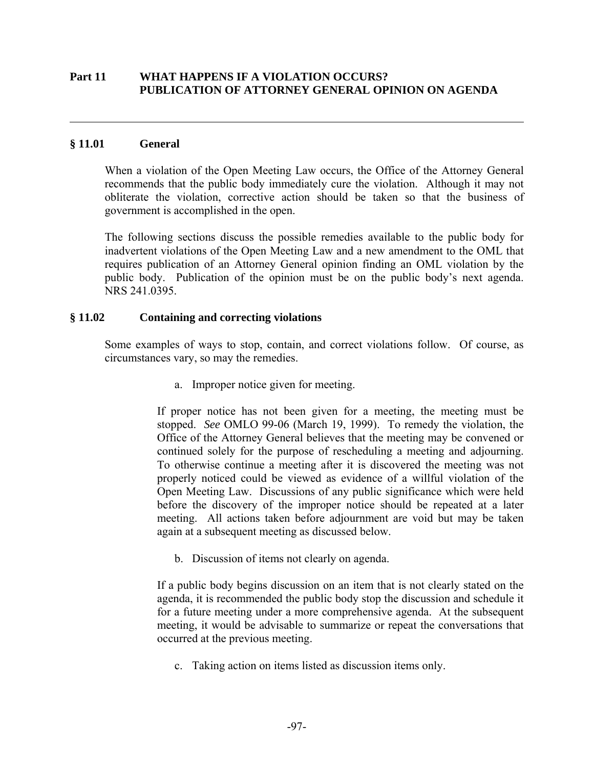## **Part 11 WHAT HAPPENS IF A VIOLATION OCCURS? PUBLICATION OF ATTORNEY GENERAL OPINION ON AGENDA**

## **§ 11.01 General**

 $\overline{a}$ 

When a violation of the Open Meeting Law occurs, the Office of the Attorney General recommends that the public body immediately cure the violation. Although it may not obliterate the violation, corrective action should be taken so that the business of government is accomplished in the open.

The following sections discuss the possible remedies available to the public body for inadvertent violations of the Open Meeting Law and a new amendment to the OML that requires publication of an Attorney General opinion finding an OML violation by the public body. Publication of the opinion must be on the public body's next agenda. NRS 241.0395.

### **§ 11.02 Containing and correcting violations**

Some examples of ways to stop, contain, and correct violations follow. Of course, as circumstances vary, so may the remedies.

a. Improper notice given for meeting.

If proper notice has not been given for a meeting, the meeting must be stopped. *See* OMLO 99-06 (March 19, 1999). To remedy the violation, the Office of the Attorney General believes that the meeting may be convened or continued solely for the purpose of rescheduling a meeting and adjourning. To otherwise continue a meeting after it is discovered the meeting was not properly noticed could be viewed as evidence of a willful violation of the Open Meeting Law. Discussions of any public significance which were held before the discovery of the improper notice should be repeated at a later meeting. All actions taken before adjournment are void but may be taken again at a subsequent meeting as discussed below.

b. Discussion of items not clearly on agenda.

If a public body begins discussion on an item that is not clearly stated on the agenda, it is recommended the public body stop the discussion and schedule it for a future meeting under a more comprehensive agenda. At the subsequent meeting, it would be advisable to summarize or repeat the conversations that occurred at the previous meeting.

c. Taking action on items listed as discussion items only.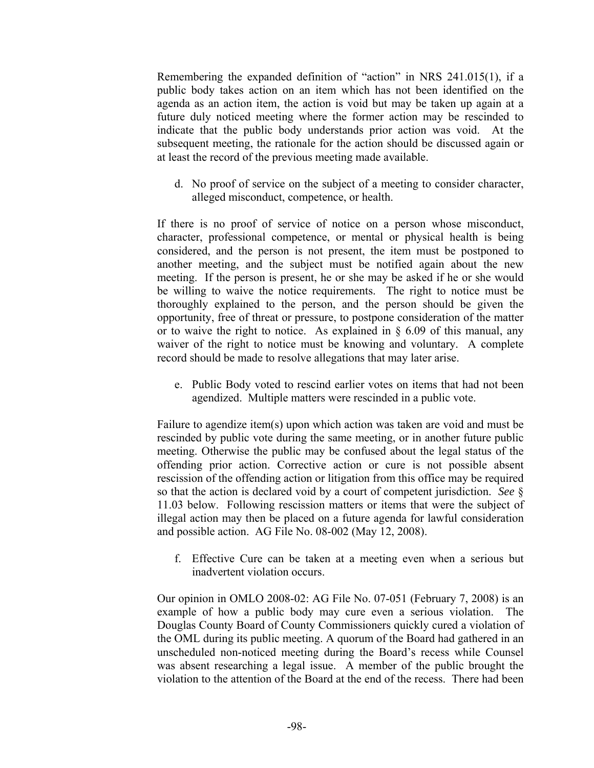Remembering the expanded definition of "action" in NRS 241.015(1), if a public body takes action on an item which has not been identified on the agenda as an action item, the action is void but may be taken up again at a future duly noticed meeting where the former action may be rescinded to indicate that the public body understands prior action was void. At the subsequent meeting, the rationale for the action should be discussed again or at least the record of the previous meeting made available.

d. No proof of service on the subject of a meeting to consider character, alleged misconduct, competence, or health.

If there is no proof of service of notice on a person whose misconduct, character, professional competence, or mental or physical health is being considered, and the person is not present, the item must be postponed to another meeting, and the subject must be notified again about the new meeting. If the person is present, he or she may be asked if he or she would be willing to waive the notice requirements. The right to notice must be thoroughly explained to the person, and the person should be given the opportunity, free of threat or pressure, to postpone consideration of the matter or to waive the right to notice. As explained in  $\S$  6.09 of this manual, any waiver of the right to notice must be knowing and voluntary. A complete record should be made to resolve allegations that may later arise.

e. Public Body voted to rescind earlier votes on items that had not been agendized. Multiple matters were rescinded in a public vote.

Failure to agendize item(s) upon which action was taken are void and must be rescinded by public vote during the same meeting, or in another future public meeting. Otherwise the public may be confused about the legal status of the offending prior action. Corrective action or cure is not possible absent rescission of the offending action or litigation from this office may be required so that the action is declared void by a court of competent jurisdiction. *See* § 11.03 below. Following rescission matters or items that were the subject of illegal action may then be placed on a future agenda for lawful consideration and possible action. AG File No. 08-002 (May 12, 2008).

 f. Effective Cure can be taken at a meeting even when a serious but inadvertent violation occurs.

Our opinion in OMLO 2008-02: AG File No. 07-051 (February 7, 2008) is an example of how a public body may cure even a serious violation. The Douglas County Board of County Commissioners quickly cured a violation of the OML during its public meeting. A quorum of the Board had gathered in an unscheduled non-noticed meeting during the Board's recess while Counsel was absent researching a legal issue. A member of the public brought the violation to the attention of the Board at the end of the recess. There had been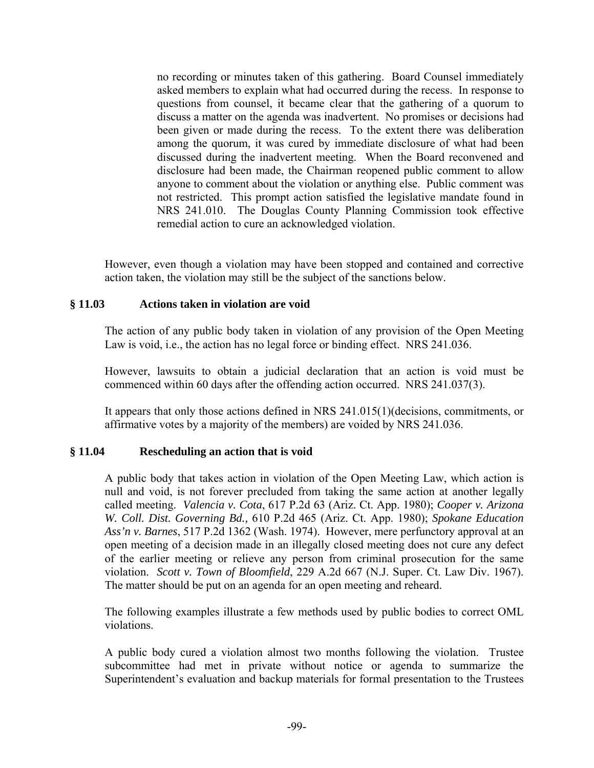no recording or minutes taken of this gathering. Board Counsel immediately asked members to explain what had occurred during the recess. In response to questions from counsel, it became clear that the gathering of a quorum to discuss a matter on the agenda was inadvertent. No promises or decisions had been given or made during the recess. To the extent there was deliberation among the quorum, it was cured by immediate disclosure of what had been discussed during the inadvertent meeting. When the Board reconvened and disclosure had been made, the Chairman reopened public comment to allow anyone to comment about the violation or anything else. Public comment was not restricted. This prompt action satisfied the legislative mandate found in NRS 241.010. The Douglas County Planning Commission took effective remedial action to cure an acknowledged violation.

However, even though a violation may have been stopped and contained and corrective action taken, the violation may still be the subject of the sanctions below.

# **§ 11.03 Actions taken in violation are void**

The action of any public body taken in violation of any provision of the Open Meeting Law is void, i.e., the action has no legal force or binding effect. NRS 241.036.

However, lawsuits to obtain a judicial declaration that an action is void must be commenced within 60 days after the offending action occurred. NRS 241.037(3).

It appears that only those actions defined in NRS 241.015(1)(decisions, commitments, or affirmative votes by a majority of the members) are voided by NRS 241.036.

# **§ 11.04 Rescheduling an action that is void**

A public body that takes action in violation of the Open Meeting Law, which action is null and void, is not forever precluded from taking the same action at another legally called meeting. *Valencia v. Cota*, 617 P.2d 63 (Ariz. Ct. App. 1980); *Cooper v. Arizona W. Coll. Dist. Governing Bd.,* 610 P.2d 465 (Ariz. Ct. App. 1980); *Spokane Education Ass'n v. Barnes*, 517 P.2d 1362 (Wash. 1974). However, mere perfunctory approval at an open meeting of a decision made in an illegally closed meeting does not cure any defect of the earlier meeting or relieve any person from criminal prosecution for the same violation. *Scott v. Town of Bloomfield*, 229 A.2d 667 (N.J. Super. Ct. Law Div. 1967). The matter should be put on an agenda for an open meeting and reheard.

The following examples illustrate a few methods used by public bodies to correct OML violations.

A public body cured a violation almost two months following the violation. Trustee subcommittee had met in private without notice or agenda to summarize the Superintendent's evaluation and backup materials for formal presentation to the Trustees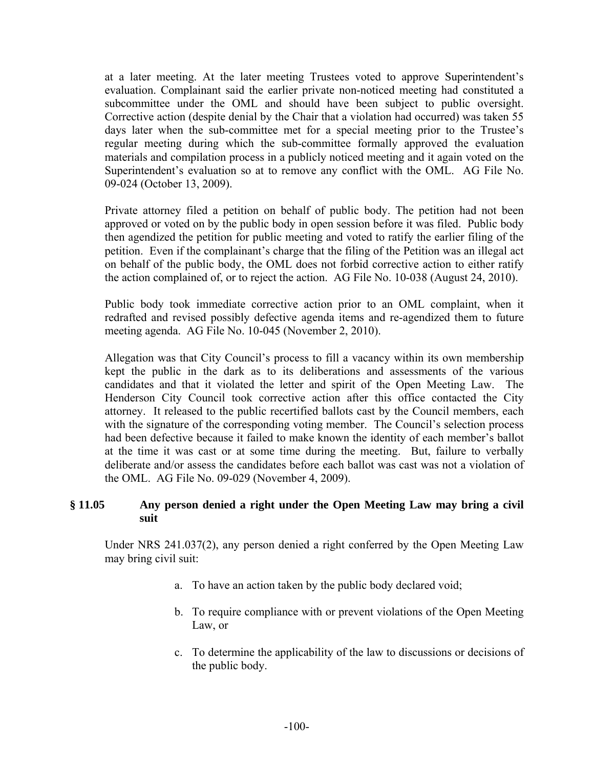at a later meeting. At the later meeting Trustees voted to approve Superintendent's evaluation. Complainant said the earlier private non-noticed meeting had constituted a subcommittee under the OML and should have been subject to public oversight. Corrective action (despite denial by the Chair that a violation had occurred) was taken 55 days later when the sub-committee met for a special meeting prior to the Trustee's regular meeting during which the sub-committee formally approved the evaluation materials and compilation process in a publicly noticed meeting and it again voted on the Superintendent's evaluation so at to remove any conflict with the OML. AG File No. 09-024 (October 13, 2009).

Private attorney filed a petition on behalf of public body. The petition had not been approved or voted on by the public body in open session before it was filed. Public body then agendized the petition for public meeting and voted to ratify the earlier filing of the petition. Even if the complainant's charge that the filing of the Petition was an illegal act on behalf of the public body, the OML does not forbid corrective action to either ratify the action complained of, or to reject the action. AG File No. 10-038 (August 24, 2010).

Public body took immediate corrective action prior to an OML complaint, when it redrafted and revised possibly defective agenda items and re-agendized them to future meeting agenda. AG File No. 10-045 (November 2, 2010).

Allegation was that City Council's process to fill a vacancy within its own membership kept the public in the dark as to its deliberations and assessments of the various candidates and that it violated the letter and spirit of the Open Meeting Law. The Henderson City Council took corrective action after this office contacted the City attorney. It released to the public recertified ballots cast by the Council members, each with the signature of the corresponding voting member. The Council's selection process had been defective because it failed to make known the identity of each member's ballot at the time it was cast or at some time during the meeting. But, failure to verbally deliberate and/or assess the candidates before each ballot was cast was not a violation of the OML. AG File No. 09-029 (November 4, 2009).

## **§ 11.05 Any person denied a right under the Open Meeting Law may bring a civil suit**

Under NRS 241.037(2), any person denied a right conferred by the Open Meeting Law may bring civil suit:

- a. To have an action taken by the public body declared void;
- b. To require compliance with or prevent violations of the Open Meeting Law, or
- c. To determine the applicability of the law to discussions or decisions of the public body.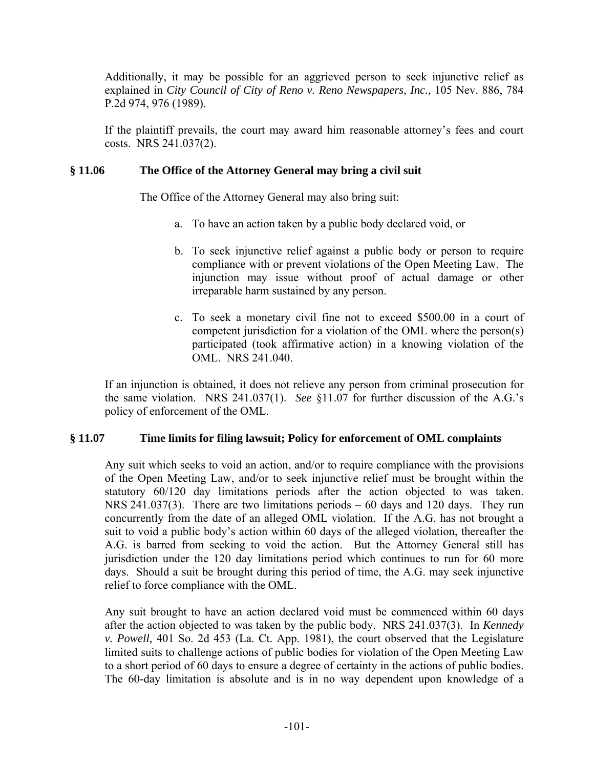Additionally, it may be possible for an aggrieved person to seek injunctive relief as explained in *City Council of City of Reno v. Reno Newspapers, Inc.,* 105 Nev. 886, 784 P.2d 974, 976 (1989).

If the plaintiff prevails, the court may award him reasonable attorney's fees and court costs. NRS 241.037(2).

# **§ 11.06 The Office of the Attorney General may bring a civil suit**

The Office of the Attorney General may also bring suit:

- a. To have an action taken by a public body declared void, or
- b. To seek injunctive relief against a public body or person to require compliance with or prevent violations of the Open Meeting Law. The injunction may issue without proof of actual damage or other irreparable harm sustained by any person.
- c. To seek a monetary civil fine not to exceed \$500.00 in a court of competent jurisdiction for a violation of the OML where the person(s) participated (took affirmative action) in a knowing violation of the OML. NRS 241.040.

If an injunction is obtained, it does not relieve any person from criminal prosecution for the same violation. NRS 241.037(1). *See* §11.07 for further discussion of the A.G.'s policy of enforcement of the OML.

# **§ 11.07 Time limits for filing lawsuit; Policy for enforcement of OML complaints**

Any suit which seeks to void an action, and/or to require compliance with the provisions of the Open Meeting Law, and/or to seek injunctive relief must be brought within the statutory 60/120 day limitations periods after the action objected to was taken. NRS 241.037(3). There are two limitations periods – 60 days and 120 days. They run concurrently from the date of an alleged OML violation. If the A.G. has not brought a suit to void a public body's action within 60 days of the alleged violation, thereafter the A.G. is barred from seeking to void the action. But the Attorney General still has jurisdiction under the 120 day limitations period which continues to run for 60 more days. Should a suit be brought during this period of time, the A.G. may seek injunctive relief to force compliance with the OML.

Any suit brought to have an action declared void must be commenced within 60 days after the action objected to was taken by the public body. NRS 241.037(3). In *Kennedy v. Powell,* 401 So. 2d 453 (La. Ct. App. 1981), the court observed that the Legislature limited suits to challenge actions of public bodies for violation of the Open Meeting Law to a short period of 60 days to ensure a degree of certainty in the actions of public bodies. The 60-day limitation is absolute and is in no way dependent upon knowledge of a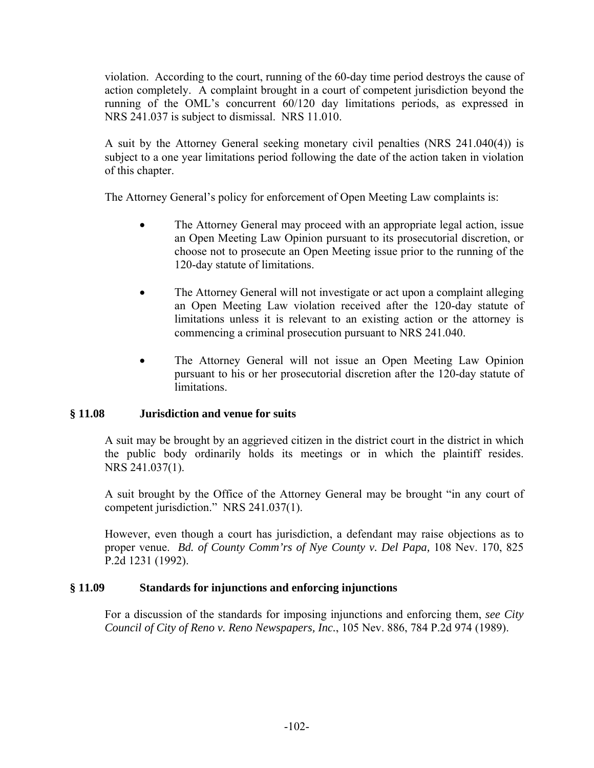violation. According to the court, running of the 60-day time period destroys the cause of action completely. A complaint brought in a court of competent jurisdiction beyond the running of the OML's concurrent 60/120 day limitations periods, as expressed in NRS 241.037 is subject to dismissal. NRS 11.010.

A suit by the Attorney General seeking monetary civil penalties (NRS 241.040(4)) is subject to a one year limitations period following the date of the action taken in violation of this chapter.

The Attorney General's policy for enforcement of Open Meeting Law complaints is:

- The Attorney General may proceed with an appropriate legal action, issue an Open Meeting Law Opinion pursuant to its prosecutorial discretion, or choose not to prosecute an Open Meeting issue prior to the running of the 120-day statute of limitations.
- The Attorney General will not investigate or act upon a complaint alleging an Open Meeting Law violation received after the 120-day statute of limitations unless it is relevant to an existing action or the attorney is commencing a criminal prosecution pursuant to NRS 241.040.
- The Attorney General will not issue an Open Meeting Law Opinion pursuant to his or her prosecutorial discretion after the 120-day statute of limitations.

# **§ 11.08 Jurisdiction and venue for suits**

A suit may be brought by an aggrieved citizen in the district court in the district in which the public body ordinarily holds its meetings or in which the plaintiff resides. NRS 241.037(1).

A suit brought by the Office of the Attorney General may be brought "in any court of competent jurisdiction." NRS 241.037(1).

However, even though a court has jurisdiction, a defendant may raise objections as to proper venue. *Bd. of County Comm'rs of Nye County v. Del Papa,* 108 Nev. 170, 825 P.2d 1231 (1992).

# **§ 11.09 Standards for injunctions and enforcing injunctions**

For a discussion of the standards for imposing injunctions and enforcing them, *see City Council of City of Reno v. Reno Newspapers, Inc.*, 105 Nev. 886, 784 P.2d 974 (1989).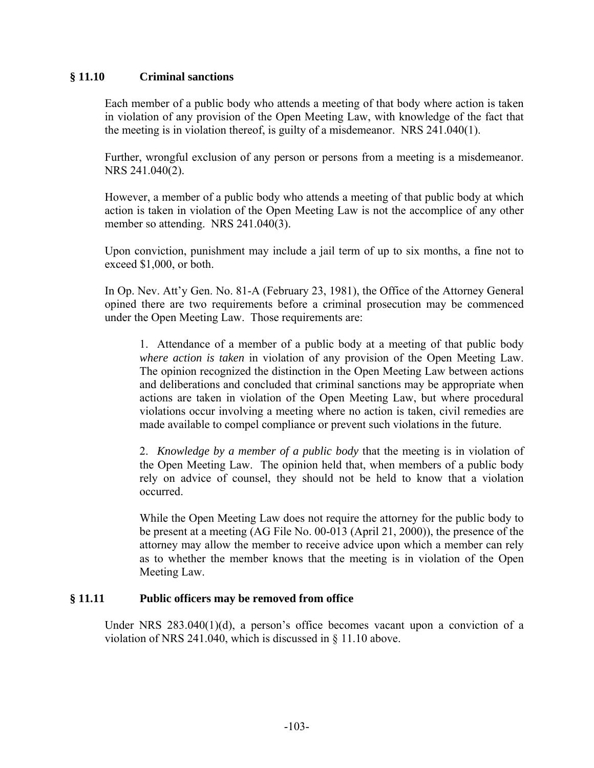## **§ 11.10 Criminal sanctions**

Each member of a public body who attends a meeting of that body where action is taken in violation of any provision of the Open Meeting Law, with knowledge of the fact that the meeting is in violation thereof, is guilty of a misdemeanor. NRS 241.040(1).

Further, wrongful exclusion of any person or persons from a meeting is a misdemeanor. NRS 241.040(2).

However, a member of a public body who attends a meeting of that public body at which action is taken in violation of the Open Meeting Law is not the accomplice of any other member so attending. NRS 241.040(3).

Upon conviction, punishment may include a jail term of up to six months, a fine not to exceed \$1,000, or both.

In Op. Nev. Att'y Gen. No. 81-A (February 23, 1981), the Office of the Attorney General opined there are two requirements before a criminal prosecution may be commenced under the Open Meeting Law. Those requirements are:

1. Attendance of a member of a public body at a meeting of that public body *where action is taken* in violation of any provision of the Open Meeting Law. The opinion recognized the distinction in the Open Meeting Law between actions and deliberations and concluded that criminal sanctions may be appropriate when actions are taken in violation of the Open Meeting Law, but where procedural violations occur involving a meeting where no action is taken, civil remedies are made available to compel compliance or prevent such violations in the future.

2. *Knowledge by a member of a public body* that the meeting is in violation of the Open Meeting Law. The opinion held that, when members of a public body rely on advice of counsel, they should not be held to know that a violation occurred.

While the Open Meeting Law does not require the attorney for the public body to be present at a meeting (AG File No. 00-013 (April 21, 2000)), the presence of the attorney may allow the member to receive advice upon which a member can rely as to whether the member knows that the meeting is in violation of the Open Meeting Law.

### **§ 11.11 Public officers may be removed from office**

Under NRS  $283.040(1)(d)$ , a person's office becomes vacant upon a conviction of a violation of NRS 241.040, which is discussed in § 11.10 above.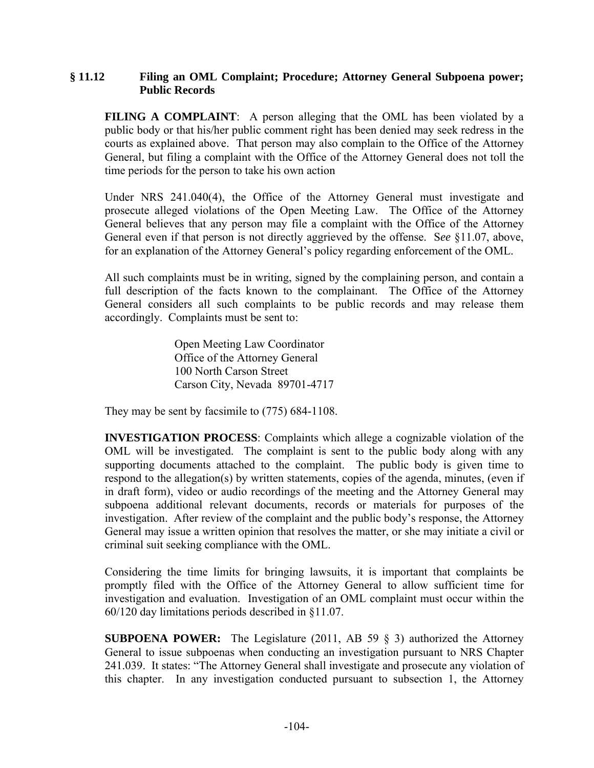## **§ 11.12 Filing an OML Complaint; Procedure; Attorney General Subpoena power; Public Records**

**FILING A COMPLAINT:** A person alleging that the OML has been violated by a public body or that his/her public comment right has been denied may seek redress in the courts as explained above. That person may also complain to the Office of the Attorney General, but filing a complaint with the Office of the Attorney General does not toll the time periods for the person to take his own action

Under NRS 241.040(4), the Office of the Attorney General must investigate and prosecute alleged violations of the Open Meeting Law. The Office of the Attorney General believes that any person may file a complaint with the Office of the Attorney General even if that person is not directly aggrieved by the offense. S*ee* §11.07, above, for an explanation of the Attorney General's policy regarding enforcement of the OML.

All such complaints must be in writing, signed by the complaining person, and contain a full description of the facts known to the complainant. The Office of the Attorney General considers all such complaints to be public records and may release them accordingly. Complaints must be sent to:

> Open Meeting Law Coordinator Office of the Attorney General 100 North Carson Street Carson City, Nevada 89701-4717

They may be sent by facsimile to (775) 684-1108.

**INVESTIGATION PROCESS**: Complaints which allege a cognizable violation of the OML will be investigated. The complaint is sent to the public body along with any supporting documents attached to the complaint. The public body is given time to respond to the allegation(s) by written statements, copies of the agenda, minutes, (even if in draft form), video or audio recordings of the meeting and the Attorney General may subpoena additional relevant documents, records or materials for purposes of the investigation. After review of the complaint and the public body's response, the Attorney General may issue a written opinion that resolves the matter, or she may initiate a civil or criminal suit seeking compliance with the OML.

Considering the time limits for bringing lawsuits, it is important that complaints be promptly filed with the Office of the Attorney General to allow sufficient time for investigation and evaluation. Investigation of an OML complaint must occur within the 60/120 day limitations periods described in §11.07.

**SUBPOENA POWER:** The Legislature (2011, AB 59  $\S$  3) authorized the Attorney General to issue subpoenas when conducting an investigation pursuant to NRS Chapter 241.039. It states: "The Attorney General shall investigate and prosecute any violation of this chapter. In any investigation conducted pursuant to subsection 1, the Attorney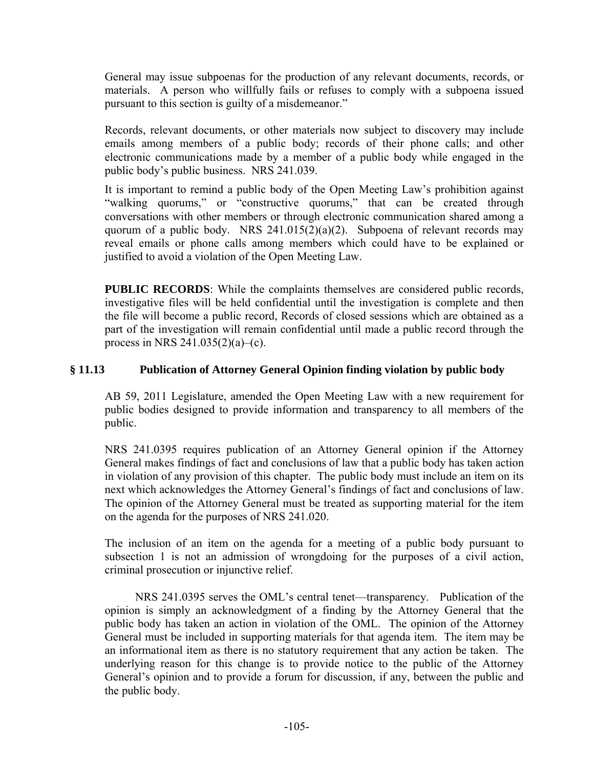General may issue subpoenas for the production of any relevant documents, records, or materials. A person who willfully fails or refuses to comply with a subpoena issued pursuant to this section is guilty of a misdemeanor."

Records, relevant documents, or other materials now subject to discovery may include emails among members of a public body; records of their phone calls; and other electronic communications made by a member of a public body while engaged in the public body's public business. NRS 241.039.

It is important to remind a public body of the Open Meeting Law's prohibition against "walking quorums," or "constructive quorums," that can be created through conversations with other members or through electronic communication shared among a quorum of a public body. NRS  $241.015(2)(a)(2)$ . Subpoena of relevant records may reveal emails or phone calls among members which could have to be explained or justified to avoid a violation of the Open Meeting Law.

**PUBLIC RECORDS**: While the complaints themselves are considered public records, investigative files will be held confidential until the investigation is complete and then the file will become a public record, Records of closed sessions which are obtained as a part of the investigation will remain confidential until made a public record through the process in NRS 241.035(2)(a)–(c).

# **§ 11.13 Publication of Attorney General Opinion finding violation by public body**

AB 59, 2011 Legislature, amended the Open Meeting Law with a new requirement for public bodies designed to provide information and transparency to all members of the public.

NRS 241.0395 requires publication of an Attorney General opinion if the Attorney General makes findings of fact and conclusions of law that a public body has taken action in violation of any provision of this chapter. The public body must include an item on its next which acknowledges the Attorney General's findings of fact and conclusions of law. The opinion of the Attorney General must be treated as supporting material for the item on the agenda for the purposes of NRS 241.020.

The inclusion of an item on the agenda for a meeting of a public body pursuant to subsection 1 is not an admission of wrongdoing for the purposes of a civil action, criminal prosecution or injunctive relief.

 NRS 241.0395 serves the OML's central tenet—transparency. Publication of the opinion is simply an acknowledgment of a finding by the Attorney General that the public body has taken an action in violation of the OML. The opinion of the Attorney General must be included in supporting materials for that agenda item. The item may be an informational item as there is no statutory requirement that any action be taken. The underlying reason for this change is to provide notice to the public of the Attorney General's opinion and to provide a forum for discussion, if any, between the public and the public body.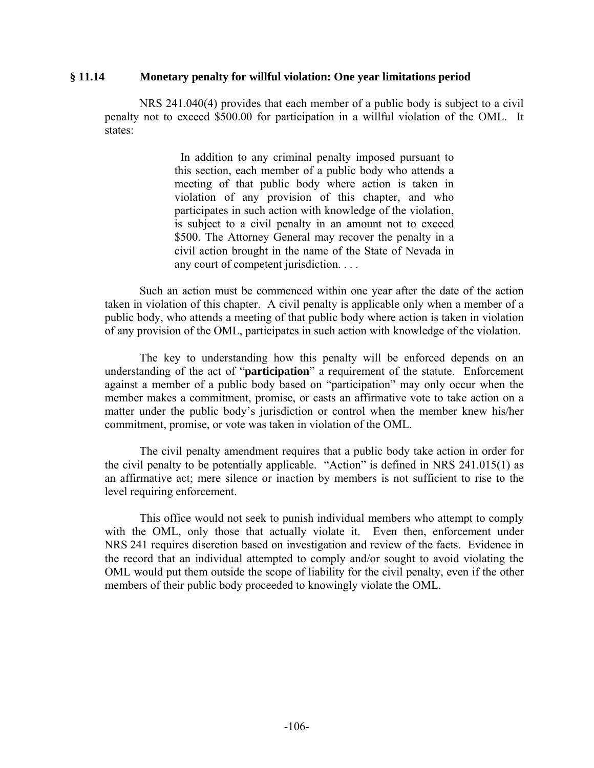#### **§ 11.14 Monetary penalty for willful violation: One year limitations period**

NRS 241.040(4) provides that each member of a public body is subject to a civil penalty not to exceed \$500.00 for participation in a willful violation of the OML. It states:

> In addition to any criminal penalty imposed pursuant to this section, each member of a public body who attends a meeting of that public body where action is taken in violation of any provision of this chapter, and who participates in such action with knowledge of the violation, is subject to a civil penalty in an amount not to exceed \$500. The Attorney General may recover the penalty in a civil action brought in the name of the State of Nevada in any court of competent jurisdiction. . . .

 Such an action must be commenced within one year after the date of the action taken in violation of this chapter. A civil penalty is applicable only when a member of a public body, who attends a meeting of that public body where action is taken in violation of any provision of the OML, participates in such action with knowledge of the violation.

The key to understanding how this penalty will be enforced depends on an understanding of the act of "**participation**" a requirement of the statute. Enforcement against a member of a public body based on "participation" may only occur when the member makes a commitment, promise, or casts an affirmative vote to take action on a matter under the public body's jurisdiction or control when the member knew his/her commitment, promise, or vote was taken in violation of the OML.

 The civil penalty amendment requires that a public body take action in order for the civil penalty to be potentially applicable. "Action" is defined in NRS 241.015(1) as an affirmative act; mere silence or inaction by members is not sufficient to rise to the level requiring enforcement.

 This office would not seek to punish individual members who attempt to comply with the OML, only those that actually violate it. Even then, enforcement under NRS 241 requires discretion based on investigation and review of the facts. Evidence in the record that an individual attempted to comply and/or sought to avoid violating the OML would put them outside the scope of liability for the civil penalty, even if the other members of their public body proceeded to knowingly violate the OML.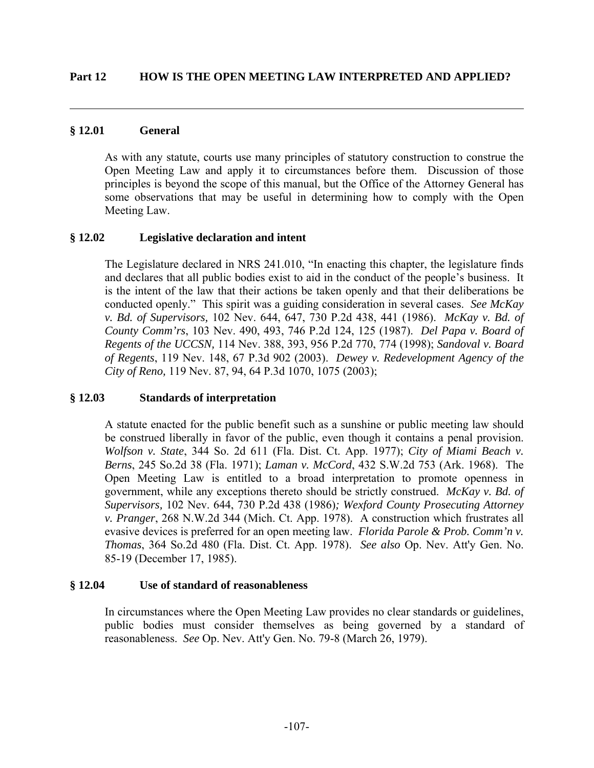## **§ 12.01 General**

 $\overline{a}$ 

As with any statute, courts use many principles of statutory construction to construe the Open Meeting Law and apply it to circumstances before them. Discussion of those principles is beyond the scope of this manual, but the Office of the Attorney General has some observations that may be useful in determining how to comply with the Open Meeting Law.

# **§ 12.02 Legislative declaration and intent**

The Legislature declared in NRS 241.010, "In enacting this chapter, the legislature finds and declares that all public bodies exist to aid in the conduct of the people's business. It is the intent of the law that their actions be taken openly and that their deliberations be conducted openly." This spirit was a guiding consideration in several cases. *See McKay v. Bd. of Supervisors,* 102 Nev. 644, 647, 730 P.2d 438, 441 (1986). *McKay v. Bd. of County Comm'rs*, 103 Nev. 490, 493, 746 P.2d 124, 125 (1987). *Del Papa v. Board of Regents of the UCCSN,* 114 Nev. 388, 393, 956 P.2d 770, 774 (1998); *Sandoval v. Board of Regents*, 119 Nev. 148, 67 P.3d 902 (2003). *Dewey v. Redevelopment Agency of the City of Reno,* 119 Nev. 87, 94, 64 P.3d 1070, 1075 (2003);

# **§ 12.03 Standards of interpretation**

A statute enacted for the public benefit such as a sunshine or public meeting law should be construed liberally in favor of the public, even though it contains a penal provision. *Wolfson v. State*, 344 So. 2d 611 (Fla. Dist. Ct. App. 1977); *City of Miami Beach v. Berns*, 245 So.2d 38 (Fla. 1971); *Laman v. McCord*, 432 S.W.2d 753 (Ark. 1968). The Open Meeting Law is entitled to a broad interpretation to promote openness in government, while any exceptions thereto should be strictly construed. *McKay v. Bd. of Supervisors,* 102 Nev. 644, 730 P.2d 438 (1986)*; Wexford County Prosecuting Attorney v. Pranger*, 268 N.W.2d 344 (Mich. Ct. App. 1978). A construction which frustrates all evasive devices is preferred for an open meeting law. *Florida Parole & Prob. Comm'n v. Thomas*, 364 So.2d 480 (Fla. Dist. Ct. App. 1978). *See also* Op. Nev. Att'y Gen. No. 85-19 (December 17, 1985).

### **§ 12.04 Use of standard of reasonableness**

In circumstances where the Open Meeting Law provides no clear standards or guidelines, public bodies must consider themselves as being governed by a standard of reasonableness. *See* Op. Nev. Att'y Gen. No. 79-8 (March 26, 1979).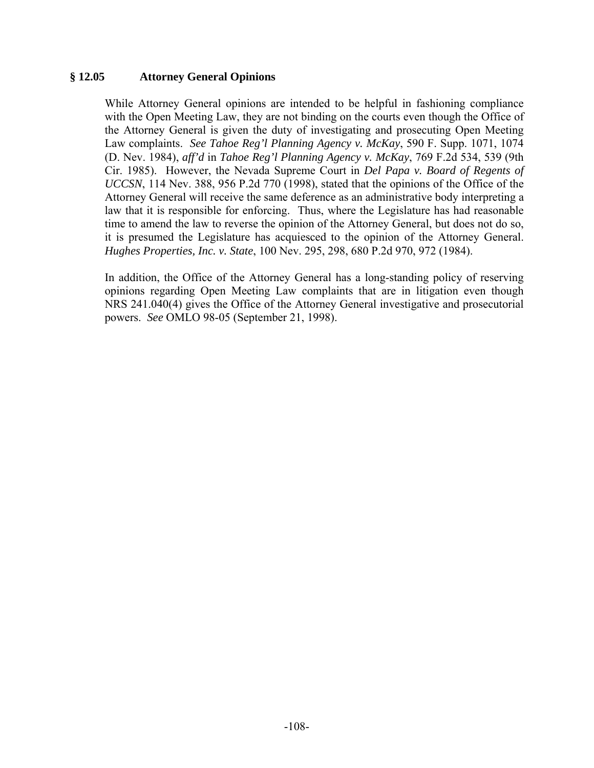## **§ 12.05 Attorney General Opinions**

While Attorney General opinions are intended to be helpful in fashioning compliance with the Open Meeting Law, they are not binding on the courts even though the Office of the Attorney General is given the duty of investigating and prosecuting Open Meeting Law complaints. *See Tahoe Reg'l Planning Agency v. McKay*, 590 F. Supp. 1071, 1074 (D. Nev. 1984), *aff'd* in *Tahoe Reg'l Planning Agency v. McKay*, 769 F.2d 534, 539 (9th Cir. 1985). However, the Nevada Supreme Court in *Del Papa v. Board of Regents of UCCSN*, 114 Nev. 388, 956 P.2d 770 (1998), stated that the opinions of the Office of the Attorney General will receive the same deference as an administrative body interpreting a law that it is responsible for enforcing. Thus, where the Legislature has had reasonable time to amend the law to reverse the opinion of the Attorney General, but does not do so, it is presumed the Legislature has acquiesced to the opinion of the Attorney General. *Hughes Properties, Inc. v. State*, 100 Nev. 295, 298, 680 P.2d 970, 972 (1984).

In addition, the Office of the Attorney General has a long-standing policy of reserving opinions regarding Open Meeting Law complaints that are in litigation even though NRS 241.040(4) gives the Office of the Attorney General investigative and prosecutorial powers. *See* OMLO 98-05 (September 21, 1998).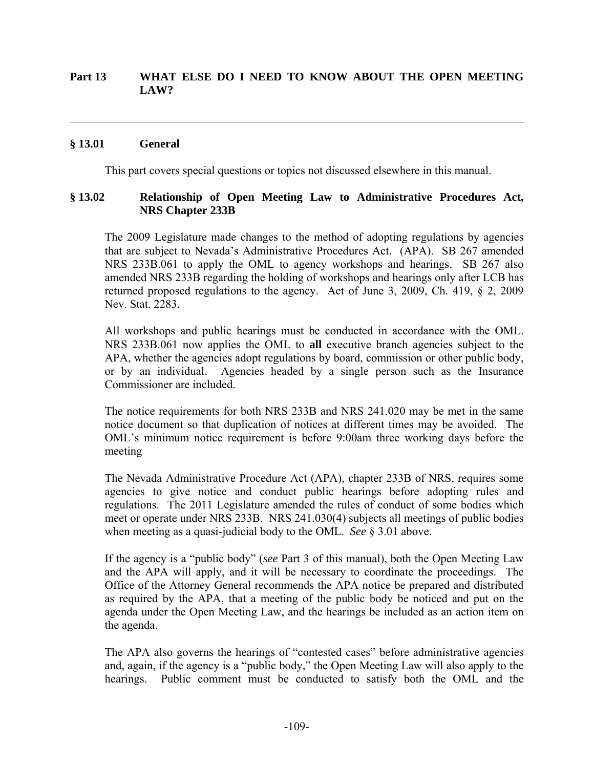## **Part 13 WHAT ELSE DO I NEED TO KNOW ABOUT THE OPEN MEETING LAW?**

## **§ 13.01 General**

 $\overline{a}$ 

This part covers special questions or topics not discussed elsewhere in this manual.

## **§ 13.02 Relationship of Open Meeting Law to Administrative Procedures Act, NRS Chapter 233B**

The 2009 Legislature made changes to the method of adopting regulations by agencies that are subject to Nevada's Administrative Procedures Act. (APA). SB 267 amended NRS 233B.061 to apply the OML to agency workshops and hearings. SB 267 also amended NRS 233B regarding the holding of workshops and hearings only after LCB has returned proposed regulations to the agency. Act of June 3, 2009, Ch. 419, § 2, 2009 Nev. Stat. 2283.

All workshops and public hearings must be conducted in accordance with the OML. NRS 233B.061 now applies the OML to **all** executive branch agencies subject to the APA, whether the agencies adopt regulations by board, commission or other public body, or by an individual. Agencies headed by a single person such as the Insurance Commissioner are included.

The notice requirements for both NRS 233B and NRS 241.020 may be met in the same notice document so that duplication of notices at different times may be avoided. The OML's minimum notice requirement is before 9:00am three working days before the meeting

The Nevada Administrative Procedure Act (APA), chapter 233B of NRS, requires some agencies to give notice and conduct public hearings before adopting rules and regulations. The 2011 Legislature amended the rules of conduct of some bodies which meet or operate under NRS 233B. NRS 241.030(4) subjects all meetings of public bodies when meeting as a quasi-judicial body to the OML. *See* § 3.01 above.

If the agency is a "public body" (*see* Part 3 of this manual), both the Open Meeting Law and the APA will apply, and it will be necessary to coordinate the proceedings. The Office of the Attorney General recommends the APA notice be prepared and distributed as required by the APA, that a meeting of the public body be noticed and put on the agenda under the Open Meeting Law, and the hearings be included as an action item on the agenda.

The APA also governs the hearings of "contested cases" before administrative agencies and, again, if the agency is a "public body," the Open Meeting Law will also apply to the hearings. Public comment must be conducted to satisfy both the OML and the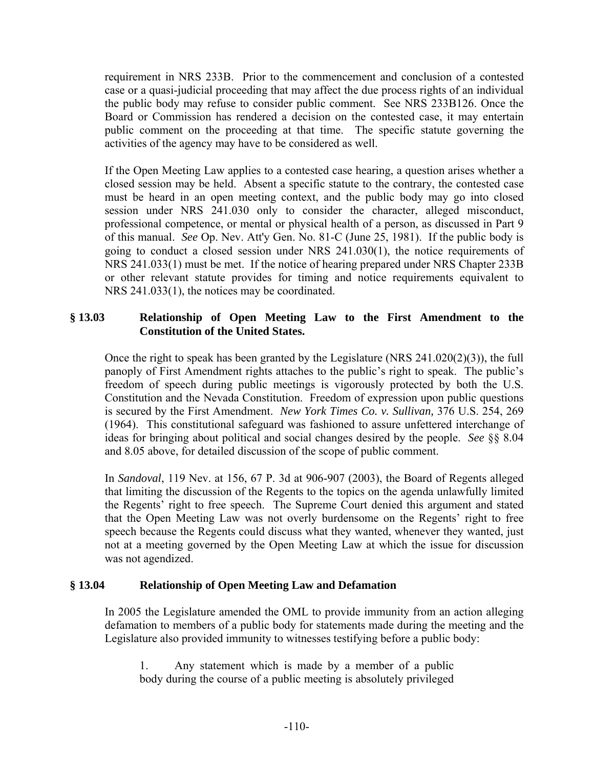requirement in NRS 233B. Prior to the commencement and conclusion of a contested case or a quasi-judicial proceeding that may affect the due process rights of an individual the public body may refuse to consider public comment. See NRS 233B126. Once the Board or Commission has rendered a decision on the contested case, it may entertain public comment on the proceeding at that time. The specific statute governing the activities of the agency may have to be considered as well.

If the Open Meeting Law applies to a contested case hearing, a question arises whether a closed session may be held. Absent a specific statute to the contrary, the contested case must be heard in an open meeting context, and the public body may go into closed session under NRS 241.030 only to consider the character, alleged misconduct, professional competence, or mental or physical health of a person, as discussed in Part 9 of this manual. *See* Op. Nev. Att'y Gen. No. 81-C (June 25, 1981). If the public body is going to conduct a closed session under NRS 241.030(1), the notice requirements of NRS 241.033(1) must be met. If the notice of hearing prepared under NRS Chapter 233B or other relevant statute provides for timing and notice requirements equivalent to NRS 241.033(1), the notices may be coordinated.

## **§ 13.03 Relationship of Open Meeting Law to the First Amendment to the Constitution of the United States.**

Once the right to speak has been granted by the Legislature (NRS 241.020(2)(3)), the full panoply of First Amendment rights attaches to the public's right to speak. The public's freedom of speech during public meetings is vigorously protected by both the U.S. Constitution and the Nevada Constitution. Freedom of expression upon public questions is secured by the First Amendment. *New York Times Co. v. Sullivan,* 376 U.S. 254, 269 (1964). This constitutional safeguard was fashioned to assure unfettered interchange of ideas for bringing about political and social changes desired by the people. *See* §§ 8.04 and 8.05 above, for detailed discussion of the scope of public comment.

In *Sandoval*, 119 Nev. at 156, 67 P. 3d at 906-907 (2003), the Board of Regents alleged that limiting the discussion of the Regents to the topics on the agenda unlawfully limited the Regents' right to free speech. The Supreme Court denied this argument and stated that the Open Meeting Law was not overly burdensome on the Regents' right to free speech because the Regents could discuss what they wanted, whenever they wanted, just not at a meeting governed by the Open Meeting Law at which the issue for discussion was not agendized.

## **§ 13.04 Relationship of Open Meeting Law and Defamation**

In 2005 the Legislature amended the OML to provide immunity from an action alleging defamation to members of a public body for statements made during the meeting and the Legislature also provided immunity to witnesses testifying before a public body:

1. Any statement which is made by a member of a public body during the course of a public meeting is absolutely privileged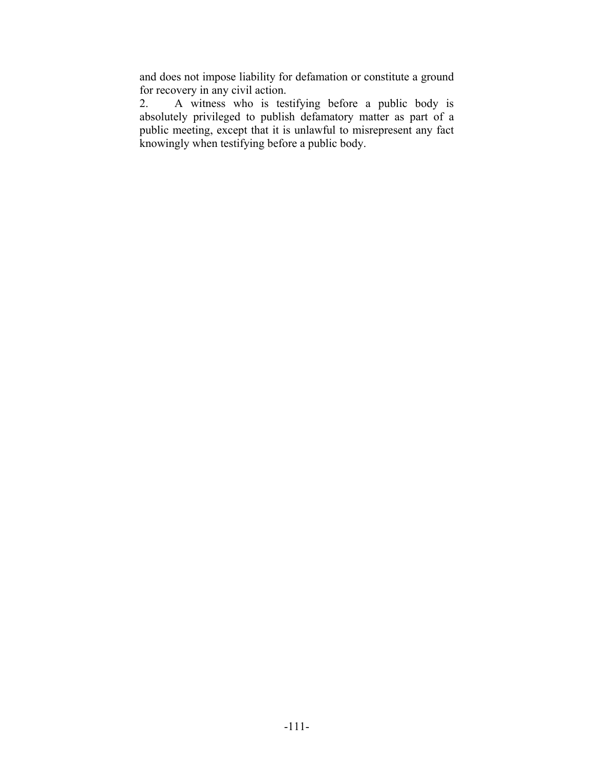and does not impose liability for defamation or constitute a ground for recovery in any civil action.

2. A witness who is testifying before a public body is absolutely privileged to publish defamatory matter as part of a public meeting, except that it is unlawful to misrepresent any fact knowingly when testifying before a public body.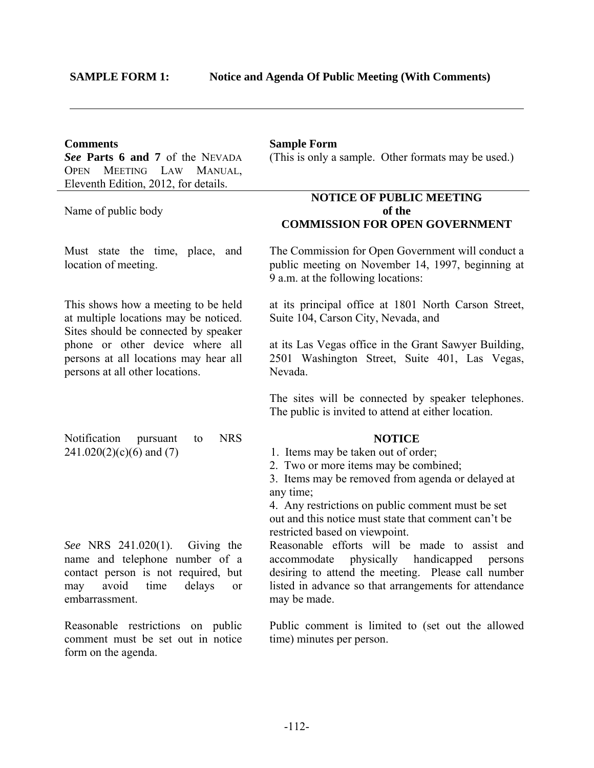$\overline{a}$ 

*See* **Parts 6 and 7** of the NEVADA OPEN MEETING LAW MANUAL, Eleventh Edition, 2012, for details.

Name of public body

#### **Comments Sample Form**

(This is only a sample. Other formats may be used.)

## **NOTICE OF PUBLIC MEETING of the COMMISSION FOR OPEN GOVERNMENT**

Must state the time, place, and location of meeting.

This shows how a meeting to be held at multiple locations may be noticed. Sites should be connected by speaker phone or other device where all persons at all locations may hear all persons at all other locations.

Notification pursuant to NRS  $241.020(2)(c)(6)$  and (7)

 The Commission for Open Government will conduct a public meeting on November 14, 1997, beginning at 9 a.m. at the following locations:

at its principal office at 1801 North Carson Street, Suite 104, Carson City, Nevada, and

at its Las Vegas office in the Grant Sawyer Building, 2501 Washington Street, Suite 401, Las Vegas, Nevada.

The sites will be connected by speaker telephones. The public is invited to attend at either location.

### **NOTICE**

1. Items may be taken out of order;

2. Two or more items may be combined;

3. Items may be removed from agenda or delayed at any time;

4. Any restrictions on public comment must be set out and this notice must state that comment can't be restricted based on viewpoint.

 Reasonable efforts will be made to assist and accommodate physically handicapped persons desiring to attend the meeting. Please call number listed in advance so that arrangements for attendance may be made.

 Public comment is limited to (set out the allowed time) minutes per person.

*See* NRS 241.020(1). Giving the name and telephone number of a contact person is not required, but may avoid time delays or embarrassment.

Reasonable restrictions on public comment must be set out in notice form on the agenda.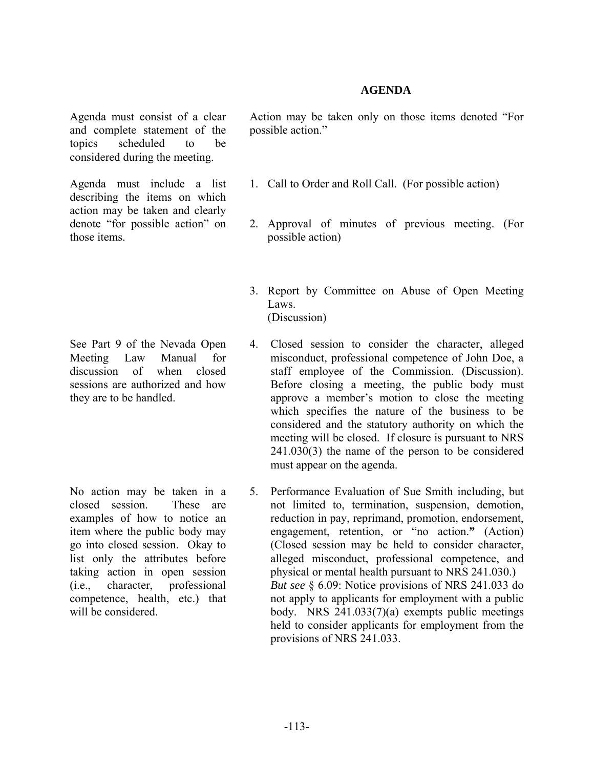## **AGENDA**

Agenda must consist of a clear and complete statement of the topics scheduled to be considered during the meeting.

Agenda must include a list describing the items on which action may be taken and clearly denote "for possible action" on those items.

See Part 9 of the Nevada Open Meeting Law Manual for discussion of when closed sessions are authorized and how they are to be handled.

No action may be taken in a closed session. These are examples of how to notice an item where the public body may go into closed session. Okay to list only the attributes before taking action in open session (i.e., character, professional competence, health, etc.) that will be considered.

Action may be taken only on those items denoted "For possible action."

- 1. Call to Order and Roll Call. (For possible action)
- 2. Approval of minutes of previous meeting. (For possible action)
- 3. Report by Committee on Abuse of Open Meeting Laws. (Discussion)
- 4. Closed session to consider the character, alleged misconduct, professional competence of John Doe, a staff employee of the Commission. (Discussion). Before closing a meeting, the public body must approve a member's motion to close the meeting which specifies the nature of the business to be considered and the statutory authority on which the meeting will be closed. If closure is pursuant to NRS 241.030(3) the name of the person to be considered must appear on the agenda.
- 5. Performance Evaluation of Sue Smith including, but not limited to, termination, suspension, demotion, reduction in pay, reprimand, promotion, endorsement, engagement, retention, or "no action.**"** (Action) (Closed session may be held to consider character, alleged misconduct, professional competence, and physical or mental health pursuant to NRS 241.030.) *But see* § 6.09: Notice provisions of NRS 241.033 do not apply to applicants for employment with a public body. NRS 241.033(7)(a) exempts public meetings held to consider applicants for employment from the provisions of NRS 241.033.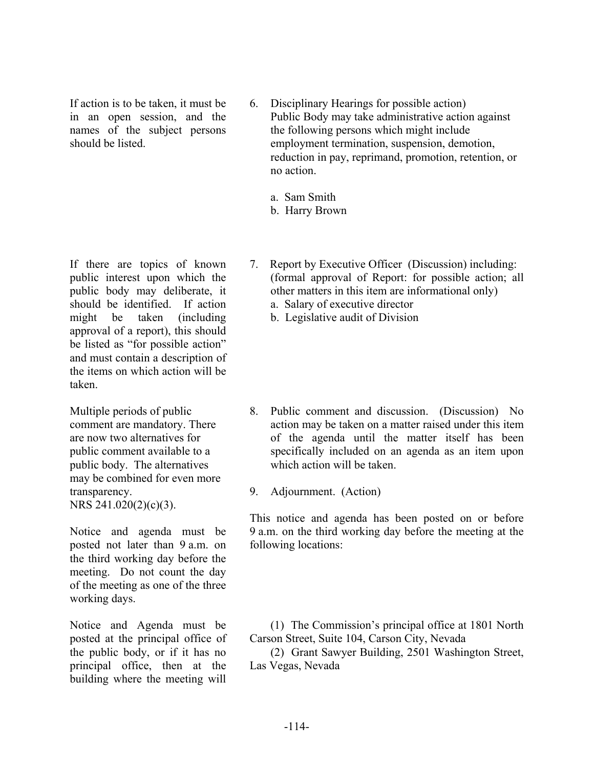If action is to be taken, it must be in an open session, and the names of the subject persons should be listed.

- 6. Disciplinary Hearings for possible action) Public Body may take administrative action against the following persons which might include employment termination, suspension, demotion, reduction in pay, reprimand, promotion, retention, or no action.
	- a. Sam Smith
	- b. Harry Brown

If there are topics of known public interest upon which the public body may deliberate, it should be identified. If action might be taken (including approval of a report), this should be listed as "for possible action" and must contain a description of the items on which action will be taken.

Multiple periods of public comment are mandatory. There are now two alternatives for public comment available to a public body. The alternatives may be combined for even more transparency. NRS 241.020(2)(c)(3).

Notice and agenda must be posted not later than 9 a.m. on the third working day before the meeting. Do not count the day of the meeting as one of the three working days.

Notice and Agenda must be posted at the principal office of the public body, or if it has no principal office, then at the building where the meeting will

- 7. Report by Executive Officer (Discussion) including: (formal approval of Report: for possible action; all other matters in this item are informational only)
	- a. Salary of executive director
	- b. Legislative audit of Division

- 8. Public comment and discussion. (Discussion) No action may be taken on a matter raised under this item of the agenda until the matter itself has been specifically included on an agenda as an item upon which action will be taken.
- 9. Adjournment. (Action)

 This notice and agenda has been posted on or before 9 a.m. on the third working day before the meeting at the following locations:

 (1) The Commission's principal office at 1801 North Carson Street, Suite 104, Carson City, Nevada

 (2) Grant Sawyer Building, 2501 Washington Street, Las Vegas, Nevada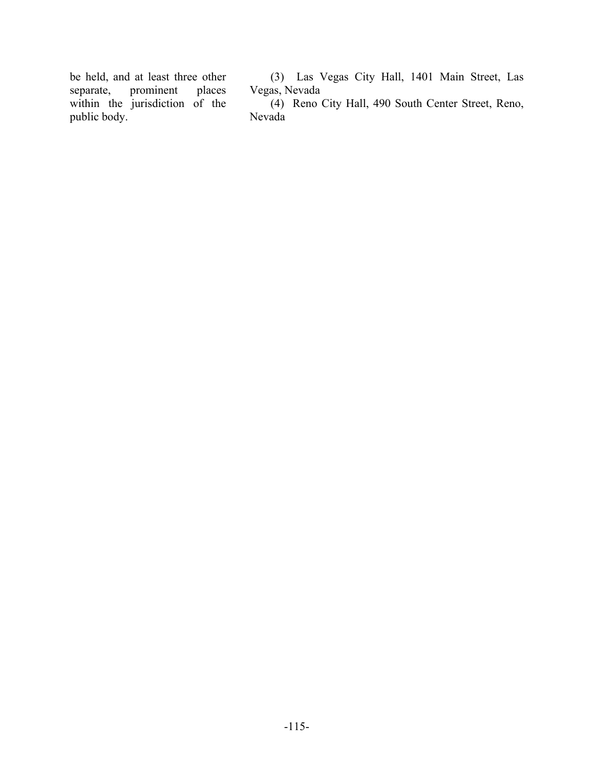be held, and at least three other<br>separate, prominent places separate, prominent within the jurisdiction of the public body.

 (3) Las Vegas City Hall, 1401 Main Street, Las Vegas, Nevada

 (4) Reno City Hall, 490 South Center Street, Reno, Nevada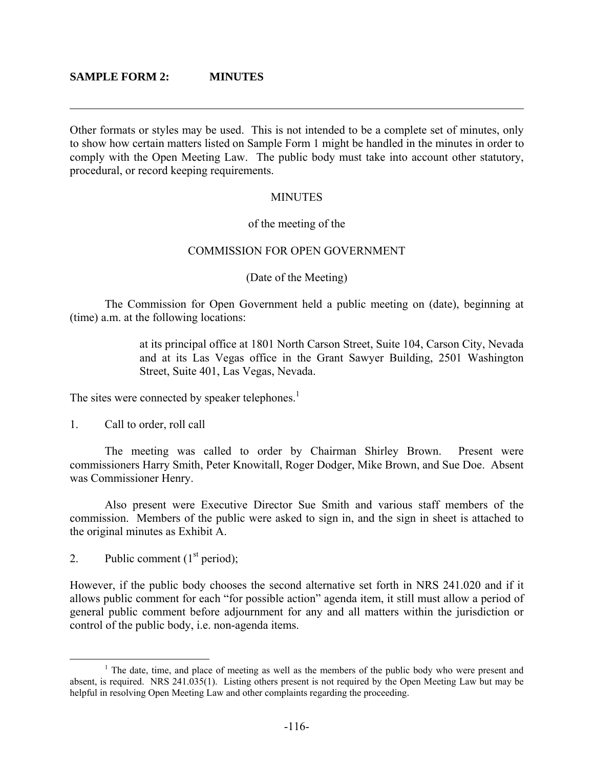$\overline{a}$ 

Other formats or styles may be used. This is not intended to be a complete set of minutes, only to show how certain matters listed on Sample Form 1 might be handled in the minutes in order to comply with the Open Meeting Law. The public body must take into account other statutory, procedural, or record keeping requirements.

### **MINUTES**

## of the meeting of the

## COMMISSION FOR OPEN GOVERNMENT

## (Date of the Meeting)

 The Commission for Open Government held a public meeting on (date), beginning at (time) a.m. at the following locations:

> at its principal office at 1801 North Carson Street, Suite 104, Carson City, Nevada and at its Las Vegas office in the Grant Sawyer Building, 2501 Washington Street, Suite 401, Las Vegas, Nevada.

The sites were connected by speaker telephones.<sup>1</sup>

1. Call to order, roll call

 The meeting was called to order by Chairman Shirley Brown. Present were commissioners Harry Smith, Peter Knowitall, Roger Dodger, Mike Brown, and Sue Doe. Absent was Commissioner Henry.

 Also present were Executive Director Sue Smith and various staff members of the commission. Members of the public were asked to sign in, and the sign in sheet is attached to the original minutes as Exhibit A.

2. Public comment  $(1<sup>st</sup> period);$ 

However, if the public body chooses the second alternative set forth in NRS 241.020 and if it allows public comment for each "for possible action" agenda item, it still must allow a period of general public comment before adjournment for any and all matters within the jurisdiction or control of the public body, i.e. non-agenda items.

 $\frac{1}{1}$ <sup>1</sup> The date, time, and place of meeting as well as the members of the public body who were present and absent, is required. NRS 241.035(1). Listing others present is not required by the Open Meeting Law but may be helpful in resolving Open Meeting Law and other complaints regarding the proceeding.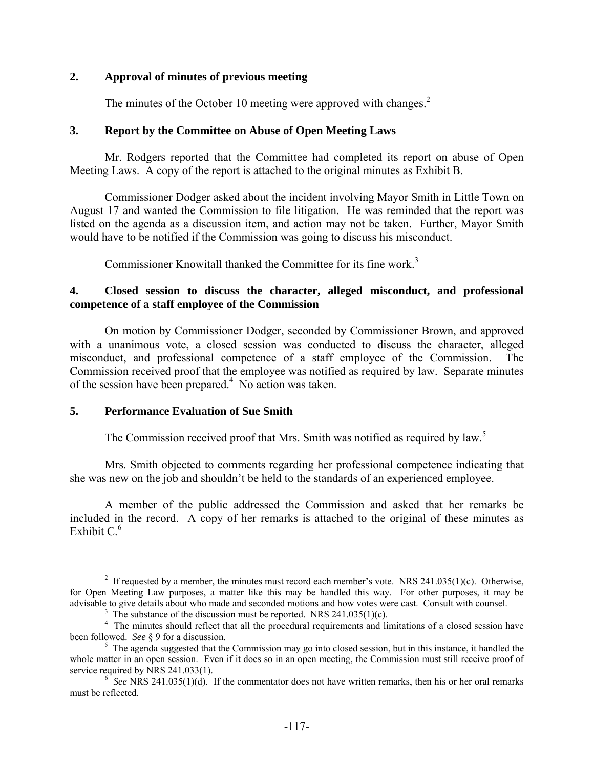## **2. Approval of minutes of previous meeting**

The minutes of the October 10 meeting were approved with changes.<sup>2</sup>

## **3. Report by the Committee on Abuse of Open Meeting Laws**

Mr. Rodgers reported that the Committee had completed its report on abuse of Open Meeting Laws. A copy of the report is attached to the original minutes as Exhibit B.

 Commissioner Dodger asked about the incident involving Mayor Smith in Little Town on August 17 and wanted the Commission to file litigation. He was reminded that the report was listed on the agenda as a discussion item, and action may not be taken. Further, Mayor Smith would have to be notified if the Commission was going to discuss his misconduct.

Commissioner Knowitall thanked the Committee for its fine work.<sup>3</sup>

## **4. Closed session to discuss the character, alleged misconduct, and professional competence of a staff employee of the Commission**

 On motion by Commissioner Dodger, seconded by Commissioner Brown, and approved with a unanimous vote, a closed session was conducted to discuss the character, alleged misconduct, and professional competence of a staff employee of the Commission. The Commission received proof that the employee was notified as required by law. Separate minutes of the session have been prepared.<sup>4</sup> No action was taken.

## **5. Performance Evaluation of Sue Smith**

The Commission received proof that Mrs. Smith was notified as required by law.<sup>5</sup>

 Mrs. Smith objected to comments regarding her professional competence indicating that she was new on the job and shouldn't be held to the standards of an experienced employee.

 A member of the public addressed the Commission and asked that her remarks be included in the record. A copy of her remarks is attached to the original of these minutes as Exhibit  $C<sup>6</sup>$ 

 $\frac{1}{2}$ <sup>2</sup> If requested by a member, the minutes must record each member's vote. NRS 241.035(1)(c). Otherwise, for Open Meeting Law purposes, a matter like this may be handled this way. For other purposes, it may be advisable to give details about who made and seconded motions and how votes were cast. Consult with counsel. 3

<sup>&</sup>lt;sup>3</sup> The substance of the discussion must be reported. NRS 241.035(1)(c).

<sup>&</sup>lt;sup>4</sup> The minutes should reflect that all the procedural requirements and limitations of a closed session have been followed. *See* § 9 for a discussion.

 $<sup>5</sup>$  The agenda suggested that the Commission may go into closed session, but in this instance, it handled the</sup> whole matter in an open session. Even if it does so in an open meeting, the Commission must still receive proof of service required by NRS 241.033(1).

 $\frac{6}{5}$  See NRS 241.035(1)(d). If the commentator does not have written remarks, then his or her oral remarks must be reflected.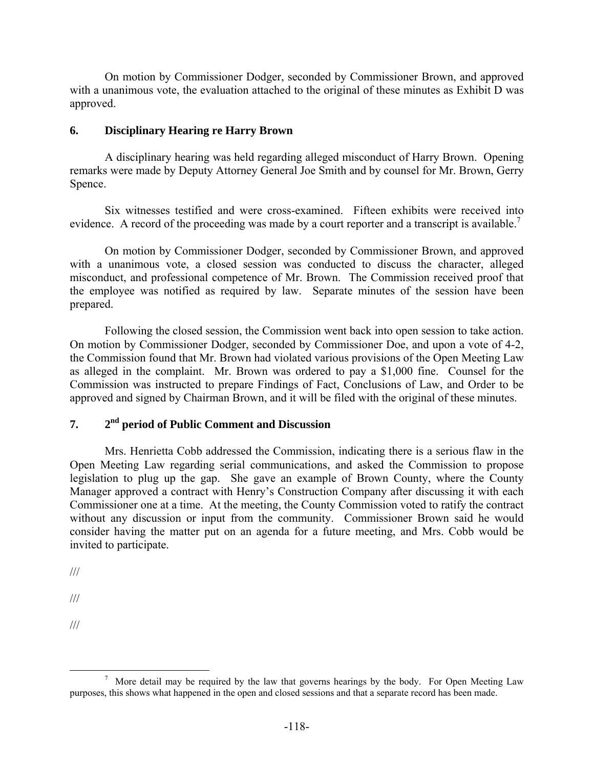On motion by Commissioner Dodger, seconded by Commissioner Brown, and approved with a unanimous vote, the evaluation attached to the original of these minutes as Exhibit D was approved.

## **6. Disciplinary Hearing re Harry Brown**

 A disciplinary hearing was held regarding alleged misconduct of Harry Brown. Opening remarks were made by Deputy Attorney General Joe Smith and by counsel for Mr. Brown, Gerry Spence.

 Six witnesses testified and were cross-examined. Fifteen exhibits were received into evidence. A record of the proceeding was made by a court reporter and a transcript is available.<sup>7</sup>

 On motion by Commissioner Dodger, seconded by Commissioner Brown, and approved with a unanimous vote, a closed session was conducted to discuss the character, alleged misconduct, and professional competence of Mr. Brown. The Commission received proof that the employee was notified as required by law. Separate minutes of the session have been prepared.

 Following the closed session, the Commission went back into open session to take action. On motion by Commissioner Dodger, seconded by Commissioner Doe, and upon a vote of 4-2, the Commission found that Mr. Brown had violated various provisions of the Open Meeting Law as alleged in the complaint. Mr. Brown was ordered to pay a \$1,000 fine. Counsel for the Commission was instructed to prepare Findings of Fact, Conclusions of Law, and Order to be approved and signed by Chairman Brown, and it will be filed with the original of these minutes.

## **7. 2nd period of Public Comment and Discussion**

 Mrs. Henrietta Cobb addressed the Commission, indicating there is a serious flaw in the Open Meeting Law regarding serial communications, and asked the Commission to propose legislation to plug up the gap. She gave an example of Brown County, where the County Manager approved a contract with Henry's Construction Company after discussing it with each Commissioner one at a time. At the meeting, the County Commission voted to ratify the contract without any discussion or input from the community. Commissioner Brown said he would consider having the matter put on an agenda for a future meeting, and Mrs. Cobb would be invited to participate.

///

///

///

 $\overline{\phantom{a}}$  $\frac{7}{1}$  More detail may be required by the law that governs hearings by the body. For Open Meeting Law purposes, this shows what happened in the open and closed sessions and that a separate record has been made.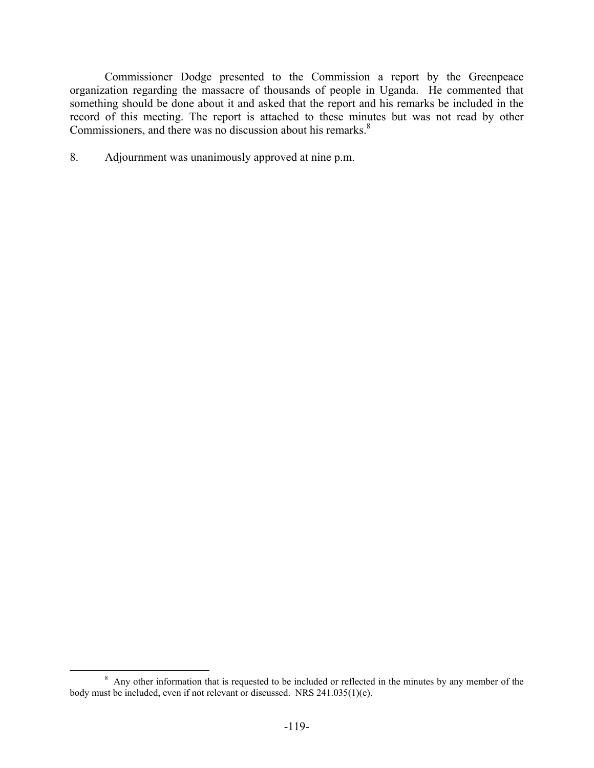Commissioner Dodge presented to the Commission a report by the Greenpeace organization regarding the massacre of thousands of people in Uganda. He commented that something should be done about it and asked that the report and his remarks be included in the record of this meeting. The report is attached to these minutes but was not read by other Commissioners, and there was no discussion about his remarks.<sup>8</sup>

8. Adjournment was unanimously approved at nine p.m.

 $\frac{1}{8}$ <sup>8</sup> Any other information that is requested to be included or reflected in the minutes by any member of the body must be included, even if not relevant or discussed. NRS 241.035(1)(e).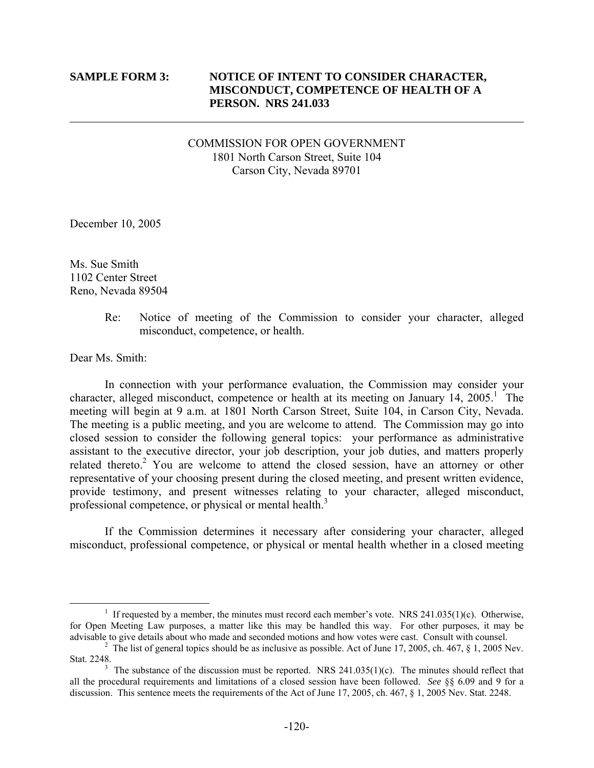$\overline{a}$ 

### **SAMPLE FORM 3: NOTICE OF INTENT TO CONSIDER CHARACTER, MISCONDUCT, COMPETENCE OF HEALTH OF A PERSON. NRS 241.033**

## COMMISSION FOR OPEN GOVERNMENT 1801 North Carson Street, Suite 104 Carson City, Nevada 89701

December 10, 2005

Ms. Sue Smith 1102 Center Street Reno, Nevada 89504

> Re: Notice of meeting of the Commission to consider your character, alleged misconduct, competence, or health.

Dear Ms. Smith:

 In connection with your performance evaluation, the Commission may consider your character, alleged misconduct, competence or health at its meeting on January  $14$ ,  $2005$ .<sup>1</sup> The meeting will begin at 9 a.m. at 1801 North Carson Street, Suite 104, in Carson City, Nevada. The meeting is a public meeting, and you are welcome to attend. The Commission may go into closed session to consider the following general topics: your performance as administrative assistant to the executive director, your job description, your job duties, and matters properly related thereto.<sup>2</sup> You are welcome to attend the closed session, have an attorney or other representative of your choosing present during the closed meeting, and present written evidence, provide testimony, and present witnesses relating to your character, alleged misconduct, professional competence, or physical or mental health.<sup>3</sup>

 If the Commission determines it necessary after considering your character, alleged misconduct, professional competence, or physical or mental health whether in a closed meeting

 $\frac{1}{1}$ <sup>1</sup> If requested by a member, the minutes must record each member's vote. NRS 241.035(1)(c). Otherwise, for Open Meeting Law purposes, a matter like this may be handled this way. For other purposes, it may be advisable to give details about who made and seconded motions and how votes were cast. Consult with counsel. 2

<sup>&</sup>lt;sup>2</sup> The list of general topics should be as inclusive as possible. Act of June 17, 2005, ch. 467, § 1, 2005 Nev. Stat. 2248.

The substance of the discussion must be reported. NRS 241.035(1)(c). The minutes should reflect that all the procedural requirements and limitations of a closed session have been followed. *See* §§ 6.09 and 9 for a discussion. This sentence meets the requirements of the Act of June 17, 2005, ch. 467, § 1, 2005 Nev. Stat. 2248.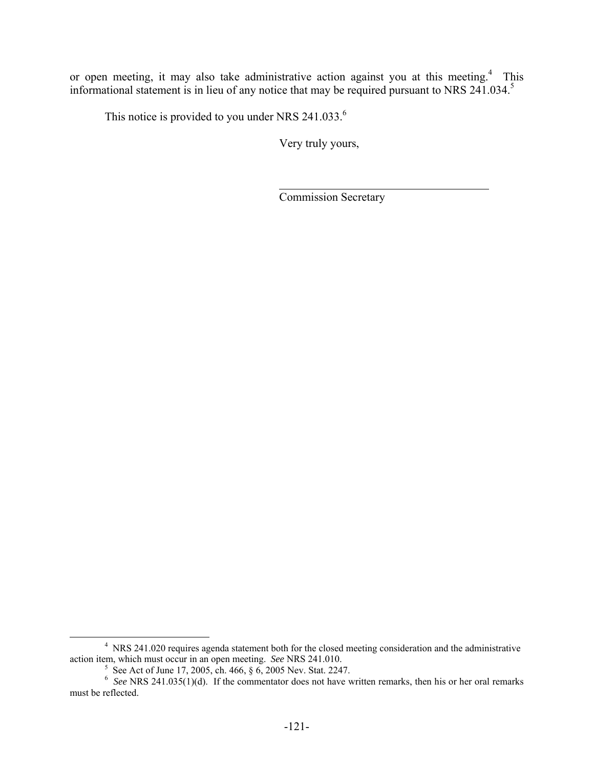or open meeting, it may also take administrative action against you at this meeting.<sup>4</sup> This informational statement is in lieu of any notice that may be required pursuant to NRS 241.034.<sup>5</sup>

This notice is provided to you under NRS  $241.033<sup>6</sup>$ .

Very truly yours,

Commission Secretary

 $\frac{1}{4}$  NRS 241.020 requires agenda statement both for the closed meeting consideration and the administrative action item, which must occur in an open meeting. *See* NRS 241.010.

<sup>&</sup>lt;sup>5</sup> See Act of June 17, 2005, ch. 466, § 6, 2005 Nev. Stat. 2247.<br><sup>6</sup> See NRS 241.035(1)(d). If the commentator does not have written remarks, then his or her oral remarks must be reflected.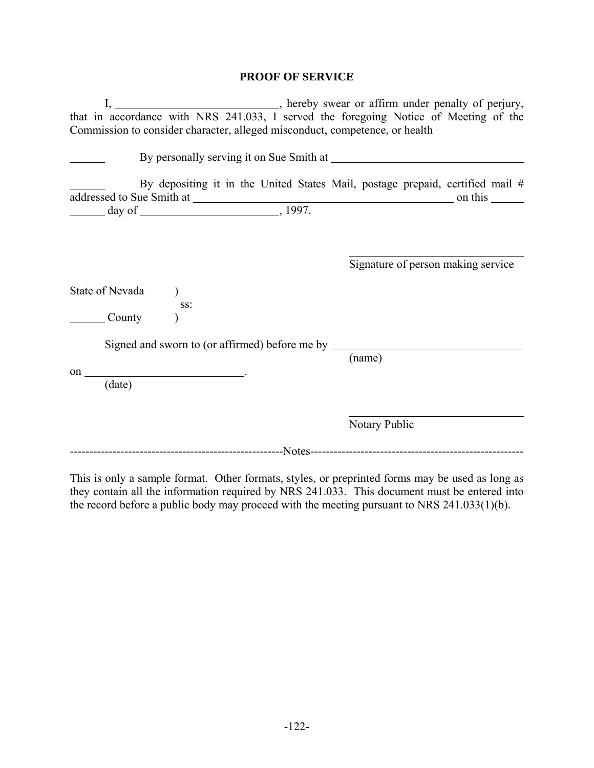## **PROOF OF SERVICE**

| Commission to consider character, alleged misconduct, competence, or health          |                                    |
|--------------------------------------------------------------------------------------|------------------------------------|
| By personally serving it on Sue Smith at                                             |                                    |
| By depositing it in the United States Mail, postage prepaid, certified mail #        |                                    |
|                                                                                      | Signature of person making service |
| State of Nevada<br>SS:<br>$\equiv$ County                                            |                                    |
| Signed and sworn to (or affirmed) before me by ______<br>on $\overline{\phantom{a}}$ | (name)                             |
| (date)                                                                               | Notary Public                      |
|                                                                                      |                                    |

This is only a sample format. Other formats, styles, or preprinted forms may be used as long as they contain all the information required by NRS 241.033. This document must be entered into the record before a public body may proceed with the meeting pursuant to NRS 241.033(1)(b).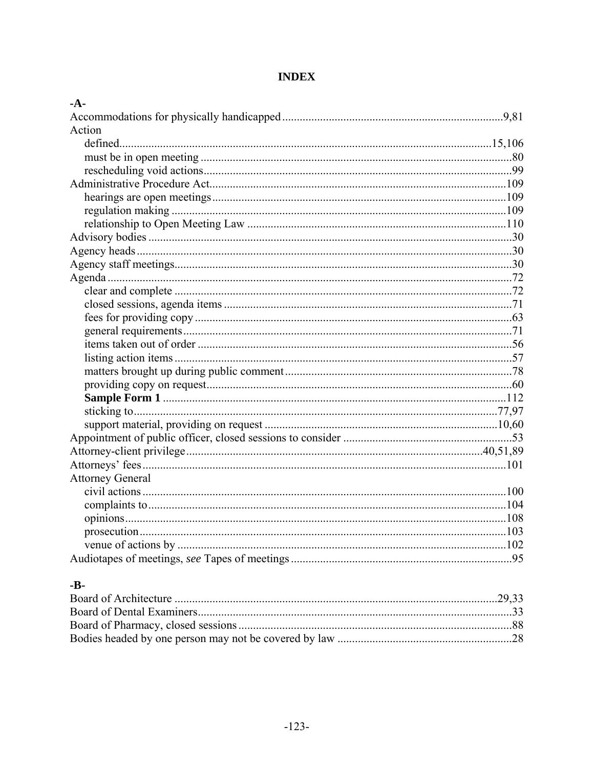## **INDEX**

| Action                  |  |
|-------------------------|--|
|                         |  |
|                         |  |
|                         |  |
|                         |  |
|                         |  |
|                         |  |
|                         |  |
|                         |  |
|                         |  |
|                         |  |
|                         |  |
|                         |  |
|                         |  |
|                         |  |
|                         |  |
|                         |  |
|                         |  |
|                         |  |
|                         |  |
|                         |  |
|                         |  |
|                         |  |
|                         |  |
|                         |  |
|                         |  |
| <b>Attorney General</b> |  |
|                         |  |
|                         |  |
|                         |  |
|                         |  |
|                         |  |
|                         |  |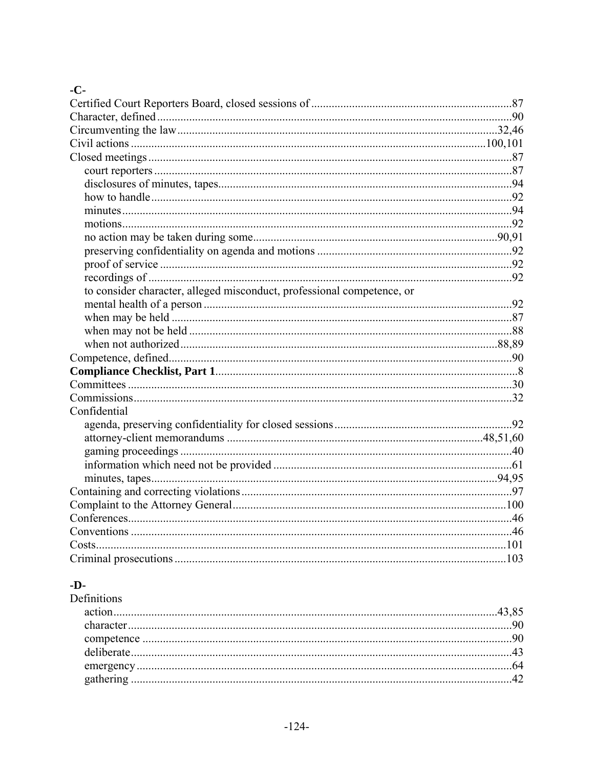# $-C-$

| to consider character, alleged misconduct, professional competence, or |  |
|------------------------------------------------------------------------|--|
|                                                                        |  |
|                                                                        |  |
|                                                                        |  |
|                                                                        |  |
|                                                                        |  |
|                                                                        |  |
|                                                                        |  |
|                                                                        |  |
| Confidential                                                           |  |
|                                                                        |  |
|                                                                        |  |
|                                                                        |  |
|                                                                        |  |
|                                                                        |  |
|                                                                        |  |
|                                                                        |  |
|                                                                        |  |
|                                                                        |  |
|                                                                        |  |
|                                                                        |  |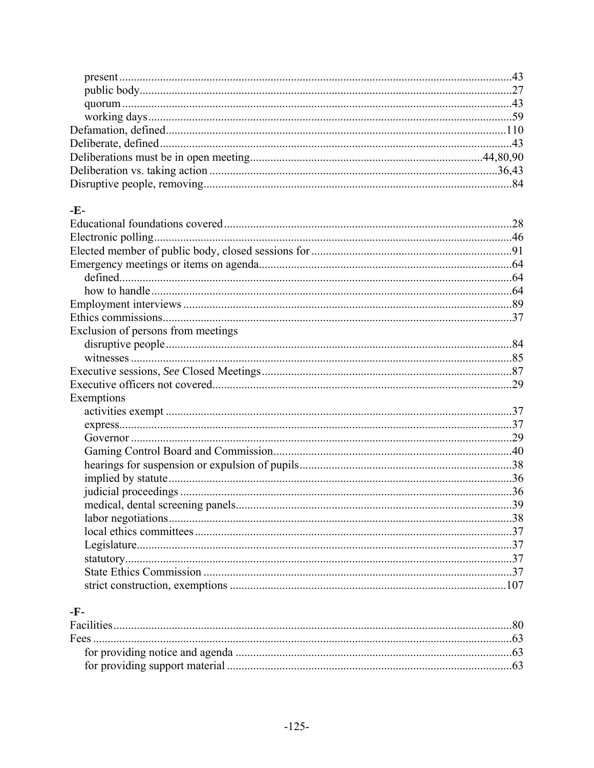# $-E-$

| Exclusion of persons from meetings |  |
|------------------------------------|--|
|                                    |  |
|                                    |  |
|                                    |  |
|                                    |  |
| Exemptions                         |  |
|                                    |  |
|                                    |  |
|                                    |  |
|                                    |  |
|                                    |  |
|                                    |  |
|                                    |  |
|                                    |  |
|                                    |  |
|                                    |  |
|                                    |  |
|                                    |  |
|                                    |  |
|                                    |  |

# $-F-$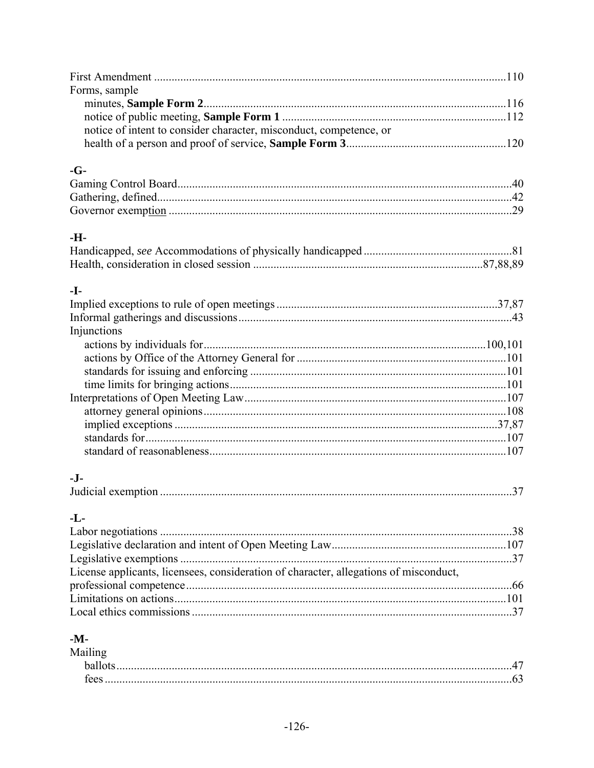| Forms, sample                                                                         |  |
|---------------------------------------------------------------------------------------|--|
|                                                                                       |  |
|                                                                                       |  |
| notice of intent to consider character, misconduct, competence, or                    |  |
|                                                                                       |  |
| $-G-$                                                                                 |  |
|                                                                                       |  |
|                                                                                       |  |
|                                                                                       |  |
| -H-                                                                                   |  |
|                                                                                       |  |
|                                                                                       |  |
| -I-                                                                                   |  |
|                                                                                       |  |
|                                                                                       |  |
| Injunctions                                                                           |  |
|                                                                                       |  |
|                                                                                       |  |
|                                                                                       |  |
|                                                                                       |  |
|                                                                                       |  |
|                                                                                       |  |
|                                                                                       |  |
|                                                                                       |  |
|                                                                                       |  |
| $-I$ -                                                                                |  |
|                                                                                       |  |
| $-L$ -                                                                                |  |
|                                                                                       |  |
|                                                                                       |  |
|                                                                                       |  |
| License applicants, licensees, consideration of character, allegations of misconduct, |  |
|                                                                                       |  |
|                                                                                       |  |
|                                                                                       |  |
| $-Mz$                                                                                 |  |

| -M-    |  |
|--------|--|
| Maih   |  |
| hallot |  |
| tees   |  |
|        |  |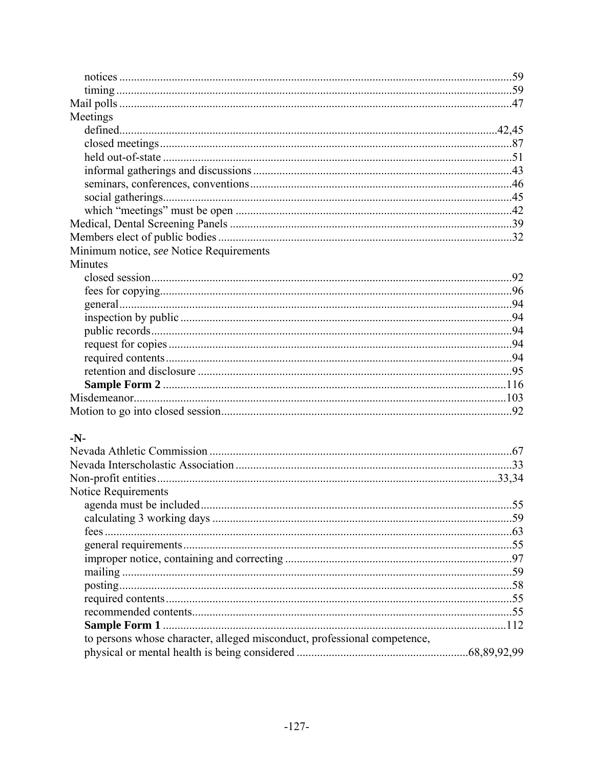| Meetings                                |  |
|-----------------------------------------|--|
|                                         |  |
|                                         |  |
|                                         |  |
|                                         |  |
|                                         |  |
|                                         |  |
|                                         |  |
|                                         |  |
|                                         |  |
| Minimum notice, see Notice Requirements |  |
| Minutes                                 |  |
|                                         |  |
|                                         |  |
|                                         |  |
|                                         |  |
|                                         |  |
|                                         |  |
|                                         |  |
|                                         |  |
|                                         |  |
|                                         |  |
|                                         |  |
|                                         |  |
| -N-                                     |  |
|                                         |  |
|                                         |  |
|                                         |  |
| Notice Requirements                     |  |
|                                         |  |
|                                         |  |
|                                         |  |
|                                         |  |
|                                         |  |

| to persons whose character, alleged misconduct, professional competence, |  |
|--------------------------------------------------------------------------|--|
|                                                                          |  |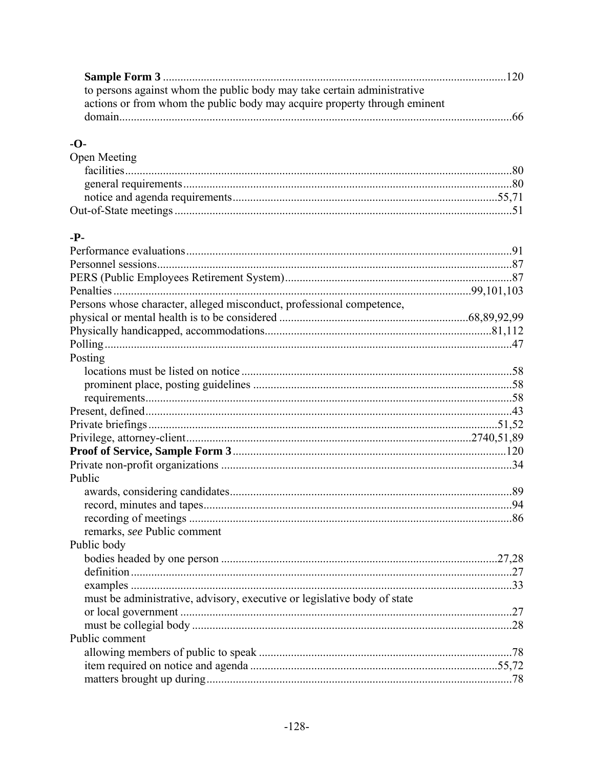| to persons against whom the public body may take certain administrative   |  |
|---------------------------------------------------------------------------|--|
| actions or from whom the public body may acquire property through eminent |  |
| 166                                                                       |  |

# $-**O**$

| Open Meeting |  |
|--------------|--|
|              |  |
|              |  |
|              |  |
|              |  |

## .p.

| Persons whose character, alleged misconduct, professional competence,    |  |
|--------------------------------------------------------------------------|--|
|                                                                          |  |
|                                                                          |  |
|                                                                          |  |
| Posting                                                                  |  |
|                                                                          |  |
|                                                                          |  |
|                                                                          |  |
|                                                                          |  |
|                                                                          |  |
|                                                                          |  |
|                                                                          |  |
|                                                                          |  |
| Public                                                                   |  |
|                                                                          |  |
|                                                                          |  |
|                                                                          |  |
| remarks, see Public comment                                              |  |
| Public body                                                              |  |
|                                                                          |  |
|                                                                          |  |
|                                                                          |  |
| must be administrative, advisory, executive or legislative body of state |  |
|                                                                          |  |
|                                                                          |  |
| Public comment                                                           |  |
|                                                                          |  |
|                                                                          |  |
|                                                                          |  |
|                                                                          |  |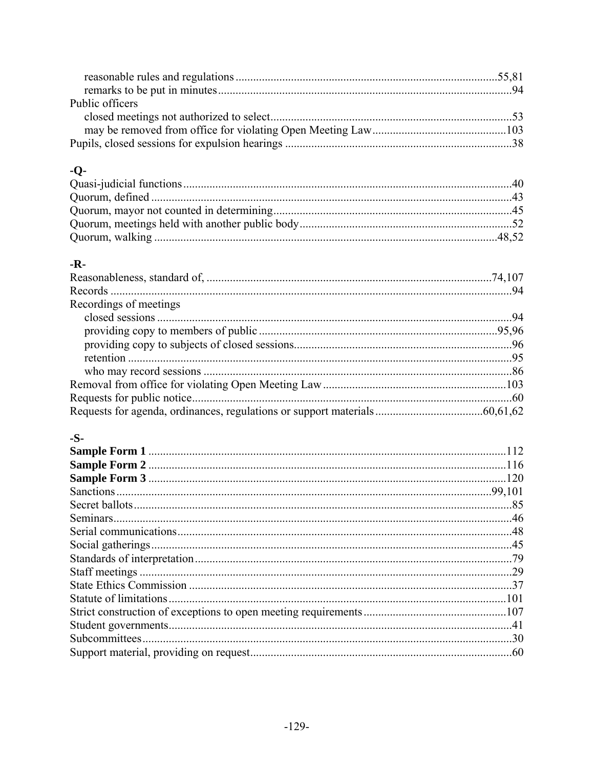| Public officers |  |
|-----------------|--|
|                 |  |
|                 |  |
|                 |  |

# -Q-

# $-R-$

| Recordings of meetings |  |
|------------------------|--|
|                        |  |
|                        |  |
|                        |  |
|                        |  |
|                        |  |
|                        |  |
|                        |  |
|                        |  |

## $-S-$

| 112 |
|-----|
|     |
|     |
|     |
|     |
|     |
|     |
|     |
|     |
|     |
|     |
|     |
|     |
|     |
|     |
|     |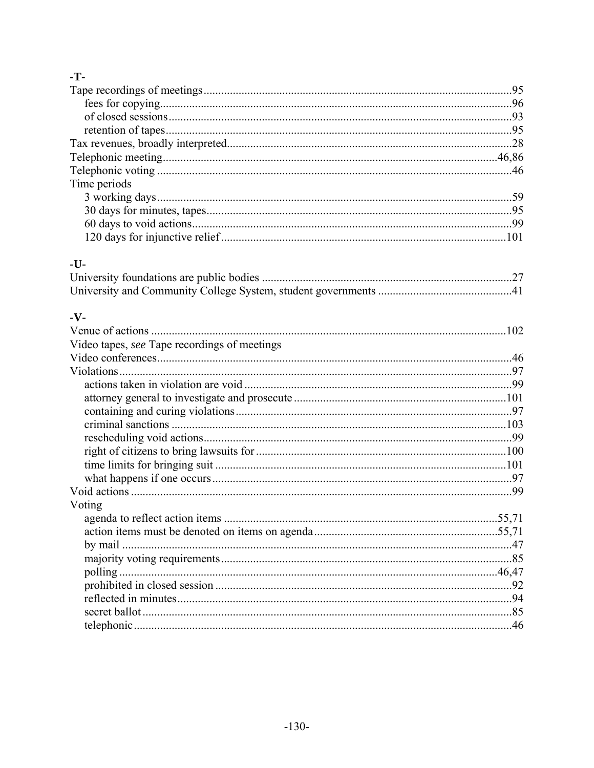# $\mathbf{T}$

| Time periods                                 |  |
|----------------------------------------------|--|
|                                              |  |
|                                              |  |
|                                              |  |
|                                              |  |
| $-U-$                                        |  |
|                                              |  |
|                                              |  |
|                                              |  |
| $-V -$                                       |  |
|                                              |  |
| Video tapes, see Tape recordings of meetings |  |
|                                              |  |
|                                              |  |
|                                              |  |
|                                              |  |
|                                              |  |
|                                              |  |
|                                              |  |
|                                              |  |
|                                              |  |
|                                              |  |
|                                              |  |
| Voting                                       |  |
|                                              |  |
|                                              |  |
|                                              |  |
|                                              |  |
|                                              |  |
|                                              |  |
|                                              |  |
|                                              |  |
|                                              |  |
|                                              |  |